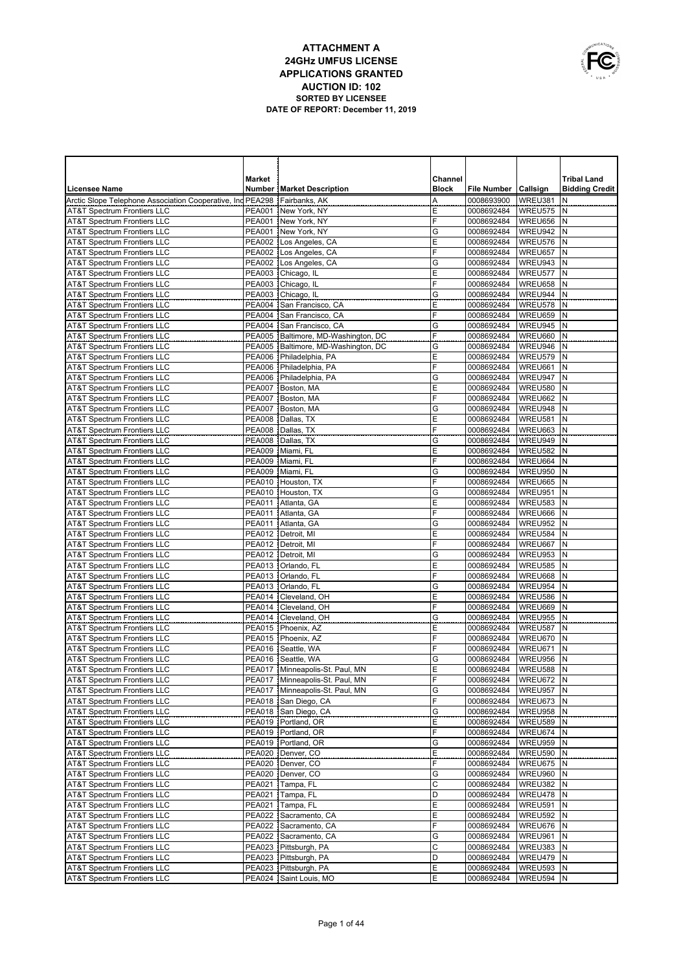

|                                                                                  | <b>Market</b> |                                          | Channel      |                          |                    | <b>Tribal Land</b>    |
|----------------------------------------------------------------------------------|---------------|------------------------------------------|--------------|--------------------------|--------------------|-----------------------|
| <b>Licensee Name</b>                                                             |               | <b>Number   Market Description</b>       | <b>Block</b> | File Number   Callsign   |                    | <b>Bidding Credit</b> |
| Arctic Slope Telephone Association Cooperative, Ind PEA298                       |               | Fairbanks, AK                            | Α            | 0008693900               | WREU381            | N                     |
| <b>AT&amp;T Spectrum Frontiers LLC</b>                                           |               | PEA001 New York, NY                      | Ε            | 0008692484               | WREU575            | N                     |
| <b>AT&amp;T Spectrum Frontiers LLC</b>                                           |               | PEA001 New York, NY                      | F            | 0008692484               | WREU656            | N                     |
| <b>AT&amp;T Spectrum Frontiers LLC</b>                                           |               | PEA001 New York, NY                      | G            | 0008692484               | WREU942            | N                     |
| <b>AT&amp;T Spectrum Frontiers LLC</b>                                           |               | PEA002   Los Angeles, CA                 | Ε            | 0008692484               | WREU576            | N                     |
| <b>AT&amp;T Spectrum Frontiers LLC</b>                                           |               | PEA002 Los Angeles, CA                   | F            | 0008692484               | WREU657            | N                     |
| <b>AT&amp;T Spectrum Frontiers LLC</b>                                           |               | PEA002   Los Angeles, CA                 | G            | 0008692484               | WREU943            | N<br>N                |
| <b>AT&amp;T Spectrum Frontiers LLC</b><br><b>AT&amp;T Spectrum Frontiers LLC</b> |               | PEA003 Chicago, IL<br>PEA003 Chicago, IL | Ε<br>F       | 0008692484<br>0008692484 | WREU577<br>WREU658 | N                     |
| <b>AT&amp;T Spectrum Frontiers LLC</b>                                           |               | PEA003 Chicago, IL                       | G            | 0008692484               | WREU944            | N                     |
| <b>AT&amp;T Spectrum Frontiers LLC</b>                                           |               | PEA004   San Francisco, CA               | Ε            | 0008692484               | WREU578            | N                     |
| <b>AT&amp;T Spectrum Frontiers LLC</b>                                           |               | PEA004 San Francisco, CA                 | F            | 0008692484               | WREU659            | N                     |
| AT&T Spectrum Frontiers LLC                                                      |               | PEA004 San Francisco, CA                 | G            | 0008692484               | WREU945            | N                     |
| <b>AT&amp;T Spectrum Frontiers LLC</b>                                           |               | PEA005 Baltimore, MD-Washington, DC      | F            | 0008692484               | WREU660            | N                     |
| <b>AT&amp;T Spectrum Frontiers LLC</b>                                           |               | PEA005   Baltimore, MD-Washington, DC    | G            | 0008692484               | WREU946            | N                     |
| <b>AT&amp;T Spectrum Frontiers LLC</b>                                           |               | PEA006 Philadelphia, PA                  | Ε            | 0008692484               | WREU579            | N                     |
| <b>AT&amp;T Spectrum Frontiers LLC</b>                                           |               | PEA006 Philadelphia, PA                  | F            | 0008692484               | WREU661            | N                     |
| <b>AT&amp;T Spectrum Frontiers LLC</b>                                           |               | PEA006 Philadelphia, PA                  | G            | 0008692484               | WREU947            | N                     |
| <b>AT&amp;T Spectrum Frontiers LLC</b>                                           |               | PEA007 Boston, MA                        | E            | 0008692484               | WREU580            | N                     |
| <b>AT&amp;T Spectrum Frontiers LLC</b>                                           | <b>PEA007</b> | Boston, MA                               | F            | 0008692484               | WREU662            | N                     |
| <b>AT&amp;T Spectrum Frontiers LLC</b>                                           |               | PEA007 Boston, MA                        | G            | 0008692484               | WREU948            | N                     |
| <b>AT&amp;T Spectrum Frontiers LLC</b>                                           |               | PEA008 Dallas, TX                        | E            | 0008692484               | WREU581            | N                     |
| <b>AT&amp;T Spectrum Frontiers LLC</b>                                           |               | PEA008 Dallas, TX                        | F            | 0008692484               | WREU663            | N                     |
| <b>AT&amp;T Spectrum Frontiers LLC</b><br><b>AT&amp;T Spectrum Frontiers LLC</b> |               | PEA008 Dallas, TX<br>PEA009 Miami, FL    | G<br>E       | 0008692484<br>0008692484 | WREU949<br>WREU582 | N<br>N                |
| <b>AT&amp;T Spectrum Frontiers LLC</b>                                           |               | PEA009 Miami, FL                         | F            | 0008692484               | WREU664            | İΝ                    |
| <b>AT&amp;T Spectrum Frontiers LLC</b>                                           |               | PEA009 Miami, FL                         | G            | 0008692484               | WREU950            | N                     |
| <b>AT&amp;T Spectrum Frontiers LLC</b>                                           |               | PEA010 Houston, TX                       | F            | 0008692484               | WREU665            | IN.                   |
| <b>AT&amp;T Spectrum Frontiers LLC</b>                                           |               | PEA010 Houston, TX                       | G            | 0008692484               | WREU951            | N                     |
| <b>AT&amp;T Spectrum Frontiers LLC</b>                                           |               | PEA011   Atlanta, GA                     | E            | 0008692484               | WREU583            | İΝ                    |
| <b>AT&amp;T Spectrum Frontiers LLC</b>                                           |               | PEA011 Atlanta, GA                       | F            | 0008692484               | WREU666            | N                     |
| <b>AT&amp;T Spectrum Frontiers LLC</b>                                           |               | PEA011   Atlanta, GA                     | G            | 0008692484               | WREU952            | N                     |
| <b>AT&amp;T Spectrum Frontiers LLC</b>                                           |               | PEA012   Detroit, MI                     | E            | 0008692484               | WREU584            | N                     |
| <b>AT&amp;T Spectrum Frontiers LLC</b>                                           |               | PEA012   Detroit, MI                     | F            | 0008692484               | WREU667            | IN.                   |
| <b>AT&amp;T Spectrum Frontiers LLC</b>                                           |               | PEA012   Detroit, MI                     | G            | 0008692484               | WREU953            | N                     |
| <b>AT&amp;T Spectrum Frontiers LLC</b>                                           |               | PEA013   Orlando, FL                     | Ε            | 0008692484               | WREU585            | N                     |
| <b>AT&amp;T Spectrum Frontiers LLC</b>                                           |               | PEA013   Orlando, FL                     | F            | 0008692484               | WREU668            | Ν                     |
| <b>AT&amp;T Spectrum Frontiers LLC</b>                                           | <b>PEA013</b> | Orlando, FL                              | G            | 0008692484               | WREU954            | N                     |
| <b>AT&amp;T Spectrum Frontiers LLC</b><br><b>AT&amp;T Spectrum Frontiers LLC</b> | <b>PEA014</b> | PEA014   Cleveland, OH<br>Cleveland, OH  | E<br>F       | 0008692484<br>0008692484 | WREU586<br>WREU669 | Ν<br>N                |
| <b>AT&amp;T Spectrum Frontiers LLC</b>                                           |               | PEA014   Cleveland, OH                   | G            | 0008692484               | WREU955            | N                     |
| <b>AT&amp;T Spectrum Frontiers LLC</b>                                           |               | PEA015   Phoenix, AZ                     | Ε            | 0008692484               | WREU587            | N                     |
| <b>AT&amp;T Spectrum Frontiers LLC</b>                                           |               | PEA015   Phoenix, AZ                     | F            | 0008692484               | WREU670            | N                     |
| <b>AT&amp;T Spectrum Frontiers LLC</b>                                           | <b>PEA016</b> | Seattle, WA                              | F            | 0008692484               | WREU671            | N                     |
| <b>AT&amp;T Spectrum Frontiers LLC</b>                                           |               | PEA016 Seattle, WA                       | G            | 0008692484               | WREU956            | N                     |
| <b>AT&amp;T Spectrum Frontiers LLC</b>                                           |               | PEA017 Minneapolis-St. Paul. MN          | E            | 0008692484               | WREU588            | İΝ                    |
| <b>AT&amp;T Spectrum Frontiers LLC</b>                                           |               | PEA017   Minneapolis-St. Paul, MN        | F            | 0008692484               | WREU672 N          |                       |
| <b>AT&amp;T Spectrum Frontiers LLC</b>                                           |               | PEA017   Minneapolis-St. Paul, MN        | G            | 0008692484               | WREU957 N          |                       |
| AT&T Spectrum Frontiers LLC                                                      |               | PEA018 San Diego, CA                     | F            | 0008692484               | WREU673            | N                     |
| <b>AT&amp;T Spectrum Frontiers LLC</b>                                           |               | PEA018 San Diego, CA                     | G            | 0008692484               | WREU958            | IN.                   |
| AT&T Spectrum Frontiers LLC                                                      | <b>PEA019</b> | Portland, OR                             | E            | 0008692484               | WREU589            | N                     |
| AT&T Spectrum Frontiers LLC                                                      | <b>PEA019</b> | Portland, OR                             | F            | 0008692484               | WREU674            | ١N                    |
| AT&T Spectrum Frontiers LLC                                                      |               | PEA019   Portland, OR                    | G            | 0008692484               | WREU959            | N                     |
| <b>AT&amp;T Spectrum Frontiers LLC</b>                                           |               | PEA020   Denver, CO<br>PEA020 Denver, CO | Ε<br>F       | 0008692484               | WREU590<br>WREU675 | N<br>N                |
| AT&T Spectrum Frontiers LLC<br>AT&T Spectrum Frontiers LLC                       |               | PEA020   Denver, CO                      | G            | 0008692484<br>0008692484 | WREU960            | IN.                   |
| AT&T Spectrum Frontiers LLC                                                      |               | PEA021 Tampa, FL                         | C            | 0008692484               | WREU382            | N                     |
| AT&T Spectrum Frontiers LLC                                                      |               | PEA021   Tampa, FL                       | D            | 0008692484               | WREU478            | IN.                   |
| AT&T Spectrum Frontiers LLC                                                      |               | PEA021 Tampa, FL                         | E            | 0008692484               | WREU591            | N                     |
| <b>AT&amp;T Spectrum Frontiers LLC</b>                                           |               | PEA022 Sacramento, CA                    | E            | 0008692484               | WREU592            | IN.                   |
| <b>AT&amp;T Spectrum Frontiers LLC</b>                                           |               | PEA022 Sacramento, CA                    | F            | 0008692484               | WREU676            | N                     |
| <b>AT&amp;T Spectrum Frontiers LLC</b>                                           |               | PEA022 Sacramento, CA                    | G            | 0008692484               | WREU961            | ١N                    |
| <b>AT&amp;T Spectrum Frontiers LLC</b>                                           |               | PEA023 Pittsburgh, PA                    | C            | 0008692484               | WREU383            | N                     |
| <b>AT&amp;T Spectrum Frontiers LLC</b>                                           |               | PEA023 Pittsburgh, PA                    | D            | 0008692484               | WREU479            | ١N                    |
| <b>AT&amp;T Spectrum Frontiers LLC</b>                                           |               | PEA023 Pittsburgh, PA                    | E            | 0008692484               | WREU593            | IN.                   |
| <b>AT&amp;T Spectrum Frontiers LLC</b>                                           |               | PEA024 Saint Louis, MO                   | Ε            | 0008692484               | WREU594 N          |                       |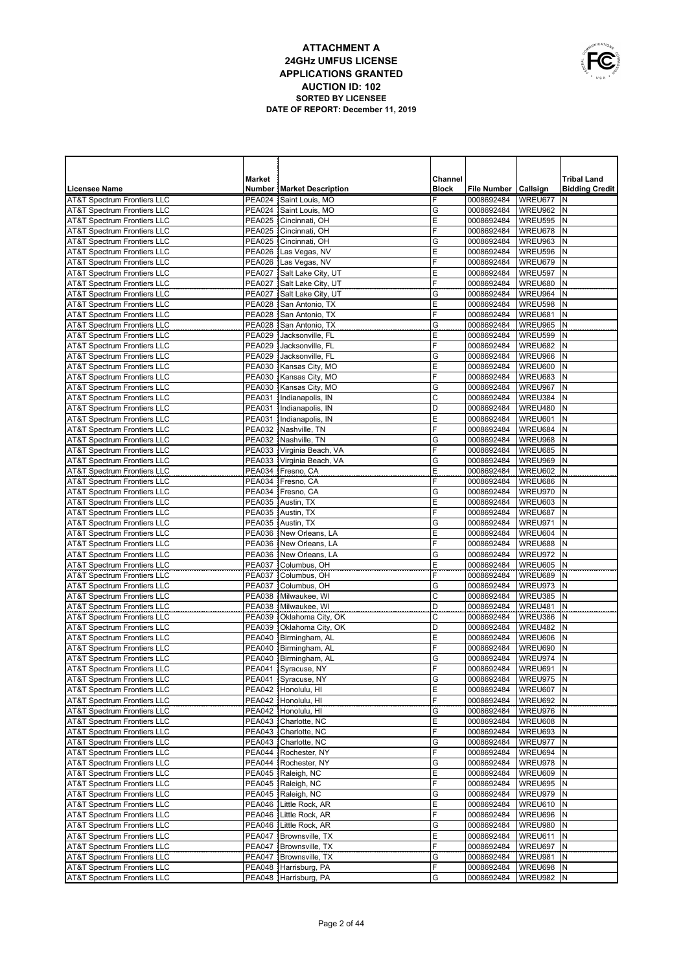|   | OWNUNICATIONS |
|---|---------------|
|   |               |
| É |               |
|   | USA           |

|                                                                                  | <b>Market</b> |                                                    | Channel      |                          |                    | <b>Tribal Land</b>    |
|----------------------------------------------------------------------------------|---------------|----------------------------------------------------|--------------|--------------------------|--------------------|-----------------------|
| <b>Licensee Name</b>                                                             |               | <b>Number   Market Description</b>                 | <b>Block</b> | File Number   Callsign   |                    | <b>Bidding Credit</b> |
| <b>AT&amp;T Spectrum Frontiers LLC</b>                                           | <b>PEA024</b> | Saint Louis, MO                                    | F            | 0008692484               | WREU677            | N                     |
| <b>AT&amp;T Spectrum Frontiers LLC</b>                                           |               | PEA024 Saint Louis, MO                             | G            | 0008692484               | WREU962            | N                     |
| <b>AT&amp;T Spectrum Frontiers LLC</b>                                           | <b>PEA025</b> | Cincinnati, OH                                     | E            | 0008692484               | WREU595            | N                     |
| <b>AT&amp;T Spectrum Frontiers LLC</b>                                           | <b>PEA025</b> | Cincinnati, OH                                     | F            | 0008692484               | WREU678            | N                     |
| <b>AT&amp;T Spectrum Frontiers LLC</b>                                           | <b>PEA025</b> | Cincinnati, OH                                     | G            | 0008692484               | WREU963            | N                     |
| <b>AT&amp;T Spectrum Frontiers LLC</b>                                           |               | PEA026 Las Vegas, NV                               | E            | 0008692484               | WREU596            | N                     |
| <b>AT&amp;T Spectrum Frontiers LLC</b>                                           |               | PEA026 Las Vegas, NV                               | F            | 0008692484               | WREU679            | N                     |
| <b>AT&amp;T Spectrum Frontiers LLC</b>                                           | <b>PEA027</b> | Salt Lake City, UT                                 | E            | 0008692484               | WREU597            | N                     |
| <b>AT&amp;T Spectrum Frontiers LLC</b>                                           | <b>PEA027</b> | Salt Lake City, UT                                 | F            | 0008692484               | WREU680            | N                     |
| <b>AT&amp;T Spectrum Frontiers LLC</b>                                           | <b>PEA027</b> | Salt Lake City, UT                                 | G            | 0008692484               | WREU964            | N                     |
| <b>AT&amp;T Spectrum Frontiers LLC</b>                                           | <b>PEA028</b> | San Antonio. TX                                    | E            | 0008692484               | WREU598            | N                     |
| <b>AT&amp;T Spectrum Frontiers LLC</b>                                           | <b>PEA028</b> | San Antonio, TX                                    | F            | 0008692484               | WREU681            | N                     |
| <b>AT&amp;T Spectrum Frontiers LLC</b>                                           | <b>PEA028</b> | San Antonio. TX                                    | G            | 0008692484               | WREU965            | N                     |
| <b>AT&amp;T Spectrum Frontiers LLC</b>                                           | <b>PEA029</b> | Jacksonville, FL                                   | E            | 0008692484               | WREU599            | N                     |
| <b>AT&amp;T Spectrum Frontiers LLC</b>                                           | <b>PEA029</b> | Jacksonville, FL                                   | F            | 0008692484               | WREU682            | N                     |
| <b>AT&amp;T Spectrum Frontiers LLC</b>                                           | <b>PEA029</b> | Jacksonville, FL                                   | G<br>E       | 0008692484               | WREU966<br>WREU600 | N<br>N                |
| <b>AT&amp;T Spectrum Frontiers LLC</b><br><b>AT&amp;T Spectrum Frontiers LLC</b> |               | PEA030   Kansas City, MO<br>PEA030 Kansas City, MO | F            | 0008692484<br>0008692484 | WREU683            | N                     |
| <b>AT&amp;T Spectrum Frontiers LLC</b>                                           |               | PEA030 Kansas City, MO                             | G            | 0008692484               | WREU967            | N                     |
| <b>AT&amp;T Spectrum Frontiers LLC</b>                                           |               | PEA031 Indianapolis, IN                            | С            | 0008692484               | WREU384            | N                     |
| <b>AT&amp;T Spectrum Frontiers LLC</b>                                           |               | PEA031   Indianapolis, IN                          | D            | 0008692484               | WREU480            | N                     |
| <b>AT&amp;T Spectrum Frontiers LLC</b>                                           |               | PEA031 Indianapolis, IN                            | E            | 0008692484               | WREU601            | N                     |
| AT&T Spectrum Frontiers LLC                                                      |               | PEA032 Nashville, TN                               | F            | 0008692484               | WREU684            | N                     |
| <b>AT&amp;T Spectrum Frontiers LLC</b>                                           |               | PEA032 Nashville, TN                               | G            | 0008692484               | WREU968            | N                     |
| <b>AT&amp;T Spectrum Frontiers LLC</b>                                           |               | PEA033   Virginia Beach, VA                        | F            | 0008692484               | WREU685            | N                     |
| <b>AT&amp;T Spectrum Frontiers LLC</b>                                           |               | PEA033 Virginia Beach, VA                          | G            | 0008692484               | WREU969            | N                     |
| <b>AT&amp;T Spectrum Frontiers LLC</b>                                           |               | PEA034   Fresno, CA                                | E            | 0008692484               | WREU602            | N                     |
| AT&T Spectrum Frontiers LLC                                                      |               | PEA034 Fresno, CA                                  | F            | 0008692484               | WREU686            | N                     |
| <b>AT&amp;T Spectrum Frontiers LLC</b>                                           |               | PEA034   Fresno, CA                                | G            | 0008692484               | WREU970            | N                     |
| <b>AT&amp;T Spectrum Frontiers LLC</b>                                           |               | PEA035 Austin, TX                                  | E            | 0008692484               | WREU603            | N                     |
| <b>AT&amp;T Spectrum Frontiers LLC</b>                                           |               | PEA035 Austin, TX                                  | F            | 0008692484               | WREU687            | N                     |
| <b>AT&amp;T Spectrum Frontiers LLC</b>                                           |               | PEA035 Austin, TX                                  | G            | 0008692484               | WREU971            | N                     |
| <b>AT&amp;T Spectrum Frontiers LLC</b>                                           |               | PEA036   New Orleans, LA                           | E            | 0008692484               | WREU604            | N                     |
| <b>AT&amp;T Spectrum Frontiers LLC</b>                                           |               | PEA036 New Orleans, LA                             | F            | 0008692484               | WREU688            | N                     |
| <b>AT&amp;T Spectrum Frontiers LLC</b>                                           |               | PEA036   New Orleans, LA                           | G            | 0008692484               | WREU972            | N                     |
| <b>AT&amp;T Spectrum Frontiers LLC</b>                                           |               | PEA037 Columbus, OH                                | Ε            | 0008692484               | WREU605            | N                     |
| <b>AT&amp;T Spectrum Frontiers LLC</b>                                           |               | PEA037 Columbus, OH                                | F            | 0008692484               | WREU689            | N                     |
| <b>AT&amp;T Spectrum Frontiers LLC</b>                                           | <b>PEA037</b> | Columbus, OH                                       | G            | 0008692484               | WREU973            | N                     |
| <b>AT&amp;T Spectrum Frontiers LLC</b>                                           |               | PEA038   Milwaukee, WI                             | C            | 0008692484               | WREU385            | N                     |
| <b>AT&amp;T Spectrum Frontiers LLC</b><br><b>AT&amp;T Spectrum Frontiers LLC</b> |               | PEA038 Milwaukee, WI<br>PEA039   Oklahoma City, OK | D<br>C       | 0008692484               | WREU481<br>WREU386 | $\mathsf{N}$<br>N     |
| <b>AT&amp;T Spectrum Frontiers LLC</b>                                           |               | PEA039 Oklahoma City, OK                           | D            | 0008692484<br>0008692484 | WREU482            | $\mathsf{N}$          |
| <b>AT&amp;T Spectrum Frontiers LLC</b>                                           |               | PEA040   Birmingham, AL                            | E            | 0008692484               | WREU606            | N                     |
| <b>AT&amp;T Spectrum Frontiers LLC</b>                                           |               | PEA040 Birmingham, AL                              | F            | 0008692484               | WREU690            | $\mathsf{N}$          |
| <b>AT&amp;T Spectrum Frontiers LLC</b>                                           |               | PEA040   Birmingham, AL                            | G            | 0008692484               | WREU974            | N                     |
| <b>AT&amp;T Spectrum Frontiers LLC</b>                                           |               | PEA041 Syracuse, NY                                | F            | 0008692484               | WREU691            | N                     |
| <b>AT&amp;T Spectrum Frontiers LLC</b>                                           |               | PEA041 Syracuse, NY                                | G            | 0008692484               | WREU975 N          |                       |
| AT&T Spectrum Frontiers LLC                                                      |               | PEA042 Honolulu, HI                                | E            | 0008692484               | WREU607 N          |                       |
| AT&T Spectrum Frontiers LLC                                                      |               | PEA042 Honolulu, HI                                | F            | 0008692484               | WREU692 N          |                       |
| <b>AT&amp;T Spectrum Frontiers LLC</b>                                           |               | PEA042 Honolulu, HI                                | G            | 0008692484               | WREU976 N          |                       |
| <b>AT&amp;T Spectrum Frontiers LLC</b>                                           |               | PEA043 Charlotte, NC                               | E            | 0008692484               | WREU608            | IN.                   |
| <b>AT&amp;T Spectrum Frontiers LLC</b>                                           |               | PEA043   Charlotte, NC                             | F            | 0008692484               | WREU693 N          |                       |
| <b>AT&amp;T Spectrum Frontiers LLC</b>                                           |               | PEA043 Charlotte, NC                               | G            | 0008692484               | WREU977            | N                     |
| <b>AT&amp;T Spectrum Frontiers LLC</b>                                           |               | PEA044 Rochester, NY                               | F            | 0008692484               | WREU694            | IN.                   |
| <b>AT&amp;T Spectrum Frontiers LLC</b>                                           |               | PEA044   Rochester, NY                             | G            | 0008692484               | WREU978            | N                     |
| <b>AT&amp;T Spectrum Frontiers LLC</b>                                           |               | PEA045 Raleigh, NC                                 | Ε            | 0008692484               | WREU609            | N                     |
| <b>AT&amp;T Spectrum Frontiers LLC</b>                                           |               | PEA045 Raleigh, NC                                 | F            | 0008692484               | WREU695            | N                     |
| <b>AT&amp;T Spectrum Frontiers LLC</b>                                           |               | PEA045 Raleigh, NC                                 | G            | 0008692484               | WREU979            | N                     |
| <b>AT&amp;T Spectrum Frontiers LLC</b>                                           |               | PEA046   Little Rock, AR                           | E            | 0008692484               | WREU610            | N                     |
| <b>AT&amp;T Spectrum Frontiers LLC</b>                                           |               | PEA046   Little Rock, AR                           | F            | 0008692484               | WREU696            | N                     |
| <b>AT&amp;T Spectrum Frontiers LLC</b>                                           |               | PEA046   Little Rock, AR                           | G            | 0008692484               | WREU980            | N                     |
| <b>AT&amp;T Spectrum Frontiers LLC</b>                                           |               | PEA047   Brownsville, TX                           | Ε            | 0008692484               | WREU611            | N                     |
| <b>AT&amp;T Spectrum Frontiers LLC</b>                                           |               | PEA047   Brownsville, TX                           | F            | 0008692484               | WREU697            | N                     |
| <b>AT&amp;T Spectrum Frontiers LLC</b><br>AT&T Spectrum Frontiers LLC            |               | PEA047   Brownsville, TX<br>PEA048 Harrisburg, PA  | G<br>F       | 0008692484<br>0008692484 | WREU981<br>WREU698 | N<br>N                |
| <b>AT&amp;T Spectrum Frontiers LLC</b>                                           |               | PEA048 Harrisburg, PA                              | G            | 0008692484               | WREU982 N          |                       |
|                                                                                  |               |                                                    |              |                          |                    |                       |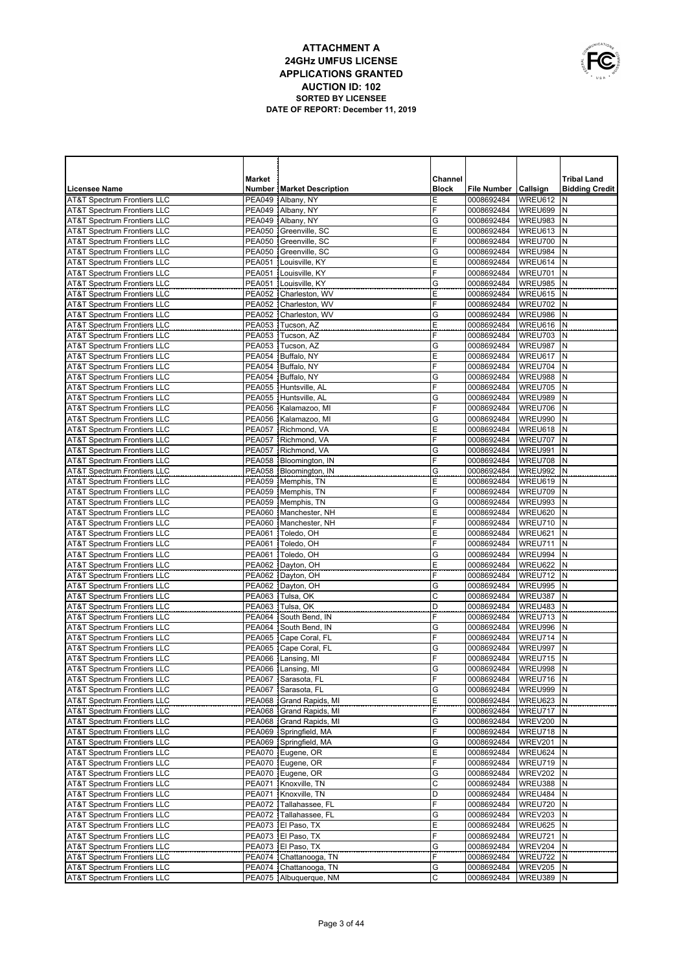|   | OWNUNICATIONS |
|---|---------------|
|   |               |
| É |               |
|   | USA           |

|                                                                                  | <b>Market</b>                  |                                             | Channel      |                          |                      | <b>Tribal Land</b>    |
|----------------------------------------------------------------------------------|--------------------------------|---------------------------------------------|--------------|--------------------------|----------------------|-----------------------|
| <b>Licensee Name</b>                                                             |                                | <b>Number   Market Description</b>          | <b>Block</b> | File Number   Callsign   |                      | <b>Bidding Credit</b> |
| <b>AT&amp;T Spectrum Frontiers LLC</b>                                           |                                | PEA049 Albany, NY                           | Ε            | 0008692484               | WREU612              | N                     |
| <b>AT&amp;T Spectrum Frontiers LLC</b>                                           |                                | PEA049   Albany, NY                         | F            | 0008692484               | WREU699              | N                     |
| <b>AT&amp;T Spectrum Frontiers LLC</b>                                           |                                | PEA049 Albany, NY                           | G            | 0008692484               | WREU983              | N                     |
| <b>AT&amp;T Spectrum Frontiers LLC</b>                                           |                                | PEA050 Greenville, SC                       | E            | 0008692484               | WREU613              | N                     |
| <b>AT&amp;T Spectrum Frontiers LLC</b>                                           | <b>PEA050</b>                  | Greenville, SC                              | F            | 0008692484               | WREU700              | N                     |
| <b>AT&amp;T Spectrum Frontiers LLC</b>                                           | <b>PEA050</b>                  | Greenville, SC                              | G            | 0008692484               | WREU984              | N                     |
| <b>AT&amp;T Spectrum Frontiers LLC</b>                                           | <b>PEA051</b>                  | Louisville, KY                              | E            | 0008692484               | WREU614              | N                     |
| <b>AT&amp;T Spectrum Frontiers LLC</b>                                           | <b>PEA051</b>                  | Louisville, KY                              | F            | 0008692484               | WREU701              | N                     |
| <b>AT&amp;T Spectrum Frontiers LLC</b>                                           | <b>PEA051</b>                  | Louisville, KY                              | G            | 0008692484               | WREU985              | N                     |
| <b>AT&amp;T Spectrum Frontiers LLC</b>                                           | <b>PEA052</b>                  | Charleston, WV                              | E            | 0008692484               | WREU615              | N                     |
| <b>AT&amp;T Spectrum Frontiers LLC</b>                                           | <b>PEA052</b>                  | Charleston, WV                              | F            | 0008692484               | WREU702              | N<br>N                |
| <b>AT&amp;T Spectrum Frontiers LLC</b><br><b>AT&amp;T Spectrum Frontiers LLC</b> | <b>PEA052</b><br><b>PEA053</b> | Charleston, WV<br>Tucson, AZ                | G<br>Ε       | 0008692484<br>0008692484 | WREU986<br>WREU616   | N                     |
| <b>AT&amp;T Spectrum Frontiers LLC</b>                                           | <b>PEA053</b>                  | Tucson, AZ                                  | F            | 0008692484               | WREU703              | N                     |
| <b>AT&amp;T Spectrum Frontiers LLC</b>                                           | <b>PEA053</b>                  | Tucson, AZ                                  | G            | 0008692484               | WREU987              | N                     |
| <b>AT&amp;T Spectrum Frontiers LLC</b>                                           | <b>PEA054</b>                  | Buffalo, NY                                 | E            | 0008692484               | WREU617              | N                     |
| AT&T Spectrum Frontiers LLC                                                      | <b>PEA054</b>                  | Buffalo, NY                                 | F            | 0008692484               | WREU704              | N                     |
| <b>AT&amp;T Spectrum Frontiers LLC</b>                                           | <b>PEA054</b>                  | Buffalo, NY                                 | G            | 0008692484               | WREU988              | N                     |
| <b>AT&amp;T Spectrum Frontiers LLC</b>                                           | <b>PEA055</b>                  | Huntsville, AL                              | F            | 0008692484               | WREU705              | N                     |
| <b>AT&amp;T Spectrum Frontiers LLC</b>                                           | <b>PEA055</b>                  | Huntsville, AL                              | G            | 0008692484               | WREU989              | N                     |
| <b>AT&amp;T Spectrum Frontiers LLC</b>                                           | <b>PEA056</b>                  | Kalamazoo, MI                               | F            | 0008692484               | WREU706              | N                     |
| <b>AT&amp;T Spectrum Frontiers LLC</b>                                           | <b>PEA056</b>                  | Kalamazoo, MI                               | G            | 0008692484               | WREU990              | N                     |
| <b>AT&amp;T Spectrum Frontiers LLC</b>                                           | <b>PEA057</b>                  | Richmond, VA                                | E            | 0008692484               | WREU618              | N                     |
| <b>AT&amp;T Spectrum Frontiers LLC</b>                                           | <b>PEA057</b>                  | Richmond, VA                                | F            | 0008692484               | WREU707              | N                     |
| <b>AT&amp;T Spectrum Frontiers LLC</b>                                           | <b>PEA057</b>                  | Richmond, VA                                | G            | 0008692484               | WREU991              | N                     |
| <b>AT&amp;T Spectrum Frontiers LLC</b>                                           | <b>PEA058</b>                  | Bloomington, IN                             | F            | 0008692484               | WREU708              | N                     |
| <b>AT&amp;T Spectrum Frontiers LLC</b>                                           | <b>PEA058</b>                  | Bloomington, IN                             | G            | 0008692484               | WREU992              | N                     |
| <b>AT&amp;T Spectrum Frontiers LLC</b>                                           | <b>PEA059</b>                  | Memphis, TN                                 | E            | 0008692484               | WREU619              | N                     |
| <b>AT&amp;T Spectrum Frontiers LLC</b>                                           |                                | PEA059 Memphis, TN                          | F            | 0008692484               | WREU709              | N                     |
| <b>AT&amp;T Spectrum Frontiers LLC</b>                                           |                                | PEA059 Memphis, TN                          | G            | 0008692484               | WREU993              | N                     |
| <b>AT&amp;T Spectrum Frontiers LLC</b>                                           |                                | PEA060 Manchester, NH                       | E            | 0008692484               | WREU620              | N                     |
| <b>AT&amp;T Spectrum Frontiers LLC</b>                                           | <b>PEA060</b>                  | Manchester, NH                              | F            | 0008692484               | WREU710              | N                     |
| <b>AT&amp;T Spectrum Frontiers LLC</b>                                           | <b>PEA061</b>                  | Toledo, OH                                  | E<br>F       | 0008692484               | WREU621<br>WREU711   | N<br>N                |
| <b>AT&amp;T Spectrum Frontiers LLC</b><br><b>AT&amp;T Spectrum Frontiers LLC</b> | <b>PEA061</b><br><b>PEA061</b> | Toledo, OH<br>Toledo, OH                    | G            | 0008692484<br>0008692484 | WREU994              | N                     |
| <b>AT&amp;T Spectrum Frontiers LLC</b>                                           | <b>PEA062</b>                  | Dayton, OH                                  | E            | 0008692484               | WREU622              | N                     |
| <b>AT&amp;T Spectrum Frontiers LLC</b>                                           | <b>PEA062</b>                  | Dayton, OH                                  | F            | 0008692484               | WREU712              | N                     |
| <b>AT&amp;T Spectrum Frontiers LLC</b>                                           | <b>PEA062</b>                  | Dayton, OH                                  | G            | 0008692484               | WREU995              | N                     |
| <b>AT&amp;T Spectrum Frontiers LLC</b>                                           | PEA063                         | Tulsa, OK                                   | $\mathsf{C}$ | 0008692484               | WREU387              | N                     |
| <b>AT&amp;T Spectrum Frontiers LLC</b>                                           | PEA063                         | Tulsa, OK                                   | D            | 0008692484               | WREU483              | N                     |
| <b>AT&amp;T Spectrum Frontiers LLC</b>                                           |                                | PEA064 South Bend, IN                       | F            | 0008692484               | WREU713              | N                     |
| <b>AT&amp;T Spectrum Frontiers LLC</b>                                           |                                | PEA064 South Bend, IN                       | G            | 0008692484               | WREU996              | $\mathsf{N}$          |
| <b>AT&amp;T Spectrum Frontiers LLC</b>                                           |                                | PEA065   Cape Coral, FL                     | F            | 0008692484               | WREU714              | N                     |
| <b>AT&amp;T Spectrum Frontiers LLC</b>                                           | <b>PEA065</b>                  | Cape Coral, FL                              | G            | 0008692484               | WREU997              | N                     |
| <b>AT&amp;T Spectrum Frontiers LLC</b>                                           | <b>PEA066</b>                  | Lansing, MI                                 | F            | 0008692484               | WREU715              | N                     |
| <b>AT&amp;T Spectrum Frontiers LLC</b>                                           |                                | PEA066 Lansing, MI                          | G            | 0008692484               | WREU998              | $\mathsf{N}$          |
| <b>AT&amp;T Spectrum Frontiers LLC</b>                                           |                                | PEA067 Sarasota, FL                         | F            | 0008692484               | WREU716 N            |                       |
| AT&T Spectrum Frontiers LLC                                                      |                                | PEA067 Sarasota, FL                         | G            | 0008692484               | WREU999 N            |                       |
| <b>AT&amp;T Spectrum Frontiers LLC</b>                                           |                                | PEA068 Grand Rapids, MI                     | Ε            | 0008692484               | WREU623 N            |                       |
| <b>AT&amp;T Spectrum Frontiers LLC</b>                                           |                                | PEA068 Grand Rapids, MI                     | F            | 0008692484               | WREU717 N            |                       |
| <b>AT&amp;T Spectrum Frontiers LLC</b>                                           |                                | PEA068 Grand Rapids, MI                     | G            | 0008692484               | WREV200              | N                     |
| <b>AT&amp;T Spectrum Frontiers LLC</b><br><b>AT&amp;T Spectrum Frontiers LLC</b> |                                | PEA069 Springfield, MA                      | F<br>G       | 0008692484<br>0008692484 | WREU718 N<br>WREV201 | N                     |
| <b>AT&amp;T Spectrum Frontiers LLC</b>                                           |                                | PEA069 Springfield, MA<br>PEA070 Eugene, OR | Ε            | 0008692484               | WREU624 N            |                       |
| <b>AT&amp;T Spectrum Frontiers LLC</b>                                           |                                | PEA070 Eugene, OR                           | F            | 0008692484               | WREU719              | N                     |
| <b>AT&amp;T Spectrum Frontiers LLC</b>                                           |                                | PEA070 Eugene, OR                           | G            | 0008692484               | <b>WREV202</b>       | N                     |
| <b>AT&amp;T Spectrum Frontiers LLC</b>                                           |                                | PEA071 Knoxville, TN                        | C            | 0008692484               | WREU388              | N                     |
| <b>AT&amp;T Spectrum Frontiers LLC</b>                                           |                                | PEA071 Knoxville, TN                        | D            | 0008692484               | WREU484              | N                     |
| <b>AT&amp;T Spectrum Frontiers LLC</b>                                           |                                | PEA072   Tallahassee, FL                    | F            | 0008692484               | WREU720              | N                     |
| <b>AT&amp;T Spectrum Frontiers LLC</b>                                           |                                | PEA072 Tallahassee, FL                      | G            | 0008692484               | WREV203              | N                     |
| <b>AT&amp;T Spectrum Frontiers LLC</b>                                           |                                | PEA073 El Paso, TX                          | E            | 0008692484               | WREU625              | N                     |
| <b>AT&amp;T Spectrum Frontiers LLC</b>                                           |                                | PEA073 El Paso, TX                          | F            | 0008692484               | WREU721              | N                     |
| <b>AT&amp;T Spectrum Frontiers LLC</b>                                           |                                | PEA073 El Paso, TX                          | G            | 0008692484               | WREV204              | N                     |
| <b>AT&amp;T Spectrum Frontiers LLC</b>                                           |                                | PEA074 Chattanooga, TN                      | F            | 0008692484               | WREU722              | N                     |
| AT&T Spectrum Frontiers LLC                                                      |                                | PEA074 Chattanooga, TN                      | G            | 0008692484               | WREV205              | N                     |
| AT&T Spectrum Frontiers LLC                                                      |                                | PEA075 Albuquerque, NM                      | С            | 0008692484               | WREU389 N            |                       |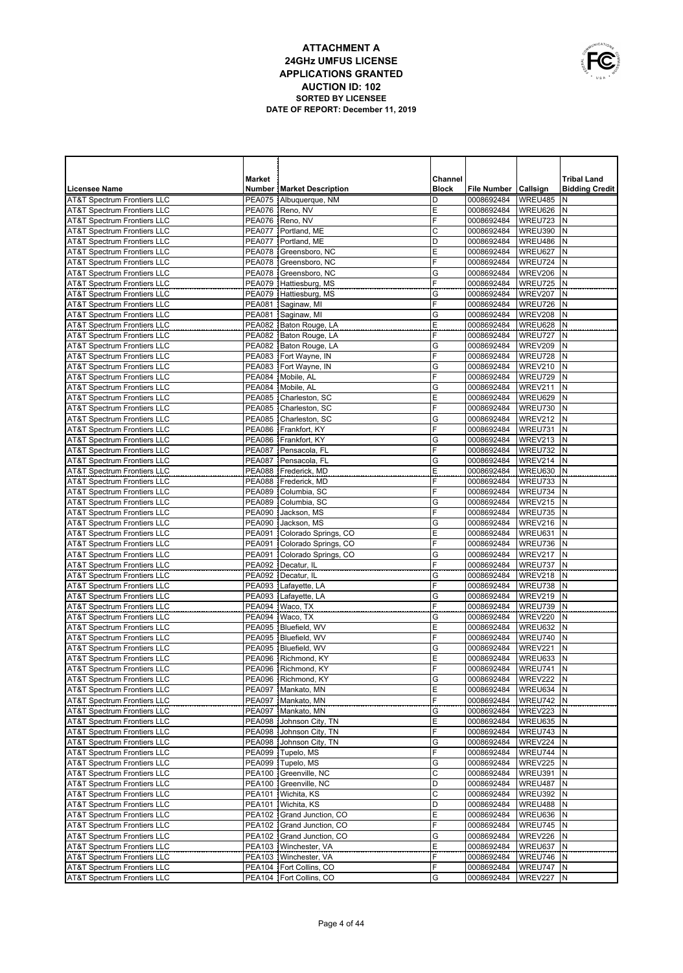|   | OWNUNICATIONS |
|---|---------------|
|   |               |
| É |               |
|   | USA           |

|                                                                                  | Market                         |                                                | Channel      |                          |                      | <b>Tribal Land</b>    |
|----------------------------------------------------------------------------------|--------------------------------|------------------------------------------------|--------------|--------------------------|----------------------|-----------------------|
| <b>Licensee Name</b>                                                             |                                | <b>Number   Market Description</b>             | <b>Block</b> | <b>File Number</b>       | Callsign             | <b>Bidding Credit</b> |
| <b>AT&amp;T Spectrum Frontiers LLC</b>                                           | <b>PEA075</b>                  | Albuquerque, NM                                | D            | 0008692484               | WREU485              | N                     |
| <b>AT&amp;T Spectrum Frontiers LLC</b>                                           | <b>PEA076</b>                  | Reno, NV                                       | Е            | 0008692484               | WREU626              | Ν                     |
| <b>AT&amp;T Spectrum Frontiers LLC</b>                                           | <b>PEA076</b>                  | Reno, NV                                       | F            | 0008692484               | WREU723              | N                     |
| <b>AT&amp;T Spectrum Frontiers LLC</b>                                           | <b>PEA077</b>                  | Portland, ME                                   | C            | 0008692484               | WREU390              | N                     |
| <b>AT&amp;T Spectrum Frontiers LLC</b>                                           | <b>PEA077</b>                  | Portland, ME                                   | D            | 0008692484               | WREU486              | N                     |
| <b>AT&amp;T Spectrum Frontiers LLC</b>                                           | <b>PEA078</b>                  | Greensboro, NC                                 | Е            | 0008692484               | WREU627              | N                     |
| <b>AT&amp;T Spectrum Frontiers LLC</b>                                           | <b>PEA078</b>                  | Greensboro, NC                                 | F            | 0008692484               | WREU724              | N                     |
| <b>AT&amp;T Spectrum Frontiers LLC</b><br><b>AT&amp;T Spectrum Frontiers LLC</b> | <b>PEA078</b><br><b>PEA079</b> | Greensboro, NC<br>Hattiesburg, MS              | G<br>F       | 0008692484<br>0008692484 | WREV206<br>WREU725   | N<br>N                |
| <b>AT&amp;T Spectrum Frontiers LLC</b>                                           | PEA079                         | Hattiesburg, MS                                | G            | 0008692484               | WREV207              | N                     |
| <b>AT&amp;T Spectrum Frontiers LLC</b>                                           | <b>PEA081</b>                  | Saginaw, MI                                    | F            | 0008692484               | WREU726              | N                     |
| <b>AT&amp;T Spectrum Frontiers LLC</b>                                           | <b>PEA081</b>                  | Saginaw, MI                                    | G            | 0008692484               | WREV208              | N                     |
| <b>AT&amp;T Spectrum Frontiers LLC</b>                                           |                                | PEA082 Baton Rouge, LA                         | E            | 0008692484               | WREU628              | N                     |
| <b>AT&amp;T Spectrum Frontiers LLC</b>                                           |                                | PEA082 Baton Rouge, LA                         | F            | 0008692484               | WREU727              | N                     |
| <b>AT&amp;T Spectrum Frontiers LLC</b>                                           |                                | PEA082 Baton Rouge, LA                         | G            | 0008692484               | WREV209              | N                     |
| <b>AT&amp;T Spectrum Frontiers LLC</b>                                           |                                | PEA083 Fort Wayne, IN                          | F            | 0008692484               | WREU728              | N                     |
| <b>AT&amp;T Spectrum Frontiers LLC</b>                                           |                                | PEA083   Fort Wayne, IN                        | Ġ            | 0008692484               | WREV210              | N                     |
| <b>AT&amp;T Spectrum Frontiers LLC</b>                                           |                                | PEA084 Mobile, AL                              | F            | 0008692484               | WREU729              | N                     |
| <b>AT&amp;T Spectrum Frontiers LLC</b>                                           |                                | PEA084   Mobile, AL                            | G            | 0008692484               | WREV211              | N                     |
| <b>AT&amp;T Spectrum Frontiers LLC</b>                                           | <b>PEA085</b>                  | Charleston, SC                                 | Ε            | 0008692484               | WREU629              | N                     |
| <b>AT&amp;T Spectrum Frontiers LLC</b>                                           |                                | PEA085 Charleston, SC                          | F            | 0008692484               | WREU730              | N                     |
| <b>AT&amp;T Spectrum Frontiers LLC</b>                                           | <b>PEA085</b>                  | Charleston, SC                                 | G            | 0008692484               | WREV212              | N                     |
| <b>AT&amp;T Spectrum Frontiers LLC</b><br><b>AT&amp;T Spectrum Frontiers LLC</b> |                                | PEA086   Frankfort, KY                         | F            | 0008692484               | WREU731              | N                     |
| <b>AT&amp;T Spectrum Frontiers LLC</b>                                           | <b>PEA086</b><br><b>PEA087</b> | Frankfort, KY<br>Pensacola, FL                 | G<br>F       | 0008692484<br>0008692484 | WREV213<br>WREU732   | N<br>N                |
| <b>AT&amp;T Spectrum Frontiers LLC</b>                                           | <b>PEA087</b>                  | Pensacola, FL                                  | G            | 0008692484               | WREV214              | N                     |
| <b>AT&amp;T Spectrum Frontiers LLC</b>                                           | <b>PEA088</b>                  | Frederick, MD                                  | E            | 0008692484               | WREU630              | N                     |
| <b>AT&amp;T Spectrum Frontiers LLC</b>                                           | <b>PEA088</b>                  | Frederick, MD                                  | F            | 0008692484               | WREU733              | N                     |
| <b>AT&amp;T Spectrum Frontiers LLC</b>                                           | PEA089                         | Columbia, SC                                   | F            | 0008692484               | WREU734              | N                     |
| <b>AT&amp;T Spectrum Frontiers LLC</b>                                           | <b>PEA089</b>                  | Columbia, SC                                   | G            | 0008692484               | WREV215              | N                     |
| <b>AT&amp;T Spectrum Frontiers LLC</b>                                           | <b>PEA090</b>                  | Jackson, MS                                    | F            | 0008692484               | WREU735              | N                     |
| <b>AT&amp;T Spectrum Frontiers LLC</b>                                           | <b>PEA090</b>                  | Jackson, MS                                    | G            | 0008692484               | WREV216              | N                     |
| <b>AT&amp;T Spectrum Frontiers LLC</b>                                           |                                | PEA091   Colorado Springs, CO                  | E            | 0008692484               | WREU631              | N                     |
| <b>AT&amp;T Spectrum Frontiers LLC</b>                                           |                                | PEA091 Colorado Springs, CO                    | F            | 0008692484               | WREU736              | N                     |
| <b>AT&amp;T Spectrum Frontiers LLC</b>                                           | <b>PEA091</b>                  | Colorado Springs, CO                           | G            | 0008692484               | WREV217              | N                     |
| <b>AT&amp;T Spectrum Frontiers LLC</b>                                           |                                | PEA092   Decatur, IL                           | F            | 0008692484               | WREU737              | N                     |
| <b>AT&amp;T Spectrum Frontiers LLC</b>                                           |                                | PEA092   Decatur, IL                           | G            | 0008692484               | WREV218              | N                     |
| <b>AT&amp;T Spectrum Frontiers LLC</b><br>AT&T Spectrum Frontiers LLC            |                                | PEA093 Lafayette, LA<br>PEA093   Lafayette, LA | F<br>G       | 0008692484<br>0008692484 | WREU738<br>WREV219   | N<br>N                |
| <b>AT&amp;T Spectrum Frontiers LLC</b>                                           | <b>PEA094</b>                  | Waco, TX                                       | F            | 0008692484               | WREU739              | N                     |
| AT&T Spectrum Frontiers LLC                                                      |                                | PEA094 Waco, TX                                | G            | 0008692484               | WREV220              | N                     |
| <b>AT&amp;T Spectrum Frontiers LLC</b>                                           |                                | PEA095 Bluefield, WV                           | Ε            | 0008692484               | WREU632              | N                     |
| AT&T Spectrum Frontiers LLC                                                      |                                | PEA095   Bluefield, WV                         | F            | 0008692484               | WREU740              | N                     |
| <b>AT&amp;T Spectrum Frontiers LLC</b>                                           | <b>PEA095</b>                  | Bluefield, WV                                  | G            | 0008692484               | WREV221              | N                     |
| <b>AT&amp;T Spectrum Frontiers LLC</b>                                           | <b>PEA096</b>                  | Richmond, KY                                   | E            | 0008692484               | WREU633              | N                     |
| <b>AT&amp;T Spectrum Frontiers LLC</b>                                           |                                | PEA096 Richmond, KY                            | F            | 0008692484               | WREU741              | N                     |
| AT&T Spectrum Frontiers LLC                                                      |                                | PEA096   Richmond, KY                          | G            | 0008692484               | WREV222 N            |                       |
| <b>AT&amp;T Spectrum Frontiers LLC</b>                                           |                                | PEA097 Mankato, MN                             | E            | 0008692484               | WREU634 N            |                       |
| AT&T Spectrum Frontiers LLC                                                      |                                | PEA097   Mankato, MN                           | F            | 0008692484               | WREU742 N            |                       |
| <b>AT&amp;T Spectrum Frontiers LLC</b>                                           |                                | PEA097   Mankato, MN                           | G            | 0008692484               | WREV223 N            |                       |
| <b>AT&amp;T Spectrum Frontiers LLC</b>                                           |                                | PEA098 Johnson City, TN                        | E            | 0008692484               | WREU635              | IN.                   |
| <b>AT&amp;T Spectrum Frontiers LLC</b>                                           |                                | PEA098 Johnson City, TN                        | F<br>G       | 0008692484               | WREU743 N            | N                     |
| <b>AT&amp;T Spectrum Frontiers LLC</b><br><b>AT&amp;T Spectrum Frontiers LLC</b> |                                | PEA098 Johnson City, TN<br>PEA099 Tupelo, MS   | F            | 0008692484<br>0008692484 | WREV224<br>WREU744 N |                       |
| <b>AT&amp;T Spectrum Frontiers LLC</b>                                           |                                | PEA099   Tupelo, MS                            | G            | 0008692484               | WREV225              | N                     |
| <b>AT&amp;T Spectrum Frontiers LLC</b>                                           |                                | PEA100 Greenville, NC                          | C            | 0008692484               | WREU391              | N                     |
| <b>AT&amp;T Spectrum Frontiers LLC</b>                                           |                                | PEA100 Greenville, NC                          | D            | 0008692484               | WREU487              | Ν                     |
| <b>AT&amp;T Spectrum Frontiers LLC</b>                                           |                                | PEA101   Wichita, KS                           | C            | 0008692484               | WREU392              | N                     |
| <b>AT&amp;T Spectrum Frontiers LLC</b>                                           |                                | PEA101   Wichita, KS                           | D            | 0008692484               | WREU488              | Ν                     |
| <b>AT&amp;T Spectrum Frontiers LLC</b>                                           |                                | PEA102 Grand Junction, CO                      | E            | 0008692484               | WREU636              | Ν                     |
| <b>AT&amp;T Spectrum Frontiers LLC</b>                                           |                                | PEA102 Grand Junction, CO                      | F            | 0008692484               | WREU745              | Ν                     |
| <b>AT&amp;T Spectrum Frontiers LLC</b>                                           |                                | PEA102 Grand Junction, CO                      | G            | 0008692484               | WREV226              | N                     |
| <b>AT&amp;T Spectrum Frontiers LLC</b>                                           |                                | PEA103   Winchester, VA                        | E            | 0008692484               | WREU637              | N                     |
| <b>AT&amp;T Spectrum Frontiers LLC</b>                                           |                                | PEA103   Winchester, VA                        | F            | 0008692484               | WREU746              | N                     |
| <b>AT&amp;T Spectrum Frontiers LLC</b>                                           |                                | PEA104   Fort Collins, CO                      | F            | 0008692484               | WREU747              | N                     |
| <b>AT&amp;T Spectrum Frontiers LLC</b>                                           |                                | PEA104   Fort Collins, CO                      | G            | 0008692484               | WREV227 N            |                       |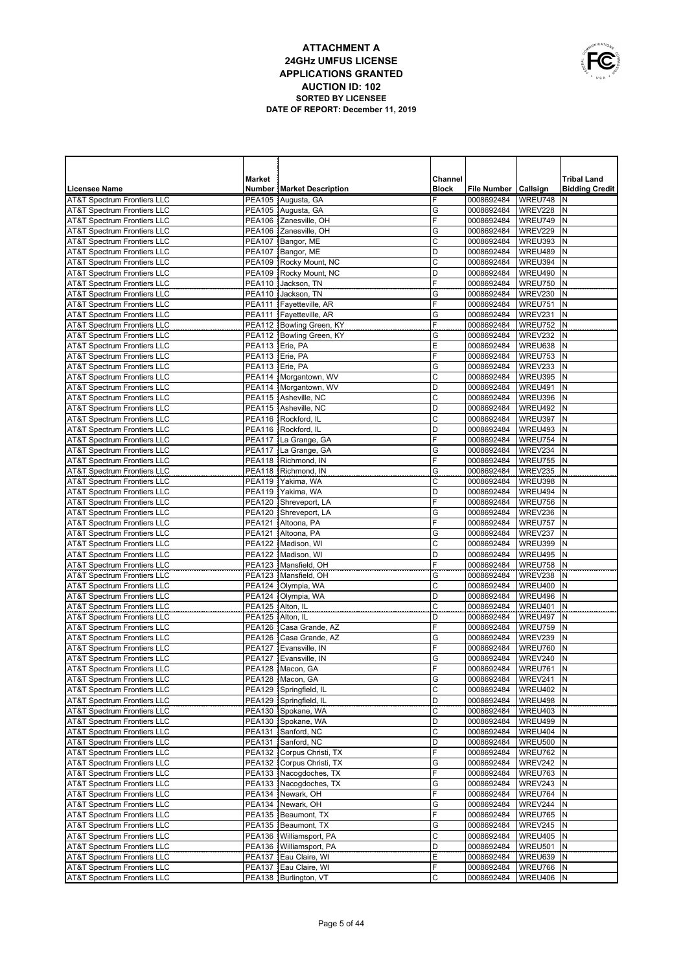

|                                                                                  | <b>Market</b>      |                                              | <b>Channel</b>   |                                        |                    | <b>Tribal Land</b>    |
|----------------------------------------------------------------------------------|--------------------|----------------------------------------------|------------------|----------------------------------------|--------------------|-----------------------|
| <b>Licensee Name</b>                                                             |                    | <b>Number   Market Description</b>           | <b>Block</b>     | File Number   Callsign                 |                    | <b>Bidding Credit</b> |
| <b>AT&amp;T Spectrum Frontiers LLC</b>                                           |                    | PEA105 Augusta, GA                           | F                | 0008692484                             | WREU748            | N                     |
| <b>AT&amp;T Spectrum Frontiers LLC</b>                                           |                    | PEA105 Augusta, GA                           | G                | 0008692484                             | WREV228            | N                     |
| <b>AT&amp;T Spectrum Frontiers LLC</b>                                           |                    | PEA106 Zanesville, OH                        | F                | 0008692484                             | WREU749            | N                     |
| <b>AT&amp;T Spectrum Frontiers LLC</b>                                           | <b>PEA106</b>      | Zanesville, OH                               | G                | 0008692484                             | WREV229            | N                     |
| <b>AT&amp;T Spectrum Frontiers LLC</b>                                           | <b>PEA107</b>      | Bangor, ME                                   | С                | 0008692484                             | WREU393            | N                     |
| <b>AT&amp;T Spectrum Frontiers LLC</b>                                           | <b>PEA107</b>      | Bangor, ME                                   | D                | 0008692484                             | WREU489            | N                     |
| <b>AT&amp;T Spectrum Frontiers LLC</b>                                           | <b>PEA109</b>      | Rocky Mount, NC                              | C                | 0008692484                             | WREU394            | N                     |
| <b>AT&amp;T Spectrum Frontiers LLC</b>                                           | <b>PEA109</b>      | Rocky Mount, NC                              | D                | 0008692484                             | WREU490            | N                     |
| <b>AT&amp;T Spectrum Frontiers LLC</b>                                           | <b>PEA110</b>      | Jackson, TN                                  | F                | 0008692484                             | WREU750            | N                     |
| <b>AT&amp;T Spectrum Frontiers LLC</b>                                           | <b>PEA110</b>      | Jackson, TN                                  | G                | 0008692484                             | WREV230            | N                     |
| <b>AT&amp;T Spectrum Frontiers LLC</b>                                           |                    | PEA111 Fayetteville, AR                      | F                | 0008692484                             | WREU751            | N                     |
| <b>AT&amp;T Spectrum Frontiers LLC</b>                                           |                    | PEA111   Fayetteville, AR                    | G                | 0008692484                             | WREV231            | N                     |
| <b>AT&amp;T Spectrum Frontiers LLC</b>                                           |                    | PEA112 Bowling Green, KY                     | F                | 0008692484                             | WREU752            | N                     |
| <b>AT&amp;T Spectrum Frontiers LLC</b>                                           |                    | PEA112   Bowling Green, KY                   | G                | 0008692484                             | WREV232            | N                     |
| <b>AT&amp;T Spectrum Frontiers LLC</b>                                           | PEA113 Erie, PA    |                                              | E                | 0008692484                             | WREU638            | N                     |
| <b>AT&amp;T Spectrum Frontiers LLC</b>                                           | PEA113 Erie, PA    |                                              | F                | 0008692484                             | WREU753            | N                     |
| <b>AT&amp;T Spectrum Frontiers LLC</b>                                           | PEA113 Erie, PA    |                                              | G                | 0008692484                             | WREV233            | N                     |
| <b>AT&amp;T Spectrum Frontiers LLC</b>                                           |                    | PEA114   Morgantown, WV                      | $\mathsf C$      | 0008692484                             | WREU395            | N                     |
| <b>AT&amp;T Spectrum Frontiers LLC</b>                                           |                    | PEA114   Morgantown, WV                      | D                | 0008692484                             | WREU491            | N                     |
| <b>AT&amp;T Spectrum Frontiers LLC</b>                                           |                    | PEA115 Asheville, NC                         | $\mathsf{C}$     | 0008692484                             | WREU396            | N                     |
| <b>AT&amp;T Spectrum Frontiers LLC</b><br><b>AT&amp;T Spectrum Frontiers LLC</b> |                    | PEA115 Asheville, NC                         | D                | 0008692484                             | WREU492            | N<br>N                |
| <b>AT&amp;T Spectrum Frontiers LLC</b>                                           |                    | PEA116 Rockford, IL<br>PEA116 Rockford, IL   | $\mathsf C$<br>D | 0008692484                             | WREU397<br>WREU493 | N                     |
| <b>AT&amp;T Spectrum Frontiers LLC</b>                                           |                    | PEA117   La Grange, GA                       | F                | 0008692484<br>0008692484               | WREU754            | N                     |
| <b>AT&amp;T Spectrum Frontiers LLC</b>                                           |                    | PEA117   La Grange, GA                       | G                | 0008692484                             | WREV234            | N                     |
| <b>AT&amp;T Spectrum Frontiers LLC</b>                                           |                    | PEA118 Richmond, IN                          | F                | 0008692484                             | WREU755            | N                     |
| <b>AT&amp;T Spectrum Frontiers LLC</b>                                           |                    | PEA118   Richmond, IN                        | G                | 0008692484                             | WREV235            | N                     |
| <b>AT&amp;T Spectrum Frontiers LLC</b>                                           |                    | PEA119 Yakima, WA                            | С                | 0008692484                             | WREU398            | N                     |
| <b>AT&amp;T Spectrum Frontiers LLC</b>                                           |                    | PEA119 Yakima, WA                            | D                | 0008692484                             | WREU494            | N                     |
| <b>AT&amp;T Spectrum Frontiers LLC</b>                                           |                    | PEA120 Shreveport, LA                        | F                | 0008692484                             | WREU756            | N                     |
| <b>AT&amp;T Spectrum Frontiers LLC</b>                                           |                    | PEA120 Shreveport, LA                        | G                | 0008692484                             | WREV236            | N                     |
| <b>AT&amp;T Spectrum Frontiers LLC</b>                                           |                    | PEA121 Altoona, PA                           | F                | 0008692484                             | WREU757            | N                     |
| <b>AT&amp;T Spectrum Frontiers LLC</b>                                           |                    | PEA121   Altoona, PA                         | G                | 0008692484                             | WREV237            | N                     |
| <b>AT&amp;T Spectrum Frontiers LLC</b>                                           |                    | PEA122 Madison, WI                           | C                | 0008692484                             | WREU399            | $\mathsf{N}$          |
| <b>AT&amp;T Spectrum Frontiers LLC</b>                                           |                    | PEA122   Madison, WI                         | D                | 0008692484                             | WREU495            | N                     |
| <b>AT&amp;T Spectrum Frontiers LLC</b>                                           | <b>PEA123</b>      | Mansfield, OH                                | F                | 0008692484                             | WREU758            | $\mathsf{N}$          |
| <b>AT&amp;T Spectrum Frontiers LLC</b>                                           |                    | PEA123   Mansfield, OH                       | G                | 0008692484                             | WREV238            | N                     |
| <b>AT&amp;T Spectrum Frontiers LLC</b>                                           |                    | PEA124 Olympia, WA                           | C                | 0008692484                             | WREU400            | N                     |
| <b>AT&amp;T Spectrum Frontiers LLC</b>                                           |                    | PEA124 Olympia, WA                           | D                | 0008692484                             | WREU496            | N                     |
| <b>AT&amp;T Spectrum Frontiers LLC</b>                                           | PEA125 Alton, IL   |                                              | C                | 0008692484                             | WREU401            | $\mathsf{N}$          |
| <b>AT&amp;T Spectrum Frontiers LLC</b>                                           | PEA125   Alton, IL |                                              | D                | 0008692484                             | WREU497            | N                     |
| <b>AT&amp;T Spectrum Frontiers LLC</b>                                           |                    | PEA126   Casa Grande, AZ                     | F                | 0008692484                             | WREU759            | $\mathsf{N}$          |
| <b>AT&amp;T Spectrum Frontiers LLC</b>                                           |                    | PEA126   Casa Grande, AZ                     | G                | 0008692484                             | WREV239            | N                     |
| <b>AT&amp;T Spectrum Frontiers LLC</b>                                           |                    | PEA127 Evansville, IN                        | F                | 0008692484                             | WREU760            | $\mathsf{N}$          |
| <b>AT&amp;T Spectrum Frontiers LLC</b>                                           |                    | PEA127 Evansville, IN                        | G<br>F           | 0008692484<br>0008692484               | WREV240            | N                     |
| <b>AT&amp;T Spectrum Frontiers LLC</b>                                           |                    | PEA128 Macon, GA                             |                  |                                        | WREU761            | İΝ                    |
| <b>AT&amp;T Spectrum Frontiers LLC</b><br><b>AT&amp;T Spectrum Frontiers LLC</b> |                    | PEA128   Macon, GA<br>PEA129 Springfield, IL | G<br>C           | 0008692484   WREV241   N<br>0008692484 | WREU402 N          |                       |
| AT&T Spectrum Frontiers LLC                                                      |                    | PEA129 Springfield, IL                       | D                | 0008692484                             | WREU498            | Ν                     |
| AT&T Spectrum Frontiers LLC                                                      |                    | PEA130 Spokane, WA                           | C                | 0008692484                             | WREU403 N          |                       |
| <b>AT&amp;T Spectrum Frontiers LLC</b>                                           |                    | PEA130 Spokane, WA                           | D                | 0008692484                             | WREU499            | N                     |
| <b>AT&amp;T Spectrum Frontiers LLC</b>                                           |                    | PEA131 Sanford, NC                           | C                | 0008692484                             | WREU404 N          |                       |
| <b>AT&amp;T Spectrum Frontiers LLC</b>                                           |                    | PEA131 Sanford, NC                           | D                | 0008692484                             | WREU500            | N                     |
| <b>AT&amp;T Spectrum Frontiers LLC</b>                                           |                    | PEA132   Corpus Christi, TX                  | F                | 0008692484                             | WREU762            | N                     |
| <b>AT&amp;T Spectrum Frontiers LLC</b>                                           |                    | PEA132 Corpus Christi, TX                    | G                | 0008692484                             | WREV242            | N                     |
| <b>AT&amp;T Spectrum Frontiers LLC</b>                                           |                    | PEA133 Nacogdoches, TX                       | F                | 0008692484                             | WREU763 N          |                       |
| <b>AT&amp;T Spectrum Frontiers LLC</b>                                           |                    | PEA133   Nacogdoches, TX                     | G                | 0008692484                             | WREV243            | N                     |
| <b>AT&amp;T Spectrum Frontiers LLC</b>                                           |                    | PEA134 Newark, OH                            | F                | 0008692484                             | WREU764            | N                     |
| <b>AT&amp;T Spectrum Frontiers LLC</b>                                           |                    | PEA134 Newark, OH                            | G                | 0008692484                             | WREV244            | N                     |
| <b>AT&amp;T Spectrum Frontiers LLC</b>                                           |                    | PEA135   Beaumont, TX                        | F                | 0008692484                             | WREU765            | N                     |
| <b>AT&amp;T Spectrum Frontiers LLC</b>                                           |                    | PEA135   Beaumont, TX                        | G                | 0008692484                             | WREV245            | N                     |
| <b>AT&amp;T Spectrum Frontiers LLC</b>                                           |                    | PEA136   Williamsport, PA                    | C                | 0008692484                             | WREU405            | N                     |
| <b>AT&amp;T Spectrum Frontiers LLC</b>                                           |                    | PEA136   Williamsport, PA                    | D                | 0008692484                             | WREU501            | N                     |
| <b>AT&amp;T Spectrum Frontiers LLC</b>                                           |                    | PEA137 Eau Claire, WI                        | Ε                | 0008692484                             | WREU639            | N                     |
| <b>AT&amp;T Spectrum Frontiers LLC</b>                                           |                    | PEA137 Eau Claire, WI                        | F                | 0008692484                             | WREU766            | N                     |
| AT&T Spectrum Frontiers LLC                                                      |                    | PEA138   Burlington, VT                      | C                | 0008692484                             | WREU406 N          |                       |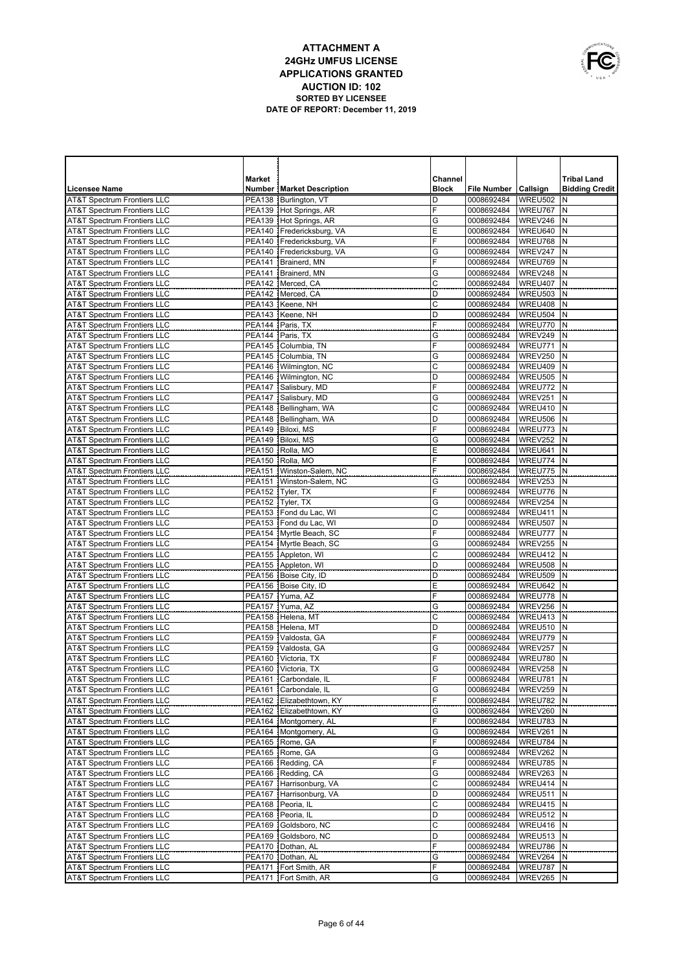

|                                                                                  | Market                         |                                                    | Channel      |                                        |                      | <b>Tribal Land</b>    |
|----------------------------------------------------------------------------------|--------------------------------|----------------------------------------------------|--------------|----------------------------------------|----------------------|-----------------------|
| <b>Licensee Name</b>                                                             |                                | <b>Number Market Description</b>                   | <b>Block</b> | <b>File Number</b>                     | Callsign             | <b>Bidding Credit</b> |
| <b>AT&amp;T Spectrum Frontiers LLC</b>                                           | <b>PEA138</b>                  | Burlington, VT                                     | D            | 0008692484                             | WREU502              | N                     |
| <b>AT&amp;T Spectrum Frontiers LLC</b>                                           |                                | PEA139 Hot Springs, AR                             | F            | 0008692484                             | WREU767              | N                     |
| <b>AT&amp;T Spectrum Frontiers LLC</b>                                           | PEA139                         | Hot Springs, AR                                    | G            | 0008692484                             | WREV246              | N                     |
| <b>AT&amp;T Spectrum Frontiers LLC</b>                                           |                                | PEA140 Fredericksburg, VA                          | E            | 0008692484                             | WREU640              | N                     |
| <b>AT&amp;T Spectrum Frontiers LLC</b>                                           | <b>PEA140</b>                  | Fredericksburg, VA                                 | F            | 0008692484                             | WREU768              | N<br>N                |
| <b>AT&amp;T Spectrum Frontiers LLC</b><br><b>AT&amp;T Spectrum Frontiers LLC</b> | <b>PEA140</b><br><b>PEA141</b> | Fredericksburg, VA<br>Brainerd, MN                 | G<br>F       | 0008692484<br>0008692484               | WREV247<br>WREU769   | N                     |
| <b>AT&amp;T Spectrum Frontiers LLC</b>                                           | PEA141                         | Brainerd, MN                                       | G            | 0008692484                             | WREV248              | N                     |
| <b>AT&amp;T Spectrum Frontiers LLC</b>                                           | <b>PEA142</b>                  | Merced, CA                                         | C            | 0008692484                             | WREU407              | N                     |
| <b>AT&amp;T Spectrum Frontiers LLC</b>                                           | PEA142                         | Merced, CA                                         | D            | 0008692484                             | WREU503              | N                     |
| <b>AT&amp;T Spectrum Frontiers LLC</b>                                           | PEA143                         | Keene, NH                                          | C            | 0008692484                             | WREU408              | N                     |
| <b>AT&amp;T Spectrum Frontiers LLC</b>                                           | PEA143                         | Keene, NH                                          | D            | 0008692484                             | WREU504              | N                     |
| <b>AT&amp;T Spectrum Frontiers LLC</b>                                           | PEA144                         | Paris, TX                                          | F            | 0008692484                             | WREU770              | N                     |
| <b>AT&amp;T Spectrum Frontiers LLC</b>                                           | <b>PEA144</b>                  | Paris, TX                                          | G            | 0008692484                             | WREV249              | N                     |
| <b>AT&amp;T Spectrum Frontiers LLC</b>                                           | PEA145                         | Columbia, TN                                       | F            | 0008692484                             | WREU771              | N                     |
| <b>AT&amp;T Spectrum Frontiers LLC</b>                                           |                                | PEA145 Columbia, TN                                | G            | 0008692484                             | WREV250              | N                     |
| <b>AT&amp;T Spectrum Frontiers LLC</b>                                           |                                | PEA146   Wilmington, NC                            | C            | 0008692484                             | WREU409              | N                     |
| <b>AT&amp;T Spectrum Frontiers LLC</b>                                           |                                | PEA146   Wilmington, NC                            | D            | 0008692484                             | WREU505              | N                     |
| <b>AT&amp;T Spectrum Frontiers LLC</b>                                           |                                | PEA147 Salisbury, MD                               | F            | 0008692484                             | WREU772              | N                     |
| <b>AT&amp;T Spectrum Frontiers LLC</b><br><b>AT&amp;T Spectrum Frontiers LLC</b> |                                | PEA147 Salisbury, MD                               | G<br>C       | 0008692484                             | WREV251              | N<br>N                |
| <b>AT&amp;T Spectrum Frontiers LLC</b>                                           |                                | PEA148   Bellingham, WA<br>PEA148   Bellingham, WA | D            | 0008692484<br>0008692484               | WREU410<br>WREU506   | N                     |
| <b>AT&amp;T Spectrum Frontiers LLC</b>                                           | <b>PEA149</b>                  | Biloxi, MS                                         | F            | 0008692484                             | WREU773              | N                     |
| <b>AT&amp;T Spectrum Frontiers LLC</b>                                           | PEA149                         | Biloxi, MS                                         | G            | 0008692484                             | WREV252              | N                     |
| <b>AT&amp;T Spectrum Frontiers LLC</b>                                           | <b>PEA150</b>                  | Rolla, MO                                          | E            | 0008692484                             | WREU641              | N                     |
| <b>AT&amp;T Spectrum Frontiers LLC</b>                                           | <b>PEA150</b>                  | Rolla, MO                                          | F            | 0008692484                             | WREU774              | N                     |
| <b>AT&amp;T Spectrum Frontiers LLC</b>                                           | <b>PEA151</b>                  | Winston-Salem, NC                                  | F            | 0008692484                             | WREU775              | N                     |
| <b>AT&amp;T Spectrum Frontiers LLC</b>                                           | PEA151                         | Winston-Salem, NC                                  | G            | 0008692484                             | WREV253              | N                     |
| <b>AT&amp;T Spectrum Frontiers LLC</b>                                           | <b>PEA152</b>                  | Tvler. TX                                          | F            | 0008692484                             | WREU776              | N                     |
| <b>AT&amp;T Spectrum Frontiers LLC</b>                                           | <b>PEA152</b>                  | Tyler, TX                                          | G            | 0008692484                             | WREV254              | N                     |
| <b>AT&amp;T Spectrum Frontiers LLC</b>                                           | <b>PEA153</b>                  | Fond du Lac, WI                                    | С            | 0008692484                             | WREU411              | N                     |
| <b>AT&amp;T Spectrum Frontiers LLC</b>                                           | <b>PEA153</b>                  | Fond du Lac, WI                                    | D            | 0008692484                             | WREU507              | N                     |
| <b>AT&amp;T Spectrum Frontiers LLC</b>                                           | <b>PEA154</b>                  | Myrtle Beach, SC                                   | F            | 0008692484                             | WREU777              | N                     |
| <b>AT&amp;T Spectrum Frontiers LLC</b>                                           |                                | PEA154 Myrtle Beach, SC                            | G<br>C       | 0008692484                             | WREV255<br>WREU412   | N<br>N                |
| <b>AT&amp;T Spectrum Frontiers LLC</b><br><b>AT&amp;T Spectrum Frontiers LLC</b> | <b>PEA155</b><br><b>PEA155</b> | Appleton, WI<br>Appleton, WI                       | D            | 0008692484<br>0008692484               | <b>WREU508</b>       | N                     |
| <b>AT&amp;T Spectrum Frontiers LLC</b>                                           | <b>PEA156</b>                  | Boise City, ID                                     | D            | 0008692484                             | WREU509              | N                     |
| <b>AT&amp;T Spectrum Frontiers LLC</b>                                           | <b>PEA156</b>                  | Boise City, ID                                     | E            | 0008692484                             | WREU642              | N                     |
| <b>AT&amp;T Spectrum Frontiers LLC</b>                                           | <b>PEA157</b>                  | Yuma, AZ                                           | F            | 0008692484                             | WREU778              | N                     |
| <b>AT&amp;T Spectrum Frontiers LLC</b>                                           | <b>PEA157</b>                  | Yuma, AZ                                           | G            | 0008692484                             | WREV256              | N                     |
| <b>AT&amp;T Spectrum Frontiers LLC</b>                                           | <b>PEA158</b>                  | Helena, MT                                         | C            | 0008692484                             | WREU413              | N                     |
| <b>AT&amp;T Spectrum Frontiers LLC</b>                                           | <b>PEA158</b>                  | Helena, MT                                         | D            | 0008692484                             | WREU510              | N                     |
| <b>AT&amp;T Spectrum Frontiers LLC</b>                                           | <b>PEA159</b>                  | Valdosta, GA                                       | F            | 0008692484                             | WREU779              | N                     |
| <b>AT&amp;T Spectrum Frontiers LLC</b>                                           | <b>PEA159</b>                  | Valdosta, GA                                       | G            | 0008692484                             | WREV257              | N                     |
| <b>AT&amp;T Spectrum Frontiers LLC</b>                                           | <b>PEA160</b>                  | Victoria, TX                                       | F            | 0008692484                             | WREU780              | N                     |
| <b>AT&amp;T Spectrum Frontiers LLC</b>                                           | PEA160                         | Victoria, TX                                       | G            | 0008692484                             | WREV258              | N                     |
| <b>AT&amp;T Spectrum Frontiers LLC</b><br><b>AT&amp;T Spectrum Frontiers LLC</b> |                                | PEA161 Carbondale, IL<br>PEA161 Carbondale, IL     | F<br>G       | 0008692484   WREU781   N<br>0008692484 | WREV259 N            |                       |
| <b>AT&amp;T Spectrum Frontiers LLC</b>                                           |                                | PEA162 Elizabethtown, KY                           | F            | 0008692484                             | WREU782 N            |                       |
| <b>AT&amp;T Spectrum Frontiers LLC</b>                                           |                                | PEA162 Elizabethtown, KY                           | G            | 0008692484                             | WREV260 N            |                       |
| <b>AT&amp;T Spectrum Frontiers LLC</b>                                           |                                | PEA164   Montgomery, AL                            | F            | 0008692484                             | WREU783 N            |                       |
| <b>AT&amp;T Spectrum Frontiers LLC</b>                                           |                                | PEA164   Montgomery, AL                            | G            | 0008692484                             | WREV261 N            |                       |
| <b>AT&amp;T Spectrum Frontiers LLC</b>                                           |                                | PEA165 Rome, GA                                    | F            | 0008692484                             | WREU784 N            |                       |
| AT&T Spectrum Frontiers LLC                                                      |                                | PEA165 Rome, GA                                    | G            | 0008692484                             | WREV262 N            |                       |
| <b>AT&amp;T Spectrum Frontiers LLC</b>                                           |                                | PEA166 Redding, CA                                 | F            | 0008692484                             | WREU785 N            |                       |
| AT&T Spectrum Frontiers LLC                                                      |                                | PEA166 Redding, CA                                 | G            | 0008692484                             | WREV263 N            |                       |
| <b>AT&amp;T Spectrum Frontiers LLC</b>                                           |                                | PEA167 Harrisonburg, VA                            | C            | 0008692484                             | WREU414 N            |                       |
| AT&T Spectrum Frontiers LLC                                                      |                                | PEA167 Harrisonburg, VA                            | D            | 0008692484                             | WREU511 N            |                       |
| <b>AT&amp;T Spectrum Frontiers LLC</b>                                           |                                | PEA168 Peoria, IL                                  | C            | 0008692484                             | <b>WREU415 N</b>     |                       |
| AT&T Spectrum Frontiers LLC<br><b>AT&amp;T Spectrum Frontiers LLC</b>            |                                | PEA168 Peoria, IL<br>PEA169 Goldsboro, NC          | D<br>C       | 0008692484                             | WREU512 N<br>WREU416 | N                     |
| AT&T Spectrum Frontiers LLC                                                      |                                | PEA169 Goldsboro, NC                               | D            | 0008692484<br>0008692484               | <b>WREU513 N</b>     |                       |
| <b>AT&amp;T Spectrum Frontiers LLC</b>                                           |                                | PEA170   Dothan, AL                                | F            | 0008692484                             | WREU786              | N                     |
| AT&T Spectrum Frontiers LLC                                                      |                                | PEA170   Dothan, AL                                | G            | 0008692484                             | WREV264              | N                     |
| <b>AT&amp;T Spectrum Frontiers LLC</b>                                           |                                | PEA171 Fort Smith, AR                              | F            | 0008692484                             | WREU787              | N                     |
| <b>AT&amp;T Spectrum Frontiers LLC</b>                                           |                                | PEA171   Fort Smith, AR                            | G            | 0008692484                             | WREV265 N            |                       |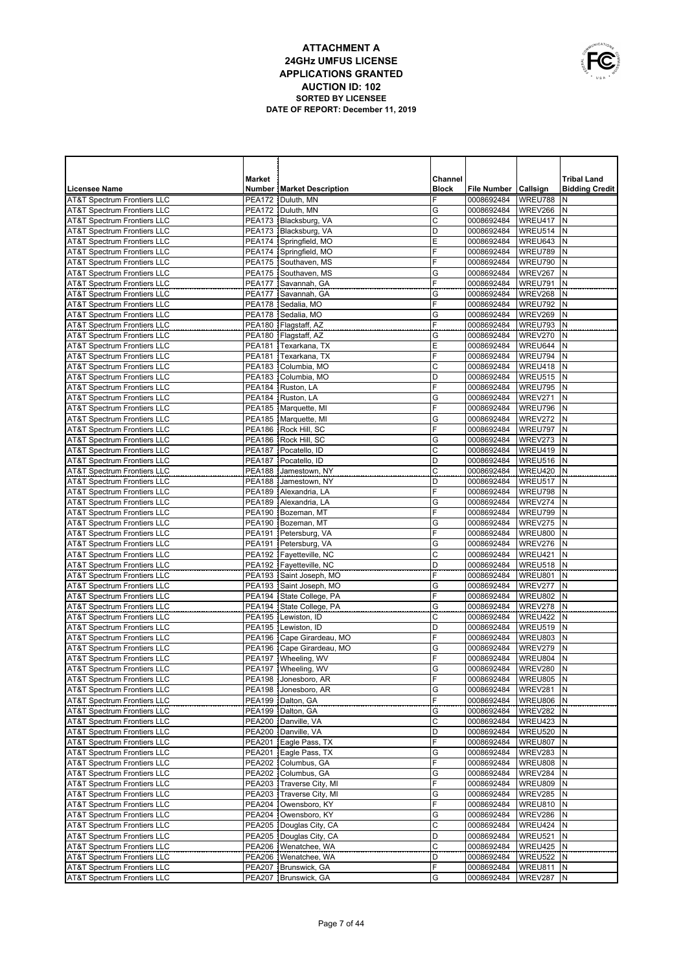

|                                                                                  | <b>Market</b>                  |                                                      | Channel          |                          |                    | <b>Tribal Land</b>    |
|----------------------------------------------------------------------------------|--------------------------------|------------------------------------------------------|------------------|--------------------------|--------------------|-----------------------|
| <b>Licensee Name</b>                                                             |                                | <b>Number   Market Description</b>                   | <b>Block</b>     | File Number   Callsign   |                    | <b>Bidding Credit</b> |
| <b>AT&amp;T Spectrum Frontiers LLC</b>                                           |                                | PEA172   Duluth, MN                                  | F                | 0008692484               | WREU788            | N                     |
| <b>AT&amp;T Spectrum Frontiers LLC</b>                                           |                                | PEA172   Duluth, MN                                  | G                | 0008692484               | WREV266            | N                     |
| <b>AT&amp;T Spectrum Frontiers LLC</b>                                           |                                | PEA173 Blacksburg, VA                                | $\mathsf{C}$     | 0008692484               | WREU417            | N                     |
| <b>AT&amp;T Spectrum Frontiers LLC</b>                                           |                                | PEA173   Blacksburg, VA                              | D                | 0008692484               | WREU514            | N                     |
| <b>AT&amp;T Spectrum Frontiers LLC</b>                                           |                                | PEA174 Springfield, MO                               | E                | 0008692484               | WREU643            | N                     |
| <b>AT&amp;T Spectrum Frontiers LLC</b>                                           |                                | PEA174 Springfield, MO                               | F                | 0008692484               | WREU789            | N                     |
| <b>AT&amp;T Spectrum Frontiers LLC</b>                                           |                                | PEA175 Southaven, MS                                 | F                | 0008692484               | WREU790            | N                     |
| <b>AT&amp;T Spectrum Frontiers LLC</b><br><b>AT&amp;T Spectrum Frontiers LLC</b> |                                | PEA175 Southaven, MS                                 | G<br>F           | 0008692484               | WREV267<br>WREU791 | N<br>N                |
| <b>AT&amp;T Spectrum Frontiers LLC</b>                                           |                                | PEA177 Savannah, GA<br>PEA177 Savannah, GA           | G                | 0008692484<br>0008692484 | WREV268            | ${\sf N}$             |
| <b>AT&amp;T Spectrum Frontiers LLC</b>                                           |                                | PEA178 Sedalia, MO                                   | F                | 0008692484               | WREU792            | N                     |
| <b>AT&amp;T Spectrum Frontiers LLC</b>                                           |                                | PEA178 Sedalia, MO                                   | G                | 0008692484               | WREV269            | N                     |
| <b>AT&amp;T Spectrum Frontiers LLC</b>                                           |                                | PEA180   Flagstaff, AZ                               | F                | 0008692484               | WREU793            | N                     |
| <b>AT&amp;T Spectrum Frontiers LLC</b>                                           |                                | PEA180   Flagstaff, AZ                               | G                | 0008692484               | WREV270            | N                     |
| <b>AT&amp;T Spectrum Frontiers LLC</b>                                           |                                | PEA181 Texarkana, TX                                 | Ε                | 0008692484               | WREU644            | $\mathsf{N}$          |
| <b>AT&amp;T Spectrum Frontiers LLC</b>                                           | <b>PEA181</b>                  | Texarkana, TX                                        | F                | 0008692484               | WREU794            | $\mathsf{N}$          |
| <b>AT&amp;T Spectrum Frontiers LLC</b>                                           | <b>PEA183</b>                  | Columbia, MO                                         | C                | 0008692484               | WREU418            | N                     |
| <b>AT&amp;T Spectrum Frontiers LLC</b>                                           | <b>PEA183</b>                  | Columbia, MO                                         | D                | 0008692484               | WREU515            | N                     |
| <b>AT&amp;T Spectrum Frontiers LLC</b>                                           |                                | PEA184 Ruston, LA                                    | F                | 0008692484               | WREU795            | N                     |
| <b>AT&amp;T Spectrum Frontiers LLC</b>                                           | <b>PEA184</b>                  | Ruston, LA                                           | G                | 0008692484               | WREV271            | $\mathsf{N}$          |
| <b>AT&amp;T Spectrum Frontiers LLC</b>                                           |                                | PEA185   Marquette, MI                               | F                | 0008692484               | WREU796            | N                     |
| AT&T Spectrum Frontiers LLC                                                      |                                | PEA185 Marquette, MI                                 | G                | 0008692484               | WREV272            | N                     |
| <b>AT&amp;T Spectrum Frontiers LLC</b>                                           |                                | PEA186 Rock Hill, SC                                 | F                | 0008692484               | WREU797            | N                     |
| <b>AT&amp;T Spectrum Frontiers LLC</b>                                           | <b>PEA186</b>                  | Rock Hill, SC                                        | G                | 0008692484               | WREV273            | $\mathsf{N}$          |
| <b>AT&amp;T Spectrum Frontiers LLC</b>                                           |                                | PEA187   Pocatello, ID                               | $\mathsf C$<br>D | 0008692484               | WREU419<br>WREU516 | N<br>N                |
| <b>AT&amp;T Spectrum Frontiers LLC</b><br><b>AT&amp;T Spectrum Frontiers LLC</b> | <b>PEA187</b><br><b>PEA188</b> | Pocatello, ID<br>Jamestown, NY                       | C                | 0008692484<br>0008692484 | WREU420            | ${\sf N}$             |
| <b>AT&amp;T Spectrum Frontiers LLC</b>                                           | <b>PEA188</b>                  | Jamestown, NY                                        | D                | 0008692484               | WREU517            | $\mathsf{N}$          |
| <b>AT&amp;T Spectrum Frontiers LLC</b>                                           |                                | PEA189 Alexandria, LA                                | F                | 0008692484               | WREU798            | N                     |
| <b>AT&amp;T Spectrum Frontiers LLC</b>                                           |                                | PEA189 Alexandria, LA                                | G                | 0008692484               | WREV274            | $\mathsf{N}$          |
| <b>AT&amp;T Spectrum Frontiers LLC</b>                                           |                                | PEA190 Bozeman, MT                                   | F                | 0008692484               | WREU799            | N                     |
| <b>AT&amp;T Spectrum Frontiers LLC</b>                                           |                                | PEA190 Bozeman, MT                                   | G                | 0008692484               | WREV275            | $\mathsf{N}$          |
| <b>AT&amp;T Spectrum Frontiers LLC</b>                                           |                                | PEA191 Petersburg, VA                                | F                | 0008692484               | <b>WREU800</b>     | N                     |
| <b>AT&amp;T Spectrum Frontiers LLC</b>                                           |                                | PEA191 Petersburg, VA                                | G                | 0008692484               | WREV276            | N                     |
| <b>AT&amp;T Spectrum Frontiers LLC</b>                                           |                                | PEA192   Fayetteville, NC                            | C                | 0008692484               | WREU421            | N                     |
| <b>AT&amp;T Spectrum Frontiers LLC</b>                                           |                                | PEA192 Fayetteville, NC                              | D                | 0008692484               | WREU518            | N                     |
| <b>AT&amp;T Spectrum Frontiers LLC</b>                                           |                                | PEA193 Saint Joseph, MO                              | F                | 0008692484               | WREU801            | N                     |
| <b>AT&amp;T Spectrum Frontiers LLC</b>                                           |                                | PEA193 Saint Joseph, MO                              | G                | 0008692484               | WREV277            | N                     |
| <b>AT&amp;T Spectrum Frontiers LLC</b>                                           |                                | PEA194 State College, PA                             | F                | 0008692484               | WREU802            | N                     |
| <b>AT&amp;T Spectrum Frontiers LLC</b>                                           |                                | PEA194 State College, PA                             | G                | 0008692484               | WREV278            | $\mathsf{N}$          |
| <b>AT&amp;T Spectrum Frontiers LLC</b>                                           | <b>PEA195</b>                  | PEA195 Lewiston, ID<br>Lewiston, ID                  | C<br>D           | 0008692484               | WREU422<br>WREU519 | N<br>$\mathsf{N}$     |
| <b>AT&amp;T Spectrum Frontiers LLC</b><br><b>AT&amp;T Spectrum Frontiers LLC</b> |                                | PEA196 Cape Girardeau, MO                            | F                | 0008692484<br>0008692484 | WREU803            | N                     |
| <b>AT&amp;T Spectrum Frontiers LLC</b>                                           |                                | PEA196 Cape Girardeau, MO                            | G                | 0008692484               | WREV279            | N                     |
| <b>AT&amp;T Spectrum Frontiers LLC</b>                                           |                                | PEA197 Wheeling, WV                                  | F                | 0008692484               | WREU804            | N                     |
| <b>AT&amp;T Spectrum Frontiers LLC</b>                                           |                                | PEA197   Wheeling, WV                                | G                | 0008692484               | WREV280            | N                     |
| <b>AT&amp;T Spectrum Frontiers LLC</b>                                           |                                | PEA198 Jonesboro, AR                                 | F                | 0008692484               | WREU805 N          |                       |
| AT&T Spectrum Frontiers LLC                                                      |                                | PEA198 Jonesboro, AR                                 | G                | 0008692484               | WREV281            | N                     |
| AT&T Spectrum Frontiers LLC                                                      |                                | PEA199   Dalton, GA                                  | F                | 0008692484               | WREU806            | N                     |
| AT&T Spectrum Frontiers LLC                                                      |                                | PEA199 Dalton, GA                                    | G                | 0008692484               | WREV282            | N                     |
| <b>AT&amp;T Spectrum Frontiers LLC</b>                                           |                                | PEA200 Danville, VA                                  | $\mathsf{C}$     | 0008692484               | WREU423            | N                     |
| <b>AT&amp;T Spectrum Frontiers LLC</b>                                           | <b>PEA200</b>                  | Danville, VA                                         | D                | 0008692484               | WREU520            | N                     |
| <b>AT&amp;T Spectrum Frontiers LLC</b>                                           | <b>PEA201</b>                  | Eagle Pass, TX                                       | F                | 0008692484               | WREU807            | N                     |
| <b>AT&amp;T Spectrum Frontiers LLC</b>                                           | <b>PEA201</b>                  | Eagle Pass, TX                                       | G                | 0008692484               | WREV283            | N                     |
| <b>AT&amp;T Spectrum Frontiers LLC</b>                                           |                                | PEA202 Columbus, GA                                  | F                | 0008692484               | WREU808            | N                     |
| <b>AT&amp;T Spectrum Frontiers LLC</b>                                           |                                | PEA202 Columbus, GA                                  | G<br>F           | 0008692484               | WREV284            | N                     |
| <b>AT&amp;T Spectrum Frontiers LLC</b>                                           |                                | PEA203 Traverse City, MI<br>PEA203 Traverse City, MI | G                | 0008692484               | WREU809            | N<br>N                |
| <b>AT&amp;T Spectrum Frontiers LLC</b><br>AT&T Spectrum Frontiers LLC            |                                | PEA204 Owensboro, KY                                 | F                | 0008692484<br>0008692484 | WREV285<br>WREU810 | N                     |
| <b>AT&amp;T Spectrum Frontiers LLC</b>                                           |                                | PEA204 Owensboro, KY                                 | G                | 0008692484               | WREV286            | N                     |
| AT&T Spectrum Frontiers LLC                                                      |                                | PEA205   Douglas City, CA                            | $\mathsf C$      | 0008692484               | WREU424            | N                     |
| <b>AT&amp;T Spectrum Frontiers LLC</b>                                           |                                | PEA205   Douglas City, CA                            | D                | 0008692484               | WREU521            | N                     |
| AT&T Spectrum Frontiers LLC                                                      |                                | PEA206   Wenatchee, WA                               | C                | 0008692484               | WREU425            | N                     |
| <b>AT&amp;T Spectrum Frontiers LLC</b>                                           |                                | PEA206   Wenatchee, WA                               | D                | 0008692484               | WREU522            | N                     |
| <b>AT&amp;T Spectrum Frontiers LLC</b>                                           |                                | PEA207 Brunswick, GA                                 | F                | 0008692484               | WREU811            | N                     |
| AT&T Spectrum Frontiers LLC                                                      |                                | PEA207 Brunswick, GA                                 | G                | 0008692484               | WREV287            | N                     |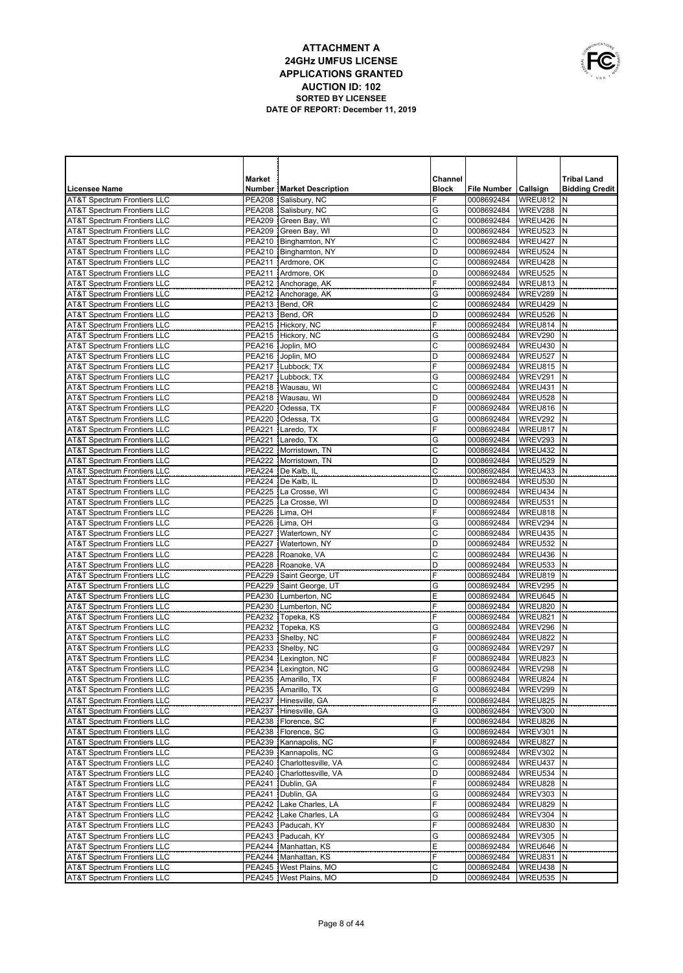

| <b>Market</b><br>Channel<br><b>Tribal Land</b><br><b>Licensee Name</b><br><b>Number   Market Description</b><br><b>Block</b><br>File Number   Callsign<br><b>Bidding Credit</b><br><b>AT&amp;T Spectrum Frontiers LLC</b><br><b>PEA208</b><br>Salisbury, NC<br>F<br>0008692484<br>WREU812<br>N<br><b>AT&amp;T Spectrum Frontiers LLC</b><br>PEA208 Salisbury, NC<br>G<br>0008692484<br>WREV288<br>N<br>C<br><b>AT&amp;T Spectrum Frontiers LLC</b><br>PEA209 Green Bay, WI<br>WREU426<br>N<br>0008692484<br><b>AT&amp;T Spectrum Frontiers LLC</b><br>PEA209 Green Bay, WI<br>D<br>WREU523<br>N<br>0008692484<br>C<br><b>AT&amp;T Spectrum Frontiers LLC</b><br>PEA210   Binghamton, NY<br>WREU427<br>N<br>0008692484<br>PEA210   Binghamton, NY<br>D<br>WREU524<br>N<br><b>AT&amp;T Spectrum Frontiers LLC</b><br>0008692484<br>C<br><b>AT&amp;T Spectrum Frontiers LLC</b><br>PEA211 Ardmore, OK<br>WREU428<br>N<br>0008692484<br>PEA211 Ardmore, OK<br>D<br>WREU525<br>N<br><b>AT&amp;T Spectrum Frontiers LLC</b><br>0008692484<br>F<br><b>AT&amp;T Spectrum Frontiers LLC</b><br>PEA212 Anchorage, AK<br>WREU813<br>N<br>0008692484<br>PEA212 Anchorage, AK<br>G<br>WREV289<br>N<br><b>AT&amp;T Spectrum Frontiers LLC</b><br>0008692484<br><b>AT&amp;T Spectrum Frontiers LLC</b><br>PEA213<br>Bend, OR<br>C<br>WREU429<br>N<br>0008692484<br><b>PEA213</b><br>Bend, OR<br>D<br>WREU526<br>N<br><b>AT&amp;T Spectrum Frontiers LLC</b><br>0008692484<br>F<br><b>AT&amp;T Spectrum Frontiers LLC</b><br><b>PEA215</b><br>WREU814<br>N<br>Hickory, NC<br>0008692484<br>PEA215 Hickory, NC<br>G<br>WREV290<br>N<br><b>AT&amp;T Spectrum Frontiers LLC</b><br>0008692484<br>C<br><b>AT&amp;T Spectrum Frontiers LLC</b><br><b>PEA216</b><br>WREU430<br>N<br>Joplin, MO<br>0008692484<br><b>AT&amp;T Spectrum Frontiers LLC</b><br><b>PEA216</b><br>D<br>WREU527<br>N<br>Joplin, MO<br>0008692484<br>F<br><b>AT&amp;T Spectrum Frontiers LLC</b><br><b>PEA217</b><br>WREU815<br>N<br>Lubbock, TX<br>0008692484<br>G<br>WREV291<br>N<br><b>AT&amp;T Spectrum Frontiers LLC</b><br><b>PEA217</b><br>Lubbock, TX<br>0008692484<br>C<br><b>AT&amp;T Spectrum Frontiers LLC</b><br>PEA218   Wausau, WI<br>WREU431<br>N<br>0008692484<br>PEA218<br>Wausau, WI<br>D<br>WREU528<br>N<br><b>AT&amp;T Spectrum Frontiers LLC</b><br>0008692484<br>F<br><b>AT&amp;T Spectrum Frontiers LLC</b><br><b>PEA220</b><br>WREU816<br>N<br>Odessa, TX<br>0008692484<br><b>PEA220</b><br>Odessa, TX<br>G<br>WREV292<br>N<br><b>AT&amp;T Spectrum Frontiers LLC</b><br>0008692484<br>F<br><b>AT&amp;T Spectrum Frontiers LLC</b><br><b>PEA221</b><br>Laredo, TX<br>WREU817<br>N<br>0008692484<br><b>PEA221</b><br>Laredo, TX<br>G<br>WREV293<br>N<br><b>AT&amp;T Spectrum Frontiers LLC</b><br>0008692484<br>С<br><b>AT&amp;T Spectrum Frontiers LLC</b><br><b>PEA222</b><br>WREU432<br>N<br>Morristown, TN<br>0008692484<br><b>AT&amp;T Spectrum Frontiers LLC</b><br>PEA222   Morristown, TN<br>D<br>WREU529<br>N<br>0008692484<br>С<br>AT&T Spectrum Frontiers LLC<br><b>PEA224</b><br>De Kalb, IL<br>WREU433<br>N<br>0008692484<br><b>AT&amp;T Spectrum Frontiers LLC</b><br><b>PEA224</b><br>De Kalb, IL<br>D<br>WREU530<br>N<br>0008692484<br>C<br><b>AT&amp;T Spectrum Frontiers LLC</b><br>PEA225   La Crosse, WI<br>WREU434<br>N<br>0008692484<br><b>AT&amp;T Spectrum Frontiers LLC</b><br><b>PEA225</b><br>La Crosse, WI<br>D<br>WREU531<br>N<br>0008692484<br>F<br>N<br><b>AT&amp;T Spectrum Frontiers LLC</b><br>PEA226 Lima, OH<br>WREU818<br>0008692484<br><b>PEA226</b><br>Lima, OH<br>G<br>WREV294<br>N<br><b>AT&amp;T Spectrum Frontiers LLC</b><br>0008692484<br>$\overline{C}$<br>N<br><b>AT&amp;T Spectrum Frontiers LLC</b><br>PEA227   Watertown, NY<br>WREU435<br>0008692484<br>N<br><b>AT&amp;T Spectrum Frontiers LLC</b><br>PEA227   Watertown, NY<br>D<br>WREU532<br>0008692484<br>$\overline{C}$<br>N<br><b>AT&amp;T Spectrum Frontiers LLC</b><br>PEA228 Roanoke, VA<br>WREU436<br>0008692484<br>N<br><b>AT&amp;T Spectrum Frontiers LLC</b><br>PEA228 Roanoke, VA<br>D<br>WREU533<br>0008692484<br>F<br>N<br><b>AT&amp;T Spectrum Frontiers LLC</b><br>PEA229 Saint George, UT<br>WREU819<br>0008692484<br>N<br><b>AT&amp;T Spectrum Frontiers LLC</b><br>PEA229 Saint George, UT<br>G<br>WREV295<br>0008692484<br>E<br>N<br><b>AT&amp;T Spectrum Frontiers LLC</b><br>PEA230   Lumberton, NC<br>WREU645<br>0008692484<br>F<br>N<br><b>AT&amp;T Spectrum Frontiers LLC</b><br>PEA230   Lumberton, NC<br>WREU820<br>0008692484<br>F<br>N<br><b>AT&amp;T Spectrum Frontiers LLC</b><br>PEA232 Topeka, KS<br>WREU821<br>0008692484<br>$\mathsf{N}$<br><b>AT&amp;T Spectrum Frontiers LLC</b><br>PEA232 Topeka, KS<br>WREV296<br>G<br>0008692484<br>F<br>N<br><b>AT&amp;T Spectrum Frontiers LLC</b><br>PEA233 Shelby, NC<br>WREU822<br>0008692484<br><b>AT&amp;T Spectrum Frontiers LLC</b><br>PEA233 Shelby, NC<br>WREV297<br>N<br>G<br>0008692484<br>F<br><b>AT&amp;T Spectrum Frontiers LLC</b><br>PEA234   Lexington, NC<br>WREU823<br>N<br>0008692484<br><b>AT&amp;T Spectrum Frontiers LLC</b><br>PEA234 Lexington, NC<br>WREV298<br>$\mathsf{N}$<br>G<br>0008692484<br><b>AT&amp;T Spectrum Frontiers LLC</b><br>PEA235   Amarillo, TX<br>F<br>0008692484<br>WREU824 N<br>PEA235 Amarillo, TX<br>G<br>WREV299 N<br>AT&T Spectrum Frontiers LLC<br>0008692484<br><b>AT&amp;T Spectrum Frontiers LLC</b><br>F<br>WREU825 N<br>PEA237 Hinesville, GA<br>0008692484<br><b>AT&amp;T Spectrum Frontiers LLC</b><br>PEA237 Hinesville, GA<br>G<br>0008692484<br>WREV300 N<br>F<br><b>AT&amp;T Spectrum Frontiers LLC</b><br>PEA238   Florence, SC<br>0008692484<br>WREU826<br>N<br><b>AT&amp;T Spectrum Frontiers LLC</b><br>PEA238   Florence, SC<br>G<br>0008692484<br>WREV301<br>IN.<br>F<br><b>AT&amp;T Spectrum Frontiers LLC</b><br>PEA239   Kannapolis, NC<br>0008692484<br>WREU827<br>N<br><b>AT&amp;T Spectrum Frontiers LLC</b><br>PEA239   Kannapolis, NC<br>G<br>0008692484<br>WREV302<br>N<br>C<br><b>AT&amp;T Spectrum Frontiers LLC</b><br>PEA240 Charlottesville, VA<br>0008692484<br>WREU437<br>N<br><b>AT&amp;T Spectrum Frontiers LLC</b><br>PEA240 Charlottesville, VA<br>D<br>0008692484<br>WREU534<br>N<br>F<br><b>AT&amp;T Spectrum Frontiers LLC</b><br>PEA241   Dublin, GA<br>0008692484<br>WREU828<br>N<br><b>AT&amp;T Spectrum Frontiers LLC</b><br>PEA241   Dublin, GA<br>G<br>0008692484<br>WREV303<br>N<br>F<br><b>AT&amp;T Spectrum Frontiers LLC</b><br>PEA242 Lake Charles, LA<br>0008692484<br>WREU829<br>Ν<br><b>AT&amp;T Spectrum Frontiers LLC</b><br>PEA242 Lake Charles, LA<br>G<br>0008692484<br>WREV304<br>N<br>F<br><b>AT&amp;T Spectrum Frontiers LLC</b><br>PEA243   Paducah, KY<br>0008692484<br>WREU830<br>N<br><b>AT&amp;T Spectrum Frontiers LLC</b><br>PEA243 Paducah, KY<br>G<br>0008692484<br>WREV305<br>N<br>PEA244   Manhattan, KS<br>Ε<br>WREU646<br><b>AT&amp;T Spectrum Frontiers LLC</b><br>0008692484<br>Ν<br>F<br><b>AT&amp;T Spectrum Frontiers LLC</b><br>PEA244   Manhattan, KS<br>0008692484<br>WREU831<br>N<br>PEA245   West Plains, MO<br>C<br>AT&T Spectrum Frontiers LLC<br>0008692484<br>WREU438<br>Ν<br>AT&T Spectrum Frontiers LLC<br>PEA245   West Plains, MO<br>D<br>WREU535 N<br>0008692484 |  |  |  |  |
|------------------------------------------------------------------------------------------------------------------------------------------------------------------------------------------------------------------------------------------------------------------------------------------------------------------------------------------------------------------------------------------------------------------------------------------------------------------------------------------------------------------------------------------------------------------------------------------------------------------------------------------------------------------------------------------------------------------------------------------------------------------------------------------------------------------------------------------------------------------------------------------------------------------------------------------------------------------------------------------------------------------------------------------------------------------------------------------------------------------------------------------------------------------------------------------------------------------------------------------------------------------------------------------------------------------------------------------------------------------------------------------------------------------------------------------------------------------------------------------------------------------------------------------------------------------------------------------------------------------------------------------------------------------------------------------------------------------------------------------------------------------------------------------------------------------------------------------------------------------------------------------------------------------------------------------------------------------------------------------------------------------------------------------------------------------------------------------------------------------------------------------------------------------------------------------------------------------------------------------------------------------------------------------------------------------------------------------------------------------------------------------------------------------------------------------------------------------------------------------------------------------------------------------------------------------------------------------------------------------------------------------------------------------------------------------------------------------------------------------------------------------------------------------------------------------------------------------------------------------------------------------------------------------------------------------------------------------------------------------------------------------------------------------------------------------------------------------------------------------------------------------------------------------------------------------------------------------------------------------------------------------------------------------------------------------------------------------------------------------------------------------------------------------------------------------------------------------------------------------------------------------------------------------------------------------------------------------------------------------------------------------------------------------------------------------------------------------------------------------------------------------------------------------------------------------------------------------------------------------------------------------------------------------------------------------------------------------------------------------------------------------------------------------------------------------------------------------------------------------------------------------------------------------------------------------------------------------------------------------------------------------------------------------------------------------------------------------------------------------------------------------------------------------------------------------------------------------------------------------------------------------------------------------------------------------------------------------------------------------------------------------------------------------------------------------------------------------------------------------------------------------------------------------------------------------------------------------------------------------------------------------------------------------------------------------------------------------------------------------------------------------------------------------------------------------------------------------------------------------------------------------------------------------------------------------------------------------------------------------------------------------------------------------------------------------------------------------------------------------------------------------------------------------------------------------------------------------------------------------------------------------------------------------------------------------------------------------------------------------------------------------------------------------------------------------------------------------------------------------------------------------------------------------------------------------------------------------------------------------------------------------------------------------------------------------------------------------------------------------------------------------------------------------------------------------------------------------------------------------------------------------------------------------------------------------------------------------------------------------------------------------------------------------------------------------------------------------------------------------------------------------------------------------------------------------------------------------------------------------------------------------------------------------------------------------------------------------------------------------------------------------------------------------------------------------------------------------------------------------------------------------------------------------------------------------------------------------------------------------------------------------------------------------------------------------------------------------------------------------------------------------------------------------------------------------------------------------------------------------------------------------------------------------------------------------------------------------------------------------------------------------------------|--|--|--|--|
|                                                                                                                                                                                                                                                                                                                                                                                                                                                                                                                                                                                                                                                                                                                                                                                                                                                                                                                                                                                                                                                                                                                                                                                                                                                                                                                                                                                                                                                                                                                                                                                                                                                                                                                                                                                                                                                                                                                                                                                                                                                                                                                                                                                                                                                                                                                                                                                                                                                                                                                                                                                                                                                                                                                                                                                                                                                                                                                                                                                                                                                                                                                                                                                                                                                                                                                                                                                                                                                                                                                                                                                                                                                                                                                                                                                                                                                                                                                                                                                                                                                                                                                                                                                                                                                                                                                                                                                                                                                                                                                                                                                                                                                                                                                                                                                                                                                                                                                                                                                                                                                                                                                                                                                                                                                                                                                                                                                                                                                                                                                                                                                                                                                                                                                                                                                                                                                                                                                                                                                                                                                                                                                                                                                                                                                                                                                                                                                                                                                                                                                                                                                                                                                                                                                                                                                                                                                                                                                                                                                                                                                                                                                                                                                                                                                                              |  |  |  |  |
|                                                                                                                                                                                                                                                                                                                                                                                                                                                                                                                                                                                                                                                                                                                                                                                                                                                                                                                                                                                                                                                                                                                                                                                                                                                                                                                                                                                                                                                                                                                                                                                                                                                                                                                                                                                                                                                                                                                                                                                                                                                                                                                                                                                                                                                                                                                                                                                                                                                                                                                                                                                                                                                                                                                                                                                                                                                                                                                                                                                                                                                                                                                                                                                                                                                                                                                                                                                                                                                                                                                                                                                                                                                                                                                                                                                                                                                                                                                                                                                                                                                                                                                                                                                                                                                                                                                                                                                                                                                                                                                                                                                                                                                                                                                                                                                                                                                                                                                                                                                                                                                                                                                                                                                                                                                                                                                                                                                                                                                                                                                                                                                                                                                                                                                                                                                                                                                                                                                                                                                                                                                                                                                                                                                                                                                                                                                                                                                                                                                                                                                                                                                                                                                                                                                                                                                                                                                                                                                                                                                                                                                                                                                                                                                                                                                                              |  |  |  |  |
|                                                                                                                                                                                                                                                                                                                                                                                                                                                                                                                                                                                                                                                                                                                                                                                                                                                                                                                                                                                                                                                                                                                                                                                                                                                                                                                                                                                                                                                                                                                                                                                                                                                                                                                                                                                                                                                                                                                                                                                                                                                                                                                                                                                                                                                                                                                                                                                                                                                                                                                                                                                                                                                                                                                                                                                                                                                                                                                                                                                                                                                                                                                                                                                                                                                                                                                                                                                                                                                                                                                                                                                                                                                                                                                                                                                                                                                                                                                                                                                                                                                                                                                                                                                                                                                                                                                                                                                                                                                                                                                                                                                                                                                                                                                                                                                                                                                                                                                                                                                                                                                                                                                                                                                                                                                                                                                                                                                                                                                                                                                                                                                                                                                                                                                                                                                                                                                                                                                                                                                                                                                                                                                                                                                                                                                                                                                                                                                                                                                                                                                                                                                                                                                                                                                                                                                                                                                                                                                                                                                                                                                                                                                                                                                                                                                                              |  |  |  |  |
|                                                                                                                                                                                                                                                                                                                                                                                                                                                                                                                                                                                                                                                                                                                                                                                                                                                                                                                                                                                                                                                                                                                                                                                                                                                                                                                                                                                                                                                                                                                                                                                                                                                                                                                                                                                                                                                                                                                                                                                                                                                                                                                                                                                                                                                                                                                                                                                                                                                                                                                                                                                                                                                                                                                                                                                                                                                                                                                                                                                                                                                                                                                                                                                                                                                                                                                                                                                                                                                                                                                                                                                                                                                                                                                                                                                                                                                                                                                                                                                                                                                                                                                                                                                                                                                                                                                                                                                                                                                                                                                                                                                                                                                                                                                                                                                                                                                                                                                                                                                                                                                                                                                                                                                                                                                                                                                                                                                                                                                                                                                                                                                                                                                                                                                                                                                                                                                                                                                                                                                                                                                                                                                                                                                                                                                                                                                                                                                                                                                                                                                                                                                                                                                                                                                                                                                                                                                                                                                                                                                                                                                                                                                                                                                                                                                                              |  |  |  |  |
|                                                                                                                                                                                                                                                                                                                                                                                                                                                                                                                                                                                                                                                                                                                                                                                                                                                                                                                                                                                                                                                                                                                                                                                                                                                                                                                                                                                                                                                                                                                                                                                                                                                                                                                                                                                                                                                                                                                                                                                                                                                                                                                                                                                                                                                                                                                                                                                                                                                                                                                                                                                                                                                                                                                                                                                                                                                                                                                                                                                                                                                                                                                                                                                                                                                                                                                                                                                                                                                                                                                                                                                                                                                                                                                                                                                                                                                                                                                                                                                                                                                                                                                                                                                                                                                                                                                                                                                                                                                                                                                                                                                                                                                                                                                                                                                                                                                                                                                                                                                                                                                                                                                                                                                                                                                                                                                                                                                                                                                                                                                                                                                                                                                                                                                                                                                                                                                                                                                                                                                                                                                                                                                                                                                                                                                                                                                                                                                                                                                                                                                                                                                                                                                                                                                                                                                                                                                                                                                                                                                                                                                                                                                                                                                                                                                                              |  |  |  |  |
|                                                                                                                                                                                                                                                                                                                                                                                                                                                                                                                                                                                                                                                                                                                                                                                                                                                                                                                                                                                                                                                                                                                                                                                                                                                                                                                                                                                                                                                                                                                                                                                                                                                                                                                                                                                                                                                                                                                                                                                                                                                                                                                                                                                                                                                                                                                                                                                                                                                                                                                                                                                                                                                                                                                                                                                                                                                                                                                                                                                                                                                                                                                                                                                                                                                                                                                                                                                                                                                                                                                                                                                                                                                                                                                                                                                                                                                                                                                                                                                                                                                                                                                                                                                                                                                                                                                                                                                                                                                                                                                                                                                                                                                                                                                                                                                                                                                                                                                                                                                                                                                                                                                                                                                                                                                                                                                                                                                                                                                                                                                                                                                                                                                                                                                                                                                                                                                                                                                                                                                                                                                                                                                                                                                                                                                                                                                                                                                                                                                                                                                                                                                                                                                                                                                                                                                                                                                                                                                                                                                                                                                                                                                                                                                                                                                                              |  |  |  |  |
|                                                                                                                                                                                                                                                                                                                                                                                                                                                                                                                                                                                                                                                                                                                                                                                                                                                                                                                                                                                                                                                                                                                                                                                                                                                                                                                                                                                                                                                                                                                                                                                                                                                                                                                                                                                                                                                                                                                                                                                                                                                                                                                                                                                                                                                                                                                                                                                                                                                                                                                                                                                                                                                                                                                                                                                                                                                                                                                                                                                                                                                                                                                                                                                                                                                                                                                                                                                                                                                                                                                                                                                                                                                                                                                                                                                                                                                                                                                                                                                                                                                                                                                                                                                                                                                                                                                                                                                                                                                                                                                                                                                                                                                                                                                                                                                                                                                                                                                                                                                                                                                                                                                                                                                                                                                                                                                                                                                                                                                                                                                                                                                                                                                                                                                                                                                                                                                                                                                                                                                                                                                                                                                                                                                                                                                                                                                                                                                                                                                                                                                                                                                                                                                                                                                                                                                                                                                                                                                                                                                                                                                                                                                                                                                                                                                                              |  |  |  |  |
|                                                                                                                                                                                                                                                                                                                                                                                                                                                                                                                                                                                                                                                                                                                                                                                                                                                                                                                                                                                                                                                                                                                                                                                                                                                                                                                                                                                                                                                                                                                                                                                                                                                                                                                                                                                                                                                                                                                                                                                                                                                                                                                                                                                                                                                                                                                                                                                                                                                                                                                                                                                                                                                                                                                                                                                                                                                                                                                                                                                                                                                                                                                                                                                                                                                                                                                                                                                                                                                                                                                                                                                                                                                                                                                                                                                                                                                                                                                                                                                                                                                                                                                                                                                                                                                                                                                                                                                                                                                                                                                                                                                                                                                                                                                                                                                                                                                                                                                                                                                                                                                                                                                                                                                                                                                                                                                                                                                                                                                                                                                                                                                                                                                                                                                                                                                                                                                                                                                                                                                                                                                                                                                                                                                                                                                                                                                                                                                                                                                                                                                                                                                                                                                                                                                                                                                                                                                                                                                                                                                                                                                                                                                                                                                                                                                                              |  |  |  |  |
|                                                                                                                                                                                                                                                                                                                                                                                                                                                                                                                                                                                                                                                                                                                                                                                                                                                                                                                                                                                                                                                                                                                                                                                                                                                                                                                                                                                                                                                                                                                                                                                                                                                                                                                                                                                                                                                                                                                                                                                                                                                                                                                                                                                                                                                                                                                                                                                                                                                                                                                                                                                                                                                                                                                                                                                                                                                                                                                                                                                                                                                                                                                                                                                                                                                                                                                                                                                                                                                                                                                                                                                                                                                                                                                                                                                                                                                                                                                                                                                                                                                                                                                                                                                                                                                                                                                                                                                                                                                                                                                                                                                                                                                                                                                                                                                                                                                                                                                                                                                                                                                                                                                                                                                                                                                                                                                                                                                                                                                                                                                                                                                                                                                                                                                                                                                                                                                                                                                                                                                                                                                                                                                                                                                                                                                                                                                                                                                                                                                                                                                                                                                                                                                                                                                                                                                                                                                                                                                                                                                                                                                                                                                                                                                                                                                                              |  |  |  |  |
|                                                                                                                                                                                                                                                                                                                                                                                                                                                                                                                                                                                                                                                                                                                                                                                                                                                                                                                                                                                                                                                                                                                                                                                                                                                                                                                                                                                                                                                                                                                                                                                                                                                                                                                                                                                                                                                                                                                                                                                                                                                                                                                                                                                                                                                                                                                                                                                                                                                                                                                                                                                                                                                                                                                                                                                                                                                                                                                                                                                                                                                                                                                                                                                                                                                                                                                                                                                                                                                                                                                                                                                                                                                                                                                                                                                                                                                                                                                                                                                                                                                                                                                                                                                                                                                                                                                                                                                                                                                                                                                                                                                                                                                                                                                                                                                                                                                                                                                                                                                                                                                                                                                                                                                                                                                                                                                                                                                                                                                                                                                                                                                                                                                                                                                                                                                                                                                                                                                                                                                                                                                                                                                                                                                                                                                                                                                                                                                                                                                                                                                                                                                                                                                                                                                                                                                                                                                                                                                                                                                                                                                                                                                                                                                                                                                                              |  |  |  |  |
|                                                                                                                                                                                                                                                                                                                                                                                                                                                                                                                                                                                                                                                                                                                                                                                                                                                                                                                                                                                                                                                                                                                                                                                                                                                                                                                                                                                                                                                                                                                                                                                                                                                                                                                                                                                                                                                                                                                                                                                                                                                                                                                                                                                                                                                                                                                                                                                                                                                                                                                                                                                                                                                                                                                                                                                                                                                                                                                                                                                                                                                                                                                                                                                                                                                                                                                                                                                                                                                                                                                                                                                                                                                                                                                                                                                                                                                                                                                                                                                                                                                                                                                                                                                                                                                                                                                                                                                                                                                                                                                                                                                                                                                                                                                                                                                                                                                                                                                                                                                                                                                                                                                                                                                                                                                                                                                                                                                                                                                                                                                                                                                                                                                                                                                                                                                                                                                                                                                                                                                                                                                                                                                                                                                                                                                                                                                                                                                                                                                                                                                                                                                                                                                                                                                                                                                                                                                                                                                                                                                                                                                                                                                                                                                                                                                                              |  |  |  |  |
|                                                                                                                                                                                                                                                                                                                                                                                                                                                                                                                                                                                                                                                                                                                                                                                                                                                                                                                                                                                                                                                                                                                                                                                                                                                                                                                                                                                                                                                                                                                                                                                                                                                                                                                                                                                                                                                                                                                                                                                                                                                                                                                                                                                                                                                                                                                                                                                                                                                                                                                                                                                                                                                                                                                                                                                                                                                                                                                                                                                                                                                                                                                                                                                                                                                                                                                                                                                                                                                                                                                                                                                                                                                                                                                                                                                                                                                                                                                                                                                                                                                                                                                                                                                                                                                                                                                                                                                                                                                                                                                                                                                                                                                                                                                                                                                                                                                                                                                                                                                                                                                                                                                                                                                                                                                                                                                                                                                                                                                                                                                                                                                                                                                                                                                                                                                                                                                                                                                                                                                                                                                                                                                                                                                                                                                                                                                                                                                                                                                                                                                                                                                                                                                                                                                                                                                                                                                                                                                                                                                                                                                                                                                                                                                                                                                                              |  |  |  |  |
|                                                                                                                                                                                                                                                                                                                                                                                                                                                                                                                                                                                                                                                                                                                                                                                                                                                                                                                                                                                                                                                                                                                                                                                                                                                                                                                                                                                                                                                                                                                                                                                                                                                                                                                                                                                                                                                                                                                                                                                                                                                                                                                                                                                                                                                                                                                                                                                                                                                                                                                                                                                                                                                                                                                                                                                                                                                                                                                                                                                                                                                                                                                                                                                                                                                                                                                                                                                                                                                                                                                                                                                                                                                                                                                                                                                                                                                                                                                                                                                                                                                                                                                                                                                                                                                                                                                                                                                                                                                                                                                                                                                                                                                                                                                                                                                                                                                                                                                                                                                                                                                                                                                                                                                                                                                                                                                                                                                                                                                                                                                                                                                                                                                                                                                                                                                                                                                                                                                                                                                                                                                                                                                                                                                                                                                                                                                                                                                                                                                                                                                                                                                                                                                                                                                                                                                                                                                                                                                                                                                                                                                                                                                                                                                                                                                                              |  |  |  |  |
|                                                                                                                                                                                                                                                                                                                                                                                                                                                                                                                                                                                                                                                                                                                                                                                                                                                                                                                                                                                                                                                                                                                                                                                                                                                                                                                                                                                                                                                                                                                                                                                                                                                                                                                                                                                                                                                                                                                                                                                                                                                                                                                                                                                                                                                                                                                                                                                                                                                                                                                                                                                                                                                                                                                                                                                                                                                                                                                                                                                                                                                                                                                                                                                                                                                                                                                                                                                                                                                                                                                                                                                                                                                                                                                                                                                                                                                                                                                                                                                                                                                                                                                                                                                                                                                                                                                                                                                                                                                                                                                                                                                                                                                                                                                                                                                                                                                                                                                                                                                                                                                                                                                                                                                                                                                                                                                                                                                                                                                                                                                                                                                                                                                                                                                                                                                                                                                                                                                                                                                                                                                                                                                                                                                                                                                                                                                                                                                                                                                                                                                                                                                                                                                                                                                                                                                                                                                                                                                                                                                                                                                                                                                                                                                                                                                                              |  |  |  |  |
|                                                                                                                                                                                                                                                                                                                                                                                                                                                                                                                                                                                                                                                                                                                                                                                                                                                                                                                                                                                                                                                                                                                                                                                                                                                                                                                                                                                                                                                                                                                                                                                                                                                                                                                                                                                                                                                                                                                                                                                                                                                                                                                                                                                                                                                                                                                                                                                                                                                                                                                                                                                                                                                                                                                                                                                                                                                                                                                                                                                                                                                                                                                                                                                                                                                                                                                                                                                                                                                                                                                                                                                                                                                                                                                                                                                                                                                                                                                                                                                                                                                                                                                                                                                                                                                                                                                                                                                                                                                                                                                                                                                                                                                                                                                                                                                                                                                                                                                                                                                                                                                                                                                                                                                                                                                                                                                                                                                                                                                                                                                                                                                                                                                                                                                                                                                                                                                                                                                                                                                                                                                                                                                                                                                                                                                                                                                                                                                                                                                                                                                                                                                                                                                                                                                                                                                                                                                                                                                                                                                                                                                                                                                                                                                                                                                                              |  |  |  |  |
|                                                                                                                                                                                                                                                                                                                                                                                                                                                                                                                                                                                                                                                                                                                                                                                                                                                                                                                                                                                                                                                                                                                                                                                                                                                                                                                                                                                                                                                                                                                                                                                                                                                                                                                                                                                                                                                                                                                                                                                                                                                                                                                                                                                                                                                                                                                                                                                                                                                                                                                                                                                                                                                                                                                                                                                                                                                                                                                                                                                                                                                                                                                                                                                                                                                                                                                                                                                                                                                                                                                                                                                                                                                                                                                                                                                                                                                                                                                                                                                                                                                                                                                                                                                                                                                                                                                                                                                                                                                                                                                                                                                                                                                                                                                                                                                                                                                                                                                                                                                                                                                                                                                                                                                                                                                                                                                                                                                                                                                                                                                                                                                                                                                                                                                                                                                                                                                                                                                                                                                                                                                                                                                                                                                                                                                                                                                                                                                                                                                                                                                                                                                                                                                                                                                                                                                                                                                                                                                                                                                                                                                                                                                                                                                                                                                                              |  |  |  |  |
|                                                                                                                                                                                                                                                                                                                                                                                                                                                                                                                                                                                                                                                                                                                                                                                                                                                                                                                                                                                                                                                                                                                                                                                                                                                                                                                                                                                                                                                                                                                                                                                                                                                                                                                                                                                                                                                                                                                                                                                                                                                                                                                                                                                                                                                                                                                                                                                                                                                                                                                                                                                                                                                                                                                                                                                                                                                                                                                                                                                                                                                                                                                                                                                                                                                                                                                                                                                                                                                                                                                                                                                                                                                                                                                                                                                                                                                                                                                                                                                                                                                                                                                                                                                                                                                                                                                                                                                                                                                                                                                                                                                                                                                                                                                                                                                                                                                                                                                                                                                                                                                                                                                                                                                                                                                                                                                                                                                                                                                                                                                                                                                                                                                                                                                                                                                                                                                                                                                                                                                                                                                                                                                                                                                                                                                                                                                                                                                                                                                                                                                                                                                                                                                                                                                                                                                                                                                                                                                                                                                                                                                                                                                                                                                                                                                                              |  |  |  |  |
|                                                                                                                                                                                                                                                                                                                                                                                                                                                                                                                                                                                                                                                                                                                                                                                                                                                                                                                                                                                                                                                                                                                                                                                                                                                                                                                                                                                                                                                                                                                                                                                                                                                                                                                                                                                                                                                                                                                                                                                                                                                                                                                                                                                                                                                                                                                                                                                                                                                                                                                                                                                                                                                                                                                                                                                                                                                                                                                                                                                                                                                                                                                                                                                                                                                                                                                                                                                                                                                                                                                                                                                                                                                                                                                                                                                                                                                                                                                                                                                                                                                                                                                                                                                                                                                                                                                                                                                                                                                                                                                                                                                                                                                                                                                                                                                                                                                                                                                                                                                                                                                                                                                                                                                                                                                                                                                                                                                                                                                                                                                                                                                                                                                                                                                                                                                                                                                                                                                                                                                                                                                                                                                                                                                                                                                                                                                                                                                                                                                                                                                                                                                                                                                                                                                                                                                                                                                                                                                                                                                                                                                                                                                                                                                                                                                                              |  |  |  |  |
|                                                                                                                                                                                                                                                                                                                                                                                                                                                                                                                                                                                                                                                                                                                                                                                                                                                                                                                                                                                                                                                                                                                                                                                                                                                                                                                                                                                                                                                                                                                                                                                                                                                                                                                                                                                                                                                                                                                                                                                                                                                                                                                                                                                                                                                                                                                                                                                                                                                                                                                                                                                                                                                                                                                                                                                                                                                                                                                                                                                                                                                                                                                                                                                                                                                                                                                                                                                                                                                                                                                                                                                                                                                                                                                                                                                                                                                                                                                                                                                                                                                                                                                                                                                                                                                                                                                                                                                                                                                                                                                                                                                                                                                                                                                                                                                                                                                                                                                                                                                                                                                                                                                                                                                                                                                                                                                                                                                                                                                                                                                                                                                                                                                                                                                                                                                                                                                                                                                                                                                                                                                                                                                                                                                                                                                                                                                                                                                                                                                                                                                                                                                                                                                                                                                                                                                                                                                                                                                                                                                                                                                                                                                                                                                                                                                                              |  |  |  |  |
|                                                                                                                                                                                                                                                                                                                                                                                                                                                                                                                                                                                                                                                                                                                                                                                                                                                                                                                                                                                                                                                                                                                                                                                                                                                                                                                                                                                                                                                                                                                                                                                                                                                                                                                                                                                                                                                                                                                                                                                                                                                                                                                                                                                                                                                                                                                                                                                                                                                                                                                                                                                                                                                                                                                                                                                                                                                                                                                                                                                                                                                                                                                                                                                                                                                                                                                                                                                                                                                                                                                                                                                                                                                                                                                                                                                                                                                                                                                                                                                                                                                                                                                                                                                                                                                                                                                                                                                                                                                                                                                                                                                                                                                                                                                                                                                                                                                                                                                                                                                                                                                                                                                                                                                                                                                                                                                                                                                                                                                                                                                                                                                                                                                                                                                                                                                                                                                                                                                                                                                                                                                                                                                                                                                                                                                                                                                                                                                                                                                                                                                                                                                                                                                                                                                                                                                                                                                                                                                                                                                                                                                                                                                                                                                                                                                                              |  |  |  |  |
|                                                                                                                                                                                                                                                                                                                                                                                                                                                                                                                                                                                                                                                                                                                                                                                                                                                                                                                                                                                                                                                                                                                                                                                                                                                                                                                                                                                                                                                                                                                                                                                                                                                                                                                                                                                                                                                                                                                                                                                                                                                                                                                                                                                                                                                                                                                                                                                                                                                                                                                                                                                                                                                                                                                                                                                                                                                                                                                                                                                                                                                                                                                                                                                                                                                                                                                                                                                                                                                                                                                                                                                                                                                                                                                                                                                                                                                                                                                                                                                                                                                                                                                                                                                                                                                                                                                                                                                                                                                                                                                                                                                                                                                                                                                                                                                                                                                                                                                                                                                                                                                                                                                                                                                                                                                                                                                                                                                                                                                                                                                                                                                                                                                                                                                                                                                                                                                                                                                                                                                                                                                                                                                                                                                                                                                                                                                                                                                                                                                                                                                                                                                                                                                                                                                                                                                                                                                                                                                                                                                                                                                                                                                                                                                                                                                                              |  |  |  |  |
|                                                                                                                                                                                                                                                                                                                                                                                                                                                                                                                                                                                                                                                                                                                                                                                                                                                                                                                                                                                                                                                                                                                                                                                                                                                                                                                                                                                                                                                                                                                                                                                                                                                                                                                                                                                                                                                                                                                                                                                                                                                                                                                                                                                                                                                                                                                                                                                                                                                                                                                                                                                                                                                                                                                                                                                                                                                                                                                                                                                                                                                                                                                                                                                                                                                                                                                                                                                                                                                                                                                                                                                                                                                                                                                                                                                                                                                                                                                                                                                                                                                                                                                                                                                                                                                                                                                                                                                                                                                                                                                                                                                                                                                                                                                                                                                                                                                                                                                                                                                                                                                                                                                                                                                                                                                                                                                                                                                                                                                                                                                                                                                                                                                                                                                                                                                                                                                                                                                                                                                                                                                                                                                                                                                                                                                                                                                                                                                                                                                                                                                                                                                                                                                                                                                                                                                                                                                                                                                                                                                                                                                                                                                                                                                                                                                                              |  |  |  |  |
|                                                                                                                                                                                                                                                                                                                                                                                                                                                                                                                                                                                                                                                                                                                                                                                                                                                                                                                                                                                                                                                                                                                                                                                                                                                                                                                                                                                                                                                                                                                                                                                                                                                                                                                                                                                                                                                                                                                                                                                                                                                                                                                                                                                                                                                                                                                                                                                                                                                                                                                                                                                                                                                                                                                                                                                                                                                                                                                                                                                                                                                                                                                                                                                                                                                                                                                                                                                                                                                                                                                                                                                                                                                                                                                                                                                                                                                                                                                                                                                                                                                                                                                                                                                                                                                                                                                                                                                                                                                                                                                                                                                                                                                                                                                                                                                                                                                                                                                                                                                                                                                                                                                                                                                                                                                                                                                                                                                                                                                                                                                                                                                                                                                                                                                                                                                                                                                                                                                                                                                                                                                                                                                                                                                                                                                                                                                                                                                                                                                                                                                                                                                                                                                                                                                                                                                                                                                                                                                                                                                                                                                                                                                                                                                                                                                                              |  |  |  |  |
|                                                                                                                                                                                                                                                                                                                                                                                                                                                                                                                                                                                                                                                                                                                                                                                                                                                                                                                                                                                                                                                                                                                                                                                                                                                                                                                                                                                                                                                                                                                                                                                                                                                                                                                                                                                                                                                                                                                                                                                                                                                                                                                                                                                                                                                                                                                                                                                                                                                                                                                                                                                                                                                                                                                                                                                                                                                                                                                                                                                                                                                                                                                                                                                                                                                                                                                                                                                                                                                                                                                                                                                                                                                                                                                                                                                                                                                                                                                                                                                                                                                                                                                                                                                                                                                                                                                                                                                                                                                                                                                                                                                                                                                                                                                                                                                                                                                                                                                                                                                                                                                                                                                                                                                                                                                                                                                                                                                                                                                                                                                                                                                                                                                                                                                                                                                                                                                                                                                                                                                                                                                                                                                                                                                                                                                                                                                                                                                                                                                                                                                                                                                                                                                                                                                                                                                                                                                                                                                                                                                                                                                                                                                                                                                                                                                                              |  |  |  |  |
|                                                                                                                                                                                                                                                                                                                                                                                                                                                                                                                                                                                                                                                                                                                                                                                                                                                                                                                                                                                                                                                                                                                                                                                                                                                                                                                                                                                                                                                                                                                                                                                                                                                                                                                                                                                                                                                                                                                                                                                                                                                                                                                                                                                                                                                                                                                                                                                                                                                                                                                                                                                                                                                                                                                                                                                                                                                                                                                                                                                                                                                                                                                                                                                                                                                                                                                                                                                                                                                                                                                                                                                                                                                                                                                                                                                                                                                                                                                                                                                                                                                                                                                                                                                                                                                                                                                                                                                                                                                                                                                                                                                                                                                                                                                                                                                                                                                                                                                                                                                                                                                                                                                                                                                                                                                                                                                                                                                                                                                                                                                                                                                                                                                                                                                                                                                                                                                                                                                                                                                                                                                                                                                                                                                                                                                                                                                                                                                                                                                                                                                                                                                                                                                                                                                                                                                                                                                                                                                                                                                                                                                                                                                                                                                                                                                                              |  |  |  |  |
|                                                                                                                                                                                                                                                                                                                                                                                                                                                                                                                                                                                                                                                                                                                                                                                                                                                                                                                                                                                                                                                                                                                                                                                                                                                                                                                                                                                                                                                                                                                                                                                                                                                                                                                                                                                                                                                                                                                                                                                                                                                                                                                                                                                                                                                                                                                                                                                                                                                                                                                                                                                                                                                                                                                                                                                                                                                                                                                                                                                                                                                                                                                                                                                                                                                                                                                                                                                                                                                                                                                                                                                                                                                                                                                                                                                                                                                                                                                                                                                                                                                                                                                                                                                                                                                                                                                                                                                                                                                                                                                                                                                                                                                                                                                                                                                                                                                                                                                                                                                                                                                                                                                                                                                                                                                                                                                                                                                                                                                                                                                                                                                                                                                                                                                                                                                                                                                                                                                                                                                                                                                                                                                                                                                                                                                                                                                                                                                                                                                                                                                                                                                                                                                                                                                                                                                                                                                                                                                                                                                                                                                                                                                                                                                                                                                                              |  |  |  |  |
|                                                                                                                                                                                                                                                                                                                                                                                                                                                                                                                                                                                                                                                                                                                                                                                                                                                                                                                                                                                                                                                                                                                                                                                                                                                                                                                                                                                                                                                                                                                                                                                                                                                                                                                                                                                                                                                                                                                                                                                                                                                                                                                                                                                                                                                                                                                                                                                                                                                                                                                                                                                                                                                                                                                                                                                                                                                                                                                                                                                                                                                                                                                                                                                                                                                                                                                                                                                                                                                                                                                                                                                                                                                                                                                                                                                                                                                                                                                                                                                                                                                                                                                                                                                                                                                                                                                                                                                                                                                                                                                                                                                                                                                                                                                                                                                                                                                                                                                                                                                                                                                                                                                                                                                                                                                                                                                                                                                                                                                                                                                                                                                                                                                                                                                                                                                                                                                                                                                                                                                                                                                                                                                                                                                                                                                                                                                                                                                                                                                                                                                                                                                                                                                                                                                                                                                                                                                                                                                                                                                                                                                                                                                                                                                                                                                                              |  |  |  |  |
|                                                                                                                                                                                                                                                                                                                                                                                                                                                                                                                                                                                                                                                                                                                                                                                                                                                                                                                                                                                                                                                                                                                                                                                                                                                                                                                                                                                                                                                                                                                                                                                                                                                                                                                                                                                                                                                                                                                                                                                                                                                                                                                                                                                                                                                                                                                                                                                                                                                                                                                                                                                                                                                                                                                                                                                                                                                                                                                                                                                                                                                                                                                                                                                                                                                                                                                                                                                                                                                                                                                                                                                                                                                                                                                                                                                                                                                                                                                                                                                                                                                                                                                                                                                                                                                                                                                                                                                                                                                                                                                                                                                                                                                                                                                                                                                                                                                                                                                                                                                                                                                                                                                                                                                                                                                                                                                                                                                                                                                                                                                                                                                                                                                                                                                                                                                                                                                                                                                                                                                                                                                                                                                                                                                                                                                                                                                                                                                                                                                                                                                                                                                                                                                                                                                                                                                                                                                                                                                                                                                                                                                                                                                                                                                                                                                                              |  |  |  |  |
|                                                                                                                                                                                                                                                                                                                                                                                                                                                                                                                                                                                                                                                                                                                                                                                                                                                                                                                                                                                                                                                                                                                                                                                                                                                                                                                                                                                                                                                                                                                                                                                                                                                                                                                                                                                                                                                                                                                                                                                                                                                                                                                                                                                                                                                                                                                                                                                                                                                                                                                                                                                                                                                                                                                                                                                                                                                                                                                                                                                                                                                                                                                                                                                                                                                                                                                                                                                                                                                                                                                                                                                                                                                                                                                                                                                                                                                                                                                                                                                                                                                                                                                                                                                                                                                                                                                                                                                                                                                                                                                                                                                                                                                                                                                                                                                                                                                                                                                                                                                                                                                                                                                                                                                                                                                                                                                                                                                                                                                                                                                                                                                                                                                                                                                                                                                                                                                                                                                                                                                                                                                                                                                                                                                                                                                                                                                                                                                                                                                                                                                                                                                                                                                                                                                                                                                                                                                                                                                                                                                                                                                                                                                                                                                                                                                                              |  |  |  |  |
|                                                                                                                                                                                                                                                                                                                                                                                                                                                                                                                                                                                                                                                                                                                                                                                                                                                                                                                                                                                                                                                                                                                                                                                                                                                                                                                                                                                                                                                                                                                                                                                                                                                                                                                                                                                                                                                                                                                                                                                                                                                                                                                                                                                                                                                                                                                                                                                                                                                                                                                                                                                                                                                                                                                                                                                                                                                                                                                                                                                                                                                                                                                                                                                                                                                                                                                                                                                                                                                                                                                                                                                                                                                                                                                                                                                                                                                                                                                                                                                                                                                                                                                                                                                                                                                                                                                                                                                                                                                                                                                                                                                                                                                                                                                                                                                                                                                                                                                                                                                                                                                                                                                                                                                                                                                                                                                                                                                                                                                                                                                                                                                                                                                                                                                                                                                                                                                                                                                                                                                                                                                                                                                                                                                                                                                                                                                                                                                                                                                                                                                                                                                                                                                                                                                                                                                                                                                                                                                                                                                                                                                                                                                                                                                                                                                                              |  |  |  |  |
|                                                                                                                                                                                                                                                                                                                                                                                                                                                                                                                                                                                                                                                                                                                                                                                                                                                                                                                                                                                                                                                                                                                                                                                                                                                                                                                                                                                                                                                                                                                                                                                                                                                                                                                                                                                                                                                                                                                                                                                                                                                                                                                                                                                                                                                                                                                                                                                                                                                                                                                                                                                                                                                                                                                                                                                                                                                                                                                                                                                                                                                                                                                                                                                                                                                                                                                                                                                                                                                                                                                                                                                                                                                                                                                                                                                                                                                                                                                                                                                                                                                                                                                                                                                                                                                                                                                                                                                                                                                                                                                                                                                                                                                                                                                                                                                                                                                                                                                                                                                                                                                                                                                                                                                                                                                                                                                                                                                                                                                                                                                                                                                                                                                                                                                                                                                                                                                                                                                                                                                                                                                                                                                                                                                                                                                                                                                                                                                                                                                                                                                                                                                                                                                                                                                                                                                                                                                                                                                                                                                                                                                                                                                                                                                                                                                                              |  |  |  |  |
|                                                                                                                                                                                                                                                                                                                                                                                                                                                                                                                                                                                                                                                                                                                                                                                                                                                                                                                                                                                                                                                                                                                                                                                                                                                                                                                                                                                                                                                                                                                                                                                                                                                                                                                                                                                                                                                                                                                                                                                                                                                                                                                                                                                                                                                                                                                                                                                                                                                                                                                                                                                                                                                                                                                                                                                                                                                                                                                                                                                                                                                                                                                                                                                                                                                                                                                                                                                                                                                                                                                                                                                                                                                                                                                                                                                                                                                                                                                                                                                                                                                                                                                                                                                                                                                                                                                                                                                                                                                                                                                                                                                                                                                                                                                                                                                                                                                                                                                                                                                                                                                                                                                                                                                                                                                                                                                                                                                                                                                                                                                                                                                                                                                                                                                                                                                                                                                                                                                                                                                                                                                                                                                                                                                                                                                                                                                                                                                                                                                                                                                                                                                                                                                                                                                                                                                                                                                                                                                                                                                                                                                                                                                                                                                                                                                                              |  |  |  |  |
|                                                                                                                                                                                                                                                                                                                                                                                                                                                                                                                                                                                                                                                                                                                                                                                                                                                                                                                                                                                                                                                                                                                                                                                                                                                                                                                                                                                                                                                                                                                                                                                                                                                                                                                                                                                                                                                                                                                                                                                                                                                                                                                                                                                                                                                                                                                                                                                                                                                                                                                                                                                                                                                                                                                                                                                                                                                                                                                                                                                                                                                                                                                                                                                                                                                                                                                                                                                                                                                                                                                                                                                                                                                                                                                                                                                                                                                                                                                                                                                                                                                                                                                                                                                                                                                                                                                                                                                                                                                                                                                                                                                                                                                                                                                                                                                                                                                                                                                                                                                                                                                                                                                                                                                                                                                                                                                                                                                                                                                                                                                                                                                                                                                                                                                                                                                                                                                                                                                                                                                                                                                                                                                                                                                                                                                                                                                                                                                                                                                                                                                                                                                                                                                                                                                                                                                                                                                                                                                                                                                                                                                                                                                                                                                                                                                                              |  |  |  |  |
|                                                                                                                                                                                                                                                                                                                                                                                                                                                                                                                                                                                                                                                                                                                                                                                                                                                                                                                                                                                                                                                                                                                                                                                                                                                                                                                                                                                                                                                                                                                                                                                                                                                                                                                                                                                                                                                                                                                                                                                                                                                                                                                                                                                                                                                                                                                                                                                                                                                                                                                                                                                                                                                                                                                                                                                                                                                                                                                                                                                                                                                                                                                                                                                                                                                                                                                                                                                                                                                                                                                                                                                                                                                                                                                                                                                                                                                                                                                                                                                                                                                                                                                                                                                                                                                                                                                                                                                                                                                                                                                                                                                                                                                                                                                                                                                                                                                                                                                                                                                                                                                                                                                                                                                                                                                                                                                                                                                                                                                                                                                                                                                                                                                                                                                                                                                                                                                                                                                                                                                                                                                                                                                                                                                                                                                                                                                                                                                                                                                                                                                                                                                                                                                                                                                                                                                                                                                                                                                                                                                                                                                                                                                                                                                                                                                                              |  |  |  |  |
|                                                                                                                                                                                                                                                                                                                                                                                                                                                                                                                                                                                                                                                                                                                                                                                                                                                                                                                                                                                                                                                                                                                                                                                                                                                                                                                                                                                                                                                                                                                                                                                                                                                                                                                                                                                                                                                                                                                                                                                                                                                                                                                                                                                                                                                                                                                                                                                                                                                                                                                                                                                                                                                                                                                                                                                                                                                                                                                                                                                                                                                                                                                                                                                                                                                                                                                                                                                                                                                                                                                                                                                                                                                                                                                                                                                                                                                                                                                                                                                                                                                                                                                                                                                                                                                                                                                                                                                                                                                                                                                                                                                                                                                                                                                                                                                                                                                                                                                                                                                                                                                                                                                                                                                                                                                                                                                                                                                                                                                                                                                                                                                                                                                                                                                                                                                                                                                                                                                                                                                                                                                                                                                                                                                                                                                                                                                                                                                                                                                                                                                                                                                                                                                                                                                                                                                                                                                                                                                                                                                                                                                                                                                                                                                                                                                                              |  |  |  |  |
|                                                                                                                                                                                                                                                                                                                                                                                                                                                                                                                                                                                                                                                                                                                                                                                                                                                                                                                                                                                                                                                                                                                                                                                                                                                                                                                                                                                                                                                                                                                                                                                                                                                                                                                                                                                                                                                                                                                                                                                                                                                                                                                                                                                                                                                                                                                                                                                                                                                                                                                                                                                                                                                                                                                                                                                                                                                                                                                                                                                                                                                                                                                                                                                                                                                                                                                                                                                                                                                                                                                                                                                                                                                                                                                                                                                                                                                                                                                                                                                                                                                                                                                                                                                                                                                                                                                                                                                                                                                                                                                                                                                                                                                                                                                                                                                                                                                                                                                                                                                                                                                                                                                                                                                                                                                                                                                                                                                                                                                                                                                                                                                                                                                                                                                                                                                                                                                                                                                                                                                                                                                                                                                                                                                                                                                                                                                                                                                                                                                                                                                                                                                                                                                                                                                                                                                                                                                                                                                                                                                                                                                                                                                                                                                                                                                                              |  |  |  |  |
|                                                                                                                                                                                                                                                                                                                                                                                                                                                                                                                                                                                                                                                                                                                                                                                                                                                                                                                                                                                                                                                                                                                                                                                                                                                                                                                                                                                                                                                                                                                                                                                                                                                                                                                                                                                                                                                                                                                                                                                                                                                                                                                                                                                                                                                                                                                                                                                                                                                                                                                                                                                                                                                                                                                                                                                                                                                                                                                                                                                                                                                                                                                                                                                                                                                                                                                                                                                                                                                                                                                                                                                                                                                                                                                                                                                                                                                                                                                                                                                                                                                                                                                                                                                                                                                                                                                                                                                                                                                                                                                                                                                                                                                                                                                                                                                                                                                                                                                                                                                                                                                                                                                                                                                                                                                                                                                                                                                                                                                                                                                                                                                                                                                                                                                                                                                                                                                                                                                                                                                                                                                                                                                                                                                                                                                                                                                                                                                                                                                                                                                                                                                                                                                                                                                                                                                                                                                                                                                                                                                                                                                                                                                                                                                                                                                                              |  |  |  |  |
|                                                                                                                                                                                                                                                                                                                                                                                                                                                                                                                                                                                                                                                                                                                                                                                                                                                                                                                                                                                                                                                                                                                                                                                                                                                                                                                                                                                                                                                                                                                                                                                                                                                                                                                                                                                                                                                                                                                                                                                                                                                                                                                                                                                                                                                                                                                                                                                                                                                                                                                                                                                                                                                                                                                                                                                                                                                                                                                                                                                                                                                                                                                                                                                                                                                                                                                                                                                                                                                                                                                                                                                                                                                                                                                                                                                                                                                                                                                                                                                                                                                                                                                                                                                                                                                                                                                                                                                                                                                                                                                                                                                                                                                                                                                                                                                                                                                                                                                                                                                                                                                                                                                                                                                                                                                                                                                                                                                                                                                                                                                                                                                                                                                                                                                                                                                                                                                                                                                                                                                                                                                                                                                                                                                                                                                                                                                                                                                                                                                                                                                                                                                                                                                                                                                                                                                                                                                                                                                                                                                                                                                                                                                                                                                                                                                                              |  |  |  |  |
|                                                                                                                                                                                                                                                                                                                                                                                                                                                                                                                                                                                                                                                                                                                                                                                                                                                                                                                                                                                                                                                                                                                                                                                                                                                                                                                                                                                                                                                                                                                                                                                                                                                                                                                                                                                                                                                                                                                                                                                                                                                                                                                                                                                                                                                                                                                                                                                                                                                                                                                                                                                                                                                                                                                                                                                                                                                                                                                                                                                                                                                                                                                                                                                                                                                                                                                                                                                                                                                                                                                                                                                                                                                                                                                                                                                                                                                                                                                                                                                                                                                                                                                                                                                                                                                                                                                                                                                                                                                                                                                                                                                                                                                                                                                                                                                                                                                                                                                                                                                                                                                                                                                                                                                                                                                                                                                                                                                                                                                                                                                                                                                                                                                                                                                                                                                                                                                                                                                                                                                                                                                                                                                                                                                                                                                                                                                                                                                                                                                                                                                                                                                                                                                                                                                                                                                                                                                                                                                                                                                                                                                                                                                                                                                                                                                                              |  |  |  |  |
|                                                                                                                                                                                                                                                                                                                                                                                                                                                                                                                                                                                                                                                                                                                                                                                                                                                                                                                                                                                                                                                                                                                                                                                                                                                                                                                                                                                                                                                                                                                                                                                                                                                                                                                                                                                                                                                                                                                                                                                                                                                                                                                                                                                                                                                                                                                                                                                                                                                                                                                                                                                                                                                                                                                                                                                                                                                                                                                                                                                                                                                                                                                                                                                                                                                                                                                                                                                                                                                                                                                                                                                                                                                                                                                                                                                                                                                                                                                                                                                                                                                                                                                                                                                                                                                                                                                                                                                                                                                                                                                                                                                                                                                                                                                                                                                                                                                                                                                                                                                                                                                                                                                                                                                                                                                                                                                                                                                                                                                                                                                                                                                                                                                                                                                                                                                                                                                                                                                                                                                                                                                                                                                                                                                                                                                                                                                                                                                                                                                                                                                                                                                                                                                                                                                                                                                                                                                                                                                                                                                                                                                                                                                                                                                                                                                                              |  |  |  |  |
|                                                                                                                                                                                                                                                                                                                                                                                                                                                                                                                                                                                                                                                                                                                                                                                                                                                                                                                                                                                                                                                                                                                                                                                                                                                                                                                                                                                                                                                                                                                                                                                                                                                                                                                                                                                                                                                                                                                                                                                                                                                                                                                                                                                                                                                                                                                                                                                                                                                                                                                                                                                                                                                                                                                                                                                                                                                                                                                                                                                                                                                                                                                                                                                                                                                                                                                                                                                                                                                                                                                                                                                                                                                                                                                                                                                                                                                                                                                                                                                                                                                                                                                                                                                                                                                                                                                                                                                                                                                                                                                                                                                                                                                                                                                                                                                                                                                                                                                                                                                                                                                                                                                                                                                                                                                                                                                                                                                                                                                                                                                                                                                                                                                                                                                                                                                                                                                                                                                                                                                                                                                                                                                                                                                                                                                                                                                                                                                                                                                                                                                                                                                                                                                                                                                                                                                                                                                                                                                                                                                                                                                                                                                                                                                                                                                                              |  |  |  |  |
|                                                                                                                                                                                                                                                                                                                                                                                                                                                                                                                                                                                                                                                                                                                                                                                                                                                                                                                                                                                                                                                                                                                                                                                                                                                                                                                                                                                                                                                                                                                                                                                                                                                                                                                                                                                                                                                                                                                                                                                                                                                                                                                                                                                                                                                                                                                                                                                                                                                                                                                                                                                                                                                                                                                                                                                                                                                                                                                                                                                                                                                                                                                                                                                                                                                                                                                                                                                                                                                                                                                                                                                                                                                                                                                                                                                                                                                                                                                                                                                                                                                                                                                                                                                                                                                                                                                                                                                                                                                                                                                                                                                                                                                                                                                                                                                                                                                                                                                                                                                                                                                                                                                                                                                                                                                                                                                                                                                                                                                                                                                                                                                                                                                                                                                                                                                                                                                                                                                                                                                                                                                                                                                                                                                                                                                                                                                                                                                                                                                                                                                                                                                                                                                                                                                                                                                                                                                                                                                                                                                                                                                                                                                                                                                                                                                                              |  |  |  |  |
|                                                                                                                                                                                                                                                                                                                                                                                                                                                                                                                                                                                                                                                                                                                                                                                                                                                                                                                                                                                                                                                                                                                                                                                                                                                                                                                                                                                                                                                                                                                                                                                                                                                                                                                                                                                                                                                                                                                                                                                                                                                                                                                                                                                                                                                                                                                                                                                                                                                                                                                                                                                                                                                                                                                                                                                                                                                                                                                                                                                                                                                                                                                                                                                                                                                                                                                                                                                                                                                                                                                                                                                                                                                                                                                                                                                                                                                                                                                                                                                                                                                                                                                                                                                                                                                                                                                                                                                                                                                                                                                                                                                                                                                                                                                                                                                                                                                                                                                                                                                                                                                                                                                                                                                                                                                                                                                                                                                                                                                                                                                                                                                                                                                                                                                                                                                                                                                                                                                                                                                                                                                                                                                                                                                                                                                                                                                                                                                                                                                                                                                                                                                                                                                                                                                                                                                                                                                                                                                                                                                                                                                                                                                                                                                                                                                                              |  |  |  |  |
|                                                                                                                                                                                                                                                                                                                                                                                                                                                                                                                                                                                                                                                                                                                                                                                                                                                                                                                                                                                                                                                                                                                                                                                                                                                                                                                                                                                                                                                                                                                                                                                                                                                                                                                                                                                                                                                                                                                                                                                                                                                                                                                                                                                                                                                                                                                                                                                                                                                                                                                                                                                                                                                                                                                                                                                                                                                                                                                                                                                                                                                                                                                                                                                                                                                                                                                                                                                                                                                                                                                                                                                                                                                                                                                                                                                                                                                                                                                                                                                                                                                                                                                                                                                                                                                                                                                                                                                                                                                                                                                                                                                                                                                                                                                                                                                                                                                                                                                                                                                                                                                                                                                                                                                                                                                                                                                                                                                                                                                                                                                                                                                                                                                                                                                                                                                                                                                                                                                                                                                                                                                                                                                                                                                                                                                                                                                                                                                                                                                                                                                                                                                                                                                                                                                                                                                                                                                                                                                                                                                                                                                                                                                                                                                                                                                                              |  |  |  |  |
|                                                                                                                                                                                                                                                                                                                                                                                                                                                                                                                                                                                                                                                                                                                                                                                                                                                                                                                                                                                                                                                                                                                                                                                                                                                                                                                                                                                                                                                                                                                                                                                                                                                                                                                                                                                                                                                                                                                                                                                                                                                                                                                                                                                                                                                                                                                                                                                                                                                                                                                                                                                                                                                                                                                                                                                                                                                                                                                                                                                                                                                                                                                                                                                                                                                                                                                                                                                                                                                                                                                                                                                                                                                                                                                                                                                                                                                                                                                                                                                                                                                                                                                                                                                                                                                                                                                                                                                                                                                                                                                                                                                                                                                                                                                                                                                                                                                                                                                                                                                                                                                                                                                                                                                                                                                                                                                                                                                                                                                                                                                                                                                                                                                                                                                                                                                                                                                                                                                                                                                                                                                                                                                                                                                                                                                                                                                                                                                                                                                                                                                                                                                                                                                                                                                                                                                                                                                                                                                                                                                                                                                                                                                                                                                                                                                                              |  |  |  |  |
|                                                                                                                                                                                                                                                                                                                                                                                                                                                                                                                                                                                                                                                                                                                                                                                                                                                                                                                                                                                                                                                                                                                                                                                                                                                                                                                                                                                                                                                                                                                                                                                                                                                                                                                                                                                                                                                                                                                                                                                                                                                                                                                                                                                                                                                                                                                                                                                                                                                                                                                                                                                                                                                                                                                                                                                                                                                                                                                                                                                                                                                                                                                                                                                                                                                                                                                                                                                                                                                                                                                                                                                                                                                                                                                                                                                                                                                                                                                                                                                                                                                                                                                                                                                                                                                                                                                                                                                                                                                                                                                                                                                                                                                                                                                                                                                                                                                                                                                                                                                                                                                                                                                                                                                                                                                                                                                                                                                                                                                                                                                                                                                                                                                                                                                                                                                                                                                                                                                                                                                                                                                                                                                                                                                                                                                                                                                                                                                                                                                                                                                                                                                                                                                                                                                                                                                                                                                                                                                                                                                                                                                                                                                                                                                                                                                                              |  |  |  |  |
|                                                                                                                                                                                                                                                                                                                                                                                                                                                                                                                                                                                                                                                                                                                                                                                                                                                                                                                                                                                                                                                                                                                                                                                                                                                                                                                                                                                                                                                                                                                                                                                                                                                                                                                                                                                                                                                                                                                                                                                                                                                                                                                                                                                                                                                                                                                                                                                                                                                                                                                                                                                                                                                                                                                                                                                                                                                                                                                                                                                                                                                                                                                                                                                                                                                                                                                                                                                                                                                                                                                                                                                                                                                                                                                                                                                                                                                                                                                                                                                                                                                                                                                                                                                                                                                                                                                                                                                                                                                                                                                                                                                                                                                                                                                                                                                                                                                                                                                                                                                                                                                                                                                                                                                                                                                                                                                                                                                                                                                                                                                                                                                                                                                                                                                                                                                                                                                                                                                                                                                                                                                                                                                                                                                                                                                                                                                                                                                                                                                                                                                                                                                                                                                                                                                                                                                                                                                                                                                                                                                                                                                                                                                                                                                                                                                                              |  |  |  |  |
|                                                                                                                                                                                                                                                                                                                                                                                                                                                                                                                                                                                                                                                                                                                                                                                                                                                                                                                                                                                                                                                                                                                                                                                                                                                                                                                                                                                                                                                                                                                                                                                                                                                                                                                                                                                                                                                                                                                                                                                                                                                                                                                                                                                                                                                                                                                                                                                                                                                                                                                                                                                                                                                                                                                                                                                                                                                                                                                                                                                                                                                                                                                                                                                                                                                                                                                                                                                                                                                                                                                                                                                                                                                                                                                                                                                                                                                                                                                                                                                                                                                                                                                                                                                                                                                                                                                                                                                                                                                                                                                                                                                                                                                                                                                                                                                                                                                                                                                                                                                                                                                                                                                                                                                                                                                                                                                                                                                                                                                                                                                                                                                                                                                                                                                                                                                                                                                                                                                                                                                                                                                                                                                                                                                                                                                                                                                                                                                                                                                                                                                                                                                                                                                                                                                                                                                                                                                                                                                                                                                                                                                                                                                                                                                                                                                                              |  |  |  |  |
|                                                                                                                                                                                                                                                                                                                                                                                                                                                                                                                                                                                                                                                                                                                                                                                                                                                                                                                                                                                                                                                                                                                                                                                                                                                                                                                                                                                                                                                                                                                                                                                                                                                                                                                                                                                                                                                                                                                                                                                                                                                                                                                                                                                                                                                                                                                                                                                                                                                                                                                                                                                                                                                                                                                                                                                                                                                                                                                                                                                                                                                                                                                                                                                                                                                                                                                                                                                                                                                                                                                                                                                                                                                                                                                                                                                                                                                                                                                                                                                                                                                                                                                                                                                                                                                                                                                                                                                                                                                                                                                                                                                                                                                                                                                                                                                                                                                                                                                                                                                                                                                                                                                                                                                                                                                                                                                                                                                                                                                                                                                                                                                                                                                                                                                                                                                                                                                                                                                                                                                                                                                                                                                                                                                                                                                                                                                                                                                                                                                                                                                                                                                                                                                                                                                                                                                                                                                                                                                                                                                                                                                                                                                                                                                                                                                                              |  |  |  |  |
|                                                                                                                                                                                                                                                                                                                                                                                                                                                                                                                                                                                                                                                                                                                                                                                                                                                                                                                                                                                                                                                                                                                                                                                                                                                                                                                                                                                                                                                                                                                                                                                                                                                                                                                                                                                                                                                                                                                                                                                                                                                                                                                                                                                                                                                                                                                                                                                                                                                                                                                                                                                                                                                                                                                                                                                                                                                                                                                                                                                                                                                                                                                                                                                                                                                                                                                                                                                                                                                                                                                                                                                                                                                                                                                                                                                                                                                                                                                                                                                                                                                                                                                                                                                                                                                                                                                                                                                                                                                                                                                                                                                                                                                                                                                                                                                                                                                                                                                                                                                                                                                                                                                                                                                                                                                                                                                                                                                                                                                                                                                                                                                                                                                                                                                                                                                                                                                                                                                                                                                                                                                                                                                                                                                                                                                                                                                                                                                                                                                                                                                                                                                                                                                                                                                                                                                                                                                                                                                                                                                                                                                                                                                                                                                                                                                                              |  |  |  |  |
|                                                                                                                                                                                                                                                                                                                                                                                                                                                                                                                                                                                                                                                                                                                                                                                                                                                                                                                                                                                                                                                                                                                                                                                                                                                                                                                                                                                                                                                                                                                                                                                                                                                                                                                                                                                                                                                                                                                                                                                                                                                                                                                                                                                                                                                                                                                                                                                                                                                                                                                                                                                                                                                                                                                                                                                                                                                                                                                                                                                                                                                                                                                                                                                                                                                                                                                                                                                                                                                                                                                                                                                                                                                                                                                                                                                                                                                                                                                                                                                                                                                                                                                                                                                                                                                                                                                                                                                                                                                                                                                                                                                                                                                                                                                                                                                                                                                                                                                                                                                                                                                                                                                                                                                                                                                                                                                                                                                                                                                                                                                                                                                                                                                                                                                                                                                                                                                                                                                                                                                                                                                                                                                                                                                                                                                                                                                                                                                                                                                                                                                                                                                                                                                                                                                                                                                                                                                                                                                                                                                                                                                                                                                                                                                                                                                                              |  |  |  |  |
|                                                                                                                                                                                                                                                                                                                                                                                                                                                                                                                                                                                                                                                                                                                                                                                                                                                                                                                                                                                                                                                                                                                                                                                                                                                                                                                                                                                                                                                                                                                                                                                                                                                                                                                                                                                                                                                                                                                                                                                                                                                                                                                                                                                                                                                                                                                                                                                                                                                                                                                                                                                                                                                                                                                                                                                                                                                                                                                                                                                                                                                                                                                                                                                                                                                                                                                                                                                                                                                                                                                                                                                                                                                                                                                                                                                                                                                                                                                                                                                                                                                                                                                                                                                                                                                                                                                                                                                                                                                                                                                                                                                                                                                                                                                                                                                                                                                                                                                                                                                                                                                                                                                                                                                                                                                                                                                                                                                                                                                                                                                                                                                                                                                                                                                                                                                                                                                                                                                                                                                                                                                                                                                                                                                                                                                                                                                                                                                                                                                                                                                                                                                                                                                                                                                                                                                                                                                                                                                                                                                                                                                                                                                                                                                                                                                                              |  |  |  |  |
|                                                                                                                                                                                                                                                                                                                                                                                                                                                                                                                                                                                                                                                                                                                                                                                                                                                                                                                                                                                                                                                                                                                                                                                                                                                                                                                                                                                                                                                                                                                                                                                                                                                                                                                                                                                                                                                                                                                                                                                                                                                                                                                                                                                                                                                                                                                                                                                                                                                                                                                                                                                                                                                                                                                                                                                                                                                                                                                                                                                                                                                                                                                                                                                                                                                                                                                                                                                                                                                                                                                                                                                                                                                                                                                                                                                                                                                                                                                                                                                                                                                                                                                                                                                                                                                                                                                                                                                                                                                                                                                                                                                                                                                                                                                                                                                                                                                                                                                                                                                                                                                                                                                                                                                                                                                                                                                                                                                                                                                                                                                                                                                                                                                                                                                                                                                                                                                                                                                                                                                                                                                                                                                                                                                                                                                                                                                                                                                                                                                                                                                                                                                                                                                                                                                                                                                                                                                                                                                                                                                                                                                                                                                                                                                                                                                                              |  |  |  |  |
|                                                                                                                                                                                                                                                                                                                                                                                                                                                                                                                                                                                                                                                                                                                                                                                                                                                                                                                                                                                                                                                                                                                                                                                                                                                                                                                                                                                                                                                                                                                                                                                                                                                                                                                                                                                                                                                                                                                                                                                                                                                                                                                                                                                                                                                                                                                                                                                                                                                                                                                                                                                                                                                                                                                                                                                                                                                                                                                                                                                                                                                                                                                                                                                                                                                                                                                                                                                                                                                                                                                                                                                                                                                                                                                                                                                                                                                                                                                                                                                                                                                                                                                                                                                                                                                                                                                                                                                                                                                                                                                                                                                                                                                                                                                                                                                                                                                                                                                                                                                                                                                                                                                                                                                                                                                                                                                                                                                                                                                                                                                                                                                                                                                                                                                                                                                                                                                                                                                                                                                                                                                                                                                                                                                                                                                                                                                                                                                                                                                                                                                                                                                                                                                                                                                                                                                                                                                                                                                                                                                                                                                                                                                                                                                                                                                                              |  |  |  |  |
|                                                                                                                                                                                                                                                                                                                                                                                                                                                                                                                                                                                                                                                                                                                                                                                                                                                                                                                                                                                                                                                                                                                                                                                                                                                                                                                                                                                                                                                                                                                                                                                                                                                                                                                                                                                                                                                                                                                                                                                                                                                                                                                                                                                                                                                                                                                                                                                                                                                                                                                                                                                                                                                                                                                                                                                                                                                                                                                                                                                                                                                                                                                                                                                                                                                                                                                                                                                                                                                                                                                                                                                                                                                                                                                                                                                                                                                                                                                                                                                                                                                                                                                                                                                                                                                                                                                                                                                                                                                                                                                                                                                                                                                                                                                                                                                                                                                                                                                                                                                                                                                                                                                                                                                                                                                                                                                                                                                                                                                                                                                                                                                                                                                                                                                                                                                                                                                                                                                                                                                                                                                                                                                                                                                                                                                                                                                                                                                                                                                                                                                                                                                                                                                                                                                                                                                                                                                                                                                                                                                                                                                                                                                                                                                                                                                                              |  |  |  |  |
|                                                                                                                                                                                                                                                                                                                                                                                                                                                                                                                                                                                                                                                                                                                                                                                                                                                                                                                                                                                                                                                                                                                                                                                                                                                                                                                                                                                                                                                                                                                                                                                                                                                                                                                                                                                                                                                                                                                                                                                                                                                                                                                                                                                                                                                                                                                                                                                                                                                                                                                                                                                                                                                                                                                                                                                                                                                                                                                                                                                                                                                                                                                                                                                                                                                                                                                                                                                                                                                                                                                                                                                                                                                                                                                                                                                                                                                                                                                                                                                                                                                                                                                                                                                                                                                                                                                                                                                                                                                                                                                                                                                                                                                                                                                                                                                                                                                                                                                                                                                                                                                                                                                                                                                                                                                                                                                                                                                                                                                                                                                                                                                                                                                                                                                                                                                                                                                                                                                                                                                                                                                                                                                                                                                                                                                                                                                                                                                                                                                                                                                                                                                                                                                                                                                                                                                                                                                                                                                                                                                                                                                                                                                                                                                                                                                                              |  |  |  |  |
|                                                                                                                                                                                                                                                                                                                                                                                                                                                                                                                                                                                                                                                                                                                                                                                                                                                                                                                                                                                                                                                                                                                                                                                                                                                                                                                                                                                                                                                                                                                                                                                                                                                                                                                                                                                                                                                                                                                                                                                                                                                                                                                                                                                                                                                                                                                                                                                                                                                                                                                                                                                                                                                                                                                                                                                                                                                                                                                                                                                                                                                                                                                                                                                                                                                                                                                                                                                                                                                                                                                                                                                                                                                                                                                                                                                                                                                                                                                                                                                                                                                                                                                                                                                                                                                                                                                                                                                                                                                                                                                                                                                                                                                                                                                                                                                                                                                                                                                                                                                                                                                                                                                                                                                                                                                                                                                                                                                                                                                                                                                                                                                                                                                                                                                                                                                                                                                                                                                                                                                                                                                                                                                                                                                                                                                                                                                                                                                                                                                                                                                                                                                                                                                                                                                                                                                                                                                                                                                                                                                                                                                                                                                                                                                                                                                                              |  |  |  |  |
|                                                                                                                                                                                                                                                                                                                                                                                                                                                                                                                                                                                                                                                                                                                                                                                                                                                                                                                                                                                                                                                                                                                                                                                                                                                                                                                                                                                                                                                                                                                                                                                                                                                                                                                                                                                                                                                                                                                                                                                                                                                                                                                                                                                                                                                                                                                                                                                                                                                                                                                                                                                                                                                                                                                                                                                                                                                                                                                                                                                                                                                                                                                                                                                                                                                                                                                                                                                                                                                                                                                                                                                                                                                                                                                                                                                                                                                                                                                                                                                                                                                                                                                                                                                                                                                                                                                                                                                                                                                                                                                                                                                                                                                                                                                                                                                                                                                                                                                                                                                                                                                                                                                                                                                                                                                                                                                                                                                                                                                                                                                                                                                                                                                                                                                                                                                                                                                                                                                                                                                                                                                                                                                                                                                                                                                                                                                                                                                                                                                                                                                                                                                                                                                                                                                                                                                                                                                                                                                                                                                                                                                                                                                                                                                                                                                                              |  |  |  |  |
|                                                                                                                                                                                                                                                                                                                                                                                                                                                                                                                                                                                                                                                                                                                                                                                                                                                                                                                                                                                                                                                                                                                                                                                                                                                                                                                                                                                                                                                                                                                                                                                                                                                                                                                                                                                                                                                                                                                                                                                                                                                                                                                                                                                                                                                                                                                                                                                                                                                                                                                                                                                                                                                                                                                                                                                                                                                                                                                                                                                                                                                                                                                                                                                                                                                                                                                                                                                                                                                                                                                                                                                                                                                                                                                                                                                                                                                                                                                                                                                                                                                                                                                                                                                                                                                                                                                                                                                                                                                                                                                                                                                                                                                                                                                                                                                                                                                                                                                                                                                                                                                                                                                                                                                                                                                                                                                                                                                                                                                                                                                                                                                                                                                                                                                                                                                                                                                                                                                                                                                                                                                                                                                                                                                                                                                                                                                                                                                                                                                                                                                                                                                                                                                                                                                                                                                                                                                                                                                                                                                                                                                                                                                                                                                                                                                                              |  |  |  |  |
|                                                                                                                                                                                                                                                                                                                                                                                                                                                                                                                                                                                                                                                                                                                                                                                                                                                                                                                                                                                                                                                                                                                                                                                                                                                                                                                                                                                                                                                                                                                                                                                                                                                                                                                                                                                                                                                                                                                                                                                                                                                                                                                                                                                                                                                                                                                                                                                                                                                                                                                                                                                                                                                                                                                                                                                                                                                                                                                                                                                                                                                                                                                                                                                                                                                                                                                                                                                                                                                                                                                                                                                                                                                                                                                                                                                                                                                                                                                                                                                                                                                                                                                                                                                                                                                                                                                                                                                                                                                                                                                                                                                                                                                                                                                                                                                                                                                                                                                                                                                                                                                                                                                                                                                                                                                                                                                                                                                                                                                                                                                                                                                                                                                                                                                                                                                                                                                                                                                                                                                                                                                                                                                                                                                                                                                                                                                                                                                                                                                                                                                                                                                                                                                                                                                                                                                                                                                                                                                                                                                                                                                                                                                                                                                                                                                                              |  |  |  |  |
|                                                                                                                                                                                                                                                                                                                                                                                                                                                                                                                                                                                                                                                                                                                                                                                                                                                                                                                                                                                                                                                                                                                                                                                                                                                                                                                                                                                                                                                                                                                                                                                                                                                                                                                                                                                                                                                                                                                                                                                                                                                                                                                                                                                                                                                                                                                                                                                                                                                                                                                                                                                                                                                                                                                                                                                                                                                                                                                                                                                                                                                                                                                                                                                                                                                                                                                                                                                                                                                                                                                                                                                                                                                                                                                                                                                                                                                                                                                                                                                                                                                                                                                                                                                                                                                                                                                                                                                                                                                                                                                                                                                                                                                                                                                                                                                                                                                                                                                                                                                                                                                                                                                                                                                                                                                                                                                                                                                                                                                                                                                                                                                                                                                                                                                                                                                                                                                                                                                                                                                                                                                                                                                                                                                                                                                                                                                                                                                                                                                                                                                                                                                                                                                                                                                                                                                                                                                                                                                                                                                                                                                                                                                                                                                                                                                                              |  |  |  |  |
|                                                                                                                                                                                                                                                                                                                                                                                                                                                                                                                                                                                                                                                                                                                                                                                                                                                                                                                                                                                                                                                                                                                                                                                                                                                                                                                                                                                                                                                                                                                                                                                                                                                                                                                                                                                                                                                                                                                                                                                                                                                                                                                                                                                                                                                                                                                                                                                                                                                                                                                                                                                                                                                                                                                                                                                                                                                                                                                                                                                                                                                                                                                                                                                                                                                                                                                                                                                                                                                                                                                                                                                                                                                                                                                                                                                                                                                                                                                                                                                                                                                                                                                                                                                                                                                                                                                                                                                                                                                                                                                                                                                                                                                                                                                                                                                                                                                                                                                                                                                                                                                                                                                                                                                                                                                                                                                                                                                                                                                                                                                                                                                                                                                                                                                                                                                                                                                                                                                                                                                                                                                                                                                                                                                                                                                                                                                                                                                                                                                                                                                                                                                                                                                                                                                                                                                                                                                                                                                                                                                                                                                                                                                                                                                                                                                                              |  |  |  |  |
|                                                                                                                                                                                                                                                                                                                                                                                                                                                                                                                                                                                                                                                                                                                                                                                                                                                                                                                                                                                                                                                                                                                                                                                                                                                                                                                                                                                                                                                                                                                                                                                                                                                                                                                                                                                                                                                                                                                                                                                                                                                                                                                                                                                                                                                                                                                                                                                                                                                                                                                                                                                                                                                                                                                                                                                                                                                                                                                                                                                                                                                                                                                                                                                                                                                                                                                                                                                                                                                                                                                                                                                                                                                                                                                                                                                                                                                                                                                                                                                                                                                                                                                                                                                                                                                                                                                                                                                                                                                                                                                                                                                                                                                                                                                                                                                                                                                                                                                                                                                                                                                                                                                                                                                                                                                                                                                                                                                                                                                                                                                                                                                                                                                                                                                                                                                                                                                                                                                                                                                                                                                                                                                                                                                                                                                                                                                                                                                                                                                                                                                                                                                                                                                                                                                                                                                                                                                                                                                                                                                                                                                                                                                                                                                                                                                                              |  |  |  |  |
|                                                                                                                                                                                                                                                                                                                                                                                                                                                                                                                                                                                                                                                                                                                                                                                                                                                                                                                                                                                                                                                                                                                                                                                                                                                                                                                                                                                                                                                                                                                                                                                                                                                                                                                                                                                                                                                                                                                                                                                                                                                                                                                                                                                                                                                                                                                                                                                                                                                                                                                                                                                                                                                                                                                                                                                                                                                                                                                                                                                                                                                                                                                                                                                                                                                                                                                                                                                                                                                                                                                                                                                                                                                                                                                                                                                                                                                                                                                                                                                                                                                                                                                                                                                                                                                                                                                                                                                                                                                                                                                                                                                                                                                                                                                                                                                                                                                                                                                                                                                                                                                                                                                                                                                                                                                                                                                                                                                                                                                                                                                                                                                                                                                                                                                                                                                                                                                                                                                                                                                                                                                                                                                                                                                                                                                                                                                                                                                                                                                                                                                                                                                                                                                                                                                                                                                                                                                                                                                                                                                                                                                                                                                                                                                                                                                                              |  |  |  |  |
|                                                                                                                                                                                                                                                                                                                                                                                                                                                                                                                                                                                                                                                                                                                                                                                                                                                                                                                                                                                                                                                                                                                                                                                                                                                                                                                                                                                                                                                                                                                                                                                                                                                                                                                                                                                                                                                                                                                                                                                                                                                                                                                                                                                                                                                                                                                                                                                                                                                                                                                                                                                                                                                                                                                                                                                                                                                                                                                                                                                                                                                                                                                                                                                                                                                                                                                                                                                                                                                                                                                                                                                                                                                                                                                                                                                                                                                                                                                                                                                                                                                                                                                                                                                                                                                                                                                                                                                                                                                                                                                                                                                                                                                                                                                                                                                                                                                                                                                                                                                                                                                                                                                                                                                                                                                                                                                                                                                                                                                                                                                                                                                                                                                                                                                                                                                                                                                                                                                                                                                                                                                                                                                                                                                                                                                                                                                                                                                                                                                                                                                                                                                                                                                                                                                                                                                                                                                                                                                                                                                                                                                                                                                                                                                                                                                                              |  |  |  |  |
|                                                                                                                                                                                                                                                                                                                                                                                                                                                                                                                                                                                                                                                                                                                                                                                                                                                                                                                                                                                                                                                                                                                                                                                                                                                                                                                                                                                                                                                                                                                                                                                                                                                                                                                                                                                                                                                                                                                                                                                                                                                                                                                                                                                                                                                                                                                                                                                                                                                                                                                                                                                                                                                                                                                                                                                                                                                                                                                                                                                                                                                                                                                                                                                                                                                                                                                                                                                                                                                                                                                                                                                                                                                                                                                                                                                                                                                                                                                                                                                                                                                                                                                                                                                                                                                                                                                                                                                                                                                                                                                                                                                                                                                                                                                                                                                                                                                                                                                                                                                                                                                                                                                                                                                                                                                                                                                                                                                                                                                                                                                                                                                                                                                                                                                                                                                                                                                                                                                                                                                                                                                                                                                                                                                                                                                                                                                                                                                                                                                                                                                                                                                                                                                                                                                                                                                                                                                                                                                                                                                                                                                                                                                                                                                                                                                                              |  |  |  |  |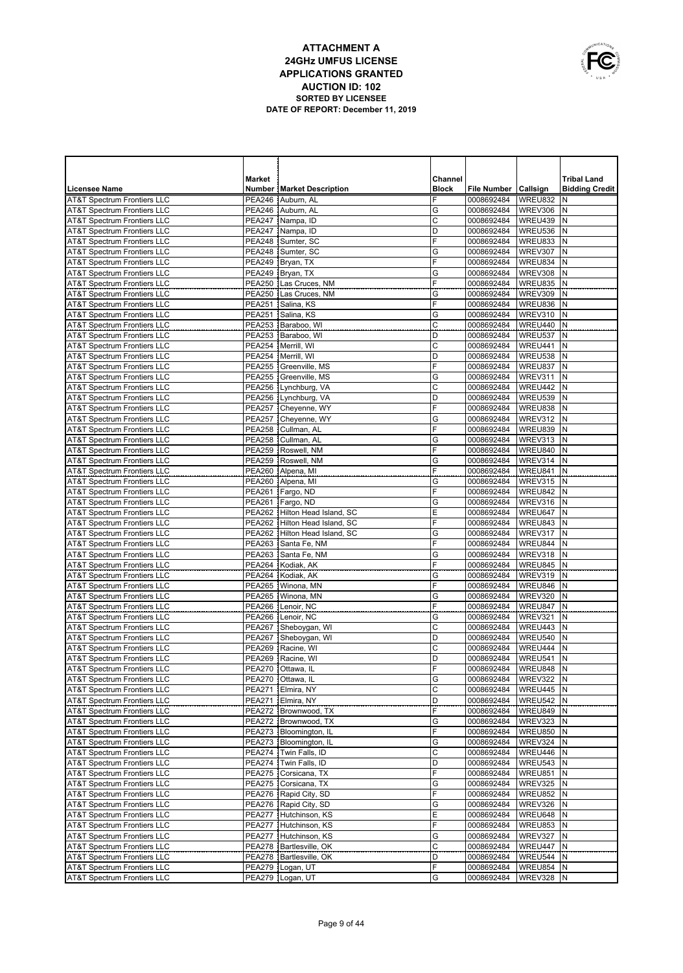|   | OWNUNICATIONS |
|---|---------------|
|   |               |
| É |               |
|   | USA           |

|                                                                                  | Market                         |                                                | Channel      |                          |                        | <b>Tribal Land</b>    |
|----------------------------------------------------------------------------------|--------------------------------|------------------------------------------------|--------------|--------------------------|------------------------|-----------------------|
| <b>Licensee Name</b>                                                             |                                | <b>Number   Market Description</b>             | <b>Block</b> | <b>File Number</b>       | Callsign               | <b>Bidding Credit</b> |
| <b>AT&amp;T Spectrum Frontiers LLC</b>                                           | <b>PEA246</b>                  | Auburn, AL                                     |              | 0008692484               | WREU832                | N                     |
| <b>AT&amp;T Spectrum Frontiers LLC</b>                                           | <b>PEA246</b>                  | Auburn, AL                                     | G            | 0008692484               | WREV306                | Ν                     |
| <b>AT&amp;T Spectrum Frontiers LLC</b>                                           | <b>PEA247</b>                  | Nampa, ID                                      | C            | 0008692484               | WREU439                | N                     |
| <b>AT&amp;T Spectrum Frontiers LLC</b>                                           | <b>PEA247</b>                  | Nampa, ID                                      | D            | 0008692484               | WREU536                | N                     |
| <b>AT&amp;T Spectrum Frontiers LLC</b>                                           | <b>PEA248</b>                  | Sumter, SC                                     | F            | 0008692484               | WREU833                | N                     |
| <b>AT&amp;T Spectrum Frontiers LLC</b>                                           | <b>PEA248</b>                  | Sumter, SC                                     | G            | 0008692484               | WREV307                | N                     |
| <b>AT&amp;T Spectrum Frontiers LLC</b>                                           |                                | PEA249 Bryan, TX                               | F            | 0008692484<br>0008692484 | WREU834                | N<br>N                |
| <b>AT&amp;T Spectrum Frontiers LLC</b><br><b>AT&amp;T Spectrum Frontiers LLC</b> | <b>PEA249</b><br><b>PEA250</b> | Bryan, TX<br>Las Cruces, NM                    | G<br>F       | 0008692484               | WREV308<br>WREU835     | N                     |
| <b>AT&amp;T Spectrum Frontiers LLC</b>                                           | <b>PEA250</b>                  | Las Cruces, NM                                 | G            | 0008692484               | WREV309                | N                     |
| <b>AT&amp;T Spectrum Frontiers LLC</b>                                           | <b>PEA251</b>                  | Salina, KS                                     | F            | 0008692484               | WREU836                | N                     |
| <b>AT&amp;T Spectrum Frontiers LLC</b>                                           | <b>PEA251</b>                  | Salina, KS                                     | G            | 0008692484               | WREV310                | N                     |
| <b>AT&amp;T Spectrum Frontiers LLC</b>                                           |                                | PEA253 Baraboo, WI                             | C            | 0008692484               | WREU440                | N                     |
| <b>AT&amp;T Spectrum Frontiers LLC</b>                                           |                                | PEA253 Baraboo, WI                             | D            | 0008692484               | WREU537                | N                     |
| <b>AT&amp;T Spectrum Frontiers LLC</b>                                           | <b>PEA254</b>                  | Merrill, WI                                    | C            | 0008692484               | WREU441                | N                     |
| <b>AT&amp;T Spectrum Frontiers LLC</b>                                           | <b>PEA254</b>                  | Merrill, WI                                    | D            | 0008692484               | WREU538                | N                     |
| <b>AT&amp;T Spectrum Frontiers LLC</b>                                           | <b>PEA255</b>                  | Greenville, MS                                 | Ë            | 0008692484               | WREU837                | N                     |
| <b>AT&amp;T Spectrum Frontiers LLC</b>                                           |                                | PEA255 Greenville, MS                          | G            | 0008692484               | WREV311                | N                     |
| <b>AT&amp;T Spectrum Frontiers LLC</b>                                           |                                | PEA256 Lynchburg, VA                           | C            | 0008692484               | WREU442                | N                     |
| <b>AT&amp;T Spectrum Frontiers LLC</b>                                           |                                | PEA256 Lynchburg, VA                           | D            | 0008692484               | WREU539                | N                     |
| <b>AT&amp;T Spectrum Frontiers LLC</b>                                           |                                | PEA257 Cheyenne, WY                            | F            | 0008692484               | WREU838                | N                     |
| <b>AT&amp;T Spectrum Frontiers LLC</b>                                           | <b>PEA257</b>                  | Cheyenne, WY<br>PEA258 Cullman, AL             | G<br>F       | 0008692484               | WREV312                | N<br>N                |
| <b>AT&amp;T Spectrum Frontiers LLC</b><br><b>AT&amp;T Spectrum Frontiers LLC</b> | <b>PEA258</b>                  | Cullman, AL                                    | G            | 0008692484<br>0008692484 | WREU839<br>WREV313     | N                     |
| <b>AT&amp;T Spectrum Frontiers LLC</b>                                           |                                | PEA259 Roswell, NM                             | F            | 0008692484               | WREU840                | N                     |
| <b>AT&amp;T Spectrum Frontiers LLC</b>                                           | <b>PEA259</b>                  | Roswell, NM                                    | G            | 0008692484               | WREV314                | N                     |
| <b>AT&amp;T Spectrum Frontiers LLC</b>                                           |                                | PEA260 Alpena, MI                              | F            | 0008692484               | WREU841                | N                     |
| <b>AT&amp;T Spectrum Frontiers LLC</b>                                           |                                | PEA260 Alpena, MI                              | G            | 0008692484               | WREV315                | N                     |
| <b>AT&amp;T Spectrum Frontiers LLC</b>                                           |                                | PEA261 Fargo, ND                               | F            | 0008692484               | WREU842                | N                     |
| <b>AT&amp;T Spectrum Frontiers LLC</b>                                           |                                | PEA261 Fargo, ND                               | G            | 0008692484               | WREV316                | N                     |
| <b>AT&amp;T Spectrum Frontiers LLC</b>                                           |                                | PEA262 Hilton Head Island, SC                  | E            | 0008692484               | WREU647                | N                     |
| <b>AT&amp;T Spectrum Frontiers LLC</b>                                           |                                | PEA262 Hilton Head Island, SC                  | F            | 0008692484               | WREU843                | N                     |
| <b>AT&amp;T Spectrum Frontiers LLC</b>                                           |                                | PEA262 Hilton Head Island, SC                  | G            | 0008692484               | WREV317                | N                     |
| <b>AT&amp;T Spectrum Frontiers LLC</b>                                           | <b>PEA263</b>                  | Santa Fe, NM                                   | F            | 0008692484               | WREU844                | N                     |
| <b>AT&amp;T Spectrum Frontiers LLC</b>                                           | <b>PEA263</b>                  | Santa Fe, NM                                   | G<br>F       | 0008692484               | WREV318                | N<br>N                |
| <b>AT&amp;T Spectrum Frontiers LLC</b><br><b>AT&amp;T Spectrum Frontiers LLC</b> |                                | PEA264 Kodiak, AK<br>PEA264 Kodiak, AK         | G            | 0008692484<br>0008692484 | WREU845<br>WREV319     | N                     |
| <b>AT&amp;T Spectrum Frontiers LLC</b>                                           |                                | PEA265   Winona, MN                            | F            | 0008692484               | WREU846                | N                     |
| <b>AT&amp;T Spectrum Frontiers LLC</b>                                           |                                | PEA265   Winona, MN                            | G            | 0008692484               | WREV320                | N                     |
| <b>AT&amp;T Spectrum Frontiers LLC</b>                                           | <b>PEA266</b>                  | Lenoir, NC                                     | F            | 0008692484               | WREU847                | N                     |
| <b>AT&amp;T Spectrum Frontiers LLC</b>                                           |                                | PEA266 Lenoir, NC                              | G            | 0008692484               | WREV321                | N                     |
| <b>AT&amp;T Spectrum Frontiers LLC</b>                                           | <b>PEA267</b>                  | Sheboygan, WI                                  | C            | 0008692484               | WREU443                | N                     |
| <b>AT&amp;T Spectrum Frontiers LLC</b>                                           |                                | PEA267 Sheboygan, WI                           | D            | 0008692484               | WREU540                | N                     |
| <b>AT&amp;T Spectrum Frontiers LLC</b>                                           | <b>PEA269</b>                  | Racine, WI                                     | C            | 0008692484               | WREU444                | N                     |
| AT&T Spectrum Frontiers LLC                                                      | <b>PEA269</b>                  | Racine, WI                                     | D            | 0008692484               | WREU541                | N                     |
| <b>AT&amp;T Spectrum Frontiers LLC</b>                                           |                                | PEA270 Ottawa, IL                              | F            | 0008692484               | WREU848                | İΝ                    |
| AT&T Spectrum Frontiers LLC<br><b>AT&amp;T Spectrum Frontiers LLC</b>            |                                | PEA270 Ottawa, IL<br>PEA271 Elmira, NY         | G<br>C       | 0008692484<br>0008692484 | WREV322 N<br>WREU445 N |                       |
| <b>AT&amp;T Spectrum Frontiers LLC</b>                                           |                                | PEA271   Elmira, NY                            | D            | 0008692484               | WREU542 N              |                       |
| <b>AT&amp;T Spectrum Frontiers LLC</b>                                           |                                | PEA272   Brownwood, TX                         | F            | 0008692484               | WREU849 N              |                       |
| <b>AT&amp;T Spectrum Frontiers LLC</b>                                           |                                | PEA272 Brownwood, TX                           | G            | 0008692484               | WREV323                | Ν                     |
| <b>AT&amp;T Spectrum Frontiers LLC</b>                                           |                                | PEA273   Bloomington, IL                       | F            | 0008692484               | <b>WREU850</b>         | N                     |
| <b>AT&amp;T Spectrum Frontiers LLC</b>                                           |                                | PEA273   Bloomington, IL                       | G            | 0008692484               | WREV324                | Ν                     |
| <b>AT&amp;T Spectrum Frontiers LLC</b>                                           |                                | PEA274 Twin Falls, ID                          | C            | 0008692484               | WREU446                | N                     |
| <b>AT&amp;T Spectrum Frontiers LLC</b>                                           |                                | PEA274   Twin Falls, ID                        | D            | 0008692484               | WREU543                | N                     |
| <b>AT&amp;T Spectrum Frontiers LLC</b>                                           |                                | PEA275   Corsicana, TX                         | F            | 0008692484               | WREU851                | N                     |
| <b>AT&amp;T Spectrum Frontiers LLC</b>                                           |                                | PEA275   Corsicana, TX                         | G            | 0008692484               | WREV325                | Ν                     |
| AT&T Spectrum Frontiers LLC                                                      |                                | PEA276   Rapid City, SD                        | F            | 0008692484               | WREU852                | N                     |
| <b>AT&amp;T Spectrum Frontiers LLC</b>                                           |                                | PEA276 Rapid City, SD                          | G            | 0008692484               | WREV326                | Ν                     |
| <b>AT&amp;T Spectrum Frontiers LLC</b><br><b>AT&amp;T Spectrum Frontiers LLC</b> |                                | PEA277 Hutchinson, KS<br>PEA277 Hutchinson, KS | Ε<br>F       | 0008692484<br>0008692484 | WREU648<br>WREU853     | N<br>Ν                |
| <b>AT&amp;T Spectrum Frontiers LLC</b>                                           |                                | PEA277 Hutchinson, KS                          | G            | 0008692484               | WREV327                | N                     |
| <b>AT&amp;T Spectrum Frontiers LLC</b>                                           |                                | PEA278   Bartlesville, OK                      | Ċ            | 0008692484               | WREU447                | N                     |
| <b>AT&amp;T Spectrum Frontiers LLC</b>                                           |                                | PEA278   Bartlesville, OK                      | D            | 0008692484               | WREU544                | N                     |
| <b>AT&amp;T Spectrum Frontiers LLC</b>                                           |                                | PEA279 Logan, UT                               | F            | 0008692484               | WREU854                | N                     |
| <b>AT&amp;T Spectrum Frontiers LLC</b>                                           |                                | PEA279 Logan, UT                               | G            | 0008692484               | WREV328 N              |                       |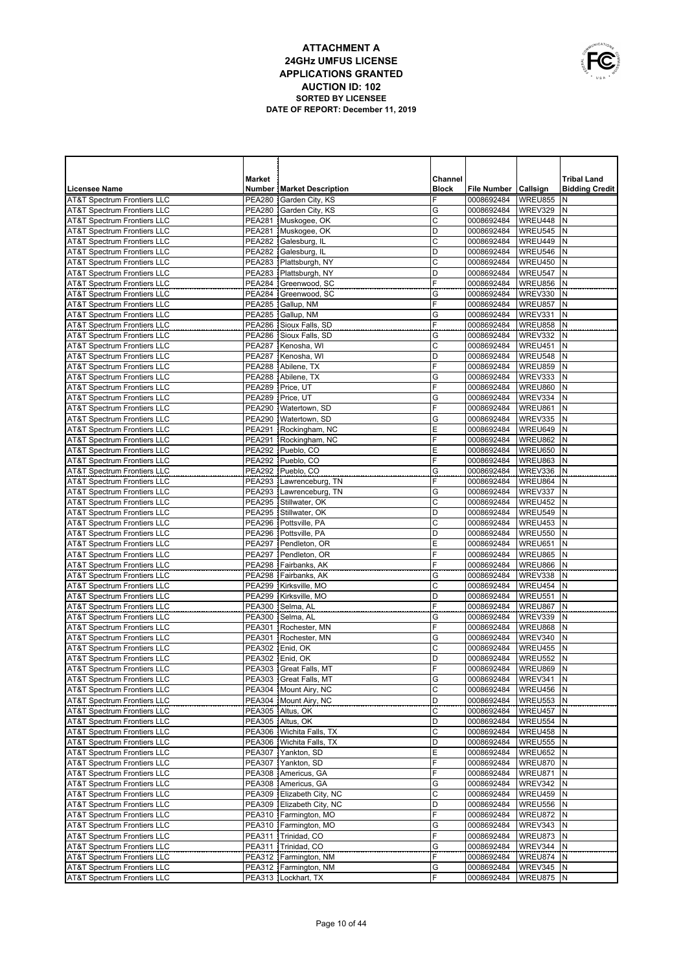|   | OWNUNICATIONS |
|---|---------------|
|   |               |
| É |               |
|   | USA           |

| <b>Market</b><br>Channel<br><b>Tribal Land</b><br><b>Block</b><br>File Number Callsign<br><b>Bidding Credit</b><br><b>Licensee Name</b><br><b>Number   Market Description</b><br><b>AT&amp;T Spectrum Frontiers LLC</b><br><b>PEA280</b><br>Garden City, KS<br>F<br>0008692484<br>WREU855<br>N<br><b>AT&amp;T Spectrum Frontiers LLC</b><br>PEA280 Garden City, KS<br>G<br>0008692484<br>WREV329<br>N<br><b>AT&amp;T Spectrum Frontiers LLC</b><br>PEA281 Muskogee, OK<br>C<br>WREU448<br>N<br>0008692484<br><b>AT&amp;T Spectrum Frontiers LLC</b><br>PEA281 Muskogee, OK<br>D<br>WREU545<br>N<br>0008692484<br>$\mathsf{C}$<br><b>AT&amp;T Spectrum Frontiers LLC</b><br><b>PEA282</b><br>Galesburg, IL<br>WREU449<br>N<br>0008692484<br><b>AT&amp;T Spectrum Frontiers LLC</b><br><b>PEA282</b><br>D<br>WREU546<br>N<br>Galesburg, IL<br>0008692484<br><b>AT&amp;T Spectrum Frontiers LLC</b><br><b>PEA283</b><br>Plattsburgh, NY<br>C<br>WREU450<br>N<br>0008692484<br><b>AT&amp;T Spectrum Frontiers LLC</b><br><b>PEA283</b><br>Plattsburgh, NY<br>D<br>N<br>0008692484<br>WREU547<br>F<br><b>AT&amp;T Spectrum Frontiers LLC</b><br><b>PEA284</b><br>WREU856<br>N<br>Greenwood, SC<br>0008692484<br><b>PEA284</b><br>G<br>WREV330<br>N<br><b>AT&amp;T Spectrum Frontiers LLC</b><br>Greenwood, SC<br>0008692484<br><b>AT&amp;T Spectrum Frontiers LLC</b><br><b>PEA285</b><br>F<br>WREU857<br>N<br>Gallup, NM<br>0008692484<br><b>PEA285</b><br>G<br>WREV331<br>N<br><b>AT&amp;T Spectrum Frontiers LLC</b><br>Gallup, NM<br>0008692484<br><b>AT&amp;T Spectrum Frontiers LLC</b><br><b>PEA286</b><br>Sioux Falls, SD<br>F<br>WREU858<br>N<br>0008692484<br><b>PEA286</b><br>Sioux Falls, SD<br>G<br>WREV332<br>N<br><b>AT&amp;T Spectrum Frontiers LLC</b><br>0008692484<br>C<br><b>AT&amp;T Spectrum Frontiers LLC</b><br><b>PEA287</b><br>N<br>Kenosha, WI<br>0008692484<br>WREU451<br><b>AT&amp;T Spectrum Frontiers LLC</b><br>D<br>N<br><b>PEA287</b><br>Kenosha, WI<br>0008692484<br>WREU548<br>F<br><b>AT&amp;T Spectrum Frontiers LLC</b><br><b>PEA288</b><br>N<br>Abilene, TX<br>0008692484<br>WREU859<br><b>AT&amp;T Spectrum Frontiers LLC</b><br>Abilene, TX<br>G<br>N<br><b>PEA288</b><br>0008692484<br>WREV333<br>F<br><b>PEA289</b><br>Price, UT<br>N<br><b>AT&amp;T Spectrum Frontiers LLC</b><br>0008692484<br>WREU860<br><b>PEA289</b><br>Price, UT<br>G<br>N<br>AT&T Spectrum Frontiers LLC<br>0008692484<br>WREV334<br>F<br><b>AT&amp;T Spectrum Frontiers LLC</b><br><b>PEA290</b><br>N<br>Watertown, SD<br>0008692484<br>WREU861<br><b>PEA290</b><br>G<br>N<br><b>AT&amp;T Spectrum Frontiers LLC</b><br>Watertown, SD<br>0008692484<br>WREV335<br>E<br><b>AT&amp;T Spectrum Frontiers LLC</b><br><b>PEA291</b><br>N<br>Rockingham, NC<br>0008692484<br>WREU649<br>F<br><b>PEA291</b><br>Rockingham, NC<br>N<br>AT&T Spectrum Frontiers LLC<br>0008692484<br>WREU862<br>E<br><b>AT&amp;T Spectrum Frontiers LLC</b><br><b>PEA292</b><br>Pueblo, CO<br>N<br>0008692484<br>WREU650<br>F<br><b>AT&amp;T Spectrum Frontiers LLC</b><br><b>PEA292</b><br>Pueblo, CO<br>N<br>0008692484<br>WREU863<br>AT&T Spectrum Frontiers LLC<br>PEA292 Pueblo, CO<br>G<br>N<br>0008692484<br>WREV336<br>F<br><b>AT&amp;T Spectrum Frontiers LLC</b><br>PEA293 Lawrenceburg, TN<br>WREU864<br>N<br>0008692484<br><b>AT&amp;T Spectrum Frontiers LLC</b><br>PEA293 Lawrenceburg, TN<br>G<br>WREV337<br>N<br>0008692484<br>C<br><b>AT&amp;T Spectrum Frontiers LLC</b><br><b>PEA295</b><br>Stillwater, OK<br>WREU452<br>N<br>0008692484<br><b>AT&amp;T Spectrum Frontiers LLC</b><br><b>PEA295</b><br>D<br>WREU549<br>N<br>Stillwater, OK<br>0008692484<br>C<br><b>PEA296</b><br><b>AT&amp;T Spectrum Frontiers LLC</b><br>Pottsville, PA<br>0008692484<br>WREU453<br>Ν<br>D<br><b>AT&amp;T Spectrum Frontiers LLC</b><br>PEA296 Pottsville, PA<br><b>WREU550</b><br>N<br>0008692484<br>E<br><b>AT&amp;T Spectrum Frontiers LLC</b><br>WREU651<br>N<br><b>PEA297</b><br>Pendleton, OR<br>0008692484<br>F<br><b>AT&amp;T Spectrum Frontiers LLC</b><br><b>PEA297</b><br>Pendleton, OR<br>WREU865<br>N<br>0008692484<br>F<br><b>AT&amp;T Spectrum Frontiers LLC</b><br><b>PEA298</b><br>WREU866<br>N<br>Fairbanks, AK<br>0008692484<br><b>AT&amp;T Spectrum Frontiers LLC</b><br>PEA298 Fairbanks, AK<br>G<br>WREV338<br>0008692484<br>Ν<br>C<br><b>AT&amp;T Spectrum Frontiers LLC</b><br>WREU454<br>N<br><b>PEA299</b><br>Kirksville, MO<br>0008692484<br>D<br><b>AT&amp;T Spectrum Frontiers LLC</b><br>PEA299 Kirksville, MO<br>WREU551<br>N<br>0008692484<br>F<br><b>AT&amp;T Spectrum Frontiers LLC</b><br>WREU867<br>N<br><b>PEA300</b><br>Selma, AL<br>0008692484<br><b>AT&amp;T Spectrum Frontiers LLC</b><br>PEA300 Selma, AL<br>G<br>WREV339<br>N<br>0008692484<br><b>AT&amp;T Spectrum Frontiers LLC</b><br>F<br>WREU868<br>N<br>PEA301 Rochester, MN<br>0008692484<br><b>AT&amp;T Spectrum Frontiers LLC</b><br>PEA301 Rochester, MN<br>WREV340<br>N<br>G<br>0008692484<br><b>AT&amp;T Spectrum Frontiers LLC</b><br>C<br>WREU455<br>N<br>PEA302 Enid, OK<br>0008692484<br><b>AT&amp;T Spectrum Frontiers LLC</b><br>D<br>WREU552<br>N<br>PEA302 Enid. OK<br>0008692484<br>F<br>PEA303 Great Falls, MT<br>WREU869<br><b>AT&amp;T Spectrum Frontiers LLC</b><br>0008692484<br>N<br>AT&T Spectrum Frontiers LLC<br>PEA303 Great Falls, MT<br>0008692484<br>WREV341 N<br>G<br>C<br><b>AT&amp;T Spectrum Frontiers LLC</b><br>PEA304 Mount Airy, NC<br>0008692484<br>WREU456 N<br><b>AT&amp;T Spectrum Frontiers LLC</b><br>PEA304   Mount Airy, NC<br>D<br><b>WREU553 N</b><br>0008692484<br>WREU457<br><b>AT&amp;T Spectrum Frontiers LLC</b><br>PEA305 Altus, OK<br>С<br>0008692484<br>N<br>AT&T Spectrum Frontiers LLC<br>PEA305 Altus, OK<br>D<br>WREU554<br>0008692484<br>N<br>C<br><b>AT&amp;T Spectrum Frontiers LLC</b><br>PEA306   Wichita Falls, TX<br>0008692484<br>WREU458<br>N<br>AT&T Spectrum Frontiers LLC<br>PEA306   Wichita Falls, TX<br>D<br>WREU555<br>0008692484<br>N<br>WREU652<br><b>AT&amp;T Spectrum Frontiers LLC</b><br>PEA307 Yankton, SD<br>Ε<br>0008692484<br>N<br>F<br>WREU870<br><b>AT&amp;T Spectrum Frontiers LLC</b><br>PEA307 Yankton, SD<br>0008692484<br>N<br>F<br>WREU871<br><b>AT&amp;T Spectrum Frontiers LLC</b><br>PEA308 Americus, GA<br>0008692484<br>N<br>PEA308 Americus, GA<br><b>AT&amp;T Spectrum Frontiers LLC</b><br>G<br>0008692484<br>WREV342<br>N<br>С<br>WREU459<br><b>AT&amp;T Spectrum Frontiers LLC</b><br>PEA309 Elizabeth City, NC<br>0008692484<br>N<br>D<br><b>AT&amp;T Spectrum Frontiers LLC</b><br>PEA309 Elizabeth City, NC<br>0008692484<br>WREU556<br>N<br>F<br><b>AT&amp;T Spectrum Frontiers LLC</b><br>PEA310 Farmington, MO<br>0008692484<br>WREU872<br>N<br>G<br>WREV343<br><b>AT&amp;T Spectrum Frontiers LLC</b><br>PEA310   Farmington, MO<br>0008692484<br>N<br>F<br><b>AT&amp;T Spectrum Frontiers LLC</b><br>PEA311 Trinidad, CO<br>0008692484<br>WREU873<br>N<br>PEA311 Trinidad, CO<br>G<br>WREV344<br><b>AT&amp;T Spectrum Frontiers LLC</b><br>0008692484<br>Ν<br>F<br><b>AT&amp;T Spectrum Frontiers LLC</b><br>PEA312   Farmington, NM<br>0008692484<br>WREU874 N<br>G<br>WREV345<br><b>AT&amp;T Spectrum Frontiers LLC</b><br>PEA312   Farmington, NM<br>0008692484<br>N<br>F<br><b>AT&amp;T Spectrum Frontiers LLC</b><br>PEA313   Lockhart, TX<br>WREU875 N<br>0008692484 |  |  |  |  |
|---------------------------------------------------------------------------------------------------------------------------------------------------------------------------------------------------------------------------------------------------------------------------------------------------------------------------------------------------------------------------------------------------------------------------------------------------------------------------------------------------------------------------------------------------------------------------------------------------------------------------------------------------------------------------------------------------------------------------------------------------------------------------------------------------------------------------------------------------------------------------------------------------------------------------------------------------------------------------------------------------------------------------------------------------------------------------------------------------------------------------------------------------------------------------------------------------------------------------------------------------------------------------------------------------------------------------------------------------------------------------------------------------------------------------------------------------------------------------------------------------------------------------------------------------------------------------------------------------------------------------------------------------------------------------------------------------------------------------------------------------------------------------------------------------------------------------------------------------------------------------------------------------------------------------------------------------------------------------------------------------------------------------------------------------------------------------------------------------------------------------------------------------------------------------------------------------------------------------------------------------------------------------------------------------------------------------------------------------------------------------------------------------------------------------------------------------------------------------------------------------------------------------------------------------------------------------------------------------------------------------------------------------------------------------------------------------------------------------------------------------------------------------------------------------------------------------------------------------------------------------------------------------------------------------------------------------------------------------------------------------------------------------------------------------------------------------------------------------------------------------------------------------------------------------------------------------------------------------------------------------------------------------------------------------------------------------------------------------------------------------------------------------------------------------------------------------------------------------------------------------------------------------------------------------------------------------------------------------------------------------------------------------------------------------------------------------------------------------------------------------------------------------------------------------------------------------------------------------------------------------------------------------------------------------------------------------------------------------------------------------------------------------------------------------------------------------------------------------------------------------------------------------------------------------------------------------------------------------------------------------------------------------------------------------------------------------------------------------------------------------------------------------------------------------------------------------------------------------------------------------------------------------------------------------------------------------------------------------------------------------------------------------------------------------------------------------------------------------------------------------------------------------------------------------------------------------------------------------------------------------------------------------------------------------------------------------------------------------------------------------------------------------------------------------------------------------------------------------------------------------------------------------------------------------------------------------------------------------------------------------------------------------------------------------------------------------------------------------------------------------------------------------------------------------------------------------------------------------------------------------------------------------------------------------------------------------------------------------------------------------------------------------------------------------------------------------------------------------------------------------------------------------------------------------------------------------------------------------------------------------------------------------------------------------------------------------------------------------------------------------------------------------------------------------------------------------------------------------------------------------------------------------------------------------------------------------------------------------------------------------------------------------------------------------------------------------------------------------------------------------------------------------------------------------------------------------------------------------------------------------------------------------------------------------------------------------------------------------------------------------------------------------------------------------------------------------------------------------------------------------------------------------------------------------------------------------------------------------------------------------------------------------------------------------------------------------------------------------------------------------------------------------------------------------------------------------------------------------------------------------------------------------------------------------------------------------------------------------------------------------------------------------------------------------------------------------------------------------------------------------------------|--|--|--|--|
|                                                                                                                                                                                                                                                                                                                                                                                                                                                                                                                                                                                                                                                                                                                                                                                                                                                                                                                                                                                                                                                                                                                                                                                                                                                                                                                                                                                                                                                                                                                                                                                                                                                                                                                                                                                                                                                                                                                                                                                                                                                                                                                                                                                                                                                                                                                                                                                                                                                                                                                                                                                                                                                                                                                                                                                                                                                                                                                                                                                                                                                                                                                                                                                                                                                                                                                                                                                                                                                                                                                                                                                                                                                                                                                                                                                                                                                                                                                                                                                                                                                                                                                                                                                                                                                                                                                                                                                                                                                                                                                                                                                                                                                                                                                                                                                                                                                                                                                                                                                                                                                                                                                                                                                                                                                                                                                                                                                                                                                                                                                                                                                                                                                                                                                                                                                                                                                                                                                                                                                                                                                                                                                                                                                                                                                                                                                                                                                                                                                                                                                                                                                                                                                                                                                                                                                                                                                                                                                                                                                                                                                                                                                                                                                                                                                                                                                                                                                       |  |  |  |  |
|                                                                                                                                                                                                                                                                                                                                                                                                                                                                                                                                                                                                                                                                                                                                                                                                                                                                                                                                                                                                                                                                                                                                                                                                                                                                                                                                                                                                                                                                                                                                                                                                                                                                                                                                                                                                                                                                                                                                                                                                                                                                                                                                                                                                                                                                                                                                                                                                                                                                                                                                                                                                                                                                                                                                                                                                                                                                                                                                                                                                                                                                                                                                                                                                                                                                                                                                                                                                                                                                                                                                                                                                                                                                                                                                                                                                                                                                                                                                                                                                                                                                                                                                                                                                                                                                                                                                                                                                                                                                                                                                                                                                                                                                                                                                                                                                                                                                                                                                                                                                                                                                                                                                                                                                                                                                                                                                                                                                                                                                                                                                                                                                                                                                                                                                                                                                                                                                                                                                                                                                                                                                                                                                                                                                                                                                                                                                                                                                                                                                                                                                                                                                                                                                                                                                                                                                                                                                                                                                                                                                                                                                                                                                                                                                                                                                                                                                                                                       |  |  |  |  |
|                                                                                                                                                                                                                                                                                                                                                                                                                                                                                                                                                                                                                                                                                                                                                                                                                                                                                                                                                                                                                                                                                                                                                                                                                                                                                                                                                                                                                                                                                                                                                                                                                                                                                                                                                                                                                                                                                                                                                                                                                                                                                                                                                                                                                                                                                                                                                                                                                                                                                                                                                                                                                                                                                                                                                                                                                                                                                                                                                                                                                                                                                                                                                                                                                                                                                                                                                                                                                                                                                                                                                                                                                                                                                                                                                                                                                                                                                                                                                                                                                                                                                                                                                                                                                                                                                                                                                                                                                                                                                                                                                                                                                                                                                                                                                                                                                                                                                                                                                                                                                                                                                                                                                                                                                                                                                                                                                                                                                                                                                                                                                                                                                                                                                                                                                                                                                                                                                                                                                                                                                                                                                                                                                                                                                                                                                                                                                                                                                                                                                                                                                                                                                                                                                                                                                                                                                                                                                                                                                                                                                                                                                                                                                                                                                                                                                                                                                                                       |  |  |  |  |
|                                                                                                                                                                                                                                                                                                                                                                                                                                                                                                                                                                                                                                                                                                                                                                                                                                                                                                                                                                                                                                                                                                                                                                                                                                                                                                                                                                                                                                                                                                                                                                                                                                                                                                                                                                                                                                                                                                                                                                                                                                                                                                                                                                                                                                                                                                                                                                                                                                                                                                                                                                                                                                                                                                                                                                                                                                                                                                                                                                                                                                                                                                                                                                                                                                                                                                                                                                                                                                                                                                                                                                                                                                                                                                                                                                                                                                                                                                                                                                                                                                                                                                                                                                                                                                                                                                                                                                                                                                                                                                                                                                                                                                                                                                                                                                                                                                                                                                                                                                                                                                                                                                                                                                                                                                                                                                                                                                                                                                                                                                                                                                                                                                                                                                                                                                                                                                                                                                                                                                                                                                                                                                                                                                                                                                                                                                                                                                                                                                                                                                                                                                                                                                                                                                                                                                                                                                                                                                                                                                                                                                                                                                                                                                                                                                                                                                                                                                                       |  |  |  |  |
|                                                                                                                                                                                                                                                                                                                                                                                                                                                                                                                                                                                                                                                                                                                                                                                                                                                                                                                                                                                                                                                                                                                                                                                                                                                                                                                                                                                                                                                                                                                                                                                                                                                                                                                                                                                                                                                                                                                                                                                                                                                                                                                                                                                                                                                                                                                                                                                                                                                                                                                                                                                                                                                                                                                                                                                                                                                                                                                                                                                                                                                                                                                                                                                                                                                                                                                                                                                                                                                                                                                                                                                                                                                                                                                                                                                                                                                                                                                                                                                                                                                                                                                                                                                                                                                                                                                                                                                                                                                                                                                                                                                                                                                                                                                                                                                                                                                                                                                                                                                                                                                                                                                                                                                                                                                                                                                                                                                                                                                                                                                                                                                                                                                                                                                                                                                                                                                                                                                                                                                                                                                                                                                                                                                                                                                                                                                                                                                                                                                                                                                                                                                                                                                                                                                                                                                                                                                                                                                                                                                                                                                                                                                                                                                                                                                                                                                                                                                       |  |  |  |  |
|                                                                                                                                                                                                                                                                                                                                                                                                                                                                                                                                                                                                                                                                                                                                                                                                                                                                                                                                                                                                                                                                                                                                                                                                                                                                                                                                                                                                                                                                                                                                                                                                                                                                                                                                                                                                                                                                                                                                                                                                                                                                                                                                                                                                                                                                                                                                                                                                                                                                                                                                                                                                                                                                                                                                                                                                                                                                                                                                                                                                                                                                                                                                                                                                                                                                                                                                                                                                                                                                                                                                                                                                                                                                                                                                                                                                                                                                                                                                                                                                                                                                                                                                                                                                                                                                                                                                                                                                                                                                                                                                                                                                                                                                                                                                                                                                                                                                                                                                                                                                                                                                                                                                                                                                                                                                                                                                                                                                                                                                                                                                                                                                                                                                                                                                                                                                                                                                                                                                                                                                                                                                                                                                                                                                                                                                                                                                                                                                                                                                                                                                                                                                                                                                                                                                                                                                                                                                                                                                                                                                                                                                                                                                                                                                                                                                                                                                                                                       |  |  |  |  |
|                                                                                                                                                                                                                                                                                                                                                                                                                                                                                                                                                                                                                                                                                                                                                                                                                                                                                                                                                                                                                                                                                                                                                                                                                                                                                                                                                                                                                                                                                                                                                                                                                                                                                                                                                                                                                                                                                                                                                                                                                                                                                                                                                                                                                                                                                                                                                                                                                                                                                                                                                                                                                                                                                                                                                                                                                                                                                                                                                                                                                                                                                                                                                                                                                                                                                                                                                                                                                                                                                                                                                                                                                                                                                                                                                                                                                                                                                                                                                                                                                                                                                                                                                                                                                                                                                                                                                                                                                                                                                                                                                                                                                                                                                                                                                                                                                                                                                                                                                                                                                                                                                                                                                                                                                                                                                                                                                                                                                                                                                                                                                                                                                                                                                                                                                                                                                                                                                                                                                                                                                                                                                                                                                                                                                                                                                                                                                                                                                                                                                                                                                                                                                                                                                                                                                                                                                                                                                                                                                                                                                                                                                                                                                                                                                                                                                                                                                                                       |  |  |  |  |
|                                                                                                                                                                                                                                                                                                                                                                                                                                                                                                                                                                                                                                                                                                                                                                                                                                                                                                                                                                                                                                                                                                                                                                                                                                                                                                                                                                                                                                                                                                                                                                                                                                                                                                                                                                                                                                                                                                                                                                                                                                                                                                                                                                                                                                                                                                                                                                                                                                                                                                                                                                                                                                                                                                                                                                                                                                                                                                                                                                                                                                                                                                                                                                                                                                                                                                                                                                                                                                                                                                                                                                                                                                                                                                                                                                                                                                                                                                                                                                                                                                                                                                                                                                                                                                                                                                                                                                                                                                                                                                                                                                                                                                                                                                                                                                                                                                                                                                                                                                                                                                                                                                                                                                                                                                                                                                                                                                                                                                                                                                                                                                                                                                                                                                                                                                                                                                                                                                                                                                                                                                                                                                                                                                                                                                                                                                                                                                                                                                                                                                                                                                                                                                                                                                                                                                                                                                                                                                                                                                                                                                                                                                                                                                                                                                                                                                                                                                                       |  |  |  |  |
|                                                                                                                                                                                                                                                                                                                                                                                                                                                                                                                                                                                                                                                                                                                                                                                                                                                                                                                                                                                                                                                                                                                                                                                                                                                                                                                                                                                                                                                                                                                                                                                                                                                                                                                                                                                                                                                                                                                                                                                                                                                                                                                                                                                                                                                                                                                                                                                                                                                                                                                                                                                                                                                                                                                                                                                                                                                                                                                                                                                                                                                                                                                                                                                                                                                                                                                                                                                                                                                                                                                                                                                                                                                                                                                                                                                                                                                                                                                                                                                                                                                                                                                                                                                                                                                                                                                                                                                                                                                                                                                                                                                                                                                                                                                                                                                                                                                                                                                                                                                                                                                                                                                                                                                                                                                                                                                                                                                                                                                                                                                                                                                                                                                                                                                                                                                                                                                                                                                                                                                                                                                                                                                                                                                                                                                                                                                                                                                                                                                                                                                                                                                                                                                                                                                                                                                                                                                                                                                                                                                                                                                                                                                                                                                                                                                                                                                                                                                       |  |  |  |  |
|                                                                                                                                                                                                                                                                                                                                                                                                                                                                                                                                                                                                                                                                                                                                                                                                                                                                                                                                                                                                                                                                                                                                                                                                                                                                                                                                                                                                                                                                                                                                                                                                                                                                                                                                                                                                                                                                                                                                                                                                                                                                                                                                                                                                                                                                                                                                                                                                                                                                                                                                                                                                                                                                                                                                                                                                                                                                                                                                                                                                                                                                                                                                                                                                                                                                                                                                                                                                                                                                                                                                                                                                                                                                                                                                                                                                                                                                                                                                                                                                                                                                                                                                                                                                                                                                                                                                                                                                                                                                                                                                                                                                                                                                                                                                                                                                                                                                                                                                                                                                                                                                                                                                                                                                                                                                                                                                                                                                                                                                                                                                                                                                                                                                                                                                                                                                                                                                                                                                                                                                                                                                                                                                                                                                                                                                                                                                                                                                                                                                                                                                                                                                                                                                                                                                                                                                                                                                                                                                                                                                                                                                                                                                                                                                                                                                                                                                                                                       |  |  |  |  |
|                                                                                                                                                                                                                                                                                                                                                                                                                                                                                                                                                                                                                                                                                                                                                                                                                                                                                                                                                                                                                                                                                                                                                                                                                                                                                                                                                                                                                                                                                                                                                                                                                                                                                                                                                                                                                                                                                                                                                                                                                                                                                                                                                                                                                                                                                                                                                                                                                                                                                                                                                                                                                                                                                                                                                                                                                                                                                                                                                                                                                                                                                                                                                                                                                                                                                                                                                                                                                                                                                                                                                                                                                                                                                                                                                                                                                                                                                                                                                                                                                                                                                                                                                                                                                                                                                                                                                                                                                                                                                                                                                                                                                                                                                                                                                                                                                                                                                                                                                                                                                                                                                                                                                                                                                                                                                                                                                                                                                                                                                                                                                                                                                                                                                                                                                                                                                                                                                                                                                                                                                                                                                                                                                                                                                                                                                                                                                                                                                                                                                                                                                                                                                                                                                                                                                                                                                                                                                                                                                                                                                                                                                                                                                                                                                                                                                                                                                                                       |  |  |  |  |
|                                                                                                                                                                                                                                                                                                                                                                                                                                                                                                                                                                                                                                                                                                                                                                                                                                                                                                                                                                                                                                                                                                                                                                                                                                                                                                                                                                                                                                                                                                                                                                                                                                                                                                                                                                                                                                                                                                                                                                                                                                                                                                                                                                                                                                                                                                                                                                                                                                                                                                                                                                                                                                                                                                                                                                                                                                                                                                                                                                                                                                                                                                                                                                                                                                                                                                                                                                                                                                                                                                                                                                                                                                                                                                                                                                                                                                                                                                                                                                                                                                                                                                                                                                                                                                                                                                                                                                                                                                                                                                                                                                                                                                                                                                                                                                                                                                                                                                                                                                                                                                                                                                                                                                                                                                                                                                                                                                                                                                                                                                                                                                                                                                                                                                                                                                                                                                                                                                                                                                                                                                                                                                                                                                                                                                                                                                                                                                                                                                                                                                                                                                                                                                                                                                                                                                                                                                                                                                                                                                                                                                                                                                                                                                                                                                                                                                                                                                                       |  |  |  |  |
|                                                                                                                                                                                                                                                                                                                                                                                                                                                                                                                                                                                                                                                                                                                                                                                                                                                                                                                                                                                                                                                                                                                                                                                                                                                                                                                                                                                                                                                                                                                                                                                                                                                                                                                                                                                                                                                                                                                                                                                                                                                                                                                                                                                                                                                                                                                                                                                                                                                                                                                                                                                                                                                                                                                                                                                                                                                                                                                                                                                                                                                                                                                                                                                                                                                                                                                                                                                                                                                                                                                                                                                                                                                                                                                                                                                                                                                                                                                                                                                                                                                                                                                                                                                                                                                                                                                                                                                                                                                                                                                                                                                                                                                                                                                                                                                                                                                                                                                                                                                                                                                                                                                                                                                                                                                                                                                                                                                                                                                                                                                                                                                                                                                                                                                                                                                                                                                                                                                                                                                                                                                                                                                                                                                                                                                                                                                                                                                                                                                                                                                                                                                                                                                                                                                                                                                                                                                                                                                                                                                                                                                                                                                                                                                                                                                                                                                                                                                       |  |  |  |  |
|                                                                                                                                                                                                                                                                                                                                                                                                                                                                                                                                                                                                                                                                                                                                                                                                                                                                                                                                                                                                                                                                                                                                                                                                                                                                                                                                                                                                                                                                                                                                                                                                                                                                                                                                                                                                                                                                                                                                                                                                                                                                                                                                                                                                                                                                                                                                                                                                                                                                                                                                                                                                                                                                                                                                                                                                                                                                                                                                                                                                                                                                                                                                                                                                                                                                                                                                                                                                                                                                                                                                                                                                                                                                                                                                                                                                                                                                                                                                                                                                                                                                                                                                                                                                                                                                                                                                                                                                                                                                                                                                                                                                                                                                                                                                                                                                                                                                                                                                                                                                                                                                                                                                                                                                                                                                                                                                                                                                                                                                                                                                                                                                                                                                                                                                                                                                                                                                                                                                                                                                                                                                                                                                                                                                                                                                                                                                                                                                                                                                                                                                                                                                                                                                                                                                                                                                                                                                                                                                                                                                                                                                                                                                                                                                                                                                                                                                                                                       |  |  |  |  |
|                                                                                                                                                                                                                                                                                                                                                                                                                                                                                                                                                                                                                                                                                                                                                                                                                                                                                                                                                                                                                                                                                                                                                                                                                                                                                                                                                                                                                                                                                                                                                                                                                                                                                                                                                                                                                                                                                                                                                                                                                                                                                                                                                                                                                                                                                                                                                                                                                                                                                                                                                                                                                                                                                                                                                                                                                                                                                                                                                                                                                                                                                                                                                                                                                                                                                                                                                                                                                                                                                                                                                                                                                                                                                                                                                                                                                                                                                                                                                                                                                                                                                                                                                                                                                                                                                                                                                                                                                                                                                                                                                                                                                                                                                                                                                                                                                                                                                                                                                                                                                                                                                                                                                                                                                                                                                                                                                                                                                                                                                                                                                                                                                                                                                                                                                                                                                                                                                                                                                                                                                                                                                                                                                                                                                                                                                                                                                                                                                                                                                                                                                                                                                                                                                                                                                                                                                                                                                                                                                                                                                                                                                                                                                                                                                                                                                                                                                                                       |  |  |  |  |
|                                                                                                                                                                                                                                                                                                                                                                                                                                                                                                                                                                                                                                                                                                                                                                                                                                                                                                                                                                                                                                                                                                                                                                                                                                                                                                                                                                                                                                                                                                                                                                                                                                                                                                                                                                                                                                                                                                                                                                                                                                                                                                                                                                                                                                                                                                                                                                                                                                                                                                                                                                                                                                                                                                                                                                                                                                                                                                                                                                                                                                                                                                                                                                                                                                                                                                                                                                                                                                                                                                                                                                                                                                                                                                                                                                                                                                                                                                                                                                                                                                                                                                                                                                                                                                                                                                                                                                                                                                                                                                                                                                                                                                                                                                                                                                                                                                                                                                                                                                                                                                                                                                                                                                                                                                                                                                                                                                                                                                                                                                                                                                                                                                                                                                                                                                                                                                                                                                                                                                                                                                                                                                                                                                                                                                                                                                                                                                                                                                                                                                                                                                                                                                                                                                                                                                                                                                                                                                                                                                                                                                                                                                                                                                                                                                                                                                                                                                                       |  |  |  |  |
|                                                                                                                                                                                                                                                                                                                                                                                                                                                                                                                                                                                                                                                                                                                                                                                                                                                                                                                                                                                                                                                                                                                                                                                                                                                                                                                                                                                                                                                                                                                                                                                                                                                                                                                                                                                                                                                                                                                                                                                                                                                                                                                                                                                                                                                                                                                                                                                                                                                                                                                                                                                                                                                                                                                                                                                                                                                                                                                                                                                                                                                                                                                                                                                                                                                                                                                                                                                                                                                                                                                                                                                                                                                                                                                                                                                                                                                                                                                                                                                                                                                                                                                                                                                                                                                                                                                                                                                                                                                                                                                                                                                                                                                                                                                                                                                                                                                                                                                                                                                                                                                                                                                                                                                                                                                                                                                                                                                                                                                                                                                                                                                                                                                                                                                                                                                                                                                                                                                                                                                                                                                                                                                                                                                                                                                                                                                                                                                                                                                                                                                                                                                                                                                                                                                                                                                                                                                                                                                                                                                                                                                                                                                                                                                                                                                                                                                                                                                       |  |  |  |  |
|                                                                                                                                                                                                                                                                                                                                                                                                                                                                                                                                                                                                                                                                                                                                                                                                                                                                                                                                                                                                                                                                                                                                                                                                                                                                                                                                                                                                                                                                                                                                                                                                                                                                                                                                                                                                                                                                                                                                                                                                                                                                                                                                                                                                                                                                                                                                                                                                                                                                                                                                                                                                                                                                                                                                                                                                                                                                                                                                                                                                                                                                                                                                                                                                                                                                                                                                                                                                                                                                                                                                                                                                                                                                                                                                                                                                                                                                                                                                                                                                                                                                                                                                                                                                                                                                                                                                                                                                                                                                                                                                                                                                                                                                                                                                                                                                                                                                                                                                                                                                                                                                                                                                                                                                                                                                                                                                                                                                                                                                                                                                                                                                                                                                                                                                                                                                                                                                                                                                                                                                                                                                                                                                                                                                                                                                                                                                                                                                                                                                                                                                                                                                                                                                                                                                                                                                                                                                                                                                                                                                                                                                                                                                                                                                                                                                                                                                                                                       |  |  |  |  |
|                                                                                                                                                                                                                                                                                                                                                                                                                                                                                                                                                                                                                                                                                                                                                                                                                                                                                                                                                                                                                                                                                                                                                                                                                                                                                                                                                                                                                                                                                                                                                                                                                                                                                                                                                                                                                                                                                                                                                                                                                                                                                                                                                                                                                                                                                                                                                                                                                                                                                                                                                                                                                                                                                                                                                                                                                                                                                                                                                                                                                                                                                                                                                                                                                                                                                                                                                                                                                                                                                                                                                                                                                                                                                                                                                                                                                                                                                                                                                                                                                                                                                                                                                                                                                                                                                                                                                                                                                                                                                                                                                                                                                                                                                                                                                                                                                                                                                                                                                                                                                                                                                                                                                                                                                                                                                                                                                                                                                                                                                                                                                                                                                                                                                                                                                                                                                                                                                                                                                                                                                                                                                                                                                                                                                                                                                                                                                                                                                                                                                                                                                                                                                                                                                                                                                                                                                                                                                                                                                                                                                                                                                                                                                                                                                                                                                                                                                                                       |  |  |  |  |
|                                                                                                                                                                                                                                                                                                                                                                                                                                                                                                                                                                                                                                                                                                                                                                                                                                                                                                                                                                                                                                                                                                                                                                                                                                                                                                                                                                                                                                                                                                                                                                                                                                                                                                                                                                                                                                                                                                                                                                                                                                                                                                                                                                                                                                                                                                                                                                                                                                                                                                                                                                                                                                                                                                                                                                                                                                                                                                                                                                                                                                                                                                                                                                                                                                                                                                                                                                                                                                                                                                                                                                                                                                                                                                                                                                                                                                                                                                                                                                                                                                                                                                                                                                                                                                                                                                                                                                                                                                                                                                                                                                                                                                                                                                                                                                                                                                                                                                                                                                                                                                                                                                                                                                                                                                                                                                                                                                                                                                                                                                                                                                                                                                                                                                                                                                                                                                                                                                                                                                                                                                                                                                                                                                                                                                                                                                                                                                                                                                                                                                                                                                                                                                                                                                                                                                                                                                                                                                                                                                                                                                                                                                                                                                                                                                                                                                                                                                                       |  |  |  |  |
|                                                                                                                                                                                                                                                                                                                                                                                                                                                                                                                                                                                                                                                                                                                                                                                                                                                                                                                                                                                                                                                                                                                                                                                                                                                                                                                                                                                                                                                                                                                                                                                                                                                                                                                                                                                                                                                                                                                                                                                                                                                                                                                                                                                                                                                                                                                                                                                                                                                                                                                                                                                                                                                                                                                                                                                                                                                                                                                                                                                                                                                                                                                                                                                                                                                                                                                                                                                                                                                                                                                                                                                                                                                                                                                                                                                                                                                                                                                                                                                                                                                                                                                                                                                                                                                                                                                                                                                                                                                                                                                                                                                                                                                                                                                                                                                                                                                                                                                                                                                                                                                                                                                                                                                                                                                                                                                                                                                                                                                                                                                                                                                                                                                                                                                                                                                                                                                                                                                                                                                                                                                                                                                                                                                                                                                                                                                                                                                                                                                                                                                                                                                                                                                                                                                                                                                                                                                                                                                                                                                                                                                                                                                                                                                                                                                                                                                                                                                       |  |  |  |  |
|                                                                                                                                                                                                                                                                                                                                                                                                                                                                                                                                                                                                                                                                                                                                                                                                                                                                                                                                                                                                                                                                                                                                                                                                                                                                                                                                                                                                                                                                                                                                                                                                                                                                                                                                                                                                                                                                                                                                                                                                                                                                                                                                                                                                                                                                                                                                                                                                                                                                                                                                                                                                                                                                                                                                                                                                                                                                                                                                                                                                                                                                                                                                                                                                                                                                                                                                                                                                                                                                                                                                                                                                                                                                                                                                                                                                                                                                                                                                                                                                                                                                                                                                                                                                                                                                                                                                                                                                                                                                                                                                                                                                                                                                                                                                                                                                                                                                                                                                                                                                                                                                                                                                                                                                                                                                                                                                                                                                                                                                                                                                                                                                                                                                                                                                                                                                                                                                                                                                                                                                                                                                                                                                                                                                                                                                                                                                                                                                                                                                                                                                                                                                                                                                                                                                                                                                                                                                                                                                                                                                                                                                                                                                                                                                                                                                                                                                                                                       |  |  |  |  |
|                                                                                                                                                                                                                                                                                                                                                                                                                                                                                                                                                                                                                                                                                                                                                                                                                                                                                                                                                                                                                                                                                                                                                                                                                                                                                                                                                                                                                                                                                                                                                                                                                                                                                                                                                                                                                                                                                                                                                                                                                                                                                                                                                                                                                                                                                                                                                                                                                                                                                                                                                                                                                                                                                                                                                                                                                                                                                                                                                                                                                                                                                                                                                                                                                                                                                                                                                                                                                                                                                                                                                                                                                                                                                                                                                                                                                                                                                                                                                                                                                                                                                                                                                                                                                                                                                                                                                                                                                                                                                                                                                                                                                                                                                                                                                                                                                                                                                                                                                                                                                                                                                                                                                                                                                                                                                                                                                                                                                                                                                                                                                                                                                                                                                                                                                                                                                                                                                                                                                                                                                                                                                                                                                                                                                                                                                                                                                                                                                                                                                                                                                                                                                                                                                                                                                                                                                                                                                                                                                                                                                                                                                                                                                                                                                                                                                                                                                                                       |  |  |  |  |
|                                                                                                                                                                                                                                                                                                                                                                                                                                                                                                                                                                                                                                                                                                                                                                                                                                                                                                                                                                                                                                                                                                                                                                                                                                                                                                                                                                                                                                                                                                                                                                                                                                                                                                                                                                                                                                                                                                                                                                                                                                                                                                                                                                                                                                                                                                                                                                                                                                                                                                                                                                                                                                                                                                                                                                                                                                                                                                                                                                                                                                                                                                                                                                                                                                                                                                                                                                                                                                                                                                                                                                                                                                                                                                                                                                                                                                                                                                                                                                                                                                                                                                                                                                                                                                                                                                                                                                                                                                                                                                                                                                                                                                                                                                                                                                                                                                                                                                                                                                                                                                                                                                                                                                                                                                                                                                                                                                                                                                                                                                                                                                                                                                                                                                                                                                                                                                                                                                                                                                                                                                                                                                                                                                                                                                                                                                                                                                                                                                                                                                                                                                                                                                                                                                                                                                                                                                                                                                                                                                                                                                                                                                                                                                                                                                                                                                                                                                                       |  |  |  |  |
|                                                                                                                                                                                                                                                                                                                                                                                                                                                                                                                                                                                                                                                                                                                                                                                                                                                                                                                                                                                                                                                                                                                                                                                                                                                                                                                                                                                                                                                                                                                                                                                                                                                                                                                                                                                                                                                                                                                                                                                                                                                                                                                                                                                                                                                                                                                                                                                                                                                                                                                                                                                                                                                                                                                                                                                                                                                                                                                                                                                                                                                                                                                                                                                                                                                                                                                                                                                                                                                                                                                                                                                                                                                                                                                                                                                                                                                                                                                                                                                                                                                                                                                                                                                                                                                                                                                                                                                                                                                                                                                                                                                                                                                                                                                                                                                                                                                                                                                                                                                                                                                                                                                                                                                                                                                                                                                                                                                                                                                                                                                                                                                                                                                                                                                                                                                                                                                                                                                                                                                                                                                                                                                                                                                                                                                                                                                                                                                                                                                                                                                                                                                                                                                                                                                                                                                                                                                                                                                                                                                                                                                                                                                                                                                                                                                                                                                                                                                       |  |  |  |  |
|                                                                                                                                                                                                                                                                                                                                                                                                                                                                                                                                                                                                                                                                                                                                                                                                                                                                                                                                                                                                                                                                                                                                                                                                                                                                                                                                                                                                                                                                                                                                                                                                                                                                                                                                                                                                                                                                                                                                                                                                                                                                                                                                                                                                                                                                                                                                                                                                                                                                                                                                                                                                                                                                                                                                                                                                                                                                                                                                                                                                                                                                                                                                                                                                                                                                                                                                                                                                                                                                                                                                                                                                                                                                                                                                                                                                                                                                                                                                                                                                                                                                                                                                                                                                                                                                                                                                                                                                                                                                                                                                                                                                                                                                                                                                                                                                                                                                                                                                                                                                                                                                                                                                                                                                                                                                                                                                                                                                                                                                                                                                                                                                                                                                                                                                                                                                                                                                                                                                                                                                                                                                                                                                                                                                                                                                                                                                                                                                                                                                                                                                                                                                                                                                                                                                                                                                                                                                                                                                                                                                                                                                                                                                                                                                                                                                                                                                                                                       |  |  |  |  |
|                                                                                                                                                                                                                                                                                                                                                                                                                                                                                                                                                                                                                                                                                                                                                                                                                                                                                                                                                                                                                                                                                                                                                                                                                                                                                                                                                                                                                                                                                                                                                                                                                                                                                                                                                                                                                                                                                                                                                                                                                                                                                                                                                                                                                                                                                                                                                                                                                                                                                                                                                                                                                                                                                                                                                                                                                                                                                                                                                                                                                                                                                                                                                                                                                                                                                                                                                                                                                                                                                                                                                                                                                                                                                                                                                                                                                                                                                                                                                                                                                                                                                                                                                                                                                                                                                                                                                                                                                                                                                                                                                                                                                                                                                                                                                                                                                                                                                                                                                                                                                                                                                                                                                                                                                                                                                                                                                                                                                                                                                                                                                                                                                                                                                                                                                                                                                                                                                                                                                                                                                                                                                                                                                                                                                                                                                                                                                                                                                                                                                                                                                                                                                                                                                                                                                                                                                                                                                                                                                                                                                                                                                                                                                                                                                                                                                                                                                                                       |  |  |  |  |
|                                                                                                                                                                                                                                                                                                                                                                                                                                                                                                                                                                                                                                                                                                                                                                                                                                                                                                                                                                                                                                                                                                                                                                                                                                                                                                                                                                                                                                                                                                                                                                                                                                                                                                                                                                                                                                                                                                                                                                                                                                                                                                                                                                                                                                                                                                                                                                                                                                                                                                                                                                                                                                                                                                                                                                                                                                                                                                                                                                                                                                                                                                                                                                                                                                                                                                                                                                                                                                                                                                                                                                                                                                                                                                                                                                                                                                                                                                                                                                                                                                                                                                                                                                                                                                                                                                                                                                                                                                                                                                                                                                                                                                                                                                                                                                                                                                                                                                                                                                                                                                                                                                                                                                                                                                                                                                                                                                                                                                                                                                                                                                                                                                                                                                                                                                                                                                                                                                                                                                                                                                                                                                                                                                                                                                                                                                                                                                                                                                                                                                                                                                                                                                                                                                                                                                                                                                                                                                                                                                                                                                                                                                                                                                                                                                                                                                                                                                                       |  |  |  |  |
|                                                                                                                                                                                                                                                                                                                                                                                                                                                                                                                                                                                                                                                                                                                                                                                                                                                                                                                                                                                                                                                                                                                                                                                                                                                                                                                                                                                                                                                                                                                                                                                                                                                                                                                                                                                                                                                                                                                                                                                                                                                                                                                                                                                                                                                                                                                                                                                                                                                                                                                                                                                                                                                                                                                                                                                                                                                                                                                                                                                                                                                                                                                                                                                                                                                                                                                                                                                                                                                                                                                                                                                                                                                                                                                                                                                                                                                                                                                                                                                                                                                                                                                                                                                                                                                                                                                                                                                                                                                                                                                                                                                                                                                                                                                                                                                                                                                                                                                                                                                                                                                                                                                                                                                                                                                                                                                                                                                                                                                                                                                                                                                                                                                                                                                                                                                                                                                                                                                                                                                                                                                                                                                                                                                                                                                                                                                                                                                                                                                                                                                                                                                                                                                                                                                                                                                                                                                                                                                                                                                                                                                                                                                                                                                                                                                                                                                                                                                       |  |  |  |  |
|                                                                                                                                                                                                                                                                                                                                                                                                                                                                                                                                                                                                                                                                                                                                                                                                                                                                                                                                                                                                                                                                                                                                                                                                                                                                                                                                                                                                                                                                                                                                                                                                                                                                                                                                                                                                                                                                                                                                                                                                                                                                                                                                                                                                                                                                                                                                                                                                                                                                                                                                                                                                                                                                                                                                                                                                                                                                                                                                                                                                                                                                                                                                                                                                                                                                                                                                                                                                                                                                                                                                                                                                                                                                                                                                                                                                                                                                                                                                                                                                                                                                                                                                                                                                                                                                                                                                                                                                                                                                                                                                                                                                                                                                                                                                                                                                                                                                                                                                                                                                                                                                                                                                                                                                                                                                                                                                                                                                                                                                                                                                                                                                                                                                                                                                                                                                                                                                                                                                                                                                                                                                                                                                                                                                                                                                                                                                                                                                                                                                                                                                                                                                                                                                                                                                                                                                                                                                                                                                                                                                                                                                                                                                                                                                                                                                                                                                                                                       |  |  |  |  |
|                                                                                                                                                                                                                                                                                                                                                                                                                                                                                                                                                                                                                                                                                                                                                                                                                                                                                                                                                                                                                                                                                                                                                                                                                                                                                                                                                                                                                                                                                                                                                                                                                                                                                                                                                                                                                                                                                                                                                                                                                                                                                                                                                                                                                                                                                                                                                                                                                                                                                                                                                                                                                                                                                                                                                                                                                                                                                                                                                                                                                                                                                                                                                                                                                                                                                                                                                                                                                                                                                                                                                                                                                                                                                                                                                                                                                                                                                                                                                                                                                                                                                                                                                                                                                                                                                                                                                                                                                                                                                                                                                                                                                                                                                                                                                                                                                                                                                                                                                                                                                                                                                                                                                                                                                                                                                                                                                                                                                                                                                                                                                                                                                                                                                                                                                                                                                                                                                                                                                                                                                                                                                                                                                                                                                                                                                                                                                                                                                                                                                                                                                                                                                                                                                                                                                                                                                                                                                                                                                                                                                                                                                                                                                                                                                                                                                                                                                                                       |  |  |  |  |
|                                                                                                                                                                                                                                                                                                                                                                                                                                                                                                                                                                                                                                                                                                                                                                                                                                                                                                                                                                                                                                                                                                                                                                                                                                                                                                                                                                                                                                                                                                                                                                                                                                                                                                                                                                                                                                                                                                                                                                                                                                                                                                                                                                                                                                                                                                                                                                                                                                                                                                                                                                                                                                                                                                                                                                                                                                                                                                                                                                                                                                                                                                                                                                                                                                                                                                                                                                                                                                                                                                                                                                                                                                                                                                                                                                                                                                                                                                                                                                                                                                                                                                                                                                                                                                                                                                                                                                                                                                                                                                                                                                                                                                                                                                                                                                                                                                                                                                                                                                                                                                                                                                                                                                                                                                                                                                                                                                                                                                                                                                                                                                                                                                                                                                                                                                                                                                                                                                                                                                                                                                                                                                                                                                                                                                                                                                                                                                                                                                                                                                                                                                                                                                                                                                                                                                                                                                                                                                                                                                                                                                                                                                                                                                                                                                                                                                                                                                                       |  |  |  |  |
|                                                                                                                                                                                                                                                                                                                                                                                                                                                                                                                                                                                                                                                                                                                                                                                                                                                                                                                                                                                                                                                                                                                                                                                                                                                                                                                                                                                                                                                                                                                                                                                                                                                                                                                                                                                                                                                                                                                                                                                                                                                                                                                                                                                                                                                                                                                                                                                                                                                                                                                                                                                                                                                                                                                                                                                                                                                                                                                                                                                                                                                                                                                                                                                                                                                                                                                                                                                                                                                                                                                                                                                                                                                                                                                                                                                                                                                                                                                                                                                                                                                                                                                                                                                                                                                                                                                                                                                                                                                                                                                                                                                                                                                                                                                                                                                                                                                                                                                                                                                                                                                                                                                                                                                                                                                                                                                                                                                                                                                                                                                                                                                                                                                                                                                                                                                                                                                                                                                                                                                                                                                                                                                                                                                                                                                                                                                                                                                                                                                                                                                                                                                                                                                                                                                                                                                                                                                                                                                                                                                                                                                                                                                                                                                                                                                                                                                                                                                       |  |  |  |  |
|                                                                                                                                                                                                                                                                                                                                                                                                                                                                                                                                                                                                                                                                                                                                                                                                                                                                                                                                                                                                                                                                                                                                                                                                                                                                                                                                                                                                                                                                                                                                                                                                                                                                                                                                                                                                                                                                                                                                                                                                                                                                                                                                                                                                                                                                                                                                                                                                                                                                                                                                                                                                                                                                                                                                                                                                                                                                                                                                                                                                                                                                                                                                                                                                                                                                                                                                                                                                                                                                                                                                                                                                                                                                                                                                                                                                                                                                                                                                                                                                                                                                                                                                                                                                                                                                                                                                                                                                                                                                                                                                                                                                                                                                                                                                                                                                                                                                                                                                                                                                                                                                                                                                                                                                                                                                                                                                                                                                                                                                                                                                                                                                                                                                                                                                                                                                                                                                                                                                                                                                                                                                                                                                                                                                                                                                                                                                                                                                                                                                                                                                                                                                                                                                                                                                                                                                                                                                                                                                                                                                                                                                                                                                                                                                                                                                                                                                                                                       |  |  |  |  |
|                                                                                                                                                                                                                                                                                                                                                                                                                                                                                                                                                                                                                                                                                                                                                                                                                                                                                                                                                                                                                                                                                                                                                                                                                                                                                                                                                                                                                                                                                                                                                                                                                                                                                                                                                                                                                                                                                                                                                                                                                                                                                                                                                                                                                                                                                                                                                                                                                                                                                                                                                                                                                                                                                                                                                                                                                                                                                                                                                                                                                                                                                                                                                                                                                                                                                                                                                                                                                                                                                                                                                                                                                                                                                                                                                                                                                                                                                                                                                                                                                                                                                                                                                                                                                                                                                                                                                                                                                                                                                                                                                                                                                                                                                                                                                                                                                                                                                                                                                                                                                                                                                                                                                                                                                                                                                                                                                                                                                                                                                                                                                                                                                                                                                                                                                                                                                                                                                                                                                                                                                                                                                                                                                                                                                                                                                                                                                                                                                                                                                                                                                                                                                                                                                                                                                                                                                                                                                                                                                                                                                                                                                                                                                                                                                                                                                                                                                                                       |  |  |  |  |
|                                                                                                                                                                                                                                                                                                                                                                                                                                                                                                                                                                                                                                                                                                                                                                                                                                                                                                                                                                                                                                                                                                                                                                                                                                                                                                                                                                                                                                                                                                                                                                                                                                                                                                                                                                                                                                                                                                                                                                                                                                                                                                                                                                                                                                                                                                                                                                                                                                                                                                                                                                                                                                                                                                                                                                                                                                                                                                                                                                                                                                                                                                                                                                                                                                                                                                                                                                                                                                                                                                                                                                                                                                                                                                                                                                                                                                                                                                                                                                                                                                                                                                                                                                                                                                                                                                                                                                                                                                                                                                                                                                                                                                                                                                                                                                                                                                                                                                                                                                                                                                                                                                                                                                                                                                                                                                                                                                                                                                                                                                                                                                                                                                                                                                                                                                                                                                                                                                                                                                                                                                                                                                                                                                                                                                                                                                                                                                                                                                                                                                                                                                                                                                                                                                                                                                                                                                                                                                                                                                                                                                                                                                                                                                                                                                                                                                                                                                                       |  |  |  |  |
|                                                                                                                                                                                                                                                                                                                                                                                                                                                                                                                                                                                                                                                                                                                                                                                                                                                                                                                                                                                                                                                                                                                                                                                                                                                                                                                                                                                                                                                                                                                                                                                                                                                                                                                                                                                                                                                                                                                                                                                                                                                                                                                                                                                                                                                                                                                                                                                                                                                                                                                                                                                                                                                                                                                                                                                                                                                                                                                                                                                                                                                                                                                                                                                                                                                                                                                                                                                                                                                                                                                                                                                                                                                                                                                                                                                                                                                                                                                                                                                                                                                                                                                                                                                                                                                                                                                                                                                                                                                                                                                                                                                                                                                                                                                                                                                                                                                                                                                                                                                                                                                                                                                                                                                                                                                                                                                                                                                                                                                                                                                                                                                                                                                                                                                                                                                                                                                                                                                                                                                                                                                                                                                                                                                                                                                                                                                                                                                                                                                                                                                                                                                                                                                                                                                                                                                                                                                                                                                                                                                                                                                                                                                                                                                                                                                                                                                                                                                       |  |  |  |  |
|                                                                                                                                                                                                                                                                                                                                                                                                                                                                                                                                                                                                                                                                                                                                                                                                                                                                                                                                                                                                                                                                                                                                                                                                                                                                                                                                                                                                                                                                                                                                                                                                                                                                                                                                                                                                                                                                                                                                                                                                                                                                                                                                                                                                                                                                                                                                                                                                                                                                                                                                                                                                                                                                                                                                                                                                                                                                                                                                                                                                                                                                                                                                                                                                                                                                                                                                                                                                                                                                                                                                                                                                                                                                                                                                                                                                                                                                                                                                                                                                                                                                                                                                                                                                                                                                                                                                                                                                                                                                                                                                                                                                                                                                                                                                                                                                                                                                                                                                                                                                                                                                                                                                                                                                                                                                                                                                                                                                                                                                                                                                                                                                                                                                                                                                                                                                                                                                                                                                                                                                                                                                                                                                                                                                                                                                                                                                                                                                                                                                                                                                                                                                                                                                                                                                                                                                                                                                                                                                                                                                                                                                                                                                                                                                                                                                                                                                                                                       |  |  |  |  |
|                                                                                                                                                                                                                                                                                                                                                                                                                                                                                                                                                                                                                                                                                                                                                                                                                                                                                                                                                                                                                                                                                                                                                                                                                                                                                                                                                                                                                                                                                                                                                                                                                                                                                                                                                                                                                                                                                                                                                                                                                                                                                                                                                                                                                                                                                                                                                                                                                                                                                                                                                                                                                                                                                                                                                                                                                                                                                                                                                                                                                                                                                                                                                                                                                                                                                                                                                                                                                                                                                                                                                                                                                                                                                                                                                                                                                                                                                                                                                                                                                                                                                                                                                                                                                                                                                                                                                                                                                                                                                                                                                                                                                                                                                                                                                                                                                                                                                                                                                                                                                                                                                                                                                                                                                                                                                                                                                                                                                                                                                                                                                                                                                                                                                                                                                                                                                                                                                                                                                                                                                                                                                                                                                                                                                                                                                                                                                                                                                                                                                                                                                                                                                                                                                                                                                                                                                                                                                                                                                                                                                                                                                                                                                                                                                                                                                                                                                                                       |  |  |  |  |
|                                                                                                                                                                                                                                                                                                                                                                                                                                                                                                                                                                                                                                                                                                                                                                                                                                                                                                                                                                                                                                                                                                                                                                                                                                                                                                                                                                                                                                                                                                                                                                                                                                                                                                                                                                                                                                                                                                                                                                                                                                                                                                                                                                                                                                                                                                                                                                                                                                                                                                                                                                                                                                                                                                                                                                                                                                                                                                                                                                                                                                                                                                                                                                                                                                                                                                                                                                                                                                                                                                                                                                                                                                                                                                                                                                                                                                                                                                                                                                                                                                                                                                                                                                                                                                                                                                                                                                                                                                                                                                                                                                                                                                                                                                                                                                                                                                                                                                                                                                                                                                                                                                                                                                                                                                                                                                                                                                                                                                                                                                                                                                                                                                                                                                                                                                                                                                                                                                                                                                                                                                                                                                                                                                                                                                                                                                                                                                                                                                                                                                                                                                                                                                                                                                                                                                                                                                                                                                                                                                                                                                                                                                                                                                                                                                                                                                                                                                                       |  |  |  |  |
|                                                                                                                                                                                                                                                                                                                                                                                                                                                                                                                                                                                                                                                                                                                                                                                                                                                                                                                                                                                                                                                                                                                                                                                                                                                                                                                                                                                                                                                                                                                                                                                                                                                                                                                                                                                                                                                                                                                                                                                                                                                                                                                                                                                                                                                                                                                                                                                                                                                                                                                                                                                                                                                                                                                                                                                                                                                                                                                                                                                                                                                                                                                                                                                                                                                                                                                                                                                                                                                                                                                                                                                                                                                                                                                                                                                                                                                                                                                                                                                                                                                                                                                                                                                                                                                                                                                                                                                                                                                                                                                                                                                                                                                                                                                                                                                                                                                                                                                                                                                                                                                                                                                                                                                                                                                                                                                                                                                                                                                                                                                                                                                                                                                                                                                                                                                                                                                                                                                                                                                                                                                                                                                                                                                                                                                                                                                                                                                                                                                                                                                                                                                                                                                                                                                                                                                                                                                                                                                                                                                                                                                                                                                                                                                                                                                                                                                                                                                       |  |  |  |  |
|                                                                                                                                                                                                                                                                                                                                                                                                                                                                                                                                                                                                                                                                                                                                                                                                                                                                                                                                                                                                                                                                                                                                                                                                                                                                                                                                                                                                                                                                                                                                                                                                                                                                                                                                                                                                                                                                                                                                                                                                                                                                                                                                                                                                                                                                                                                                                                                                                                                                                                                                                                                                                                                                                                                                                                                                                                                                                                                                                                                                                                                                                                                                                                                                                                                                                                                                                                                                                                                                                                                                                                                                                                                                                                                                                                                                                                                                                                                                                                                                                                                                                                                                                                                                                                                                                                                                                                                                                                                                                                                                                                                                                                                                                                                                                                                                                                                                                                                                                                                                                                                                                                                                                                                                                                                                                                                                                                                                                                                                                                                                                                                                                                                                                                                                                                                                                                                                                                                                                                                                                                                                                                                                                                                                                                                                                                                                                                                                                                                                                                                                                                                                                                                                                                                                                                                                                                                                                                                                                                                                                                                                                                                                                                                                                                                                                                                                                                                       |  |  |  |  |
|                                                                                                                                                                                                                                                                                                                                                                                                                                                                                                                                                                                                                                                                                                                                                                                                                                                                                                                                                                                                                                                                                                                                                                                                                                                                                                                                                                                                                                                                                                                                                                                                                                                                                                                                                                                                                                                                                                                                                                                                                                                                                                                                                                                                                                                                                                                                                                                                                                                                                                                                                                                                                                                                                                                                                                                                                                                                                                                                                                                                                                                                                                                                                                                                                                                                                                                                                                                                                                                                                                                                                                                                                                                                                                                                                                                                                                                                                                                                                                                                                                                                                                                                                                                                                                                                                                                                                                                                                                                                                                                                                                                                                                                                                                                                                                                                                                                                                                                                                                                                                                                                                                                                                                                                                                                                                                                                                                                                                                                                                                                                                                                                                                                                                                                                                                                                                                                                                                                                                                                                                                                                                                                                                                                                                                                                                                                                                                                                                                                                                                                                                                                                                                                                                                                                                                                                                                                                                                                                                                                                                                                                                                                                                                                                                                                                                                                                                                                       |  |  |  |  |
|                                                                                                                                                                                                                                                                                                                                                                                                                                                                                                                                                                                                                                                                                                                                                                                                                                                                                                                                                                                                                                                                                                                                                                                                                                                                                                                                                                                                                                                                                                                                                                                                                                                                                                                                                                                                                                                                                                                                                                                                                                                                                                                                                                                                                                                                                                                                                                                                                                                                                                                                                                                                                                                                                                                                                                                                                                                                                                                                                                                                                                                                                                                                                                                                                                                                                                                                                                                                                                                                                                                                                                                                                                                                                                                                                                                                                                                                                                                                                                                                                                                                                                                                                                                                                                                                                                                                                                                                                                                                                                                                                                                                                                                                                                                                                                                                                                                                                                                                                                                                                                                                                                                                                                                                                                                                                                                                                                                                                                                                                                                                                                                                                                                                                                                                                                                                                                                                                                                                                                                                                                                                                                                                                                                                                                                                                                                                                                                                                                                                                                                                                                                                                                                                                                                                                                                                                                                                                                                                                                                                                                                                                                                                                                                                                                                                                                                                                                                       |  |  |  |  |
|                                                                                                                                                                                                                                                                                                                                                                                                                                                                                                                                                                                                                                                                                                                                                                                                                                                                                                                                                                                                                                                                                                                                                                                                                                                                                                                                                                                                                                                                                                                                                                                                                                                                                                                                                                                                                                                                                                                                                                                                                                                                                                                                                                                                                                                                                                                                                                                                                                                                                                                                                                                                                                                                                                                                                                                                                                                                                                                                                                                                                                                                                                                                                                                                                                                                                                                                                                                                                                                                                                                                                                                                                                                                                                                                                                                                                                                                                                                                                                                                                                                                                                                                                                                                                                                                                                                                                                                                                                                                                                                                                                                                                                                                                                                                                                                                                                                                                                                                                                                                                                                                                                                                                                                                                                                                                                                                                                                                                                                                                                                                                                                                                                                                                                                                                                                                                                                                                                                                                                                                                                                                                                                                                                                                                                                                                                                                                                                                                                                                                                                                                                                                                                                                                                                                                                                                                                                                                                                                                                                                                                                                                                                                                                                                                                                                                                                                                                                       |  |  |  |  |
|                                                                                                                                                                                                                                                                                                                                                                                                                                                                                                                                                                                                                                                                                                                                                                                                                                                                                                                                                                                                                                                                                                                                                                                                                                                                                                                                                                                                                                                                                                                                                                                                                                                                                                                                                                                                                                                                                                                                                                                                                                                                                                                                                                                                                                                                                                                                                                                                                                                                                                                                                                                                                                                                                                                                                                                                                                                                                                                                                                                                                                                                                                                                                                                                                                                                                                                                                                                                                                                                                                                                                                                                                                                                                                                                                                                                                                                                                                                                                                                                                                                                                                                                                                                                                                                                                                                                                                                                                                                                                                                                                                                                                                                                                                                                                                                                                                                                                                                                                                                                                                                                                                                                                                                                                                                                                                                                                                                                                                                                                                                                                                                                                                                                                                                                                                                                                                                                                                                                                                                                                                                                                                                                                                                                                                                                                                                                                                                                                                                                                                                                                                                                                                                                                                                                                                                                                                                                                                                                                                                                                                                                                                                                                                                                                                                                                                                                                                                       |  |  |  |  |
|                                                                                                                                                                                                                                                                                                                                                                                                                                                                                                                                                                                                                                                                                                                                                                                                                                                                                                                                                                                                                                                                                                                                                                                                                                                                                                                                                                                                                                                                                                                                                                                                                                                                                                                                                                                                                                                                                                                                                                                                                                                                                                                                                                                                                                                                                                                                                                                                                                                                                                                                                                                                                                                                                                                                                                                                                                                                                                                                                                                                                                                                                                                                                                                                                                                                                                                                                                                                                                                                                                                                                                                                                                                                                                                                                                                                                                                                                                                                                                                                                                                                                                                                                                                                                                                                                                                                                                                                                                                                                                                                                                                                                                                                                                                                                                                                                                                                                                                                                                                                                                                                                                                                                                                                                                                                                                                                                                                                                                                                                                                                                                                                                                                                                                                                                                                                                                                                                                                                                                                                                                                                                                                                                                                                                                                                                                                                                                                                                                                                                                                                                                                                                                                                                                                                                                                                                                                                                                                                                                                                                                                                                                                                                                                                                                                                                                                                                                                       |  |  |  |  |
|                                                                                                                                                                                                                                                                                                                                                                                                                                                                                                                                                                                                                                                                                                                                                                                                                                                                                                                                                                                                                                                                                                                                                                                                                                                                                                                                                                                                                                                                                                                                                                                                                                                                                                                                                                                                                                                                                                                                                                                                                                                                                                                                                                                                                                                                                                                                                                                                                                                                                                                                                                                                                                                                                                                                                                                                                                                                                                                                                                                                                                                                                                                                                                                                                                                                                                                                                                                                                                                                                                                                                                                                                                                                                                                                                                                                                                                                                                                                                                                                                                                                                                                                                                                                                                                                                                                                                                                                                                                                                                                                                                                                                                                                                                                                                                                                                                                                                                                                                                                                                                                                                                                                                                                                                                                                                                                                                                                                                                                                                                                                                                                                                                                                                                                                                                                                                                                                                                                                                                                                                                                                                                                                                                                                                                                                                                                                                                                                                                                                                                                                                                                                                                                                                                                                                                                                                                                                                                                                                                                                                                                                                                                                                                                                                                                                                                                                                                                       |  |  |  |  |
|                                                                                                                                                                                                                                                                                                                                                                                                                                                                                                                                                                                                                                                                                                                                                                                                                                                                                                                                                                                                                                                                                                                                                                                                                                                                                                                                                                                                                                                                                                                                                                                                                                                                                                                                                                                                                                                                                                                                                                                                                                                                                                                                                                                                                                                                                                                                                                                                                                                                                                                                                                                                                                                                                                                                                                                                                                                                                                                                                                                                                                                                                                                                                                                                                                                                                                                                                                                                                                                                                                                                                                                                                                                                                                                                                                                                                                                                                                                                                                                                                                                                                                                                                                                                                                                                                                                                                                                                                                                                                                                                                                                                                                                                                                                                                                                                                                                                                                                                                                                                                                                                                                                                                                                                                                                                                                                                                                                                                                                                                                                                                                                                                                                                                                                                                                                                                                                                                                                                                                                                                                                                                                                                                                                                                                                                                                                                                                                                                                                                                                                                                                                                                                                                                                                                                                                                                                                                                                                                                                                                                                                                                                                                                                                                                                                                                                                                                                                       |  |  |  |  |
|                                                                                                                                                                                                                                                                                                                                                                                                                                                                                                                                                                                                                                                                                                                                                                                                                                                                                                                                                                                                                                                                                                                                                                                                                                                                                                                                                                                                                                                                                                                                                                                                                                                                                                                                                                                                                                                                                                                                                                                                                                                                                                                                                                                                                                                                                                                                                                                                                                                                                                                                                                                                                                                                                                                                                                                                                                                                                                                                                                                                                                                                                                                                                                                                                                                                                                                                                                                                                                                                                                                                                                                                                                                                                                                                                                                                                                                                                                                                                                                                                                                                                                                                                                                                                                                                                                                                                                                                                                                                                                                                                                                                                                                                                                                                                                                                                                                                                                                                                                                                                                                                                                                                                                                                                                                                                                                                                                                                                                                                                                                                                                                                                                                                                                                                                                                                                                                                                                                                                                                                                                                                                                                                                                                                                                                                                                                                                                                                                                                                                                                                                                                                                                                                                                                                                                                                                                                                                                                                                                                                                                                                                                                                                                                                                                                                                                                                                                                       |  |  |  |  |
|                                                                                                                                                                                                                                                                                                                                                                                                                                                                                                                                                                                                                                                                                                                                                                                                                                                                                                                                                                                                                                                                                                                                                                                                                                                                                                                                                                                                                                                                                                                                                                                                                                                                                                                                                                                                                                                                                                                                                                                                                                                                                                                                                                                                                                                                                                                                                                                                                                                                                                                                                                                                                                                                                                                                                                                                                                                                                                                                                                                                                                                                                                                                                                                                                                                                                                                                                                                                                                                                                                                                                                                                                                                                                                                                                                                                                                                                                                                                                                                                                                                                                                                                                                                                                                                                                                                                                                                                                                                                                                                                                                                                                                                                                                                                                                                                                                                                                                                                                                                                                                                                                                                                                                                                                                                                                                                                                                                                                                                                                                                                                                                                                                                                                                                                                                                                                                                                                                                                                                                                                                                                                                                                                                                                                                                                                                                                                                                                                                                                                                                                                                                                                                                                                                                                                                                                                                                                                                                                                                                                                                                                                                                                                                                                                                                                                                                                                                                       |  |  |  |  |
|                                                                                                                                                                                                                                                                                                                                                                                                                                                                                                                                                                                                                                                                                                                                                                                                                                                                                                                                                                                                                                                                                                                                                                                                                                                                                                                                                                                                                                                                                                                                                                                                                                                                                                                                                                                                                                                                                                                                                                                                                                                                                                                                                                                                                                                                                                                                                                                                                                                                                                                                                                                                                                                                                                                                                                                                                                                                                                                                                                                                                                                                                                                                                                                                                                                                                                                                                                                                                                                                                                                                                                                                                                                                                                                                                                                                                                                                                                                                                                                                                                                                                                                                                                                                                                                                                                                                                                                                                                                                                                                                                                                                                                                                                                                                                                                                                                                                                                                                                                                                                                                                                                                                                                                                                                                                                                                                                                                                                                                                                                                                                                                                                                                                                                                                                                                                                                                                                                                                                                                                                                                                                                                                                                                                                                                                                                                                                                                                                                                                                                                                                                                                                                                                                                                                                                                                                                                                                                                                                                                                                                                                                                                                                                                                                                                                                                                                                                                       |  |  |  |  |
|                                                                                                                                                                                                                                                                                                                                                                                                                                                                                                                                                                                                                                                                                                                                                                                                                                                                                                                                                                                                                                                                                                                                                                                                                                                                                                                                                                                                                                                                                                                                                                                                                                                                                                                                                                                                                                                                                                                                                                                                                                                                                                                                                                                                                                                                                                                                                                                                                                                                                                                                                                                                                                                                                                                                                                                                                                                                                                                                                                                                                                                                                                                                                                                                                                                                                                                                                                                                                                                                                                                                                                                                                                                                                                                                                                                                                                                                                                                                                                                                                                                                                                                                                                                                                                                                                                                                                                                                                                                                                                                                                                                                                                                                                                                                                                                                                                                                                                                                                                                                                                                                                                                                                                                                                                                                                                                                                                                                                                                                                                                                                                                                                                                                                                                                                                                                                                                                                                                                                                                                                                                                                                                                                                                                                                                                                                                                                                                                                                                                                                                                                                                                                                                                                                                                                                                                                                                                                                                                                                                                                                                                                                                                                                                                                                                                                                                                                                                       |  |  |  |  |
|                                                                                                                                                                                                                                                                                                                                                                                                                                                                                                                                                                                                                                                                                                                                                                                                                                                                                                                                                                                                                                                                                                                                                                                                                                                                                                                                                                                                                                                                                                                                                                                                                                                                                                                                                                                                                                                                                                                                                                                                                                                                                                                                                                                                                                                                                                                                                                                                                                                                                                                                                                                                                                                                                                                                                                                                                                                                                                                                                                                                                                                                                                                                                                                                                                                                                                                                                                                                                                                                                                                                                                                                                                                                                                                                                                                                                                                                                                                                                                                                                                                                                                                                                                                                                                                                                                                                                                                                                                                                                                                                                                                                                                                                                                                                                                                                                                                                                                                                                                                                                                                                                                                                                                                                                                                                                                                                                                                                                                                                                                                                                                                                                                                                                                                                                                                                                                                                                                                                                                                                                                                                                                                                                                                                                                                                                                                                                                                                                                                                                                                                                                                                                                                                                                                                                                                                                                                                                                                                                                                                                                                                                                                                                                                                                                                                                                                                                                                       |  |  |  |  |
|                                                                                                                                                                                                                                                                                                                                                                                                                                                                                                                                                                                                                                                                                                                                                                                                                                                                                                                                                                                                                                                                                                                                                                                                                                                                                                                                                                                                                                                                                                                                                                                                                                                                                                                                                                                                                                                                                                                                                                                                                                                                                                                                                                                                                                                                                                                                                                                                                                                                                                                                                                                                                                                                                                                                                                                                                                                                                                                                                                                                                                                                                                                                                                                                                                                                                                                                                                                                                                                                                                                                                                                                                                                                                                                                                                                                                                                                                                                                                                                                                                                                                                                                                                                                                                                                                                                                                                                                                                                                                                                                                                                                                                                                                                                                                                                                                                                                                                                                                                                                                                                                                                                                                                                                                                                                                                                                                                                                                                                                                                                                                                                                                                                                                                                                                                                                                                                                                                                                                                                                                                                                                                                                                                                                                                                                                                                                                                                                                                                                                                                                                                                                                                                                                                                                                                                                                                                                                                                                                                                                                                                                                                                                                                                                                                                                                                                                                                                       |  |  |  |  |
|                                                                                                                                                                                                                                                                                                                                                                                                                                                                                                                                                                                                                                                                                                                                                                                                                                                                                                                                                                                                                                                                                                                                                                                                                                                                                                                                                                                                                                                                                                                                                                                                                                                                                                                                                                                                                                                                                                                                                                                                                                                                                                                                                                                                                                                                                                                                                                                                                                                                                                                                                                                                                                                                                                                                                                                                                                                                                                                                                                                                                                                                                                                                                                                                                                                                                                                                                                                                                                                                                                                                                                                                                                                                                                                                                                                                                                                                                                                                                                                                                                                                                                                                                                                                                                                                                                                                                                                                                                                                                                                                                                                                                                                                                                                                                                                                                                                                                                                                                                                                                                                                                                                                                                                                                                                                                                                                                                                                                                                                                                                                                                                                                                                                                                                                                                                                                                                                                                                                                                                                                                                                                                                                                                                                                                                                                                                                                                                                                                                                                                                                                                                                                                                                                                                                                                                                                                                                                                                                                                                                                                                                                                                                                                                                                                                                                                                                                                                       |  |  |  |  |
|                                                                                                                                                                                                                                                                                                                                                                                                                                                                                                                                                                                                                                                                                                                                                                                                                                                                                                                                                                                                                                                                                                                                                                                                                                                                                                                                                                                                                                                                                                                                                                                                                                                                                                                                                                                                                                                                                                                                                                                                                                                                                                                                                                                                                                                                                                                                                                                                                                                                                                                                                                                                                                                                                                                                                                                                                                                                                                                                                                                                                                                                                                                                                                                                                                                                                                                                                                                                                                                                                                                                                                                                                                                                                                                                                                                                                                                                                                                                                                                                                                                                                                                                                                                                                                                                                                                                                                                                                                                                                                                                                                                                                                                                                                                                                                                                                                                                                                                                                                                                                                                                                                                                                                                                                                                                                                                                                                                                                                                                                                                                                                                                                                                                                                                                                                                                                                                                                                                                                                                                                                                                                                                                                                                                                                                                                                                                                                                                                                                                                                                                                                                                                                                                                                                                                                                                                                                                                                                                                                                                                                                                                                                                                                                                                                                                                                                                                                                       |  |  |  |  |
|                                                                                                                                                                                                                                                                                                                                                                                                                                                                                                                                                                                                                                                                                                                                                                                                                                                                                                                                                                                                                                                                                                                                                                                                                                                                                                                                                                                                                                                                                                                                                                                                                                                                                                                                                                                                                                                                                                                                                                                                                                                                                                                                                                                                                                                                                                                                                                                                                                                                                                                                                                                                                                                                                                                                                                                                                                                                                                                                                                                                                                                                                                                                                                                                                                                                                                                                                                                                                                                                                                                                                                                                                                                                                                                                                                                                                                                                                                                                                                                                                                                                                                                                                                                                                                                                                                                                                                                                                                                                                                                                                                                                                                                                                                                                                                                                                                                                                                                                                                                                                                                                                                                                                                                                                                                                                                                                                                                                                                                                                                                                                                                                                                                                                                                                                                                                                                                                                                                                                                                                                                                                                                                                                                                                                                                                                                                                                                                                                                                                                                                                                                                                                                                                                                                                                                                                                                                                                                                                                                                                                                                                                                                                                                                                                                                                                                                                                                                       |  |  |  |  |
|                                                                                                                                                                                                                                                                                                                                                                                                                                                                                                                                                                                                                                                                                                                                                                                                                                                                                                                                                                                                                                                                                                                                                                                                                                                                                                                                                                                                                                                                                                                                                                                                                                                                                                                                                                                                                                                                                                                                                                                                                                                                                                                                                                                                                                                                                                                                                                                                                                                                                                                                                                                                                                                                                                                                                                                                                                                                                                                                                                                                                                                                                                                                                                                                                                                                                                                                                                                                                                                                                                                                                                                                                                                                                                                                                                                                                                                                                                                                                                                                                                                                                                                                                                                                                                                                                                                                                                                                                                                                                                                                                                                                                                                                                                                                                                                                                                                                                                                                                                                                                                                                                                                                                                                                                                                                                                                                                                                                                                                                                                                                                                                                                                                                                                                                                                                                                                                                                                                                                                                                                                                                                                                                                                                                                                                                                                                                                                                                                                                                                                                                                                                                                                                                                                                                                                                                                                                                                                                                                                                                                                                                                                                                                                                                                                                                                                                                                                                       |  |  |  |  |
|                                                                                                                                                                                                                                                                                                                                                                                                                                                                                                                                                                                                                                                                                                                                                                                                                                                                                                                                                                                                                                                                                                                                                                                                                                                                                                                                                                                                                                                                                                                                                                                                                                                                                                                                                                                                                                                                                                                                                                                                                                                                                                                                                                                                                                                                                                                                                                                                                                                                                                                                                                                                                                                                                                                                                                                                                                                                                                                                                                                                                                                                                                                                                                                                                                                                                                                                                                                                                                                                                                                                                                                                                                                                                                                                                                                                                                                                                                                                                                                                                                                                                                                                                                                                                                                                                                                                                                                                                                                                                                                                                                                                                                                                                                                                                                                                                                                                                                                                                                                                                                                                                                                                                                                                                                                                                                                                                                                                                                                                                                                                                                                                                                                                                                                                                                                                                                                                                                                                                                                                                                                                                                                                                                                                                                                                                                                                                                                                                                                                                                                                                                                                                                                                                                                                                                                                                                                                                                                                                                                                                                                                                                                                                                                                                                                                                                                                                                                       |  |  |  |  |
|                                                                                                                                                                                                                                                                                                                                                                                                                                                                                                                                                                                                                                                                                                                                                                                                                                                                                                                                                                                                                                                                                                                                                                                                                                                                                                                                                                                                                                                                                                                                                                                                                                                                                                                                                                                                                                                                                                                                                                                                                                                                                                                                                                                                                                                                                                                                                                                                                                                                                                                                                                                                                                                                                                                                                                                                                                                                                                                                                                                                                                                                                                                                                                                                                                                                                                                                                                                                                                                                                                                                                                                                                                                                                                                                                                                                                                                                                                                                                                                                                                                                                                                                                                                                                                                                                                                                                                                                                                                                                                                                                                                                                                                                                                                                                                                                                                                                                                                                                                                                                                                                                                                                                                                                                                                                                                                                                                                                                                                                                                                                                                                                                                                                                                                                                                                                                                                                                                                                                                                                                                                                                                                                                                                                                                                                                                                                                                                                                                                                                                                                                                                                                                                                                                                                                                                                                                                                                                                                                                                                                                                                                                                                                                                                                                                                                                                                                                                       |  |  |  |  |
|                                                                                                                                                                                                                                                                                                                                                                                                                                                                                                                                                                                                                                                                                                                                                                                                                                                                                                                                                                                                                                                                                                                                                                                                                                                                                                                                                                                                                                                                                                                                                                                                                                                                                                                                                                                                                                                                                                                                                                                                                                                                                                                                                                                                                                                                                                                                                                                                                                                                                                                                                                                                                                                                                                                                                                                                                                                                                                                                                                                                                                                                                                                                                                                                                                                                                                                                                                                                                                                                                                                                                                                                                                                                                                                                                                                                                                                                                                                                                                                                                                                                                                                                                                                                                                                                                                                                                                                                                                                                                                                                                                                                                                                                                                                                                                                                                                                                                                                                                                                                                                                                                                                                                                                                                                                                                                                                                                                                                                                                                                                                                                                                                                                                                                                                                                                                                                                                                                                                                                                                                                                                                                                                                                                                                                                                                                                                                                                                                                                                                                                                                                                                                                                                                                                                                                                                                                                                                                                                                                                                                                                                                                                                                                                                                                                                                                                                                                                       |  |  |  |  |
|                                                                                                                                                                                                                                                                                                                                                                                                                                                                                                                                                                                                                                                                                                                                                                                                                                                                                                                                                                                                                                                                                                                                                                                                                                                                                                                                                                                                                                                                                                                                                                                                                                                                                                                                                                                                                                                                                                                                                                                                                                                                                                                                                                                                                                                                                                                                                                                                                                                                                                                                                                                                                                                                                                                                                                                                                                                                                                                                                                                                                                                                                                                                                                                                                                                                                                                                                                                                                                                                                                                                                                                                                                                                                                                                                                                                                                                                                                                                                                                                                                                                                                                                                                                                                                                                                                                                                                                                                                                                                                                                                                                                                                                                                                                                                                                                                                                                                                                                                                                                                                                                                                                                                                                                                                                                                                                                                                                                                                                                                                                                                                                                                                                                                                                                                                                                                                                                                                                                                                                                                                                                                                                                                                                                                                                                                                                                                                                                                                                                                                                                                                                                                                                                                                                                                                                                                                                                                                                                                                                                                                                                                                                                                                                                                                                                                                                                                                                       |  |  |  |  |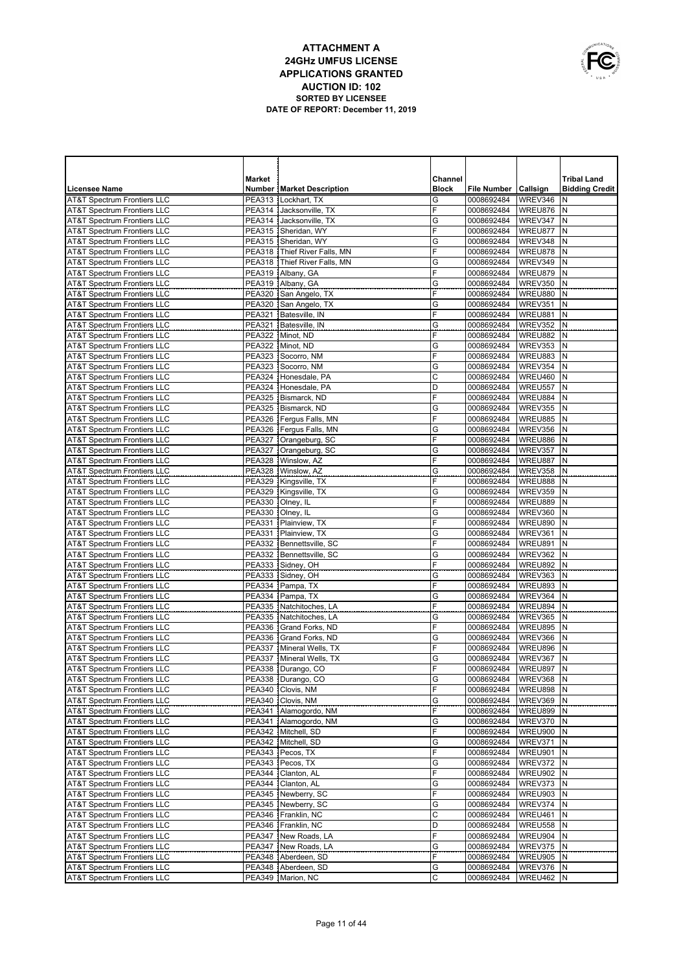

|                                                                                  | Market                  |                                               | Channel             |                          |                      | <b>Tribal Land</b>    |
|----------------------------------------------------------------------------------|-------------------------|-----------------------------------------------|---------------------|--------------------------|----------------------|-----------------------|
| <b>Licensee Name</b>                                                             |                         | <b>Number   Market Description</b>            | <b>Block</b>        | File Number   Callsign   |                      | <b>Bidding Credit</b> |
| <b>AT&amp;T Spectrum Frontiers LLC</b>                                           | <b>PEA313</b>           | Lockhart, TX                                  | G                   | 0008692484               | WREV346              | N                     |
| <b>AT&amp;T Spectrum Frontiers LLC</b>                                           | PEA314                  | Jacksonville, TX                              | F                   | 0008692484               | WREU876              | N                     |
| <b>AT&amp;T Spectrum Frontiers LLC</b>                                           | PEA314                  | Jacksonville, TX                              | G                   | 0008692484               | WREV347              | N                     |
| <b>AT&amp;T Spectrum Frontiers LLC</b><br><b>AT&amp;T Spectrum Frontiers LLC</b> | PEA315                  | Sheridan, WY<br>Sheridan, WY                  | F<br>G              | 0008692484               | WREU877<br>WREV348   | N<br>N                |
| <b>AT&amp;T Spectrum Frontiers LLC</b>                                           | <b>PEA315</b><br>PEA318 | Thief River Falls, MN                         | F                   | 0008692484<br>0008692484 | WREU878              | N                     |
| <b>AT&amp;T Spectrum Frontiers LLC</b>                                           | <b>PEA318</b>           | Thief River Falls, MN                         | G                   | 0008692484               | WREV349              | N                     |
| <b>AT&amp;T Spectrum Frontiers LLC</b>                                           | <b>PEA319</b>           | Albany, GA                                    | F                   | 0008692484               | WREU879              | N                     |
| <b>AT&amp;T Spectrum Frontiers LLC</b>                                           | <b>PEA319</b>           | Albany, GA                                    | G                   | 0008692484               | WREV350              | N                     |
| <b>AT&amp;T Spectrum Frontiers LLC</b>                                           | <b>PEA320</b>           | San Angelo, TX                                | F                   | 0008692484               | WREU880              | N                     |
| <b>AT&amp;T Spectrum Frontiers LLC</b>                                           | <b>PEA320</b>           | San Angelo, TX                                | G                   | 0008692484               | WREV351              | N                     |
| <b>AT&amp;T Spectrum Frontiers LLC</b>                                           | PEA321                  | Batesville, IN                                | F                   | 0008692484               | WREU881              | N                     |
| <b>AT&amp;T Spectrum Frontiers LLC</b>                                           | <b>PEA321</b>           | Batesville, IN                                | G                   | 0008692484               | WREV352              | N                     |
| <b>AT&amp;T Spectrum Frontiers LLC</b>                                           |                         | PEA322   Minot, ND                            | F                   | 0008692484               | WREU882              | N                     |
| <b>AT&amp;T Spectrum Frontiers LLC</b>                                           | <b>PEA322</b>           | Minot, ND                                     | G                   | 0008692484               | WREV353              | N                     |
| <b>AT&amp;T Spectrum Frontiers LLC</b>                                           | <b>PEA323</b>           | Socorro, NM                                   | F                   | 0008692484               | WREU883              | N<br>N                |
| <b>AT&amp;T Spectrum Frontiers LLC</b>                                           | <b>PEA323</b>           | Socorro, NM<br>PEA324 Honesdale, PA           | G<br>$\overline{c}$ | 0008692484               | WREV354              | N                     |
| <b>AT&amp;T Spectrum Frontiers LLC</b><br><b>AT&amp;T Spectrum Frontiers LLC</b> |                         | PEA324 Honesdale, PA                          | D                   | 0008692484<br>0008692484 | WREU460<br>WREU557   | N                     |
| <b>AT&amp;T Spectrum Frontiers LLC</b>                                           |                         | PEA325 Bismarck, ND                           | F                   | 0008692484               | WREU884              | N                     |
| <b>AT&amp;T Spectrum Frontiers LLC</b>                                           | <b>PEA325</b>           | Bismarck, ND                                  | G                   | 0008692484               | WREV355              | N                     |
| <b>AT&amp;T Spectrum Frontiers LLC</b>                                           |                         | PEA326 Ferqus Falls, MN                       | F                   | 0008692484               | WREU885              | N                     |
| <b>AT&amp;T Spectrum Frontiers LLC</b>                                           |                         | PEA326   Fergus Falls, MN                     | G                   | 0008692484               | WREV356              | N                     |
| <b>AT&amp;T Spectrum Frontiers LLC</b>                                           |                         | PEA327 Orangeburg, SC                         | F                   | 0008692484               | WREU886              | N                     |
| <b>AT&amp;T Spectrum Frontiers LLC</b>                                           | <b>PEA327</b>           | Orangeburg, SC                                | G                   | 0008692484               | WREV357              | N                     |
| <b>AT&amp;T Spectrum Frontiers LLC</b>                                           | <b>PEA328</b>           | Winslow, AZ                                   | F                   | 0008692484               | WREU887              | N                     |
| <b>AT&amp;T Spectrum Frontiers LLC</b>                                           | <b>PEA328</b>           | Winslow, AZ                                   | G                   | 0008692484               | WREV358              | N                     |
| <b>AT&amp;T Spectrum Frontiers LLC</b>                                           | <b>PEA329</b>           | Kingsville, TX                                | F                   | 0008692484               | WREU888              | N                     |
| <b>AT&amp;T Spectrum Frontiers LLC</b>                                           |                         | PEA329 Kingsville, TX                         | G                   | 0008692484               | WREV359              | N                     |
| <b>AT&amp;T Spectrum Frontiers LLC</b>                                           | <b>PEA330</b>           | Olney, IL                                     | F                   | 0008692484               | WREU889              | N                     |
| <b>AT&amp;T Spectrum Frontiers LLC</b>                                           | PEA330                  | Olney, IL                                     | G<br>F              | 0008692484               | WREV360              | N                     |
| <b>AT&amp;T Spectrum Frontiers LLC</b><br><b>AT&amp;T Spectrum Frontiers LLC</b> | PEA331<br><b>PEA331</b> | Plainview, TX<br>Plainview, TX                | G                   | 0008692484<br>0008692484 | WREU890<br>WREV361   | N<br>N                |
| <b>AT&amp;T Spectrum Frontiers LLC</b>                                           | <b>PEA332</b>           | Bennettsville, SC                             | F                   | 0008692484               | WREU891              | N                     |
| <b>AT&amp;T Spectrum Frontiers LLC</b>                                           | <b>PEA332</b>           | Bennettsville, SC                             | G                   | 0008692484               | WREV362              | N                     |
| <b>AT&amp;T Spectrum Frontiers LLC</b>                                           | <b>PEA333</b>           | Sidney, OH                                    | F                   | 0008692484               | WREU892              | N                     |
| <b>AT&amp;T Spectrum Frontiers LLC</b>                                           | <b>PEA333</b>           | Sidney, OH                                    | G                   | 0008692484               | WREV363              | N                     |
| <b>AT&amp;T Spectrum Frontiers LLC</b>                                           | <b>PEA334</b>           | Pampa, TX                                     | F                   | 0008692484               | WREU893              | N                     |
| <b>AT&amp;T Spectrum Frontiers LLC</b>                                           | <b>PEA334</b>           | Pampa, TX                                     | G                   | 0008692484               | WREV364              | N                     |
| <b>AT&amp;T Spectrum Frontiers LLC</b>                                           |                         | PEA335   Natchitoches, LA                     | F                   | 0008692484               | WREU894              | N                     |
| <b>AT&amp;T Spectrum Frontiers LLC</b>                                           | <b>PEA335</b>           | Natchitoches, LA                              | G                   | 0008692484               | WREV365              | N                     |
| <b>AT&amp;T Spectrum Frontiers LLC</b>                                           | <b>PEA336</b>           | Grand Forks, ND                               | F                   | 0008692484               | WREU895              | N                     |
| <b>AT&amp;T Spectrum Frontiers LLC</b>                                           | PEA336                  | Grand Forks, ND                               | G<br>F              | 0008692484               | WREV366              | N                     |
| <b>AT&amp;T Spectrum Frontiers LLC</b><br><b>AT&amp;T Spectrum Frontiers LLC</b> | <b>PEA337</b>           | PEA337 Mineral Wells, TX<br>Mineral Wells, TX | G                   | 0008692484<br>0008692484 | WREU896<br>WREV367   | N<br>N                |
| <b>AT&amp;T Spectrum Frontiers LLC</b>                                           |                         | PEA338   Durango, CO                          | F                   | 0008692484               | WREU897              | N                     |
| <b>AT&amp;T Spectrum Frontiers LLC</b>                                           |                         | PEA338   Durango, CO                          | G                   | 0008692484   WREV368   N |                      |                       |
| <b>AT&amp;T Spectrum Frontiers LLC</b>                                           |                         | PEA340 Clovis, NM                             | F                   | 0008692484               | WREU898 N            |                       |
| <b>AT&amp;T Spectrum Frontiers LLC</b>                                           |                         | PEA340   Clovis, NM                           | G                   | 0008692484               | WREV369 N            |                       |
| <b>AT&amp;T Spectrum Frontiers LLC</b>                                           |                         | PEA341 Alamogordo, NM                         | F                   | 0008692484               | WREU899 N            |                       |
| <b>AT&amp;T Spectrum Frontiers LLC</b>                                           |                         | PEA341 Alamogordo, NM                         | G                   | 0008692484               | WREV370 N            |                       |
| <b>AT&amp;T Spectrum Frontiers LLC</b>                                           |                         | PEA342   Mitchell, SD                         | F                   | 0008692484               | WREU900 N            |                       |
| <b>AT&amp;T Spectrum Frontiers LLC</b>                                           |                         | PEA342 Mitchell, SD                           | G                   | 0008692484               | WREV371              | N                     |
| AT&T Spectrum Frontiers LLC                                                      |                         | PEA343 Pecos, TX                              | F                   | 0008692484               | WREU901 N            |                       |
| <b>AT&amp;T Spectrum Frontiers LLC</b>                                           |                         | PEA343 Pecos, TX                              | G                   | 0008692484               | WREV372              | N                     |
| AT&T Spectrum Frontiers LLC                                                      |                         | PEA344   Clanton, AL                          | F                   | 0008692484               | WREU902 N            |                       |
| <b>AT&amp;T Spectrum Frontiers LLC</b><br>AT&T Spectrum Frontiers LLC            |                         | PEA344   Clanton, AL<br>PEA345 Newberry, SC   | G<br>F              | 0008692484<br>0008692484 | WREV373<br>WREU903 N | N                     |
| <b>AT&amp;T Spectrum Frontiers LLC</b>                                           |                         | PEA345 Newberry, SC                           | G                   | 0008692484               | WREV374              | N                     |
| AT&T Spectrum Frontiers LLC                                                      |                         | PEA346 Franklin, NC                           | C                   | 0008692484               | WREU461 N            |                       |
| <b>AT&amp;T Spectrum Frontiers LLC</b>                                           |                         | PEA346 Franklin, NC                           | D                   | 0008692484               | WREU558              | N                     |
| AT&T Spectrum Frontiers LLC                                                      |                         | PEA347 New Roads, LA                          | F                   | 0008692484               | WREU904              | N                     |
| <b>AT&amp;T Spectrum Frontiers LLC</b>                                           |                         | PEA347 New Roads, LA                          | G                   | 0008692484               | WREV375              | N                     |
| AT&T Spectrum Frontiers LLC                                                      |                         | PEA348 Aberdeen, SD                           | F                   | 0008692484               | WREU905              | N                     |
| <b>AT&amp;T Spectrum Frontiers LLC</b>                                           |                         | PEA348 Aberdeen, SD                           | G                   | 0008692484               | WREV376              | Ν                     |
| AT&T Spectrum Frontiers LLC                                                      |                         | PEA349   Marion, NC                           | С                   | 0008692484               | WREU462 N            |                       |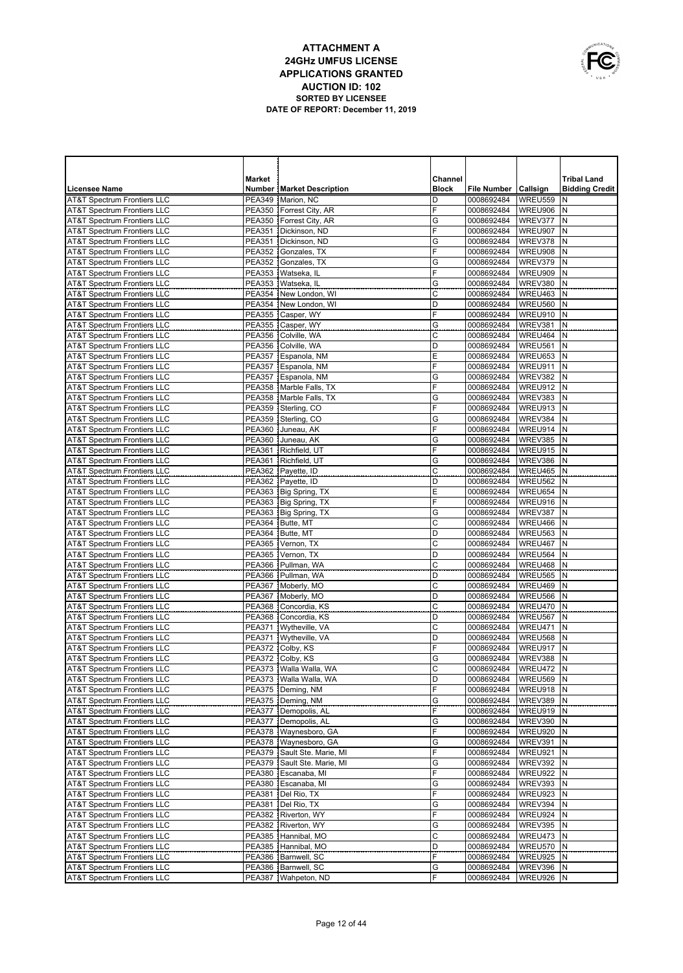

|                                                                                  | <b>Market</b> |                                              | Channel      |                          |                             | <b>Tribal Land</b>    |
|----------------------------------------------------------------------------------|---------------|----------------------------------------------|--------------|--------------------------|-----------------------------|-----------------------|
| <b>Licensee Name</b>                                                             |               | <b>Number   Market Description</b>           | <b>Block</b> | File Number   Callsign   |                             | <b>Bidding Credit</b> |
| <b>AT&amp;T Spectrum Frontiers LLC</b>                                           |               | PEA349   Marion, NC                          | D            | 0008692484               | WREU559                     | N                     |
| <b>AT&amp;T Spectrum Frontiers LLC</b>                                           |               | PEA350   Forrest City, AR                    | F            | 0008692484               | WREU906                     | N                     |
| <b>AT&amp;T Spectrum Frontiers LLC</b>                                           | <b>PEA350</b> | Forrest City, AR                             | G            | 0008692484               | WREV377                     | N                     |
| <b>AT&amp;T Spectrum Frontiers LLC</b>                                           |               | PEA351   Dickinson, ND                       | F            | 0008692484               | WREU907                     | N                     |
| <b>AT&amp;T Spectrum Frontiers LLC</b>                                           | <b>PEA351</b> | Dickinson, ND                                | G<br>F       | 0008692484               | WREV378                     | N<br>N                |
| <b>AT&amp;T Spectrum Frontiers LLC</b>                                           | <b>PEA352</b> | Gonzales, TX                                 | G            | 0008692484               | WREU908                     | N                     |
| <b>AT&amp;T Spectrum Frontiers LLC</b><br><b>AT&amp;T Spectrum Frontiers LLC</b> | <b>PEA352</b> | Gonzales, TX<br>PEA353   Watseka, IL         | F            | 0008692484<br>0008692484 | WREV379<br>WREU909          | N                     |
| <b>AT&amp;T Spectrum Frontiers LLC</b>                                           | <b>PEA353</b> | Watseka, IL                                  | G            | 0008692484               | WREV380                     | N                     |
| <b>AT&amp;T Spectrum Frontiers LLC</b>                                           |               | PEA354   New London, WI                      | C            | 0008692484               | WREU463                     | N                     |
| <b>AT&amp;T Spectrum Frontiers LLC</b>                                           |               | PEA354 New London, WI                        | D            | 0008692484               | WREU560                     | N                     |
| <b>AT&amp;T Spectrum Frontiers LLC</b>                                           |               | PEA355   Casper, WY                          | F            | 0008692484               | WREU910                     | N                     |
| <b>AT&amp;T Spectrum Frontiers LLC</b>                                           |               | PEA355 Casper, WY                            | G            | 0008692484               | WREV381                     | N                     |
| <b>AT&amp;T Spectrum Frontiers LLC</b>                                           |               | PEA356 Colville, WA                          | C            | 0008692484               | WREU464                     | N                     |
| <b>AT&amp;T Spectrum Frontiers LLC</b>                                           |               | PEA356   Colville, WA                        | D            | 0008692484               | WREU561                     | N                     |
| <b>AT&amp;T Spectrum Frontiers LLC</b>                                           |               | PEA357 Espanola, NM                          | E            | 0008692484               | WREU653                     | N                     |
| <b>AT&amp;T Spectrum Frontiers LLC</b>                                           |               | PEA357 Espanola, NM                          | F            | 0008692484               | WREU911                     | N                     |
| <b>AT&amp;T Spectrum Frontiers LLC</b>                                           |               | PEA357 Espanola, NM                          | G            | 0008692484               | WREV382                     | N                     |
| <b>AT&amp;T Spectrum Frontiers LLC</b>                                           |               | PEA358 Marble Falls, TX                      | F            | 0008692484               | WREU912                     | N                     |
| <b>AT&amp;T Spectrum Frontiers LLC</b>                                           |               | PEA358 Marble Falls, TX                      | G            | 0008692484               | WREV383                     | N                     |
| <b>AT&amp;T Spectrum Frontiers LLC</b>                                           |               | PEA359 Sterling, CO                          | F            | 0008692484               | WREU913                     | N                     |
| <b>AT&amp;T Spectrum Frontiers LLC</b>                                           |               | PEA359 Sterling, CO                          | G            | 0008692484               | WREV384                     | N                     |
| <b>AT&amp;T Spectrum Frontiers LLC</b>                                           |               | PEA360 Juneau, AK                            | F            | 0008692484               | WREU914                     | N                     |
| <b>AT&amp;T Spectrum Frontiers LLC</b>                                           |               | PEA360 Juneau, AK                            | G            | 0008692484               | WREV385                     | N                     |
| <b>AT&amp;T Spectrum Frontiers LLC</b>                                           |               | PEA361 Richfield, UT<br>PEA361 Richfield, UT | F            | 0008692484               | WREU915                     | N<br>N                |
| <b>AT&amp;T Spectrum Frontiers LLC</b><br><b>AT&amp;T Spectrum Frontiers LLC</b> |               | PEA362 Payette, ID                           | G<br>C       | 0008692484<br>0008692484 | WREV386<br>WREU465          | N                     |
| <b>AT&amp;T Spectrum Frontiers LLC</b>                                           |               | PEA362 Payette, ID                           | D            | 0008692484               | WREU562                     | N                     |
| <b>AT&amp;T Spectrum Frontiers LLC</b>                                           |               | PEA363 Big Spring, TX                        | E            | 0008692484               | WREU654                     | N                     |
| <b>AT&amp;T Spectrum Frontiers LLC</b>                                           |               | PEA363 Big Spring, TX                        | F            | 0008692484               | WREU916                     | N                     |
| <b>AT&amp;T Spectrum Frontiers LLC</b>                                           |               | PEA363   Big Spring, TX                      | G            | 0008692484               | WREV387                     | N                     |
| <b>AT&amp;T Spectrum Frontiers LLC</b>                                           |               | PEA364 Butte, MT                             | C            | 0008692484               | WREU466                     | N                     |
| <b>AT&amp;T Spectrum Frontiers LLC</b>                                           |               | PEA364 Butte, MT                             | D            | 0008692484               | WREU563                     | N                     |
| <b>AT&amp;T Spectrum Frontiers LLC</b>                                           | <b>PEA365</b> | Vernon, TX                                   | C            | 0008692484               | WREU467                     | N                     |
| <b>AT&amp;T Spectrum Frontiers LLC</b>                                           | <b>PEA365</b> | Vernon, TX                                   | D            | 0008692484               | WREU564                     | N                     |
| <b>AT&amp;T Spectrum Frontiers LLC</b>                                           | <b>PEA366</b> | Pullman, WA                                  | C            | 0008692484               | WREU468                     | N                     |
| <b>AT&amp;T Spectrum Frontiers LLC</b>                                           | <b>PEA366</b> | Pullman, WA                                  | D            | 0008692484               | WREU565                     | N                     |
| <b>AT&amp;T Spectrum Frontiers LLC</b>                                           |               | PEA367 Moberly, MO                           | C            | 0008692484               | WREU469                     | N                     |
| <b>AT&amp;T Spectrum Frontiers LLC</b>                                           | <b>PEA367</b> | Moberly, MO                                  | D            | 0008692484               | WREU566                     | N                     |
| <b>AT&amp;T Spectrum Frontiers LLC</b>                                           |               | PEA368 Concordia, KS                         | C            | 0008692484               | WREU470                     | N                     |
| <b>AT&amp;T Spectrum Frontiers LLC</b>                                           | <b>PEA368</b> | Concordia, KS                                | D            | 0008692484               | WREU567                     | N                     |
| <b>AT&amp;T Spectrum Frontiers LLC</b>                                           |               | PEA371 Wytheville, VA                        | C            | 0008692484               | WREU471                     | N                     |
| <b>AT&amp;T Spectrum Frontiers LLC</b><br><b>AT&amp;T Spectrum Frontiers LLC</b> |               | PEA371   Wytheville, VA                      | D<br>F       | 0008692484               | WREU568<br>WREU917          | N<br>N                |
| <b>AT&amp;T Spectrum Frontiers LLC</b>                                           |               | PEA372 Colby, KS<br>PEA372 Colby, KS         | G            | 0008692484<br>0008692484 | WREV388                     | N                     |
| <b>AT&amp;T Spectrum Frontiers LLC</b>                                           |               | PEA373   Walla Walla, WA                     | C            | 0008692484               | WREU472                     | N                     |
| <b>AT&amp;T Spectrum Frontiers LLC</b>                                           |               | PEA373   Walla Walla, WA                     | D            | 0008692484   WREU569 N   |                             |                       |
| AT&T Spectrum Frontiers LLC                                                      |               | PEA375 Deming, NM                            | F            | 0008692484               | WREU918 N                   |                       |
| <b>AT&amp;T Spectrum Frontiers LLC</b>                                           |               | PEA375   Deming, NM                          | G            | 0008692484               | WREV389 N                   |                       |
| AT&T Spectrum Frontiers LLC                                                      |               | PEA377 Demopolis, AL                         | F            | 0008692484               | WREU919 N                   |                       |
| <b>AT&amp;T Spectrum Frontiers LLC</b>                                           |               | PEA377   Demopolis, AL                       | G            | 0008692484               | WREV390 N                   |                       |
| AT&T Spectrum Frontiers LLC                                                      |               | PEA378   Waynesboro, GA                      | F            | 0008692484               | WREU920 N                   |                       |
| AT&T Spectrum Frontiers LLC                                                      |               | PEA378   Waynesboro, GA                      | G            | 0008692484               | WREV391                     | N                     |
| <b>AT&amp;T Spectrum Frontiers LLC</b>                                           |               | PEA379 Sault Ste. Marie, MI                  | F            | 0008692484               | WREU921 N                   |                       |
| AT&T Spectrum Frontiers LLC                                                      |               | PEA379 Sault Ste. Marie, MI                  | G            | 0008692484               | WREV392                     | N                     |
| <b>AT&amp;T Spectrum Frontiers LLC</b>                                           |               | PEA380 Escanaba, MI                          | F            | 0008692484               | WREU922 N                   |                       |
| <b>AT&amp;T Spectrum Frontiers LLC</b>                                           |               | PEA380 Escanaba, MI                          | G            | 0008692484               | WREV393                     | N                     |
| <b>AT&amp;T Spectrum Frontiers LLC</b>                                           |               | PEA381   Del Rio, TX                         | F            | 0008692484               | WREU923 N                   |                       |
| <b>AT&amp;T Spectrum Frontiers LLC</b>                                           |               | PEA381   Del Rio, TX                         | G            | 0008692484               | WREV394                     | N                     |
| <b>AT&amp;T Spectrum Frontiers LLC</b>                                           |               | PEA382 Riverton, WY                          | F            | 0008692484               | WREU924 N                   |                       |
| <b>AT&amp;T Spectrum Frontiers LLC</b>                                           |               | PEA382 Riverton, WY                          | G            | 0008692484               | WREV395                     | N                     |
| <b>AT&amp;T Spectrum Frontiers LLC</b>                                           |               | PEA385 Hannibal, MO<br>PEA385 Hannibal, MO   | C<br>D       | 0008692484               | WREU473                     | N                     |
| <b>AT&amp;T Spectrum Frontiers LLC</b><br><b>AT&amp;T Spectrum Frontiers LLC</b> |               | PEA386   Barnwell, SC                        | F            | 0008692484<br>0008692484 | <b>WREU570 N</b><br>WREU925 | N                     |
| <b>AT&amp;T Spectrum Frontiers LLC</b>                                           |               | PEA386   Barnwell, SC                        | G            | 0008692484               | WREV396                     | N                     |
| <b>AT&amp;T Spectrum Frontiers LLC</b>                                           |               | PEA387   Wahpeton, ND                        | F            | 0008692484               | WREU926 N                   |                       |
|                                                                                  |               |                                              |              |                          |                             |                       |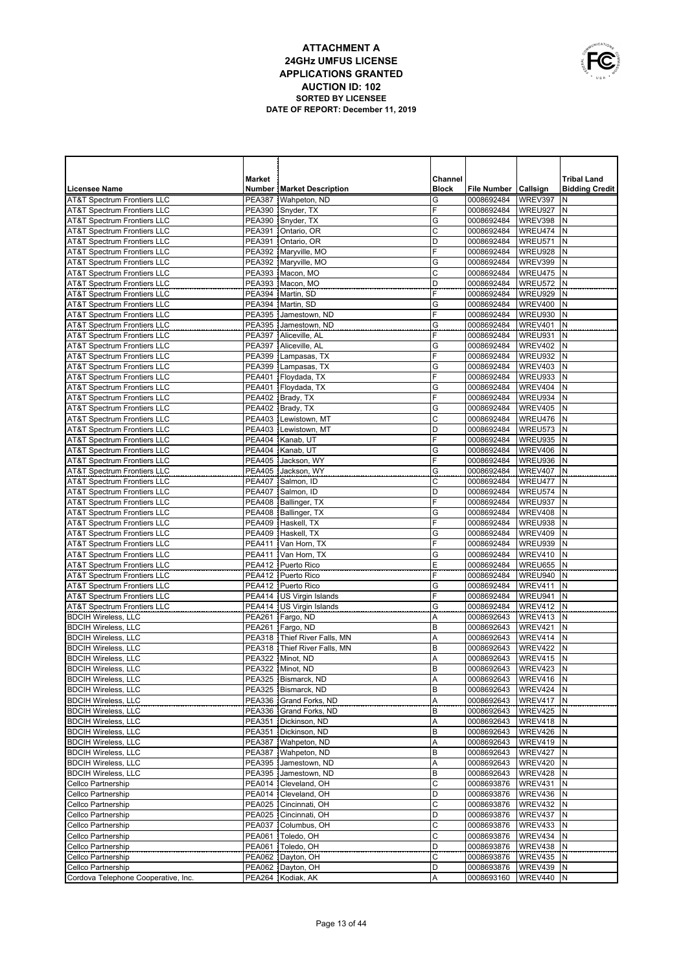

| <b>Market</b><br>Channel<br><b>Tribal Land</b><br><b>Licensee Name</b><br><b>Number   Market Description</b><br><b>Block</b><br>File Number   Callsign<br><b>Bidding Credit</b><br>WREV397<br><b>AT&amp;T Spectrum Frontiers LLC</b><br><b>PEA387</b><br>Wahpeton, ND<br>G<br>0008692484<br>N<br>F<br><b>AT&amp;T Spectrum Frontiers LLC</b><br>PEA390 Snyder, TX<br>0008692484<br>WREU927<br>N<br>G<br><b>AT&amp;T Spectrum Frontiers LLC</b><br>PEA390 Snyder, TX<br>WREV398<br>N<br>0008692484<br>C<br><b>AT&amp;T Spectrum Frontiers LLC</b><br><b>PEA391</b><br>WREU474<br>N<br>Ontario, OR<br>0008692484<br>D<br><b>AT&amp;T Spectrum Frontiers LLC</b><br><b>PEA391</b><br>WREU571<br>N<br>Ontario, OR<br>0008692484<br>F<br>PEA392   Maryville, MO<br>WREU928<br>N<br><b>AT&amp;T Spectrum Frontiers LLC</b><br>0008692484<br><b>AT&amp;T Spectrum Frontiers LLC</b><br>PEA392 Maryville, MO<br>G<br>WREV399<br>N<br>0008692484<br>C<br>PEA393 Macon, MO<br>WREU475<br>N<br><b>AT&amp;T Spectrum Frontiers LLC</b><br>0008692484<br><b>AT&amp;T Spectrum Frontiers LLC</b><br><b>PEA393</b><br>Macon, MO<br>D<br>WREU572<br>N<br>0008692484<br>F<br><b>PEA394</b><br>WREU929<br>N<br><b>AT&amp;T Spectrum Frontiers LLC</b><br>Martin, SD<br>0008692484<br><b>AT&amp;T Spectrum Frontiers LLC</b><br><b>PEA394</b><br>G<br>WREV400<br>N<br>Martin, SD<br>0008692484<br>F<br><b>PEA395</b><br>WREU930<br>N<br><b>AT&amp;T Spectrum Frontiers LLC</b><br>Jamestown, ND<br>0008692484<br><b>AT&amp;T Spectrum Frontiers LLC</b><br><b>PEA395</b><br>G<br>WREV401<br>N<br>Jamestown, ND<br>0008692484<br>F<br><b>PEA397</b><br>WREU931<br>N<br><b>AT&amp;T Spectrum Frontiers LLC</b><br>Aliceville, AL<br>0008692484<br><b>AT&amp;T Spectrum Frontiers LLC</b><br><b>PEA397</b><br>G<br><b>WREV402</b><br>N<br>Aliceville, AL<br>0008692484<br>F<br><b>AT&amp;T Spectrum Frontiers LLC</b><br>WREU932<br>N<br><b>PEA399</b><br>Lampasas, TX<br>0008692484<br>AT&T Spectrum Frontiers LLC<br><b>PEA399</b><br>G<br>WREV403<br>N<br>Lampasas, TX<br>0008692484<br>F<br>WREU933<br>N<br><b>AT&amp;T Spectrum Frontiers LLC</b><br><b>PEA401</b><br>Floydada, TX<br>0008692484<br><b>PEA401</b><br>Floydada, TX<br>G<br>WREV404<br>N<br><b>AT&amp;T Spectrum Frontiers LLC</b><br>0008692484<br>F<br><b>PEA402</b><br>WREU934<br>N<br><b>AT&amp;T Spectrum Frontiers LLC</b><br>Brady, TX<br>0008692484<br><b>AT&amp;T Spectrum Frontiers LLC</b><br><b>PEA402</b><br>Brady, TX<br>G<br><b>WREV405</b><br>N<br>0008692484<br>С<br>WREU476<br>N<br><b>AT&amp;T Spectrum Frontiers LLC</b><br><b>PEA403</b><br>Lewistown, MT<br>0008692484<br><b>AT&amp;T Spectrum Frontiers LLC</b><br><b>PEA403</b><br>D<br>WREU573<br>N<br>Lewistown, MT<br>0008692484<br>F<br><b>PEA404</b><br>WREU935<br>N<br><b>AT&amp;T Spectrum Frontiers LLC</b><br>Kanab, UT<br>0008692484<br><b>AT&amp;T Spectrum Frontiers LLC</b><br><b>PEA404</b><br>G<br>WREV406<br>N<br>Kanab, UT<br>0008692484<br>F<br><b>AT&amp;T Spectrum Frontiers LLC</b><br>WREU936<br>N<br><b>PEA405</b><br>Jackson, WY<br>0008692484<br>AT&T Spectrum Frontiers LLC<br><b>PEA405</b><br>Jackson, WY<br>G<br>WREV407<br>N<br>0008692484<br>$\mathsf C$<br><b>AT&amp;T Spectrum Frontiers LLC</b><br><b>PEA407</b><br>Salmon, ID<br>WREU477<br>N<br>0008692484<br>D<br><b>AT&amp;T Spectrum Frontiers LLC</b><br>PEA407 Salmon. ID<br>WREU574<br>N<br>0008692484<br>F<br><b>AT&amp;T Spectrum Frontiers LLC</b><br>PEA408   Ballinger, TX<br>WREU937<br>N<br>0008692484<br><b>AT&amp;T Spectrum Frontiers LLC</b><br>PEA408 Ballinger, TX<br>G<br>WREV408<br>N<br>0008692484<br>F<br><b>PEA409</b><br>Haskell, TX<br>WREU938<br>N<br><b>AT&amp;T Spectrum Frontiers LLC</b><br>0008692484<br>G<br>N<br><b>AT&amp;T Spectrum Frontiers LLC</b><br>PEA409 Haskell, TX<br>WREV409<br>0008692484<br>F<br>N<br><b>AT&amp;T Spectrum Frontiers LLC</b><br><b>PEA411</b><br>WREU939<br>Van Horn, TX<br>0008692484<br>N<br><b>AT&amp;T Spectrum Frontiers LLC</b><br>PEA411   Van Horn, TX<br>G<br>WREV410<br>0008692484<br>E<br>N<br><b>AT&amp;T Spectrum Frontiers LLC</b><br>WREU655<br>PEA412 Puerto Rico<br>0008692484<br>F<br>N<br><b>AT&amp;T Spectrum Frontiers LLC</b><br>PEA412   Puerto Rico<br>WREU940<br>0008692484<br>N<br><b>AT&amp;T Spectrum Frontiers LLC</b><br>PEA412 Puerto Rico<br>WREV411<br>G<br>0008692484<br>F<br>N<br><b>AT&amp;T Spectrum Frontiers LLC</b><br>PEA414   US Virgin Islands<br>WREU941<br>0008692484<br>N<br><b>AT&amp;T Spectrum Frontiers LLC</b><br>PEA414 US Virgin Islands<br>WREV412<br>G<br>0008692484<br>N<br><b>BDCIH Wireless, LLC</b><br>PEA261   Fargo, ND<br>A<br>WREV413<br>0008692643<br><b>BDCIH Wireless, LLC</b><br>PEA261 Fargo, ND<br>WREV421<br>N<br>B<br>0008692643<br><b>BDCIH Wireless, LLC</b><br>PEA318   Thief River Falls, MN<br>A<br>WREV414<br>N<br>0008692643<br><b>BDCIH Wireless, LLC</b><br>PEA318   Thief River Falls, MN<br>WREV422<br>N<br>B<br>0008692643<br><b>BDCIH Wireless, LLC</b><br>WREV415<br>N<br>PEA322   Minot, ND<br>Α<br>0008692643<br><b>BDCIH Wireless, LLC</b><br>PEA322 Minot, ND<br>WREV423<br>N<br>B<br>0008692643<br><b>BDCIH Wireless, LLC</b><br>PEA325   Bismarck, ND<br>0008692643<br>WREV416 N<br>Α<br><b>BDCIH Wireless, LLC</b><br>PEA325   Bismarck, ND<br>B<br>WREV424 N<br>0008692643<br><b>BDCIH Wireless, LLC</b><br>PEA336 Grand Forks, ND<br>WREV417 N<br>Α<br>0008692643<br><b>BDCIH Wireless, LLC</b><br>PEA336 Grand Forks, ND<br>B<br>0008692643<br>WREV425 N<br><b>BDCIH Wireless, LLC</b><br>WREV418<br>PEA351   Dickinson, ND<br>Α<br>0008692643<br>Ν<br><b>BDCIH Wireless, LLC</b><br>PEA351   Dickinson, ND<br>B<br>0008692643<br>WREV426 N<br><b>BDCIH Wireless, LLC</b><br>WREV419<br>PEA387   Wahpeton, ND<br>Α<br>0008692643<br>N<br><b>BDCIH Wireless, LLC</b><br>PEA387   Wahpeton, ND<br>B<br>0008692643<br>WREV427<br>N<br>WREV420<br><b>BDCIH Wireless, LLC</b><br>PEA395 Jamestown, ND<br>Α<br>0008692643<br>N<br><b>BDCIH Wireless, LLC</b><br><b>PEA395</b><br>Jamestown, ND<br>В<br>0008692643<br>WREV428<br>N<br>C<br>Cellco Partnership<br>PEA014   Cleveland, OH<br>0008693876<br>WREV431<br>N<br>Cellco Partnership<br>PEA014   Cleveland, OH<br>D<br>0008693876<br>WREV436<br>N<br>C<br>Cellco Partnership<br>PEA025   Cincinnati, OH<br>0008693876<br>WREV432<br>Ν<br>D<br>PEA025   Cincinnati, OH<br>0008693876<br>WREV437<br>N<br>Cellco Partnership<br>C<br>WREV433<br>N<br>Cellco Partnership<br>PEA037 Columbus, OH<br>0008693876<br>C<br>N<br>PEA061   Toledo, OH<br>0008693876<br>WREV434<br>Cellco Partnership<br>PEA061   Toledo, OH<br>D<br>WREV438<br>N<br>Cellco Partnership<br>0008693876<br>C<br>PEA062   Dayton, OH<br>0008693876<br>WREV435<br>Ν<br>Cellco Partnership<br>PEA062 Dayton, OH<br>D<br>WREV439<br>Cellco Partnership<br>0008693876<br>N<br>PEA264 Kodiak, AK<br>WREV440 N |                                     |  |   |            |  |
|---------------------------------------------------------------------------------------------------------------------------------------------------------------------------------------------------------------------------------------------------------------------------------------------------------------------------------------------------------------------------------------------------------------------------------------------------------------------------------------------------------------------------------------------------------------------------------------------------------------------------------------------------------------------------------------------------------------------------------------------------------------------------------------------------------------------------------------------------------------------------------------------------------------------------------------------------------------------------------------------------------------------------------------------------------------------------------------------------------------------------------------------------------------------------------------------------------------------------------------------------------------------------------------------------------------------------------------------------------------------------------------------------------------------------------------------------------------------------------------------------------------------------------------------------------------------------------------------------------------------------------------------------------------------------------------------------------------------------------------------------------------------------------------------------------------------------------------------------------------------------------------------------------------------------------------------------------------------------------------------------------------------------------------------------------------------------------------------------------------------------------------------------------------------------------------------------------------------------------------------------------------------------------------------------------------------------------------------------------------------------------------------------------------------------------------------------------------------------------------------------------------------------------------------------------------------------------------------------------------------------------------------------------------------------------------------------------------------------------------------------------------------------------------------------------------------------------------------------------------------------------------------------------------------------------------------------------------------------------------------------------------------------------------------------------------------------------------------------------------------------------------------------------------------------------------------------------------------------------------------------------------------------------------------------------------------------------------------------------------------------------------------------------------------------------------------------------------------------------------------------------------------------------------------------------------------------------------------------------------------------------------------------------------------------------------------------------------------------------------------------------------------------------------------------------------------------------------------------------------------------------------------------------------------------------------------------------------------------------------------------------------------------------------------------------------------------------------------------------------------------------------------------------------------------------------------------------------------------------------------------------------------------------------------------------------------------------------------------------------------------------------------------------------------------------------------------------------------------------------------------------------------------------------------------------------------------------------------------------------------------------------------------------------------------------------------------------------------------------------------------------------------------------------------------------------------------------------------------------------------------------------------------------------------------------------------------------------------------------------------------------------------------------------------------------------------------------------------------------------------------------------------------------------------------------------------------------------------------------------------------------------------------------------------------------------------------------------------------------------------------------------------------------------------------------------------------------------------------------------------------------------------------------------------------------------------------------------------------------------------------------------------------------------------------------------------------------------------------------------------------------------------------------------------------------------------------------------------------------------------------------------------------------------------------------------------------------------------------------------------------------------------------------------------------------------------------------------------------------------------------------------------------------------------------------------------------------------------------------------------------------------------------------------------------------------------------------------------------------------------------------------------------------------------------------------------------------------------------------------------------------------------------------------------------------------------------------------------------------------------------------------------------------------------------------------------------------------------------------------------------------------------------------------------------------------------------------------------------------------------------------------------------|-------------------------------------|--|---|------------|--|
|                                                                                                                                                                                                                                                                                                                                                                                                                                                                                                                                                                                                                                                                                                                                                                                                                                                                                                                                                                                                                                                                                                                                                                                                                                                                                                                                                                                                                                                                                                                                                                                                                                                                                                                                                                                                                                                                                                                                                                                                                                                                                                                                                                                                                                                                                                                                                                                                                                                                                                                                                                                                                                                                                                                                                                                                                                                                                                                                                                                                                                                                                                                                                                                                                                                                                                                                                                                                                                                                                                                                                                                                                                                                                                                                                                                                                                                                                                                                                                                                                                                                                                                                                                                                                                                                                                                                                                                                                                                                                                                                                                                                                                                                                                                                                                                                                                                                                                                                                                                                                                                                                                                                                                                                                                                                                                                                                                                                                                                                                                                                                                                                                                                                                                                                                                                                                                                                                                                                                                                                                                                                                                                                                                                                                                                                                                                                                                                                                                                                                                                                                                                                                                                                                                                                                                                                                                                                                                   |                                     |  |   |            |  |
|                                                                                                                                                                                                                                                                                                                                                                                                                                                                                                                                                                                                                                                                                                                                                                                                                                                                                                                                                                                                                                                                                                                                                                                                                                                                                                                                                                                                                                                                                                                                                                                                                                                                                                                                                                                                                                                                                                                                                                                                                                                                                                                                                                                                                                                                                                                                                                                                                                                                                                                                                                                                                                                                                                                                                                                                                                                                                                                                                                                                                                                                                                                                                                                                                                                                                                                                                                                                                                                                                                                                                                                                                                                                                                                                                                                                                                                                                                                                                                                                                                                                                                                                                                                                                                                                                                                                                                                                                                                                                                                                                                                                                                                                                                                                                                                                                                                                                                                                                                                                                                                                                                                                                                                                                                                                                                                                                                                                                                                                                                                                                                                                                                                                                                                                                                                                                                                                                                                                                                                                                                                                                                                                                                                                                                                                                                                                                                                                                                                                                                                                                                                                                                                                                                                                                                                                                                                                                                   |                                     |  |   |            |  |
|                                                                                                                                                                                                                                                                                                                                                                                                                                                                                                                                                                                                                                                                                                                                                                                                                                                                                                                                                                                                                                                                                                                                                                                                                                                                                                                                                                                                                                                                                                                                                                                                                                                                                                                                                                                                                                                                                                                                                                                                                                                                                                                                                                                                                                                                                                                                                                                                                                                                                                                                                                                                                                                                                                                                                                                                                                                                                                                                                                                                                                                                                                                                                                                                                                                                                                                                                                                                                                                                                                                                                                                                                                                                                                                                                                                                                                                                                                                                                                                                                                                                                                                                                                                                                                                                                                                                                                                                                                                                                                                                                                                                                                                                                                                                                                                                                                                                                                                                                                                                                                                                                                                                                                                                                                                                                                                                                                                                                                                                                                                                                                                                                                                                                                                                                                                                                                                                                                                                                                                                                                                                                                                                                                                                                                                                                                                                                                                                                                                                                                                                                                                                                                                                                                                                                                                                                                                                                                   |                                     |  |   |            |  |
|                                                                                                                                                                                                                                                                                                                                                                                                                                                                                                                                                                                                                                                                                                                                                                                                                                                                                                                                                                                                                                                                                                                                                                                                                                                                                                                                                                                                                                                                                                                                                                                                                                                                                                                                                                                                                                                                                                                                                                                                                                                                                                                                                                                                                                                                                                                                                                                                                                                                                                                                                                                                                                                                                                                                                                                                                                                                                                                                                                                                                                                                                                                                                                                                                                                                                                                                                                                                                                                                                                                                                                                                                                                                                                                                                                                                                                                                                                                                                                                                                                                                                                                                                                                                                                                                                                                                                                                                                                                                                                                                                                                                                                                                                                                                                                                                                                                                                                                                                                                                                                                                                                                                                                                                                                                                                                                                                                                                                                                                                                                                                                                                                                                                                                                                                                                                                                                                                                                                                                                                                                                                                                                                                                                                                                                                                                                                                                                                                                                                                                                                                                                                                                                                                                                                                                                                                                                                                                   |                                     |  |   |            |  |
|                                                                                                                                                                                                                                                                                                                                                                                                                                                                                                                                                                                                                                                                                                                                                                                                                                                                                                                                                                                                                                                                                                                                                                                                                                                                                                                                                                                                                                                                                                                                                                                                                                                                                                                                                                                                                                                                                                                                                                                                                                                                                                                                                                                                                                                                                                                                                                                                                                                                                                                                                                                                                                                                                                                                                                                                                                                                                                                                                                                                                                                                                                                                                                                                                                                                                                                                                                                                                                                                                                                                                                                                                                                                                                                                                                                                                                                                                                                                                                                                                                                                                                                                                                                                                                                                                                                                                                                                                                                                                                                                                                                                                                                                                                                                                                                                                                                                                                                                                                                                                                                                                                                                                                                                                                                                                                                                                                                                                                                                                                                                                                                                                                                                                                                                                                                                                                                                                                                                                                                                                                                                                                                                                                                                                                                                                                                                                                                                                                                                                                                                                                                                                                                                                                                                                                                                                                                                                                   |                                     |  |   |            |  |
|                                                                                                                                                                                                                                                                                                                                                                                                                                                                                                                                                                                                                                                                                                                                                                                                                                                                                                                                                                                                                                                                                                                                                                                                                                                                                                                                                                                                                                                                                                                                                                                                                                                                                                                                                                                                                                                                                                                                                                                                                                                                                                                                                                                                                                                                                                                                                                                                                                                                                                                                                                                                                                                                                                                                                                                                                                                                                                                                                                                                                                                                                                                                                                                                                                                                                                                                                                                                                                                                                                                                                                                                                                                                                                                                                                                                                                                                                                                                                                                                                                                                                                                                                                                                                                                                                                                                                                                                                                                                                                                                                                                                                                                                                                                                                                                                                                                                                                                                                                                                                                                                                                                                                                                                                                                                                                                                                                                                                                                                                                                                                                                                                                                                                                                                                                                                                                                                                                                                                                                                                                                                                                                                                                                                                                                                                                                                                                                                                                                                                                                                                                                                                                                                                                                                                                                                                                                                                                   |                                     |  |   |            |  |
|                                                                                                                                                                                                                                                                                                                                                                                                                                                                                                                                                                                                                                                                                                                                                                                                                                                                                                                                                                                                                                                                                                                                                                                                                                                                                                                                                                                                                                                                                                                                                                                                                                                                                                                                                                                                                                                                                                                                                                                                                                                                                                                                                                                                                                                                                                                                                                                                                                                                                                                                                                                                                                                                                                                                                                                                                                                                                                                                                                                                                                                                                                                                                                                                                                                                                                                                                                                                                                                                                                                                                                                                                                                                                                                                                                                                                                                                                                                                                                                                                                                                                                                                                                                                                                                                                                                                                                                                                                                                                                                                                                                                                                                                                                                                                                                                                                                                                                                                                                                                                                                                                                                                                                                                                                                                                                                                                                                                                                                                                                                                                                                                                                                                                                                                                                                                                                                                                                                                                                                                                                                                                                                                                                                                                                                                                                                                                                                                                                                                                                                                                                                                                                                                                                                                                                                                                                                                                                   |                                     |  |   |            |  |
|                                                                                                                                                                                                                                                                                                                                                                                                                                                                                                                                                                                                                                                                                                                                                                                                                                                                                                                                                                                                                                                                                                                                                                                                                                                                                                                                                                                                                                                                                                                                                                                                                                                                                                                                                                                                                                                                                                                                                                                                                                                                                                                                                                                                                                                                                                                                                                                                                                                                                                                                                                                                                                                                                                                                                                                                                                                                                                                                                                                                                                                                                                                                                                                                                                                                                                                                                                                                                                                                                                                                                                                                                                                                                                                                                                                                                                                                                                                                                                                                                                                                                                                                                                                                                                                                                                                                                                                                                                                                                                                                                                                                                                                                                                                                                                                                                                                                                                                                                                                                                                                                                                                                                                                                                                                                                                                                                                                                                                                                                                                                                                                                                                                                                                                                                                                                                                                                                                                                                                                                                                                                                                                                                                                                                                                                                                                                                                                                                                                                                                                                                                                                                                                                                                                                                                                                                                                                                                   |                                     |  |   |            |  |
|                                                                                                                                                                                                                                                                                                                                                                                                                                                                                                                                                                                                                                                                                                                                                                                                                                                                                                                                                                                                                                                                                                                                                                                                                                                                                                                                                                                                                                                                                                                                                                                                                                                                                                                                                                                                                                                                                                                                                                                                                                                                                                                                                                                                                                                                                                                                                                                                                                                                                                                                                                                                                                                                                                                                                                                                                                                                                                                                                                                                                                                                                                                                                                                                                                                                                                                                                                                                                                                                                                                                                                                                                                                                                                                                                                                                                                                                                                                                                                                                                                                                                                                                                                                                                                                                                                                                                                                                                                                                                                                                                                                                                                                                                                                                                                                                                                                                                                                                                                                                                                                                                                                                                                                                                                                                                                                                                                                                                                                                                                                                                                                                                                                                                                                                                                                                                                                                                                                                                                                                                                                                                                                                                                                                                                                                                                                                                                                                                                                                                                                                                                                                                                                                                                                                                                                                                                                                                                   |                                     |  |   |            |  |
|                                                                                                                                                                                                                                                                                                                                                                                                                                                                                                                                                                                                                                                                                                                                                                                                                                                                                                                                                                                                                                                                                                                                                                                                                                                                                                                                                                                                                                                                                                                                                                                                                                                                                                                                                                                                                                                                                                                                                                                                                                                                                                                                                                                                                                                                                                                                                                                                                                                                                                                                                                                                                                                                                                                                                                                                                                                                                                                                                                                                                                                                                                                                                                                                                                                                                                                                                                                                                                                                                                                                                                                                                                                                                                                                                                                                                                                                                                                                                                                                                                                                                                                                                                                                                                                                                                                                                                                                                                                                                                                                                                                                                                                                                                                                                                                                                                                                                                                                                                                                                                                                                                                                                                                                                                                                                                                                                                                                                                                                                                                                                                                                                                                                                                                                                                                                                                                                                                                                                                                                                                                                                                                                                                                                                                                                                                                                                                                                                                                                                                                                                                                                                                                                                                                                                                                                                                                                                                   |                                     |  |   |            |  |
|                                                                                                                                                                                                                                                                                                                                                                                                                                                                                                                                                                                                                                                                                                                                                                                                                                                                                                                                                                                                                                                                                                                                                                                                                                                                                                                                                                                                                                                                                                                                                                                                                                                                                                                                                                                                                                                                                                                                                                                                                                                                                                                                                                                                                                                                                                                                                                                                                                                                                                                                                                                                                                                                                                                                                                                                                                                                                                                                                                                                                                                                                                                                                                                                                                                                                                                                                                                                                                                                                                                                                                                                                                                                                                                                                                                                                                                                                                                                                                                                                                                                                                                                                                                                                                                                                                                                                                                                                                                                                                                                                                                                                                                                                                                                                                                                                                                                                                                                                                                                                                                                                                                                                                                                                                                                                                                                                                                                                                                                                                                                                                                                                                                                                                                                                                                                                                                                                                                                                                                                                                                                                                                                                                                                                                                                                                                                                                                                                                                                                                                                                                                                                                                                                                                                                                                                                                                                                                   |                                     |  |   |            |  |
|                                                                                                                                                                                                                                                                                                                                                                                                                                                                                                                                                                                                                                                                                                                                                                                                                                                                                                                                                                                                                                                                                                                                                                                                                                                                                                                                                                                                                                                                                                                                                                                                                                                                                                                                                                                                                                                                                                                                                                                                                                                                                                                                                                                                                                                                                                                                                                                                                                                                                                                                                                                                                                                                                                                                                                                                                                                                                                                                                                                                                                                                                                                                                                                                                                                                                                                                                                                                                                                                                                                                                                                                                                                                                                                                                                                                                                                                                                                                                                                                                                                                                                                                                                                                                                                                                                                                                                                                                                                                                                                                                                                                                                                                                                                                                                                                                                                                                                                                                                                                                                                                                                                                                                                                                                                                                                                                                                                                                                                                                                                                                                                                                                                                                                                                                                                                                                                                                                                                                                                                                                                                                                                                                                                                                                                                                                                                                                                                                                                                                                                                                                                                                                                                                                                                                                                                                                                                                                   |                                     |  |   |            |  |
|                                                                                                                                                                                                                                                                                                                                                                                                                                                                                                                                                                                                                                                                                                                                                                                                                                                                                                                                                                                                                                                                                                                                                                                                                                                                                                                                                                                                                                                                                                                                                                                                                                                                                                                                                                                                                                                                                                                                                                                                                                                                                                                                                                                                                                                                                                                                                                                                                                                                                                                                                                                                                                                                                                                                                                                                                                                                                                                                                                                                                                                                                                                                                                                                                                                                                                                                                                                                                                                                                                                                                                                                                                                                                                                                                                                                                                                                                                                                                                                                                                                                                                                                                                                                                                                                                                                                                                                                                                                                                                                                                                                                                                                                                                                                                                                                                                                                                                                                                                                                                                                                                                                                                                                                                                                                                                                                                                                                                                                                                                                                                                                                                                                                                                                                                                                                                                                                                                                                                                                                                                                                                                                                                                                                                                                                                                                                                                                                                                                                                                                                                                                                                                                                                                                                                                                                                                                                                                   |                                     |  |   |            |  |
|                                                                                                                                                                                                                                                                                                                                                                                                                                                                                                                                                                                                                                                                                                                                                                                                                                                                                                                                                                                                                                                                                                                                                                                                                                                                                                                                                                                                                                                                                                                                                                                                                                                                                                                                                                                                                                                                                                                                                                                                                                                                                                                                                                                                                                                                                                                                                                                                                                                                                                                                                                                                                                                                                                                                                                                                                                                                                                                                                                                                                                                                                                                                                                                                                                                                                                                                                                                                                                                                                                                                                                                                                                                                                                                                                                                                                                                                                                                                                                                                                                                                                                                                                                                                                                                                                                                                                                                                                                                                                                                                                                                                                                                                                                                                                                                                                                                                                                                                                                                                                                                                                                                                                                                                                                                                                                                                                                                                                                                                                                                                                                                                                                                                                                                                                                                                                                                                                                                                                                                                                                                                                                                                                                                                                                                                                                                                                                                                                                                                                                                                                                                                                                                                                                                                                                                                                                                                                                   |                                     |  |   |            |  |
|                                                                                                                                                                                                                                                                                                                                                                                                                                                                                                                                                                                                                                                                                                                                                                                                                                                                                                                                                                                                                                                                                                                                                                                                                                                                                                                                                                                                                                                                                                                                                                                                                                                                                                                                                                                                                                                                                                                                                                                                                                                                                                                                                                                                                                                                                                                                                                                                                                                                                                                                                                                                                                                                                                                                                                                                                                                                                                                                                                                                                                                                                                                                                                                                                                                                                                                                                                                                                                                                                                                                                                                                                                                                                                                                                                                                                                                                                                                                                                                                                                                                                                                                                                                                                                                                                                                                                                                                                                                                                                                                                                                                                                                                                                                                                                                                                                                                                                                                                                                                                                                                                                                                                                                                                                                                                                                                                                                                                                                                                                                                                                                                                                                                                                                                                                                                                                                                                                                                                                                                                                                                                                                                                                                                                                                                                                                                                                                                                                                                                                                                                                                                                                                                                                                                                                                                                                                                                                   |                                     |  |   |            |  |
|                                                                                                                                                                                                                                                                                                                                                                                                                                                                                                                                                                                                                                                                                                                                                                                                                                                                                                                                                                                                                                                                                                                                                                                                                                                                                                                                                                                                                                                                                                                                                                                                                                                                                                                                                                                                                                                                                                                                                                                                                                                                                                                                                                                                                                                                                                                                                                                                                                                                                                                                                                                                                                                                                                                                                                                                                                                                                                                                                                                                                                                                                                                                                                                                                                                                                                                                                                                                                                                                                                                                                                                                                                                                                                                                                                                                                                                                                                                                                                                                                                                                                                                                                                                                                                                                                                                                                                                                                                                                                                                                                                                                                                                                                                                                                                                                                                                                                                                                                                                                                                                                                                                                                                                                                                                                                                                                                                                                                                                                                                                                                                                                                                                                                                                                                                                                                                                                                                                                                                                                                                                                                                                                                                                                                                                                                                                                                                                                                                                                                                                                                                                                                                                                                                                                                                                                                                                                                                   |                                     |  |   |            |  |
|                                                                                                                                                                                                                                                                                                                                                                                                                                                                                                                                                                                                                                                                                                                                                                                                                                                                                                                                                                                                                                                                                                                                                                                                                                                                                                                                                                                                                                                                                                                                                                                                                                                                                                                                                                                                                                                                                                                                                                                                                                                                                                                                                                                                                                                                                                                                                                                                                                                                                                                                                                                                                                                                                                                                                                                                                                                                                                                                                                                                                                                                                                                                                                                                                                                                                                                                                                                                                                                                                                                                                                                                                                                                                                                                                                                                                                                                                                                                                                                                                                                                                                                                                                                                                                                                                                                                                                                                                                                                                                                                                                                                                                                                                                                                                                                                                                                                                                                                                                                                                                                                                                                                                                                                                                                                                                                                                                                                                                                                                                                                                                                                                                                                                                                                                                                                                                                                                                                                                                                                                                                                                                                                                                                                                                                                                                                                                                                                                                                                                                                                                                                                                                                                                                                                                                                                                                                                                                   |                                     |  |   |            |  |
|                                                                                                                                                                                                                                                                                                                                                                                                                                                                                                                                                                                                                                                                                                                                                                                                                                                                                                                                                                                                                                                                                                                                                                                                                                                                                                                                                                                                                                                                                                                                                                                                                                                                                                                                                                                                                                                                                                                                                                                                                                                                                                                                                                                                                                                                                                                                                                                                                                                                                                                                                                                                                                                                                                                                                                                                                                                                                                                                                                                                                                                                                                                                                                                                                                                                                                                                                                                                                                                                                                                                                                                                                                                                                                                                                                                                                                                                                                                                                                                                                                                                                                                                                                                                                                                                                                                                                                                                                                                                                                                                                                                                                                                                                                                                                                                                                                                                                                                                                                                                                                                                                                                                                                                                                                                                                                                                                                                                                                                                                                                                                                                                                                                                                                                                                                                                                                                                                                                                                                                                                                                                                                                                                                                                                                                                                                                                                                                                                                                                                                                                                                                                                                                                                                                                                                                                                                                                                                   |                                     |  |   |            |  |
|                                                                                                                                                                                                                                                                                                                                                                                                                                                                                                                                                                                                                                                                                                                                                                                                                                                                                                                                                                                                                                                                                                                                                                                                                                                                                                                                                                                                                                                                                                                                                                                                                                                                                                                                                                                                                                                                                                                                                                                                                                                                                                                                                                                                                                                                                                                                                                                                                                                                                                                                                                                                                                                                                                                                                                                                                                                                                                                                                                                                                                                                                                                                                                                                                                                                                                                                                                                                                                                                                                                                                                                                                                                                                                                                                                                                                                                                                                                                                                                                                                                                                                                                                                                                                                                                                                                                                                                                                                                                                                                                                                                                                                                                                                                                                                                                                                                                                                                                                                                                                                                                                                                                                                                                                                                                                                                                                                                                                                                                                                                                                                                                                                                                                                                                                                                                                                                                                                                                                                                                                                                                                                                                                                                                                                                                                                                                                                                                                                                                                                                                                                                                                                                                                                                                                                                                                                                                                                   |                                     |  |   |            |  |
|                                                                                                                                                                                                                                                                                                                                                                                                                                                                                                                                                                                                                                                                                                                                                                                                                                                                                                                                                                                                                                                                                                                                                                                                                                                                                                                                                                                                                                                                                                                                                                                                                                                                                                                                                                                                                                                                                                                                                                                                                                                                                                                                                                                                                                                                                                                                                                                                                                                                                                                                                                                                                                                                                                                                                                                                                                                                                                                                                                                                                                                                                                                                                                                                                                                                                                                                                                                                                                                                                                                                                                                                                                                                                                                                                                                                                                                                                                                                                                                                                                                                                                                                                                                                                                                                                                                                                                                                                                                                                                                                                                                                                                                                                                                                                                                                                                                                                                                                                                                                                                                                                                                                                                                                                                                                                                                                                                                                                                                                                                                                                                                                                                                                                                                                                                                                                                                                                                                                                                                                                                                                                                                                                                                                                                                                                                                                                                                                                                                                                                                                                                                                                                                                                                                                                                                                                                                                                                   |                                     |  |   |            |  |
|                                                                                                                                                                                                                                                                                                                                                                                                                                                                                                                                                                                                                                                                                                                                                                                                                                                                                                                                                                                                                                                                                                                                                                                                                                                                                                                                                                                                                                                                                                                                                                                                                                                                                                                                                                                                                                                                                                                                                                                                                                                                                                                                                                                                                                                                                                                                                                                                                                                                                                                                                                                                                                                                                                                                                                                                                                                                                                                                                                                                                                                                                                                                                                                                                                                                                                                                                                                                                                                                                                                                                                                                                                                                                                                                                                                                                                                                                                                                                                                                                                                                                                                                                                                                                                                                                                                                                                                                                                                                                                                                                                                                                                                                                                                                                                                                                                                                                                                                                                                                                                                                                                                                                                                                                                                                                                                                                                                                                                                                                                                                                                                                                                                                                                                                                                                                                                                                                                                                                                                                                                                                                                                                                                                                                                                                                                                                                                                                                                                                                                                                                                                                                                                                                                                                                                                                                                                                                                   |                                     |  |   |            |  |
|                                                                                                                                                                                                                                                                                                                                                                                                                                                                                                                                                                                                                                                                                                                                                                                                                                                                                                                                                                                                                                                                                                                                                                                                                                                                                                                                                                                                                                                                                                                                                                                                                                                                                                                                                                                                                                                                                                                                                                                                                                                                                                                                                                                                                                                                                                                                                                                                                                                                                                                                                                                                                                                                                                                                                                                                                                                                                                                                                                                                                                                                                                                                                                                                                                                                                                                                                                                                                                                                                                                                                                                                                                                                                                                                                                                                                                                                                                                                                                                                                                                                                                                                                                                                                                                                                                                                                                                                                                                                                                                                                                                                                                                                                                                                                                                                                                                                                                                                                                                                                                                                                                                                                                                                                                                                                                                                                                                                                                                                                                                                                                                                                                                                                                                                                                                                                                                                                                                                                                                                                                                                                                                                                                                                                                                                                                                                                                                                                                                                                                                                                                                                                                                                                                                                                                                                                                                                                                   |                                     |  |   |            |  |
|                                                                                                                                                                                                                                                                                                                                                                                                                                                                                                                                                                                                                                                                                                                                                                                                                                                                                                                                                                                                                                                                                                                                                                                                                                                                                                                                                                                                                                                                                                                                                                                                                                                                                                                                                                                                                                                                                                                                                                                                                                                                                                                                                                                                                                                                                                                                                                                                                                                                                                                                                                                                                                                                                                                                                                                                                                                                                                                                                                                                                                                                                                                                                                                                                                                                                                                                                                                                                                                                                                                                                                                                                                                                                                                                                                                                                                                                                                                                                                                                                                                                                                                                                                                                                                                                                                                                                                                                                                                                                                                                                                                                                                                                                                                                                                                                                                                                                                                                                                                                                                                                                                                                                                                                                                                                                                                                                                                                                                                                                                                                                                                                                                                                                                                                                                                                                                                                                                                                                                                                                                                                                                                                                                                                                                                                                                                                                                                                                                                                                                                                                                                                                                                                                                                                                                                                                                                                                                   |                                     |  |   |            |  |
|                                                                                                                                                                                                                                                                                                                                                                                                                                                                                                                                                                                                                                                                                                                                                                                                                                                                                                                                                                                                                                                                                                                                                                                                                                                                                                                                                                                                                                                                                                                                                                                                                                                                                                                                                                                                                                                                                                                                                                                                                                                                                                                                                                                                                                                                                                                                                                                                                                                                                                                                                                                                                                                                                                                                                                                                                                                                                                                                                                                                                                                                                                                                                                                                                                                                                                                                                                                                                                                                                                                                                                                                                                                                                                                                                                                                                                                                                                                                                                                                                                                                                                                                                                                                                                                                                                                                                                                                                                                                                                                                                                                                                                                                                                                                                                                                                                                                                                                                                                                                                                                                                                                                                                                                                                                                                                                                                                                                                                                                                                                                                                                                                                                                                                                                                                                                                                                                                                                                                                                                                                                                                                                                                                                                                                                                                                                                                                                                                                                                                                                                                                                                                                                                                                                                                                                                                                                                                                   |                                     |  |   |            |  |
|                                                                                                                                                                                                                                                                                                                                                                                                                                                                                                                                                                                                                                                                                                                                                                                                                                                                                                                                                                                                                                                                                                                                                                                                                                                                                                                                                                                                                                                                                                                                                                                                                                                                                                                                                                                                                                                                                                                                                                                                                                                                                                                                                                                                                                                                                                                                                                                                                                                                                                                                                                                                                                                                                                                                                                                                                                                                                                                                                                                                                                                                                                                                                                                                                                                                                                                                                                                                                                                                                                                                                                                                                                                                                                                                                                                                                                                                                                                                                                                                                                                                                                                                                                                                                                                                                                                                                                                                                                                                                                                                                                                                                                                                                                                                                                                                                                                                                                                                                                                                                                                                                                                                                                                                                                                                                                                                                                                                                                                                                                                                                                                                                                                                                                                                                                                                                                                                                                                                                                                                                                                                                                                                                                                                                                                                                                                                                                                                                                                                                                                                                                                                                                                                                                                                                                                                                                                                                                   |                                     |  |   |            |  |
|                                                                                                                                                                                                                                                                                                                                                                                                                                                                                                                                                                                                                                                                                                                                                                                                                                                                                                                                                                                                                                                                                                                                                                                                                                                                                                                                                                                                                                                                                                                                                                                                                                                                                                                                                                                                                                                                                                                                                                                                                                                                                                                                                                                                                                                                                                                                                                                                                                                                                                                                                                                                                                                                                                                                                                                                                                                                                                                                                                                                                                                                                                                                                                                                                                                                                                                                                                                                                                                                                                                                                                                                                                                                                                                                                                                                                                                                                                                                                                                                                                                                                                                                                                                                                                                                                                                                                                                                                                                                                                                                                                                                                                                                                                                                                                                                                                                                                                                                                                                                                                                                                                                                                                                                                                                                                                                                                                                                                                                                                                                                                                                                                                                                                                                                                                                                                                                                                                                                                                                                                                                                                                                                                                                                                                                                                                                                                                                                                                                                                                                                                                                                                                                                                                                                                                                                                                                                                                   |                                     |  |   |            |  |
|                                                                                                                                                                                                                                                                                                                                                                                                                                                                                                                                                                                                                                                                                                                                                                                                                                                                                                                                                                                                                                                                                                                                                                                                                                                                                                                                                                                                                                                                                                                                                                                                                                                                                                                                                                                                                                                                                                                                                                                                                                                                                                                                                                                                                                                                                                                                                                                                                                                                                                                                                                                                                                                                                                                                                                                                                                                                                                                                                                                                                                                                                                                                                                                                                                                                                                                                                                                                                                                                                                                                                                                                                                                                                                                                                                                                                                                                                                                                                                                                                                                                                                                                                                                                                                                                                                                                                                                                                                                                                                                                                                                                                                                                                                                                                                                                                                                                                                                                                                                                                                                                                                                                                                                                                                                                                                                                                                                                                                                                                                                                                                                                                                                                                                                                                                                                                                                                                                                                                                                                                                                                                                                                                                                                                                                                                                                                                                                                                                                                                                                                                                                                                                                                                                                                                                                                                                                                                                   |                                     |  |   |            |  |
|                                                                                                                                                                                                                                                                                                                                                                                                                                                                                                                                                                                                                                                                                                                                                                                                                                                                                                                                                                                                                                                                                                                                                                                                                                                                                                                                                                                                                                                                                                                                                                                                                                                                                                                                                                                                                                                                                                                                                                                                                                                                                                                                                                                                                                                                                                                                                                                                                                                                                                                                                                                                                                                                                                                                                                                                                                                                                                                                                                                                                                                                                                                                                                                                                                                                                                                                                                                                                                                                                                                                                                                                                                                                                                                                                                                                                                                                                                                                                                                                                                                                                                                                                                                                                                                                                                                                                                                                                                                                                                                                                                                                                                                                                                                                                                                                                                                                                                                                                                                                                                                                                                                                                                                                                                                                                                                                                                                                                                                                                                                                                                                                                                                                                                                                                                                                                                                                                                                                                                                                                                                                                                                                                                                                                                                                                                                                                                                                                                                                                                                                                                                                                                                                                                                                                                                                                                                                                                   |                                     |  |   |            |  |
|                                                                                                                                                                                                                                                                                                                                                                                                                                                                                                                                                                                                                                                                                                                                                                                                                                                                                                                                                                                                                                                                                                                                                                                                                                                                                                                                                                                                                                                                                                                                                                                                                                                                                                                                                                                                                                                                                                                                                                                                                                                                                                                                                                                                                                                                                                                                                                                                                                                                                                                                                                                                                                                                                                                                                                                                                                                                                                                                                                                                                                                                                                                                                                                                                                                                                                                                                                                                                                                                                                                                                                                                                                                                                                                                                                                                                                                                                                                                                                                                                                                                                                                                                                                                                                                                                                                                                                                                                                                                                                                                                                                                                                                                                                                                                                                                                                                                                                                                                                                                                                                                                                                                                                                                                                                                                                                                                                                                                                                                                                                                                                                                                                                                                                                                                                                                                                                                                                                                                                                                                                                                                                                                                                                                                                                                                                                                                                                                                                                                                                                                                                                                                                                                                                                                                                                                                                                                                                   |                                     |  |   |            |  |
|                                                                                                                                                                                                                                                                                                                                                                                                                                                                                                                                                                                                                                                                                                                                                                                                                                                                                                                                                                                                                                                                                                                                                                                                                                                                                                                                                                                                                                                                                                                                                                                                                                                                                                                                                                                                                                                                                                                                                                                                                                                                                                                                                                                                                                                                                                                                                                                                                                                                                                                                                                                                                                                                                                                                                                                                                                                                                                                                                                                                                                                                                                                                                                                                                                                                                                                                                                                                                                                                                                                                                                                                                                                                                                                                                                                                                                                                                                                                                                                                                                                                                                                                                                                                                                                                                                                                                                                                                                                                                                                                                                                                                                                                                                                                                                                                                                                                                                                                                                                                                                                                                                                                                                                                                                                                                                                                                                                                                                                                                                                                                                                                                                                                                                                                                                                                                                                                                                                                                                                                                                                                                                                                                                                                                                                                                                                                                                                                                                                                                                                                                                                                                                                                                                                                                                                                                                                                                                   |                                     |  |   |            |  |
|                                                                                                                                                                                                                                                                                                                                                                                                                                                                                                                                                                                                                                                                                                                                                                                                                                                                                                                                                                                                                                                                                                                                                                                                                                                                                                                                                                                                                                                                                                                                                                                                                                                                                                                                                                                                                                                                                                                                                                                                                                                                                                                                                                                                                                                                                                                                                                                                                                                                                                                                                                                                                                                                                                                                                                                                                                                                                                                                                                                                                                                                                                                                                                                                                                                                                                                                                                                                                                                                                                                                                                                                                                                                                                                                                                                                                                                                                                                                                                                                                                                                                                                                                                                                                                                                                                                                                                                                                                                                                                                                                                                                                                                                                                                                                                                                                                                                                                                                                                                                                                                                                                                                                                                                                                                                                                                                                                                                                                                                                                                                                                                                                                                                                                                                                                                                                                                                                                                                                                                                                                                                                                                                                                                                                                                                                                                                                                                                                                                                                                                                                                                                                                                                                                                                                                                                                                                                                                   |                                     |  |   |            |  |
|                                                                                                                                                                                                                                                                                                                                                                                                                                                                                                                                                                                                                                                                                                                                                                                                                                                                                                                                                                                                                                                                                                                                                                                                                                                                                                                                                                                                                                                                                                                                                                                                                                                                                                                                                                                                                                                                                                                                                                                                                                                                                                                                                                                                                                                                                                                                                                                                                                                                                                                                                                                                                                                                                                                                                                                                                                                                                                                                                                                                                                                                                                                                                                                                                                                                                                                                                                                                                                                                                                                                                                                                                                                                                                                                                                                                                                                                                                                                                                                                                                                                                                                                                                                                                                                                                                                                                                                                                                                                                                                                                                                                                                                                                                                                                                                                                                                                                                                                                                                                                                                                                                                                                                                                                                                                                                                                                                                                                                                                                                                                                                                                                                                                                                                                                                                                                                                                                                                                                                                                                                                                                                                                                                                                                                                                                                                                                                                                                                                                                                                                                                                                                                                                                                                                                                                                                                                                                                   |                                     |  |   |            |  |
|                                                                                                                                                                                                                                                                                                                                                                                                                                                                                                                                                                                                                                                                                                                                                                                                                                                                                                                                                                                                                                                                                                                                                                                                                                                                                                                                                                                                                                                                                                                                                                                                                                                                                                                                                                                                                                                                                                                                                                                                                                                                                                                                                                                                                                                                                                                                                                                                                                                                                                                                                                                                                                                                                                                                                                                                                                                                                                                                                                                                                                                                                                                                                                                                                                                                                                                                                                                                                                                                                                                                                                                                                                                                                                                                                                                                                                                                                                                                                                                                                                                                                                                                                                                                                                                                                                                                                                                                                                                                                                                                                                                                                                                                                                                                                                                                                                                                                                                                                                                                                                                                                                                                                                                                                                                                                                                                                                                                                                                                                                                                                                                                                                                                                                                                                                                                                                                                                                                                                                                                                                                                                                                                                                                                                                                                                                                                                                                                                                                                                                                                                                                                                                                                                                                                                                                                                                                                                                   |                                     |  |   |            |  |
|                                                                                                                                                                                                                                                                                                                                                                                                                                                                                                                                                                                                                                                                                                                                                                                                                                                                                                                                                                                                                                                                                                                                                                                                                                                                                                                                                                                                                                                                                                                                                                                                                                                                                                                                                                                                                                                                                                                                                                                                                                                                                                                                                                                                                                                                                                                                                                                                                                                                                                                                                                                                                                                                                                                                                                                                                                                                                                                                                                                                                                                                                                                                                                                                                                                                                                                                                                                                                                                                                                                                                                                                                                                                                                                                                                                                                                                                                                                                                                                                                                                                                                                                                                                                                                                                                                                                                                                                                                                                                                                                                                                                                                                                                                                                                                                                                                                                                                                                                                                                                                                                                                                                                                                                                                                                                                                                                                                                                                                                                                                                                                                                                                                                                                                                                                                                                                                                                                                                                                                                                                                                                                                                                                                                                                                                                                                                                                                                                                                                                                                                                                                                                                                                                                                                                                                                                                                                                                   |                                     |  |   |            |  |
|                                                                                                                                                                                                                                                                                                                                                                                                                                                                                                                                                                                                                                                                                                                                                                                                                                                                                                                                                                                                                                                                                                                                                                                                                                                                                                                                                                                                                                                                                                                                                                                                                                                                                                                                                                                                                                                                                                                                                                                                                                                                                                                                                                                                                                                                                                                                                                                                                                                                                                                                                                                                                                                                                                                                                                                                                                                                                                                                                                                                                                                                                                                                                                                                                                                                                                                                                                                                                                                                                                                                                                                                                                                                                                                                                                                                                                                                                                                                                                                                                                                                                                                                                                                                                                                                                                                                                                                                                                                                                                                                                                                                                                                                                                                                                                                                                                                                                                                                                                                                                                                                                                                                                                                                                                                                                                                                                                                                                                                                                                                                                                                                                                                                                                                                                                                                                                                                                                                                                                                                                                                                                                                                                                                                                                                                                                                                                                                                                                                                                                                                                                                                                                                                                                                                                                                                                                                                                                   |                                     |  |   |            |  |
|                                                                                                                                                                                                                                                                                                                                                                                                                                                                                                                                                                                                                                                                                                                                                                                                                                                                                                                                                                                                                                                                                                                                                                                                                                                                                                                                                                                                                                                                                                                                                                                                                                                                                                                                                                                                                                                                                                                                                                                                                                                                                                                                                                                                                                                                                                                                                                                                                                                                                                                                                                                                                                                                                                                                                                                                                                                                                                                                                                                                                                                                                                                                                                                                                                                                                                                                                                                                                                                                                                                                                                                                                                                                                                                                                                                                                                                                                                                                                                                                                                                                                                                                                                                                                                                                                                                                                                                                                                                                                                                                                                                                                                                                                                                                                                                                                                                                                                                                                                                                                                                                                                                                                                                                                                                                                                                                                                                                                                                                                                                                                                                                                                                                                                                                                                                                                                                                                                                                                                                                                                                                                                                                                                                                                                                                                                                                                                                                                                                                                                                                                                                                                                                                                                                                                                                                                                                                                                   |                                     |  |   |            |  |
|                                                                                                                                                                                                                                                                                                                                                                                                                                                                                                                                                                                                                                                                                                                                                                                                                                                                                                                                                                                                                                                                                                                                                                                                                                                                                                                                                                                                                                                                                                                                                                                                                                                                                                                                                                                                                                                                                                                                                                                                                                                                                                                                                                                                                                                                                                                                                                                                                                                                                                                                                                                                                                                                                                                                                                                                                                                                                                                                                                                                                                                                                                                                                                                                                                                                                                                                                                                                                                                                                                                                                                                                                                                                                                                                                                                                                                                                                                                                                                                                                                                                                                                                                                                                                                                                                                                                                                                                                                                                                                                                                                                                                                                                                                                                                                                                                                                                                                                                                                                                                                                                                                                                                                                                                                                                                                                                                                                                                                                                                                                                                                                                                                                                                                                                                                                                                                                                                                                                                                                                                                                                                                                                                                                                                                                                                                                                                                                                                                                                                                                                                                                                                                                                                                                                                                                                                                                                                                   |                                     |  |   |            |  |
|                                                                                                                                                                                                                                                                                                                                                                                                                                                                                                                                                                                                                                                                                                                                                                                                                                                                                                                                                                                                                                                                                                                                                                                                                                                                                                                                                                                                                                                                                                                                                                                                                                                                                                                                                                                                                                                                                                                                                                                                                                                                                                                                                                                                                                                                                                                                                                                                                                                                                                                                                                                                                                                                                                                                                                                                                                                                                                                                                                                                                                                                                                                                                                                                                                                                                                                                                                                                                                                                                                                                                                                                                                                                                                                                                                                                                                                                                                                                                                                                                                                                                                                                                                                                                                                                                                                                                                                                                                                                                                                                                                                                                                                                                                                                                                                                                                                                                                                                                                                                                                                                                                                                                                                                                                                                                                                                                                                                                                                                                                                                                                                                                                                                                                                                                                                                                                                                                                                                                                                                                                                                                                                                                                                                                                                                                                                                                                                                                                                                                                                                                                                                                                                                                                                                                                                                                                                                                                   |                                     |  |   |            |  |
|                                                                                                                                                                                                                                                                                                                                                                                                                                                                                                                                                                                                                                                                                                                                                                                                                                                                                                                                                                                                                                                                                                                                                                                                                                                                                                                                                                                                                                                                                                                                                                                                                                                                                                                                                                                                                                                                                                                                                                                                                                                                                                                                                                                                                                                                                                                                                                                                                                                                                                                                                                                                                                                                                                                                                                                                                                                                                                                                                                                                                                                                                                                                                                                                                                                                                                                                                                                                                                                                                                                                                                                                                                                                                                                                                                                                                                                                                                                                                                                                                                                                                                                                                                                                                                                                                                                                                                                                                                                                                                                                                                                                                                                                                                                                                                                                                                                                                                                                                                                                                                                                                                                                                                                                                                                                                                                                                                                                                                                                                                                                                                                                                                                                                                                                                                                                                                                                                                                                                                                                                                                                                                                                                                                                                                                                                                                                                                                                                                                                                                                                                                                                                                                                                                                                                                                                                                                                                                   |                                     |  |   |            |  |
|                                                                                                                                                                                                                                                                                                                                                                                                                                                                                                                                                                                                                                                                                                                                                                                                                                                                                                                                                                                                                                                                                                                                                                                                                                                                                                                                                                                                                                                                                                                                                                                                                                                                                                                                                                                                                                                                                                                                                                                                                                                                                                                                                                                                                                                                                                                                                                                                                                                                                                                                                                                                                                                                                                                                                                                                                                                                                                                                                                                                                                                                                                                                                                                                                                                                                                                                                                                                                                                                                                                                                                                                                                                                                                                                                                                                                                                                                                                                                                                                                                                                                                                                                                                                                                                                                                                                                                                                                                                                                                                                                                                                                                                                                                                                                                                                                                                                                                                                                                                                                                                                                                                                                                                                                                                                                                                                                                                                                                                                                                                                                                                                                                                                                                                                                                                                                                                                                                                                                                                                                                                                                                                                                                                                                                                                                                                                                                                                                                                                                                                                                                                                                                                                                                                                                                                                                                                                                                   |                                     |  |   |            |  |
|                                                                                                                                                                                                                                                                                                                                                                                                                                                                                                                                                                                                                                                                                                                                                                                                                                                                                                                                                                                                                                                                                                                                                                                                                                                                                                                                                                                                                                                                                                                                                                                                                                                                                                                                                                                                                                                                                                                                                                                                                                                                                                                                                                                                                                                                                                                                                                                                                                                                                                                                                                                                                                                                                                                                                                                                                                                                                                                                                                                                                                                                                                                                                                                                                                                                                                                                                                                                                                                                                                                                                                                                                                                                                                                                                                                                                                                                                                                                                                                                                                                                                                                                                                                                                                                                                                                                                                                                                                                                                                                                                                                                                                                                                                                                                                                                                                                                                                                                                                                                                                                                                                                                                                                                                                                                                                                                                                                                                                                                                                                                                                                                                                                                                                                                                                                                                                                                                                                                                                                                                                                                                                                                                                                                                                                                                                                                                                                                                                                                                                                                                                                                                                                                                                                                                                                                                                                                                                   |                                     |  |   |            |  |
|                                                                                                                                                                                                                                                                                                                                                                                                                                                                                                                                                                                                                                                                                                                                                                                                                                                                                                                                                                                                                                                                                                                                                                                                                                                                                                                                                                                                                                                                                                                                                                                                                                                                                                                                                                                                                                                                                                                                                                                                                                                                                                                                                                                                                                                                                                                                                                                                                                                                                                                                                                                                                                                                                                                                                                                                                                                                                                                                                                                                                                                                                                                                                                                                                                                                                                                                                                                                                                                                                                                                                                                                                                                                                                                                                                                                                                                                                                                                                                                                                                                                                                                                                                                                                                                                                                                                                                                                                                                                                                                                                                                                                                                                                                                                                                                                                                                                                                                                                                                                                                                                                                                                                                                                                                                                                                                                                                                                                                                                                                                                                                                                                                                                                                                                                                                                                                                                                                                                                                                                                                                                                                                                                                                                                                                                                                                                                                                                                                                                                                                                                                                                                                                                                                                                                                                                                                                                                                   |                                     |  |   |            |  |
|                                                                                                                                                                                                                                                                                                                                                                                                                                                                                                                                                                                                                                                                                                                                                                                                                                                                                                                                                                                                                                                                                                                                                                                                                                                                                                                                                                                                                                                                                                                                                                                                                                                                                                                                                                                                                                                                                                                                                                                                                                                                                                                                                                                                                                                                                                                                                                                                                                                                                                                                                                                                                                                                                                                                                                                                                                                                                                                                                                                                                                                                                                                                                                                                                                                                                                                                                                                                                                                                                                                                                                                                                                                                                                                                                                                                                                                                                                                                                                                                                                                                                                                                                                                                                                                                                                                                                                                                                                                                                                                                                                                                                                                                                                                                                                                                                                                                                                                                                                                                                                                                                                                                                                                                                                                                                                                                                                                                                                                                                                                                                                                                                                                                                                                                                                                                                                                                                                                                                                                                                                                                                                                                                                                                                                                                                                                                                                                                                                                                                                                                                                                                                                                                                                                                                                                                                                                                                                   |                                     |  |   |            |  |
|                                                                                                                                                                                                                                                                                                                                                                                                                                                                                                                                                                                                                                                                                                                                                                                                                                                                                                                                                                                                                                                                                                                                                                                                                                                                                                                                                                                                                                                                                                                                                                                                                                                                                                                                                                                                                                                                                                                                                                                                                                                                                                                                                                                                                                                                                                                                                                                                                                                                                                                                                                                                                                                                                                                                                                                                                                                                                                                                                                                                                                                                                                                                                                                                                                                                                                                                                                                                                                                                                                                                                                                                                                                                                                                                                                                                                                                                                                                                                                                                                                                                                                                                                                                                                                                                                                                                                                                                                                                                                                                                                                                                                                                                                                                                                                                                                                                                                                                                                                                                                                                                                                                                                                                                                                                                                                                                                                                                                                                                                                                                                                                                                                                                                                                                                                                                                                                                                                                                                                                                                                                                                                                                                                                                                                                                                                                                                                                                                                                                                                                                                                                                                                                                                                                                                                                                                                                                                                   |                                     |  |   |            |  |
|                                                                                                                                                                                                                                                                                                                                                                                                                                                                                                                                                                                                                                                                                                                                                                                                                                                                                                                                                                                                                                                                                                                                                                                                                                                                                                                                                                                                                                                                                                                                                                                                                                                                                                                                                                                                                                                                                                                                                                                                                                                                                                                                                                                                                                                                                                                                                                                                                                                                                                                                                                                                                                                                                                                                                                                                                                                                                                                                                                                                                                                                                                                                                                                                                                                                                                                                                                                                                                                                                                                                                                                                                                                                                                                                                                                                                                                                                                                                                                                                                                                                                                                                                                                                                                                                                                                                                                                                                                                                                                                                                                                                                                                                                                                                                                                                                                                                                                                                                                                                                                                                                                                                                                                                                                                                                                                                                                                                                                                                                                                                                                                                                                                                                                                                                                                                                                                                                                                                                                                                                                                                                                                                                                                                                                                                                                                                                                                                                                                                                                                                                                                                                                                                                                                                                                                                                                                                                                   |                                     |  |   |            |  |
|                                                                                                                                                                                                                                                                                                                                                                                                                                                                                                                                                                                                                                                                                                                                                                                                                                                                                                                                                                                                                                                                                                                                                                                                                                                                                                                                                                                                                                                                                                                                                                                                                                                                                                                                                                                                                                                                                                                                                                                                                                                                                                                                                                                                                                                                                                                                                                                                                                                                                                                                                                                                                                                                                                                                                                                                                                                                                                                                                                                                                                                                                                                                                                                                                                                                                                                                                                                                                                                                                                                                                                                                                                                                                                                                                                                                                                                                                                                                                                                                                                                                                                                                                                                                                                                                                                                                                                                                                                                                                                                                                                                                                                                                                                                                                                                                                                                                                                                                                                                                                                                                                                                                                                                                                                                                                                                                                                                                                                                                                                                                                                                                                                                                                                                                                                                                                                                                                                                                                                                                                                                                                                                                                                                                                                                                                                                                                                                                                                                                                                                                                                                                                                                                                                                                                                                                                                                                                                   |                                     |  |   |            |  |
|                                                                                                                                                                                                                                                                                                                                                                                                                                                                                                                                                                                                                                                                                                                                                                                                                                                                                                                                                                                                                                                                                                                                                                                                                                                                                                                                                                                                                                                                                                                                                                                                                                                                                                                                                                                                                                                                                                                                                                                                                                                                                                                                                                                                                                                                                                                                                                                                                                                                                                                                                                                                                                                                                                                                                                                                                                                                                                                                                                                                                                                                                                                                                                                                                                                                                                                                                                                                                                                                                                                                                                                                                                                                                                                                                                                                                                                                                                                                                                                                                                                                                                                                                                                                                                                                                                                                                                                                                                                                                                                                                                                                                                                                                                                                                                                                                                                                                                                                                                                                                                                                                                                                                                                                                                                                                                                                                                                                                                                                                                                                                                                                                                                                                                                                                                                                                                                                                                                                                                                                                                                                                                                                                                                                                                                                                                                                                                                                                                                                                                                                                                                                                                                                                                                                                                                                                                                                                                   |                                     |  |   |            |  |
|                                                                                                                                                                                                                                                                                                                                                                                                                                                                                                                                                                                                                                                                                                                                                                                                                                                                                                                                                                                                                                                                                                                                                                                                                                                                                                                                                                                                                                                                                                                                                                                                                                                                                                                                                                                                                                                                                                                                                                                                                                                                                                                                                                                                                                                                                                                                                                                                                                                                                                                                                                                                                                                                                                                                                                                                                                                                                                                                                                                                                                                                                                                                                                                                                                                                                                                                                                                                                                                                                                                                                                                                                                                                                                                                                                                                                                                                                                                                                                                                                                                                                                                                                                                                                                                                                                                                                                                                                                                                                                                                                                                                                                                                                                                                                                                                                                                                                                                                                                                                                                                                                                                                                                                                                                                                                                                                                                                                                                                                                                                                                                                                                                                                                                                                                                                                                                                                                                                                                                                                                                                                                                                                                                                                                                                                                                                                                                                                                                                                                                                                                                                                                                                                                                                                                                                                                                                                                                   |                                     |  |   |            |  |
|                                                                                                                                                                                                                                                                                                                                                                                                                                                                                                                                                                                                                                                                                                                                                                                                                                                                                                                                                                                                                                                                                                                                                                                                                                                                                                                                                                                                                                                                                                                                                                                                                                                                                                                                                                                                                                                                                                                                                                                                                                                                                                                                                                                                                                                                                                                                                                                                                                                                                                                                                                                                                                                                                                                                                                                                                                                                                                                                                                                                                                                                                                                                                                                                                                                                                                                                                                                                                                                                                                                                                                                                                                                                                                                                                                                                                                                                                                                                                                                                                                                                                                                                                                                                                                                                                                                                                                                                                                                                                                                                                                                                                                                                                                                                                                                                                                                                                                                                                                                                                                                                                                                                                                                                                                                                                                                                                                                                                                                                                                                                                                                                                                                                                                                                                                                                                                                                                                                                                                                                                                                                                                                                                                                                                                                                                                                                                                                                                                                                                                                                                                                                                                                                                                                                                                                                                                                                                                   |                                     |  |   |            |  |
|                                                                                                                                                                                                                                                                                                                                                                                                                                                                                                                                                                                                                                                                                                                                                                                                                                                                                                                                                                                                                                                                                                                                                                                                                                                                                                                                                                                                                                                                                                                                                                                                                                                                                                                                                                                                                                                                                                                                                                                                                                                                                                                                                                                                                                                                                                                                                                                                                                                                                                                                                                                                                                                                                                                                                                                                                                                                                                                                                                                                                                                                                                                                                                                                                                                                                                                                                                                                                                                                                                                                                                                                                                                                                                                                                                                                                                                                                                                                                                                                                                                                                                                                                                                                                                                                                                                                                                                                                                                                                                                                                                                                                                                                                                                                                                                                                                                                                                                                                                                                                                                                                                                                                                                                                                                                                                                                                                                                                                                                                                                                                                                                                                                                                                                                                                                                                                                                                                                                                                                                                                                                                                                                                                                                                                                                                                                                                                                                                                                                                                                                                                                                                                                                                                                                                                                                                                                                                                   |                                     |  |   |            |  |
|                                                                                                                                                                                                                                                                                                                                                                                                                                                                                                                                                                                                                                                                                                                                                                                                                                                                                                                                                                                                                                                                                                                                                                                                                                                                                                                                                                                                                                                                                                                                                                                                                                                                                                                                                                                                                                                                                                                                                                                                                                                                                                                                                                                                                                                                                                                                                                                                                                                                                                                                                                                                                                                                                                                                                                                                                                                                                                                                                                                                                                                                                                                                                                                                                                                                                                                                                                                                                                                                                                                                                                                                                                                                                                                                                                                                                                                                                                                                                                                                                                                                                                                                                                                                                                                                                                                                                                                                                                                                                                                                                                                                                                                                                                                                                                                                                                                                                                                                                                                                                                                                                                                                                                                                                                                                                                                                                                                                                                                                                                                                                                                                                                                                                                                                                                                                                                                                                                                                                                                                                                                                                                                                                                                                                                                                                                                                                                                                                                                                                                                                                                                                                                                                                                                                                                                                                                                                                                   |                                     |  |   |            |  |
|                                                                                                                                                                                                                                                                                                                                                                                                                                                                                                                                                                                                                                                                                                                                                                                                                                                                                                                                                                                                                                                                                                                                                                                                                                                                                                                                                                                                                                                                                                                                                                                                                                                                                                                                                                                                                                                                                                                                                                                                                                                                                                                                                                                                                                                                                                                                                                                                                                                                                                                                                                                                                                                                                                                                                                                                                                                                                                                                                                                                                                                                                                                                                                                                                                                                                                                                                                                                                                                                                                                                                                                                                                                                                                                                                                                                                                                                                                                                                                                                                                                                                                                                                                                                                                                                                                                                                                                                                                                                                                                                                                                                                                                                                                                                                                                                                                                                                                                                                                                                                                                                                                                                                                                                                                                                                                                                                                                                                                                                                                                                                                                                                                                                                                                                                                                                                                                                                                                                                                                                                                                                                                                                                                                                                                                                                                                                                                                                                                                                                                                                                                                                                                                                                                                                                                                                                                                                                                   |                                     |  |   |            |  |
|                                                                                                                                                                                                                                                                                                                                                                                                                                                                                                                                                                                                                                                                                                                                                                                                                                                                                                                                                                                                                                                                                                                                                                                                                                                                                                                                                                                                                                                                                                                                                                                                                                                                                                                                                                                                                                                                                                                                                                                                                                                                                                                                                                                                                                                                                                                                                                                                                                                                                                                                                                                                                                                                                                                                                                                                                                                                                                                                                                                                                                                                                                                                                                                                                                                                                                                                                                                                                                                                                                                                                                                                                                                                                                                                                                                                                                                                                                                                                                                                                                                                                                                                                                                                                                                                                                                                                                                                                                                                                                                                                                                                                                                                                                                                                                                                                                                                                                                                                                                                                                                                                                                                                                                                                                                                                                                                                                                                                                                                                                                                                                                                                                                                                                                                                                                                                                                                                                                                                                                                                                                                                                                                                                                                                                                                                                                                                                                                                                                                                                                                                                                                                                                                                                                                                                                                                                                                                                   |                                     |  |   |            |  |
|                                                                                                                                                                                                                                                                                                                                                                                                                                                                                                                                                                                                                                                                                                                                                                                                                                                                                                                                                                                                                                                                                                                                                                                                                                                                                                                                                                                                                                                                                                                                                                                                                                                                                                                                                                                                                                                                                                                                                                                                                                                                                                                                                                                                                                                                                                                                                                                                                                                                                                                                                                                                                                                                                                                                                                                                                                                                                                                                                                                                                                                                                                                                                                                                                                                                                                                                                                                                                                                                                                                                                                                                                                                                                                                                                                                                                                                                                                                                                                                                                                                                                                                                                                                                                                                                                                                                                                                                                                                                                                                                                                                                                                                                                                                                                                                                                                                                                                                                                                                                                                                                                                                                                                                                                                                                                                                                                                                                                                                                                                                                                                                                                                                                                                                                                                                                                                                                                                                                                                                                                                                                                                                                                                                                                                                                                                                                                                                                                                                                                                                                                                                                                                                                                                                                                                                                                                                                                                   |                                     |  |   |            |  |
|                                                                                                                                                                                                                                                                                                                                                                                                                                                                                                                                                                                                                                                                                                                                                                                                                                                                                                                                                                                                                                                                                                                                                                                                                                                                                                                                                                                                                                                                                                                                                                                                                                                                                                                                                                                                                                                                                                                                                                                                                                                                                                                                                                                                                                                                                                                                                                                                                                                                                                                                                                                                                                                                                                                                                                                                                                                                                                                                                                                                                                                                                                                                                                                                                                                                                                                                                                                                                                                                                                                                                                                                                                                                                                                                                                                                                                                                                                                                                                                                                                                                                                                                                                                                                                                                                                                                                                                                                                                                                                                                                                                                                                                                                                                                                                                                                                                                                                                                                                                                                                                                                                                                                                                                                                                                                                                                                                                                                                                                                                                                                                                                                                                                                                                                                                                                                                                                                                                                                                                                                                                                                                                                                                                                                                                                                                                                                                                                                                                                                                                                                                                                                                                                                                                                                                                                                                                                                                   |                                     |  |   |            |  |
|                                                                                                                                                                                                                                                                                                                                                                                                                                                                                                                                                                                                                                                                                                                                                                                                                                                                                                                                                                                                                                                                                                                                                                                                                                                                                                                                                                                                                                                                                                                                                                                                                                                                                                                                                                                                                                                                                                                                                                                                                                                                                                                                                                                                                                                                                                                                                                                                                                                                                                                                                                                                                                                                                                                                                                                                                                                                                                                                                                                                                                                                                                                                                                                                                                                                                                                                                                                                                                                                                                                                                                                                                                                                                                                                                                                                                                                                                                                                                                                                                                                                                                                                                                                                                                                                                                                                                                                                                                                                                                                                                                                                                                                                                                                                                                                                                                                                                                                                                                                                                                                                                                                                                                                                                                                                                                                                                                                                                                                                                                                                                                                                                                                                                                                                                                                                                                                                                                                                                                                                                                                                                                                                                                                                                                                                                                                                                                                                                                                                                                                                                                                                                                                                                                                                                                                                                                                                                                   |                                     |  |   |            |  |
|                                                                                                                                                                                                                                                                                                                                                                                                                                                                                                                                                                                                                                                                                                                                                                                                                                                                                                                                                                                                                                                                                                                                                                                                                                                                                                                                                                                                                                                                                                                                                                                                                                                                                                                                                                                                                                                                                                                                                                                                                                                                                                                                                                                                                                                                                                                                                                                                                                                                                                                                                                                                                                                                                                                                                                                                                                                                                                                                                                                                                                                                                                                                                                                                                                                                                                                                                                                                                                                                                                                                                                                                                                                                                                                                                                                                                                                                                                                                                                                                                                                                                                                                                                                                                                                                                                                                                                                                                                                                                                                                                                                                                                                                                                                                                                                                                                                                                                                                                                                                                                                                                                                                                                                                                                                                                                                                                                                                                                                                                                                                                                                                                                                                                                                                                                                                                                                                                                                                                                                                                                                                                                                                                                                                                                                                                                                                                                                                                                                                                                                                                                                                                                                                                                                                                                                                                                                                                                   |                                     |  |   |            |  |
|                                                                                                                                                                                                                                                                                                                                                                                                                                                                                                                                                                                                                                                                                                                                                                                                                                                                                                                                                                                                                                                                                                                                                                                                                                                                                                                                                                                                                                                                                                                                                                                                                                                                                                                                                                                                                                                                                                                                                                                                                                                                                                                                                                                                                                                                                                                                                                                                                                                                                                                                                                                                                                                                                                                                                                                                                                                                                                                                                                                                                                                                                                                                                                                                                                                                                                                                                                                                                                                                                                                                                                                                                                                                                                                                                                                                                                                                                                                                                                                                                                                                                                                                                                                                                                                                                                                                                                                                                                                                                                                                                                                                                                                                                                                                                                                                                                                                                                                                                                                                                                                                                                                                                                                                                                                                                                                                                                                                                                                                                                                                                                                                                                                                                                                                                                                                                                                                                                                                                                                                                                                                                                                                                                                                                                                                                                                                                                                                                                                                                                                                                                                                                                                                                                                                                                                                                                                                                                   |                                     |  |   |            |  |
|                                                                                                                                                                                                                                                                                                                                                                                                                                                                                                                                                                                                                                                                                                                                                                                                                                                                                                                                                                                                                                                                                                                                                                                                                                                                                                                                                                                                                                                                                                                                                                                                                                                                                                                                                                                                                                                                                                                                                                                                                                                                                                                                                                                                                                                                                                                                                                                                                                                                                                                                                                                                                                                                                                                                                                                                                                                                                                                                                                                                                                                                                                                                                                                                                                                                                                                                                                                                                                                                                                                                                                                                                                                                                                                                                                                                                                                                                                                                                                                                                                                                                                                                                                                                                                                                                                                                                                                                                                                                                                                                                                                                                                                                                                                                                                                                                                                                                                                                                                                                                                                                                                                                                                                                                                                                                                                                                                                                                                                                                                                                                                                                                                                                                                                                                                                                                                                                                                                                                                                                                                                                                                                                                                                                                                                                                                                                                                                                                                                                                                                                                                                                                                                                                                                                                                                                                                                                                                   |                                     |  |   |            |  |
|                                                                                                                                                                                                                                                                                                                                                                                                                                                                                                                                                                                                                                                                                                                                                                                                                                                                                                                                                                                                                                                                                                                                                                                                                                                                                                                                                                                                                                                                                                                                                                                                                                                                                                                                                                                                                                                                                                                                                                                                                                                                                                                                                                                                                                                                                                                                                                                                                                                                                                                                                                                                                                                                                                                                                                                                                                                                                                                                                                                                                                                                                                                                                                                                                                                                                                                                                                                                                                                                                                                                                                                                                                                                                                                                                                                                                                                                                                                                                                                                                                                                                                                                                                                                                                                                                                                                                                                                                                                                                                                                                                                                                                                                                                                                                                                                                                                                                                                                                                                                                                                                                                                                                                                                                                                                                                                                                                                                                                                                                                                                                                                                                                                                                                                                                                                                                                                                                                                                                                                                                                                                                                                                                                                                                                                                                                                                                                                                                                                                                                                                                                                                                                                                                                                                                                                                                                                                                                   |                                     |  |   |            |  |
|                                                                                                                                                                                                                                                                                                                                                                                                                                                                                                                                                                                                                                                                                                                                                                                                                                                                                                                                                                                                                                                                                                                                                                                                                                                                                                                                                                                                                                                                                                                                                                                                                                                                                                                                                                                                                                                                                                                                                                                                                                                                                                                                                                                                                                                                                                                                                                                                                                                                                                                                                                                                                                                                                                                                                                                                                                                                                                                                                                                                                                                                                                                                                                                                                                                                                                                                                                                                                                                                                                                                                                                                                                                                                                                                                                                                                                                                                                                                                                                                                                                                                                                                                                                                                                                                                                                                                                                                                                                                                                                                                                                                                                                                                                                                                                                                                                                                                                                                                                                                                                                                                                                                                                                                                                                                                                                                                                                                                                                                                                                                                                                                                                                                                                                                                                                                                                                                                                                                                                                                                                                                                                                                                                                                                                                                                                                                                                                                                                                                                                                                                                                                                                                                                                                                                                                                                                                                                                   |                                     |  |   |            |  |
|                                                                                                                                                                                                                                                                                                                                                                                                                                                                                                                                                                                                                                                                                                                                                                                                                                                                                                                                                                                                                                                                                                                                                                                                                                                                                                                                                                                                                                                                                                                                                                                                                                                                                                                                                                                                                                                                                                                                                                                                                                                                                                                                                                                                                                                                                                                                                                                                                                                                                                                                                                                                                                                                                                                                                                                                                                                                                                                                                                                                                                                                                                                                                                                                                                                                                                                                                                                                                                                                                                                                                                                                                                                                                                                                                                                                                                                                                                                                                                                                                                                                                                                                                                                                                                                                                                                                                                                                                                                                                                                                                                                                                                                                                                                                                                                                                                                                                                                                                                                                                                                                                                                                                                                                                                                                                                                                                                                                                                                                                                                                                                                                                                                                                                                                                                                                                                                                                                                                                                                                                                                                                                                                                                                                                                                                                                                                                                                                                                                                                                                                                                                                                                                                                                                                                                                                                                                                                                   |                                     |  |   |            |  |
|                                                                                                                                                                                                                                                                                                                                                                                                                                                                                                                                                                                                                                                                                                                                                                                                                                                                                                                                                                                                                                                                                                                                                                                                                                                                                                                                                                                                                                                                                                                                                                                                                                                                                                                                                                                                                                                                                                                                                                                                                                                                                                                                                                                                                                                                                                                                                                                                                                                                                                                                                                                                                                                                                                                                                                                                                                                                                                                                                                                                                                                                                                                                                                                                                                                                                                                                                                                                                                                                                                                                                                                                                                                                                                                                                                                                                                                                                                                                                                                                                                                                                                                                                                                                                                                                                                                                                                                                                                                                                                                                                                                                                                                                                                                                                                                                                                                                                                                                                                                                                                                                                                                                                                                                                                                                                                                                                                                                                                                                                                                                                                                                                                                                                                                                                                                                                                                                                                                                                                                                                                                                                                                                                                                                                                                                                                                                                                                                                                                                                                                                                                                                                                                                                                                                                                                                                                                                                                   |                                     |  |   |            |  |
|                                                                                                                                                                                                                                                                                                                                                                                                                                                                                                                                                                                                                                                                                                                                                                                                                                                                                                                                                                                                                                                                                                                                                                                                                                                                                                                                                                                                                                                                                                                                                                                                                                                                                                                                                                                                                                                                                                                                                                                                                                                                                                                                                                                                                                                                                                                                                                                                                                                                                                                                                                                                                                                                                                                                                                                                                                                                                                                                                                                                                                                                                                                                                                                                                                                                                                                                                                                                                                                                                                                                                                                                                                                                                                                                                                                                                                                                                                                                                                                                                                                                                                                                                                                                                                                                                                                                                                                                                                                                                                                                                                                                                                                                                                                                                                                                                                                                                                                                                                                                                                                                                                                                                                                                                                                                                                                                                                                                                                                                                                                                                                                                                                                                                                                                                                                                                                                                                                                                                                                                                                                                                                                                                                                                                                                                                                                                                                                                                                                                                                                                                                                                                                                                                                                                                                                                                                                                                                   |                                     |  |   |            |  |
|                                                                                                                                                                                                                                                                                                                                                                                                                                                                                                                                                                                                                                                                                                                                                                                                                                                                                                                                                                                                                                                                                                                                                                                                                                                                                                                                                                                                                                                                                                                                                                                                                                                                                                                                                                                                                                                                                                                                                                                                                                                                                                                                                                                                                                                                                                                                                                                                                                                                                                                                                                                                                                                                                                                                                                                                                                                                                                                                                                                                                                                                                                                                                                                                                                                                                                                                                                                                                                                                                                                                                                                                                                                                                                                                                                                                                                                                                                                                                                                                                                                                                                                                                                                                                                                                                                                                                                                                                                                                                                                                                                                                                                                                                                                                                                                                                                                                                                                                                                                                                                                                                                                                                                                                                                                                                                                                                                                                                                                                                                                                                                                                                                                                                                                                                                                                                                                                                                                                                                                                                                                                                                                                                                                                                                                                                                                                                                                                                                                                                                                                                                                                                                                                                                                                                                                                                                                                                                   |                                     |  |   |            |  |
|                                                                                                                                                                                                                                                                                                                                                                                                                                                                                                                                                                                                                                                                                                                                                                                                                                                                                                                                                                                                                                                                                                                                                                                                                                                                                                                                                                                                                                                                                                                                                                                                                                                                                                                                                                                                                                                                                                                                                                                                                                                                                                                                                                                                                                                                                                                                                                                                                                                                                                                                                                                                                                                                                                                                                                                                                                                                                                                                                                                                                                                                                                                                                                                                                                                                                                                                                                                                                                                                                                                                                                                                                                                                                                                                                                                                                                                                                                                                                                                                                                                                                                                                                                                                                                                                                                                                                                                                                                                                                                                                                                                                                                                                                                                                                                                                                                                                                                                                                                                                                                                                                                                                                                                                                                                                                                                                                                                                                                                                                                                                                                                                                                                                                                                                                                                                                                                                                                                                                                                                                                                                                                                                                                                                                                                                                                                                                                                                                                                                                                                                                                                                                                                                                                                                                                                                                                                                                                   | Cordova Telephone Cooperative, Inc. |  | Α | 0008693160 |  |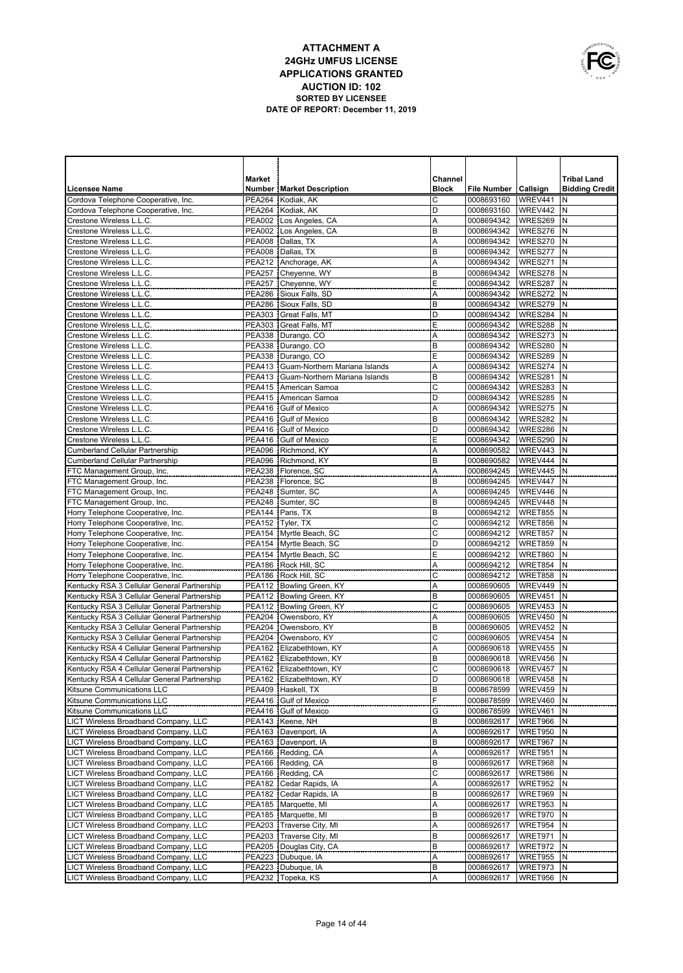

|                                                                                            | Market |                                                      | Channel           |                          |                    | <b>Tribal Land</b>    |
|--------------------------------------------------------------------------------------------|--------|------------------------------------------------------|-------------------|--------------------------|--------------------|-----------------------|
| <b>Licensee Name</b>                                                                       |        | <b>Number   Market Description</b>                   | <b>Block</b>      | File Number   Callsign   |                    | <b>Bidding Credit</b> |
| Cordova Telephone Cooperative, Inc.                                                        |        | PEA264 Kodiak, AK                                    | C                 | 0008693160               | WREV441            | N                     |
| Cordova Telephone Cooperative, Inc.                                                        |        | PEA264 Kodiak, AK                                    | D                 | 0008693160               | WREV442            | N                     |
| Crestone Wireless L.L.C.                                                                   |        | PEA002 Los Angeles, CA                               | A                 | 0008694342               | WRES269            | N                     |
| Crestone Wireless L.L.C.                                                                   |        | PEA002   Los Angeles, CA                             | B                 | 0008694342               | WRES276            | N                     |
| Crestone Wireless L.L.C.                                                                   |        | PEA008 Dallas, TX                                    | A                 | 0008694342               | WRES270            | N                     |
| Crestone Wireless L.L.C.                                                                   |        | PEA008 Dallas, TX                                    | B                 | 0008694342               | WRES277            | N                     |
| Crestone Wireless L.L.C.                                                                   |        | PEA212 Anchorage, AK                                 | A                 | 0008694342               | WRES271            | N                     |
| Crestone Wireless L.L.C.                                                                   |        | PEA257 Cheyenne, WY                                  | B                 | 0008694342               | WRES278            | N                     |
| Crestone Wireless L.L.C.                                                                   |        | PEA257 Cheyenne, WY                                  | Е                 | 0008694342               | WRES287            | N                     |
| Crestone Wireless L.L.C.<br>Crestone Wireless L.L.C.                                       |        | PEA286 Sioux Falls, SD<br>PEA286 Sioux Falls, SD     | Α<br>B            | 0008694342               | WRES272            | IN.<br>N              |
| Crestone Wireless L.L.C.                                                                   |        | PEA303 Great Falls, MT                               | D                 | 0008694342<br>0008694342 | WRES279<br>WRES284 | N                     |
| Crestone Wireless L.L.C.                                                                   |        | PEA303 Great Falls, MT                               | Е                 | 0008694342               | WRES288            | N                     |
| Crestone Wireless L.L.C.                                                                   |        | PEA338   Durango, CO                                 | Α                 | 0008694342               | WRES273            | N                     |
| Crestone Wireless L.L.C.                                                                   |        | PEA338   Durango, CO                                 | B                 | 0008694342               | WRES280            | N                     |
| Crestone Wireless L.L.C.                                                                   |        | PEA338   Durango, CO                                 | Ε                 | 0008694342               | WRES289            | N                     |
| Crestone Wireless L.L.C.                                                                   |        | PEA413   Guam-Northern Mariana Islands               | A                 | 0008694342               | WRES274            | N                     |
| Crestone Wireless L.L.C.                                                                   |        | PEA413 Guam-Northern Mariana Islands                 | B                 | 0008694342               | WRES281            | $\mathsf{N}$          |
| Crestone Wireless L.L.C.                                                                   |        | PEA415 American Samoa                                | C                 | 0008694342               | WRES283            | N                     |
| Crestone Wireless L.L.C.                                                                   |        | PEA415   American Samoa                              | D                 | 0008694342               | WRES285            | $\mathsf{N}$          |
| Crestone Wireless L.L.C.                                                                   |        | PEA416 Gulf of Mexico                                | A                 | 0008694342               | WRES275            | N                     |
| Crestone Wireless L.L.C.                                                                   |        | PEA416 Gulf of Mexico                                | B                 | 0008694342               | WRES282            | N                     |
| Crestone Wireless L.L.C.                                                                   |        | PEA416 Gulf of Mexico                                | D                 | 0008694342               | WRES286            | N                     |
| Crestone Wireless L.L.C.                                                                   |        | PEA416 Gulf of Mexico                                | Ε                 | 0008694342               | WRES290            | N                     |
| <b>Cumberland Cellular Partnership</b>                                                     |        | PEA096 Richmond, KY                                  | A                 | 0008690582               | WREV443            | N                     |
| <b>Cumberland Cellular Partnership</b>                                                     |        | PEA096 Richmond, KY                                  | B                 | 0008690582               | WREV444            | $\mathsf{N}$          |
| FTC Management Group, Inc.                                                                 |        | PEA238   Florence, SC<br>PEA238   Florence, SC       | A<br>B            | 0008694245<br>0008694245 | WREV445<br>WREV447 | N<br>$\mathsf{N}$     |
| FTC Management Group, Inc.<br>FTC Management Group, Inc.                                   |        | PEA248 Sumter, SC                                    | A                 | 0008694245               | WREV446            | N                     |
| FTC Management Group, Inc.                                                                 |        | PEA248 Sumter, SC                                    | B                 | 0008694245               | WREV448            | N                     |
| Horry Telephone Cooperative, Inc.                                                          |        | PEA144 Paris, TX                                     | B                 | 0008694212               | WRET855            | N                     |
| Horry Telephone Cooperative, Inc.                                                          |        | PEA152 Tyler, TX                                     | C                 | 0008694212               | <b>WRET856</b>     | N                     |
| Horry Telephone Cooperative, Inc.                                                          |        | PEA154 Myrtle Beach, SC                              | $\mathsf{C}$      | 0008694212               | WRET857            | N                     |
| Horry Telephone Cooperative, Inc.                                                          |        | PEA154 Myrtle Beach, SC                              | D                 | 0008694212               | WRET859            | N                     |
| Horry Telephone Cooperative, Inc.                                                          |        | PEA154 Myrtle Beach, SC                              | Ε                 | 0008694212               | WRET860            | N                     |
| Horry Telephone Cooperative, Inc.                                                          |        | PEA186 Rock Hill, SC                                 | Α                 | 0008694212               | WRET854            | $\mathsf{N}$          |
| Horry Telephone Cooperative, Inc.                                                          |        | PEA186   Rock Hill, SC                               | $\mathsf{C}$      | 0008694212               | WRET858            | N                     |
| Kentucky RSA 3 Cellular General Partnership                                                |        | PEA112   Bowling Green, KY                           | Α                 | 0008690605               | WREV449            | N                     |
| Kentucky RSA 3 Cellular General Partnership                                                |        | PEA112   Bowling Green, KY                           | B                 | 0008690605               | WREV451            | N                     |
| Kentucky RSA 3 Cellular General Partnership                                                |        | PEA112   Bowling Green, KY                           | C                 | 0008690605               | WREV453            | N                     |
| Kentucky RSA 3 Cellular General Partnership                                                |        | PEA204   Owensboro, KY                               | A                 | 0008690605               | <b>WREV450</b>     | N<br>N                |
| Kentucky RSA 3 Cellular General Partnership<br>Kentucky RSA 3 Cellular General Partnership |        | PEA204 Owensboro, KY<br>PEA204 Owensboro, KY         | B<br>$\mathsf{C}$ | 0008690605<br>0008690605 | WREV452<br>WREV454 | N                     |
| Kentucky RSA 4 Cellular General Partnership                                                |        | PEA162 Elizabethtown, KY                             | Α                 | 0008690618               | <b>WREV455</b>     | N                     |
| Kentucky RSA 4 Cellular General Partnership                                                |        | PEA162 Elizabethtown, KY                             | B                 | 0008690618               | WREV456            | N                     |
| Kentucky RSA 4 Cellular General Partnership                                                |        | PEA162 Elizabethtown, KY                             | $\mathsf{C}$      | 0008690618               | <b>WREV457</b>     | N                     |
| Kentucky RSA 4 Cellular General Partnership                                                |        | PEA162 Elizabethtown, KY                             | D                 | 0008690618               | WREV458 N          |                       |
| Kitsune Communications LLC                                                                 |        | PEA409 Haskell, TX                                   | B                 | 0008678599               | WREV459            | IN.                   |
| Kitsune Communications LLC                                                                 |        | PEA416 Gulf of Mexico                                | F                 | 0008678599               | WREV460            | Ν                     |
| Kitsune Communications LLC                                                                 |        | PEA416 Gulf of Mexico                                | G                 | 0008678599               | WREV461            | N                     |
| LICT Wireless Broadband Company, LLC                                                       |        | PEA143 Keene, NH                                     | B                 | 0008692617               | WRET966            | Ν                     |
| LICT Wireless Broadband Company, LLC                                                       |        | PEA163 Davenport, IA                                 | Α                 | 0008692617               | WRET950            | N                     |
| LICT Wireless Broadband Company, LLC                                                       |        | PEA163 Davenport, IA                                 | B                 | 0008692617               | WRET967            | Ν                     |
| LICT Wireless Broadband Company, LLC                                                       |        | PEA166 Redding, CA                                   | Α                 | 0008692617               | WRET951            | Ν                     |
| LICT Wireless Broadband Company, LLC                                                       |        | PEA166 Redding, CA                                   | B                 | 0008692617               | WRET968            | N                     |
| LICT Wireless Broadband Company, LLC                                                       |        | PEA166 Redding, CA                                   | C                 | 0008692617               | WRET986            | N                     |
| LICT Wireless Broadband Company, LLC                                                       |        | PEA182   Cedar Rapids, IA<br>PEA182 Cedar Rapids, IA | Α<br>B            | 0008692617               | WRET952            | Ν                     |
| LICT Wireless Broadband Company, LLC<br>LICT Wireless Broadband Company, LLC               |        | PEA185   Marquette, MI                               | Α                 | 0008692617<br>0008692617 | WRET969<br>WRET953 | Ν<br>Ν                |
| LICT Wireless Broadband Company, LLC                                                       |        | PEA185   Marquette, MI                               | B                 | 0008692617               | WRET970            | N                     |
| LICT Wireless Broadband Company, LLC                                                       |        | PEA203 Traverse City, MI                             | Α                 | 0008692617               | WRET954            | Ν                     |
| LICT Wireless Broadband Company, LLC                                                       |        | PEA203 Traverse City, MI                             | B                 | 0008692617               | WRET971            | N                     |
| LICT Wireless Broadband Company, LLC                                                       |        | PEA205   Douglas City, CA                            | B                 | 0008692617               | WRET972            | Ν                     |
| LICT Wireless Broadband Company, LLC                                                       |        | PEA223 Dubuque, IA                                   | Α                 | 0008692617               | WRET955            | N                     |
| LICT Wireless Broadband Company, LLC                                                       |        | PEA223 Dubuque, IA                                   | В                 | 0008692617               | WRET973            | Ν                     |
| LICT Wireless Broadband Company, LLC                                                       |        | PEA232   Topeka, KS                                  | Α                 | 0008692617               | WRET956            | IN.                   |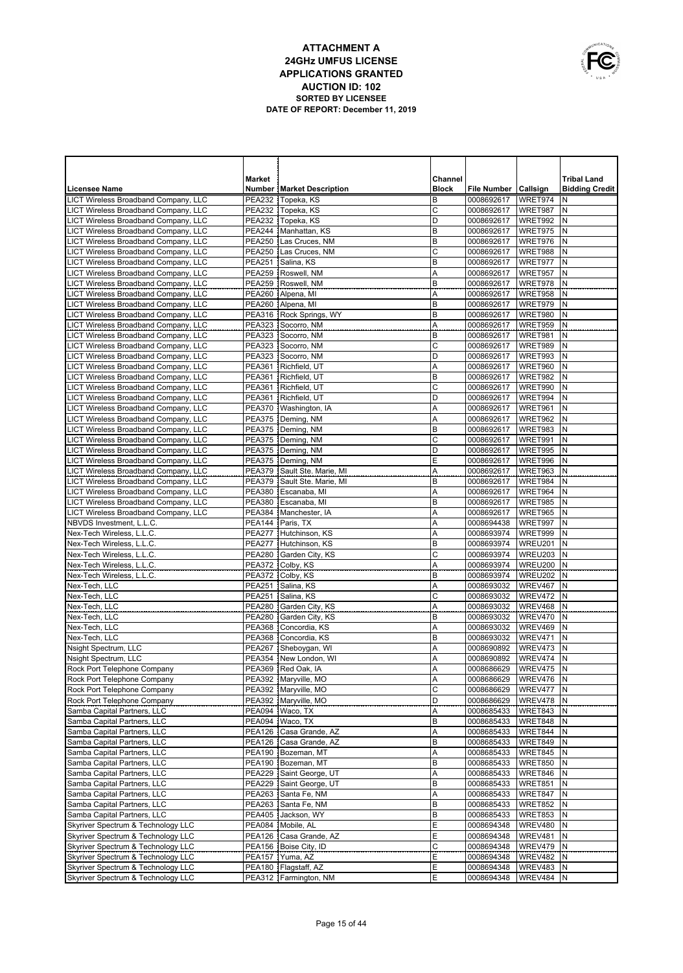

|                                                                                     | <b>Market</b>                  |                                                    | Channel      |                          |                    | <b>Tribal Land</b>    |
|-------------------------------------------------------------------------------------|--------------------------------|----------------------------------------------------|--------------|--------------------------|--------------------|-----------------------|
| <b>Licensee Name</b>                                                                |                                | <b>Number   Market Description</b>                 | <b>Block</b> | File Number   Callsign   |                    | <b>Bidding Credit</b> |
| LICT Wireless Broadband Company, LLC                                                | <b>PEA232</b>                  | Topeka, KS                                         | B            | 0008692617               | WRET974            | N                     |
| LICT Wireless Broadband Company, LLC                                                | PEA232                         | Topeka, KS                                         | C            | 0008692617               | WRET987            | N                     |
| LICT Wireless Broadband Company, LLC                                                | <b>PEA232</b>                  | Topeka, KS                                         | D            | 0008692617               | WRET992            | N                     |
| LICT Wireless Broadband Company, LLC                                                |                                | PEA244   Manhattan, KS                             | B            | 0008692617               | WRET975            | N                     |
| LICT Wireless Broadband Company, LLC                                                |                                | PEA250 Las Cruces, NM                              | B            | 0008692617               | WRET976            | N                     |
| LICT Wireless Broadband Company, LLC                                                |                                | PEA250 Las Cruces, NM                              | C<br>B       | 0008692617               | WRET988            | N<br>N                |
| LICT Wireless Broadband Company, LLC<br>LICT Wireless Broadband Company, LLC        | <b>PEA251</b><br><b>PEA259</b> | Salina, KS<br>Roswell, NM                          | A            | 0008692617<br>0008692617 | WRET977<br>WRET957 | N                     |
| LICT Wireless Broadband Company, LLC                                                |                                | PEA259 Roswell, NM                                 | B            | 0008692617               | WRET978            | N                     |
| LICT Wireless Broadband Company, LLC                                                |                                | PEA260   Alpena, MI                                | A            | 0008692617               | WRET958            | N                     |
| LICT Wireless Broadband Company, LLC                                                |                                | PEA260 Alpena, MI                                  | B            | 0008692617               | WRET979            | N                     |
| LICT Wireless Broadband Company, LLC                                                |                                | PEA316 Rock Springs, WY                            | B            | 0008692617               | WRET980            | N                     |
| LICT Wireless Broadband Company, LLC                                                |                                | PEA323 Socorro, NM                                 | Α            | 0008692617               | WRET959            | N                     |
| LICT Wireless Broadband Company, LLC                                                |                                | PEA323 Socorro, NM                                 | B            | 0008692617               | WRET981            | N                     |
| LICT Wireless Broadband Company, LLC                                                | <b>PEA323</b>                  | Socorro, NM                                        | C            | 0008692617               | WRET989            | N                     |
| LICT Wireless Broadband Company, LLC                                                |                                | PEA323 Socorro, NM                                 | D            | 0008692617               | WRET993            | N                     |
| LICT Wireless Broadband Company, LLC                                                |                                | PEA361 Richfield, UT                               | Α            | 0008692617               | WRET960            | N                     |
| LICT Wireless Broadband Company, LLC                                                | <b>PEA361</b>                  | Richfield, UT                                      | B            | 0008692617               | WRET982            | N                     |
| <b>LICT Wireless Broadband Company, LLC</b>                                         | <b>PEA361</b>                  | Richfield, UT                                      | C            | 0008692617               | WRET990            | N                     |
| LICT Wireless Broadband Company, LLC                                                | <b>PEA361</b>                  | Richfield, UT                                      | D            | 0008692617               | WRET994            | N                     |
| LICT Wireless Broadband Company, LLC                                                |                                | PEA370   Washington, IA                            | Α            | 0008692617               | WRET961            | N                     |
| LICT Wireless Broadband Company, LLC                                                | <b>PEA375</b>                  | Deming, NM                                         | Α            | 0008692617               | WRET962            | N                     |
| LICT Wireless Broadband Company, LLC                                                | <b>PEA375</b>                  | Deming, NM                                         | B            | 0008692617               | WRET983<br>WRET991 | N<br>N                |
| LICT Wireless Broadband Company, LLC<br><b>LICT Wireless Broadband Company, LLC</b> |                                | PEA375   Deming, NM<br>PEA375   Deming, NM         | C<br>D       | 0008692617<br>0008692617 | WRET995            | N                     |
| LICT Wireless Broadband Company, LLC                                                |                                | PEA375 Deming, NM                                  | Ε            | 0008692617               | WRET996            | N                     |
| <b>LICT Wireless Broadband Company, LLC</b>                                         |                                | PEA379 Sault Ste. Marie, MI                        | Α            | 0008692617               | WRET963            | N                     |
| LICT Wireless Broadband Company, LLC                                                |                                | PEA379 Sault Ste. Marie, MI                        | B            | 0008692617               | WRET984            | N                     |
| LICT Wireless Broadband Company, LLC                                                |                                | PEA380 Escanaba, MI                                | Α            | 0008692617               | WRET964            | N                     |
| LICT Wireless Broadband Company, LLC                                                |                                | PEA380 Escanaba, MI                                | B            | 0008692617               | WRET985            | N                     |
| LICT Wireless Broadband Company, LLC                                                |                                | PEA384   Manchester, IA                            | Α            | 0008692617               | WRET965            | N                     |
| NBVDS Investment, L.L.C.                                                            |                                | PEA144 Paris, TX                                   | Α            | 0008694438               | WRET997            | N                     |
| Nex-Tech Wireless, L.L.C.                                                           |                                | PEA277 Hutchinson, KS                              | A            | 0008693974               | WRET999            | N                     |
| Nex-Tech Wireless, L.L.C.                                                           |                                | PEA277 Hutchinson, KS                              | B            | 0008693974               | WREU201            | N                     |
| Nex-Tech Wireless, L.L.C.                                                           |                                | PEA280   Garden City, KS                           | $\mathsf{C}$ | 0008693974               | WREU203            | N                     |
| Nex-Tech Wireless, L.L.C.                                                           |                                | PEA372 Colby, KS                                   | A            | 0008693974               | WREU200            | N                     |
| Nex-Tech Wireless, L.L.C.                                                           |                                | PEA372 Colby, KS                                   | B            | 0008693974               | WREU202            | N                     |
| Nex-Tech, LLC                                                                       |                                | PEA251 Salina, KS                                  | Α            | 0008693032               | WREV467            | N                     |
| Nex-Tech, LLC                                                                       | PEA251                         | Salina, KS                                         | $\mathsf{C}$ | 0008693032               | WREV472<br>WREV468 | N                     |
| Nex-Tech, LLC<br>Nex-Tech, LLC                                                      | <b>PEA280</b><br><b>PEA280</b> | Garden City, KS<br>Garden City, KS                 | Α<br>B       | 0008693032<br>0008693032 | WREV470            | N<br>N                |
| Nex-Tech, LLC                                                                       | <b>PEA368</b>                  | Concordia, KS                                      | Α            | 0008693032               | WREV469            | N                     |
| Nex-Tech, LLC                                                                       | <b>PEA368</b>                  | Concordia, KS                                      | B            | 0008693032               | WREV471            | N                     |
| Nsight Spectrum, LLC                                                                | <b>PEA267</b>                  | Sheboygan, WI                                      | A            | 0008690892               | WREV473            | N                     |
| Nsight Spectrum, LLC                                                                | <b>PEA354</b>                  | New London, WI                                     | A            | 0008690892               | WREV474            | N                     |
| Rock Port Telephone Company                                                         | <b>PEA369</b>                  | Red Oak, IA                                        | Α            | 0008686629               | WREV475            | N                     |
| Rock Port Telephone Company                                                         |                                | PEA392   Maryville, MO                             | Α            | 0008686629               | WREV476 N          |                       |
| Rock Port Telephone Company                                                         |                                | PEA392 Maryville, MO                               | C            | 0008686629               | WREV477            | N                     |
| Rock Port Telephone Company                                                         |                                | PEA392 Maryville, MO                               | D            | 0008686629               | WREV478            | N                     |
| Samba Capital Partners, LLC                                                         |                                | PEA094   Waco, TX                                  | Α            | 0008685433               | WRET843            | N                     |
| Samba Capital Partners, LLC                                                         |                                | PEA094   Waco, TX                                  | B            | 0008685433               | WRET848            | N                     |
| Samba Capital Partners, LLC                                                         | <b>PEA126</b>                  | Casa Grande, AZ                                    | Α            | 0008685433               | WRET844            | N                     |
| Samba Capital Partners, LLC                                                         |                                | PEA126   Casa Grande, AZ                           | B            | 0008685433               | WRET849            | Ν                     |
| Samba Capital Partners, LLC                                                         |                                | PEA190   Bozeman, MT                               | Α            | 0008685433               | WRET845            | N                     |
| Samba Capital Partners, LLC                                                         |                                | PEA190 Bozeman, MT                                 | B            | 0008685433               | WRET850            | N                     |
| Samba Capital Partners, LLC                                                         |                                | PEA229 Saint George, UT<br>PEA229 Saint George, UT | Α<br>B       | 0008685433               | WRET846            | N<br>Ν                |
| Samba Capital Partners, LLC<br>Samba Capital Partners, LLC                          |                                | PEA263 Santa Fe, NM                                | Α            | 0008685433<br>0008685433 | WRET851<br>WRET847 | N                     |
| Samba Capital Partners, LLC                                                         |                                | PEA263 Santa Fe, NM                                | B            | 0008685433               | <b>WRET852</b>     | N                     |
| Samba Capital Partners, LLC                                                         | PEA405                         | Jackson, WY                                        | B            | 0008685433               | WRET853            | N                     |
| Skyriver Spectrum & Technology LLC                                                  |                                | PEA084 Mobile, AL                                  | E            | 0008694348               | WREV480            | N                     |
| Skyriver Spectrum & Technology LLC                                                  |                                | PEA126   Casa Grande, AZ                           | Ε            | 0008694348               | WREV481            | N                     |
| Skyriver Spectrum & Technology LLC                                                  |                                | PEA156 Boise City, ID                              | C            | 0008694348               | WREV479            | N                     |
| Skyriver Spectrum & Technology LLC                                                  |                                | PEA157 Yuma, AZ                                    | Ε            | 0008694348               | WREV482            | N                     |
| Skyriver Spectrum & Technology LLC                                                  |                                | PEA180   Flagstaff, AZ                             | Ε            | 0008694348               | WREV483            | Ν                     |
| Skyriver Spectrum & Technology LLC                                                  |                                | PEA312 Farmington, NM                              | Ε            | 0008694348               | WREV484 N          |                       |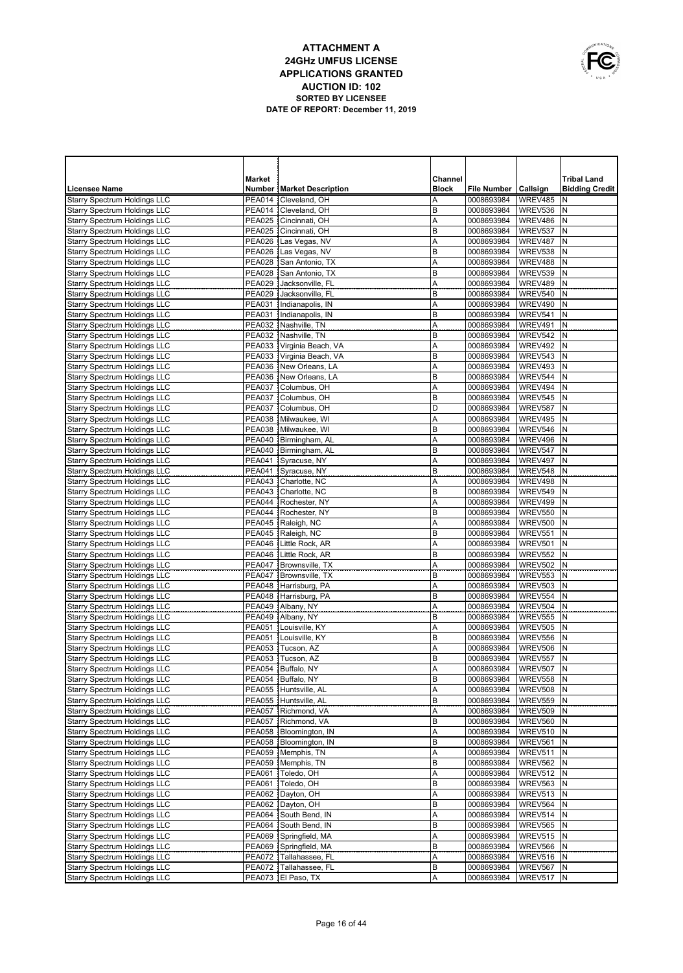

|                                                                            | <b>Market</b>                  |                                     | Channel      |                          |                    | <b>Tribal Land</b>    |
|----------------------------------------------------------------------------|--------------------------------|-------------------------------------|--------------|--------------------------|--------------------|-----------------------|
| Licensee Name                                                              |                                | <b>Number   Market Description</b>  | <b>Block</b> | <b>File Number</b>       | Callsign           | <b>Bidding Credit</b> |
| <b>Starry Spectrum Holdings LLC</b>                                        | <b>PEA014</b>                  | Cleveland, OH                       | Α            | 0008693984               | WREV485            | N                     |
| <b>Starry Spectrum Holdings LLC</b>                                        | <b>PEA014</b>                  | Cleveland, OH                       | B            | 0008693984               | WREV536            | N                     |
| <b>Starry Spectrum Holdings LLC</b>                                        | <b>PEA025</b>                  | Cincinnati, OH                      | Α            | 0008693984               | WREV486            | N                     |
| <b>Starry Spectrum Holdings LLC</b>                                        | <b>PEA025</b>                  | Cincinnati, OH                      | B            | 0008693984               | WREV537            | N                     |
| <b>Starry Spectrum Holdings LLC</b>                                        | <b>PEA026</b>                  | Las Vegas, NV                       | Α            | 0008693984               | WREV487            | N                     |
| <b>Starry Spectrum Holdings LLC</b>                                        | <b>PEA026</b>                  | Las Vegas, NV                       | B            | 0008693984               | WREV538            | N                     |
| <b>Starry Spectrum Holdings LLC</b>                                        | <b>PEA028</b>                  | San Antonio, TX                     | Α            | 0008693984               | WREV488            | N                     |
| <b>Starry Spectrum Holdings LLC</b><br><b>Starry Spectrum Holdings LLC</b> | <b>PEA028</b><br><b>PEA029</b> | San Antonio, TX<br>Jacksonville, FL | B<br>A       | 0008693984<br>0008693984 | WREV539<br>WREV489 | N<br>N                |
| <b>Starry Spectrum Holdings LLC</b>                                        | <b>PEA029</b>                  | Jacksonville, FL                    | B            | 0008693984               | WREV540            | N                     |
| Starry Spectrum Holdings LLC                                               | <b>PEA031</b>                  | Indianapolis, IN                    | Α            | 0008693984               | WREV490            | N                     |
| Starry Spectrum Holdings LLC                                               |                                | PEA031   Indianapolis, IN           | B            | 0008693984               | WREV541            | N                     |
| Starry Spectrum Holdings LLC                                               | <b>PEA032</b>                  | Nashville, TN                       | Α            | 0008693984               | WREV491            | N                     |
| Starry Spectrum Holdings LLC                                               |                                | PEA032   Nashville, TN              | B            | 0008693984               | WREV542            | N                     |
| <b>Starry Spectrum Holdings LLC</b>                                        | <b>PEA033</b>                  | Virginia Beach, VA                  | A            | 0008693984               | WREV492            | N                     |
| <b>Starry Spectrum Holdings LLC</b>                                        | <b>PEA033</b>                  | Virginia Beach, VA                  | B            | 0008693984               | WREV543            | N                     |
| <b>Starry Spectrum Holdings LLC</b>                                        |                                | PEA036 New Orleans, LA              | A            | 0008693984               | WREV493            | N                     |
| <b>Starry Spectrum Holdings LLC</b>                                        |                                | PEA036 New Orleans, LA              | B            | 0008693984               | WREV544            | N                     |
| Starry Spectrum Holdings LLC                                               | <b>PEA037</b>                  | Columbus, OH                        | A            | 0008693984               | WREV494            | N                     |
| <b>Starry Spectrum Holdings LLC</b>                                        | <b>PEA037</b>                  | Columbus, OH                        | B            | 0008693984               | WREV545            | N                     |
| <b>Starry Spectrum Holdings LLC</b>                                        | <b>PEA037</b>                  | Columbus, OH                        | D            | 0008693984               | WREV587            | N                     |
| <b>Starry Spectrum Holdings LLC</b>                                        |                                | PEA038 Milwaukee, WI                | Α            | 0008693984               | WREV495            | N                     |
| <b>Starry Spectrum Holdings LLC</b>                                        | <b>PEA038</b><br><b>PEA040</b> | Milwaukee, WI                       | B            | 0008693984               | WREV546            | N<br>N                |
| <b>Starry Spectrum Holdings LLC</b><br><b>Starry Spectrum Holdings LLC</b> | <b>PEA040</b>                  | Birmingham, AL<br>Birmingham, AL    | A<br>B       | 0008693984<br>0008693984 | WREV496<br>WREV547 | N                     |
| <b>Starry Spectrum Holdings LLC</b>                                        | <b>PEA041</b>                  | Syracuse, NY                        | Α            | 0008693984               | WREV497            | N                     |
| <b>Starry Spectrum Holdings LLC</b>                                        | <b>PEA041</b>                  | Syracuse, NY                        | B            | 0008693984               | WREV548            | N                     |
| <b>Starry Spectrum Holdings LLC</b>                                        | <b>PEA043</b>                  | Charlotte, NC                       | A            | 0008693984               | WREV498            | N                     |
| <b>Starry Spectrum Holdings LLC</b>                                        | <b>PEA043</b>                  | Charlotte, NC                       | B            | 0008693984               | WREV549            | N                     |
| <b>Starry Spectrum Holdings LLC</b>                                        | <b>PEA044</b>                  | Rochester, NY                       | A            | 0008693984               | WREV499            | N                     |
| Starry Spectrum Holdings LLC                                               | <b>PEA044</b>                  | Rochester, NY                       | B            | 0008693984               | WREV550            | N                     |
| <b>Starry Spectrum Holdings LLC</b>                                        | <b>PEA045</b>                  | Raleigh, NC                         | Α            | 0008693984               | <b>WREV500</b>     | N                     |
| Starry Spectrum Holdings LLC                                               | <b>PEA045</b>                  | Raleigh, NC                         | B            | 0008693984               | WREV551            | N                     |
| Starry Spectrum Holdings LLC                                               | <b>PEA046</b>                  | Little Rock, AR                     | Α            | 0008693984               | WREV501            | N                     |
| Starry Spectrum Holdings LLC                                               | <b>PEA046</b>                  | Little Rock, AR                     | B            | 0008693984               | WREV552            | N                     |
| Starry Spectrum Holdings LLC                                               | <b>PEA047</b>                  | Brownsville, TX                     | Α            | 0008693984               | <b>WREV502</b>     | N                     |
| Starry Spectrum Holdings LLC                                               | <b>PEA047</b>                  | Brownsville, TX                     | B            | 0008693984               | WREV553            | N                     |
| Starry Spectrum Holdings LLC                                               | <b>PEA048</b><br><b>PEA048</b> | Harrisburg, PA                      | Α<br>B       | 0008693984               | WREV503            | N<br>N                |
| Starry Spectrum Holdings LLC<br>Starry Spectrum Holdings LLC               | <b>PEA049</b>                  | Harrisburg, PA<br>Albany, NY        | Α            | 0008693984<br>0008693984 | WREV554<br>WREV504 | N                     |
| <b>Starry Spectrum Holdings LLC</b>                                        | <b>PEA049</b>                  | Albany, NY                          | B            | 0008693984               | <b>WREV555</b>     | N                     |
| Starry Spectrum Holdings LLC                                               | <b>PEA051</b>                  | Louisville, KY                      | Α            | 0008693984               | <b>WREV505</b>     | N                     |
| <b>Starry Spectrum Holdings LLC</b>                                        | <b>PEA051</b>                  | Louisville, KY                      | B            | 0008693984               | WREV556            | N                     |
| Starry Spectrum Holdings LLC                                               | <b>PEA053</b>                  | Tucson, AZ                          | Α            | 0008693984               | WREV506            | N                     |
| Starry Spectrum Holdings LLC                                               | <b>PEA053</b>                  | Tucson, AZ                          | B            | 0008693984               | WREV557            | N                     |
| Starry Spectrum Holdings LLC                                               | <b>PEA054</b>                  | Buffalo, NY                         | Α            | 0008693984               | WREV507            | N                     |
| <b>Starry Spectrum Holdings LLC</b>                                        |                                | PEA054   Buffalo, NY                | В            | 0008693984               | <b>WREV558 N</b>   |                       |
| Starry Spectrum Holdings LLC                                               |                                | PEA055 Huntsville, AL               | A            | 0008693984               | <b>WREV508</b>     | N                     |
| Starry Spectrum Holdings LLC                                               |                                | PEA055 Huntsville, AL               | B            | 0008693984               | <b>WREV559</b>     | N                     |
| <b>Starry Spectrum Holdings LLC</b>                                        | <b>PEA057</b>                  | Richmond, VA                        | A            | 0008693984               | WREV509            | N                     |
| <b>Starry Spectrum Holdings LLC</b><br>Starry Spectrum Holdings LLC        | <b>PEA057</b>                  | Richmond, VA                        | B            | 0008693984               | <b>WREV560</b>     | N                     |
| <b>Starry Spectrum Holdings LLC</b>                                        | <b>PEA058</b><br>PEA058        | Bloomington, IN<br>Bloomington, IN  | A<br>B       | 0008693984<br>0008693984 | WREV510<br>WREV561 | N<br>N                |
| <b>Starry Spectrum Holdings LLC</b>                                        | PEA059                         | Memphis, TN                         | A            | 0008693984               | WREV511            | N                     |
| Starry Spectrum Holdings LLC                                               |                                | PEA059 Memphis, TN                  | B            | 0008693984               | WREV562            | N                     |
| <b>Starry Spectrum Holdings LLC</b>                                        | <b>PEA061</b>                  | Toledo, OH                          | A            | 0008693984               | WREV512            | N                     |
| <b>Starry Spectrum Holdings LLC</b>                                        | <b>PEA061</b>                  | Toledo, OH                          | B            | 0008693984               | WREV563            | N                     |
| Starry Spectrum Holdings LLC                                               | <b>PEA062</b>                  | Dayton, OH                          | Α            | 0008693984               | WREV513            | N                     |
| <b>Starry Spectrum Holdings LLC</b>                                        | <b>PEA062</b>                  | Dayton, OH                          | B            | 0008693984               | WREV564            | N                     |
| <b>Starry Spectrum Holdings LLC</b>                                        | <b>PEA064</b>                  | South Bend, IN                      | Α            | 0008693984               | WREV514            | N                     |
| <b>Starry Spectrum Holdings LLC</b>                                        |                                | PEA064 South Bend, IN               | B            | 0008693984               | WREV565            | Ν                     |
| <b>Starry Spectrum Holdings LLC</b>                                        | <b>PEA069</b>                  | Springfield, MA                     | Α            | 0008693984               | WREV515            | N                     |
| <b>Starry Spectrum Holdings LLC</b>                                        |                                | PEA069 Springfield, MA              | B            | 0008693984               | WREV566            | Ν                     |
| <b>Starry Spectrum Holdings LLC</b>                                        | PEA072                         | Tallahassee, FL                     | Α            | 0008693984               | WREV516            | N                     |
| Starry Spectrum Holdings LLC                                               | PEA072                         | Tallahassee, FL                     | B            | 0008693984               | WREV567            | Ν                     |
| <b>Starry Spectrum Holdings LLC</b>                                        |                                | PEA073 El Paso, TX                  | Α            | 0008693984               | WREV517 N          |                       |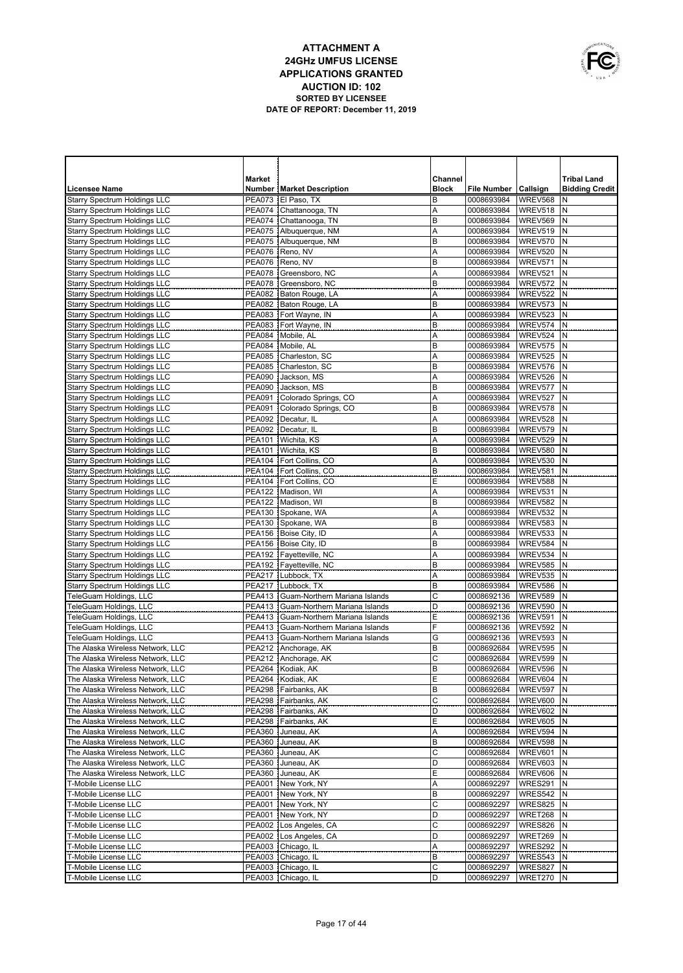

|                                                                            | Market                         |                                                                | Channel      |                          |                        | <b>Tribal Land</b>    |
|----------------------------------------------------------------------------|--------------------------------|----------------------------------------------------------------|--------------|--------------------------|------------------------|-----------------------|
| <b>Licensee Name</b>                                                       |                                | <b>Number   Market Description</b>                             | <b>Block</b> | <b>File Number</b>       | Callsign               | <b>Bidding Credit</b> |
| <b>Starry Spectrum Holdings LLC</b>                                        | <b>PEA073</b>                  | El Paso, TX                                                    | В            | 0008693984               | WREV568                | N                     |
| <b>Starry Spectrum Holdings LLC</b>                                        | <b>PEA074</b>                  | Chattanooga, TN                                                | Α            | 0008693984               | WREV518                | N                     |
| <b>Starry Spectrum Holdings LLC</b>                                        | <b>PEA074</b>                  | Chattanooga, TN                                                | B            | 0008693984               | WREV569                | N                     |
| <b>Starry Spectrum Holdings LLC</b>                                        | <b>PEA075</b>                  | Albuquerque, NM                                                | Α            | 0008693984               | WREV519                | N                     |
| <b>Starry Spectrum Holdings LLC</b>                                        | <b>PEA075</b>                  | Albuquerque, NM                                                | B            | 0008693984               | WREV570                | N                     |
| <b>Starry Spectrum Holdings LLC</b>                                        | <b>PEA076</b>                  | Reno, NV                                                       | A            | 0008693984               | WREV520                | N                     |
| <b>Starry Spectrum Holdings LLC</b>                                        | <b>PEA076</b>                  | Reno, NV                                                       | B            | 0008693984               | WREV571                | N                     |
| Starry Spectrum Holdings LLC                                               | <b>PEA078</b>                  | Greensboro, NC                                                 | Α            | 0008693984               | WREV521                | N                     |
| <b>Starry Spectrum Holdings LLC</b>                                        | <b>PEA078</b>                  | Greensboro, NC                                                 | B            | 0008693984               | WREV572                | N                     |
| <b>Starry Spectrum Holdings LLC</b>                                        |                                | PEA082 Baton Rouge, LA                                         | Α            | 0008693984               | WREV522                | N                     |
| <b>Starry Spectrum Holdings LLC</b>                                        |                                | PEA082 Baton Rouge, LA<br>PEA083   Fort Wayne, IN              | B<br>Α       | 0008693984<br>0008693984 | WREV573<br>WREV523     | N<br>N                |
| <b>Starry Spectrum Holdings LLC</b><br><b>Starry Spectrum Holdings LLC</b> |                                | PEA083   Fort Wayne, IN                                        | B            | 0008693984               | WREV574                | N                     |
| Starry Spectrum Holdings LLC                                               |                                | PEA084 Mobile, AL                                              | Α            | 0008693984               | WREV524                | N                     |
| Starry Spectrum Holdings LLC                                               |                                | PEA084 Mobile, AL                                              | B            | 0008693984               | WREV575                | N                     |
| Starry Spectrum Holdings LLC                                               |                                | PEA085 Charleston, SC                                          | Α            | 0008693984               | WREV525                | N                     |
| Starry Spectrum Holdings LLC                                               |                                | PEA085   Charleston, SC                                        | B            | 0008693984               | WREV576                | N                     |
| Starry Spectrum Holdings LLC                                               | <b>PEA090</b>                  | Jackson, MS                                                    | A            | 0008693984               | WREV526                | N                     |
| <b>Starry Spectrum Holdings LLC</b>                                        | <b>PEA090</b>                  | Jackson, MS                                                    | B            | 0008693984               | WREV577                | N                     |
| Starry Spectrum Holdings LLC                                               | <b>PEA091</b>                  | Colorado Springs, CO                                           | Α            | 0008693984               | WREV527                | N                     |
| <b>Starry Spectrum Holdings LLC</b>                                        | <b>PEA091</b>                  | Colorado Springs, CO                                           | B            | 0008693984               | WREV578                | N                     |
| Starry Spectrum Holdings LLC                                               |                                | PEA092   Decatur, IL                                           | A            | 0008693984               | WREV528                | N                     |
| Starry Spectrum Holdings LLC                                               | <b>PEA092</b>                  | Decatur, IL                                                    | B            | 0008693984               | WREV579                | N                     |
| <b>Starry Spectrum Holdings LLC</b>                                        |                                | PEA101 Wichita, KS                                             | Α            | 0008693984               | WREV529                | N                     |
| <b>Starry Spectrum Holdings LLC</b>                                        | <b>PEA101</b>                  | Wichita, KS                                                    | B            | 0008693984               | WREV580                | N                     |
| <b>Starry Spectrum Holdings LLC</b>                                        |                                | PEA104   Fort Collins, CO                                      | A            | 0008693984               | WREV530                | N                     |
| <b>Starry Spectrum Holdings LLC</b>                                        |                                | PEA104   Fort Collins, CO                                      | B            | 0008693984               | WREV581                | N                     |
| <b>Starry Spectrum Holdings LLC</b>                                        |                                | PEA104 Fort Collins, CO                                        | E            | 0008693984               | WREV588                | N                     |
| <b>Starry Spectrum Holdings LLC</b>                                        |                                | PEA122   Madison, WI                                           | Α            | 0008693984               | WREV531                | N                     |
| <b>Starry Spectrum Holdings LLC</b>                                        |                                | PEA122 Madison, WI                                             | B            | 0008693984               | WREV582                | N                     |
| <b>Starry Spectrum Holdings LLC</b>                                        | <b>PEA130</b>                  | Spokane, WA                                                    | Α            | 0008693984               | WREV532                | N                     |
| <b>Starry Spectrum Holdings LLC</b>                                        |                                | PEA130 Spokane, WA                                             | B            | 0008693984               | WREV583                | N                     |
| <b>Starry Spectrum Holdings LLC</b>                                        | <b>PEA156</b>                  | Boise City, ID                                                 | Α            | 0008693984               | WREV533                | N                     |
| <b>Starry Spectrum Holdings LLC</b>                                        |                                | PEA156 Boise City, ID                                          | B            | 0008693984               | WREV584                | N                     |
| <b>Starry Spectrum Holdings LLC</b>                                        |                                | PEA192 Fayetteville, NC                                        | Α            | 0008693984               | WREV534                | N                     |
| <b>Starry Spectrum Holdings LLC</b>                                        |                                | PEA192 Fayetteville, NC                                        | B            | 0008693984               | WREV585                | N                     |
| Starry Spectrum Holdings LLC                                               | <b>PEA217</b>                  | Lubbock, TX                                                    | Α            | 0008693984               | WREV535                | N                     |
| <b>Starry Spectrum Holdings LLC</b>                                        | <b>PEA217</b>                  | Lubbock, TX                                                    | B            | 0008693984               | WREV586                | N                     |
| TeleGuam Holdings, LLC                                                     | <b>PEA413</b><br><b>PEA413</b> | Guam-Northern Mariana Islands                                  | C<br>D       | 0008692136<br>0008692136 | WREV589<br>WREV590     | N<br>N                |
| TeleGuam Holdings, LLC<br>TeleGuam Holdings, LLC                           | <b>PEA413</b>                  | Guam-Northern Mariana Islands<br>Guam-Northern Mariana Islands | Ε            | 0008692136               | WREV591                | N                     |
| TeleGuam Holdings, LLC                                                     | <b>PEA413</b>                  | Guam-Northern Mariana Islands                                  | F            | 0008692136               | WREV592                | N                     |
| TeleGuam Holdings, LLC                                                     | <b>PEA413</b>                  | Guam-Northern Mariana Islands                                  | G            | 0008692136               | WREV593                | N                     |
| The Alaska Wireless Network, LLC                                           |                                | PEA212 Anchorage, AK                                           | B            | 0008692684               | WREV595                | N                     |
| The Alaska Wireless Network, LLC                                           |                                | PEA212 Anchorage, AK                                           | C            | 0008692684               | WREV599                | N                     |
| The Alaska Wireless Network, LLC                                           |                                | PEA264 Kodiak, AK                                              | B            | 0008692684               | WREV596                | N                     |
| The Alaska Wireless Network, LLC                                           |                                | PEA264 Kodiak, AK                                              | Ε            | 0008692684   WREV604 N   |                        |                       |
| The Alaska Wireless Network, LLC                                           |                                | PEA298 Fairbanks, AK                                           | B            | 0008692684               | WREV597 N              |                       |
| The Alaska Wireless Network, LLC                                           |                                | PEA298   Fairbanks, AK                                         | C            | 0008692684               | WREV600 N              |                       |
| The Alaska Wireless Network, LLC                                           |                                | PEA298 Fairbanks, AK                                           | D            | 0008692684               | WREV602 N              |                       |
| The Alaska Wireless Network, LLC                                           |                                | PEA298 Fairbanks, AK                                           | Ε            | 0008692684               | WREV605 N              |                       |
| The Alaska Wireless Network, LLC                                           |                                | PEA360 Juneau, AK                                              | Α            | 0008692684               | WREV594 N              |                       |
| The Alaska Wireless Network, LLC                                           |                                | PEA360 Juneau, AK                                              | B            | 0008692684               | WREV598 N              |                       |
| The Alaska Wireless Network, LLC                                           |                                | PEA360 Juneau, AK                                              | C            | 0008692684               | WREV601 N              |                       |
| The Alaska Wireless Network, LLC                                           |                                | PEA360 Juneau, AK                                              | D            | 0008692684               | WREV603 N              |                       |
| The Alaska Wireless Network, LLC                                           |                                | PEA360 Juneau, AK                                              | Ε            | 0008692684               | WREV606 N              |                       |
| T-Mobile License LLC                                                       |                                | PEA001 New York, NY                                            | Α            | 0008692297               | WRES291                | İΝ                    |
| T-Mobile License LLC                                                       |                                | PEA001 New York, NY                                            | B            | 0008692297               | WRES542 N              |                       |
| T-Mobile License LLC                                                       |                                | PEA001 New York, NY                                            | C            | 0008692297               | WRES825 N              |                       |
| T-Mobile License LLC                                                       |                                | PEA001 New York, NY                                            | D            | 0008692297               | WRET268 N              |                       |
| T-Mobile License LLC                                                       |                                | PEA002 Los Angeles, CA                                         | C            | 0008692297               | WRES826                | IN.                   |
| T-Mobile License LLC                                                       |                                | PEA002 Los Angeles, CA                                         | D            | 0008692297               | WRET269                | N                     |
| T-Mobile License LLC                                                       |                                | PEA003 Chicago, IL                                             | Α            | 0008692297               | WRES292                | N                     |
| T-Mobile License LLC<br>T-Mobile License LLC                               |                                | PEA003   Chicago, IL                                           | В            | 0008692297               | <b>WRES543 N</b>       |                       |
| T-Mobile License LLC                                                       |                                | PEA003   Chicago, IL<br>PEA003 Chicago, IL                     | С<br>D       | 0008692297<br>0008692297 | WRES827 N<br>WRET270 N |                       |
|                                                                            |                                |                                                                |              |                          |                        |                       |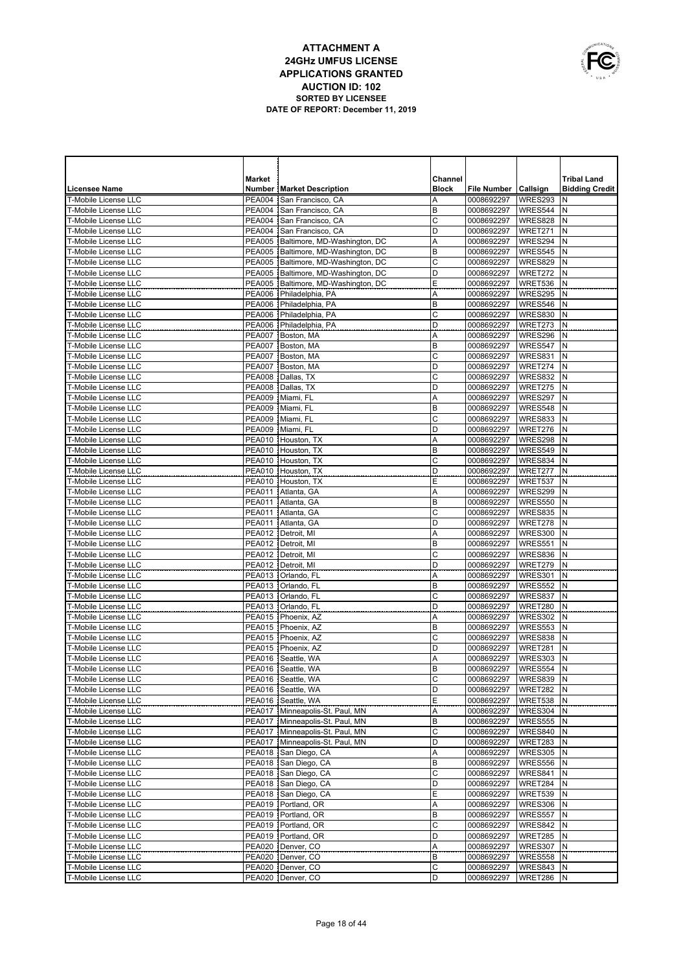

|                                                            | Market                         |                                                                      | Channel      |                          |                           | <b>Tribal Land</b>    |
|------------------------------------------------------------|--------------------------------|----------------------------------------------------------------------|--------------|--------------------------|---------------------------|-----------------------|
| <b>Licensee Name</b>                                       |                                | <b>Number   Market Description</b>                                   | <b>Block</b> | <b>File Number</b>       | Callsign                  | <b>Bidding Credit</b> |
| <b>T-Mobile License LLC</b>                                | <b>PEA004</b>                  | San Francisco, CA                                                    | Α            | 0008692297               | WRES293                   | N                     |
| <b>T-Mobile License LLC</b>                                | <b>PEA004</b>                  | San Francisco, CA                                                    | B            | 0008692297               | WRES544                   | N                     |
| <b>T-Mobile License LLC</b>                                | <b>PEA004</b>                  | San Francisco, CA                                                    | C            | 0008692297               | WRES828                   | N                     |
| T-Mobile License LLC                                       | <b>PEA004</b>                  | San Francisco, CA                                                    | D            | 0008692297               | WRET271                   | N                     |
| <b>T-Mobile License LLC</b>                                | PEA005                         | Baltimore, MD-Washington, DC                                         | Α            | 0008692297               | WRES294                   | N<br>N                |
| <b>T-Mobile License LLC</b><br><b>T-Mobile License LLC</b> | <b>PEA005</b><br>PEA005        | Baltimore, MD-Washington, DC<br>Baltimore, MD-Washington, DC         | B<br>C       | 0008692297<br>0008692297 | WRES545<br>WRES829        | N                     |
| <b>T-Mobile License LLC</b>                                | <b>PEA005</b>                  | Baltimore, MD-Washington, DC                                         | D            | 0008692297               | WRET272                   | N                     |
| <b>T-Mobile License LLC</b>                                | <b>PEA005</b>                  | Baltimore, MD-Washington, DC                                         | E            | 0008692297               | WRET536                   | N                     |
| <b>T-Mobile License LLC</b>                                | PEA006                         | Philadelphia, PA                                                     | Α            | 0008692297               | WRES295                   | N                     |
| <b>T-Mobile License LLC</b>                                | PEA006                         | Philadelphia, PA                                                     | B            | 0008692297               | WRES546                   | N                     |
| <b>T-Mobile License LLC</b>                                |                                | PEA006 Philadelphia, PA                                              | C            | 0008692297               | WRES830                   | N                     |
| <b>T-Mobile License LLC</b>                                | PEA006                         | Philadelphia, PA                                                     | D            | 0008692297               | WRET273                   | N                     |
| <b>T-Mobile License LLC</b>                                | <b>PEA007</b>                  | Boston, MA                                                           | A            | 0008692297               | WRES296                   | N                     |
| <b>T-Mobile License LLC</b>                                | <b>PEA007</b>                  | Boston, MA                                                           | B            | 0008692297               | WRES547                   | N                     |
| <b>T-Mobile License LLC</b>                                | <b>PEA007</b>                  | Boston, MA                                                           | C            | 0008692297               | WRES831                   | N                     |
| <b>T-Mobile License LLC</b>                                | PEA007                         | Boston, MA                                                           | D            | 0008692297               | WRET274                   | N                     |
| <b>T-Mobile License LLC</b>                                | <b>PEA008</b>                  | Dallas, TX                                                           | C            | 0008692297               | WRES832                   | N                     |
| <b>T-Mobile License LLC</b>                                | <b>PEA008</b>                  | Dallas, TX                                                           | D            | 0008692297               | WRET275                   | N                     |
| <b>T-Mobile License LLC</b>                                | <b>PEA009</b>                  | Miami, FL                                                            | A            | 0008692297               | WRES297                   | N                     |
| <b>T-Mobile License LLC</b>                                | <b>PEA009</b>                  | Miami, FL                                                            | B            | 0008692297               | WRES548                   | N                     |
| <b>T-Mobile License LLC</b>                                | <b>PEA009</b>                  | Miami, FL                                                            | C            | 0008692297               | WRES833                   | N<br>N                |
| <b>T-Mobile License LLC</b><br><b>T-Mobile License LLC</b> | <b>PEA009</b><br><b>PEA010</b> | Miami, FL<br>Houston, TX                                             | D<br>Α       | 0008692297<br>0008692297 | WRET276<br>WRES298        | N                     |
| <b>T-Mobile License LLC</b>                                | <b>PEA010</b>                  | Houston, TX                                                          | B            | 0008692297               | WRES549                   | N                     |
| <b>T-Mobile License LLC</b>                                | <b>PEA010</b>                  | Houston, TX                                                          | C            | 0008692297               | WRES834                   | N                     |
| <b>T-Mobile License LLC</b>                                | <b>PEA010</b>                  | Houston, TX                                                          | D            | 0008692297               | WRET277                   | N                     |
| <b>T-Mobile License LLC</b>                                | PEA010                         | Houston, TX                                                          | E            | 0008692297               | WRET537                   | N                     |
| <b>T-Mobile License LLC</b>                                | PEA011                         | Atlanta, GA                                                          | Α            | 0008692297               | WRES299                   | N                     |
| <b>T-Mobile License LLC</b>                                | PEA011                         | Atlanta, GA                                                          | B            | 0008692297               | WRES550                   | N                     |
| T-Mobile License LLC                                       | PEA011                         | Atlanta, GA                                                          | С            | 0008692297               | WRES835                   | N                     |
| <b>T-Mobile License LLC</b>                                | PEA011                         | Atlanta, GA                                                          | D            | 0008692297               | WRET278                   | N                     |
| <b>T-Mobile License LLC</b>                                | <b>PEA012</b>                  | Detroit, MI                                                          | Α            | 0008692297               | <b>WRES300</b>            | N                     |
| <b>T-Mobile License LLC</b>                                | <b>PEA012</b>                  | Detroit, MI                                                          | B            | 0008692297               | WRES551                   | N                     |
| <b>T-Mobile License LLC</b>                                | <b>PEA012</b>                  | Detroit, MI                                                          | C            | 0008692297               | WRES836                   | N                     |
| <b>T-Mobile License LLC</b>                                | <b>PEA012</b>                  | Detroit, MI                                                          | D            | 0008692297               | WRET279                   | N                     |
| <b>T-Mobile License LLC</b>                                | <b>PEA013</b>                  | Orlando, FL                                                          | Α            | 0008692297               | WRES301                   | N<br>N                |
| <b>T-Mobile License LLC</b><br><b>T-Mobile License LLC</b> | <b>PEA013</b><br><b>PEA013</b> | Orlando, FL<br>Orlando, FL                                           | B<br>С       | 0008692297<br>0008692297 | <b>WRES552</b><br>WRES837 | N                     |
| <b>T-Mobile License LLC</b>                                | PEA013                         | Orlando, FL                                                          | D            | 0008692297               | WRET280                   | N                     |
| T-Mobile License LLC                                       | <b>PEA015</b>                  | Phoenix, AZ                                                          | Α            | 0008692297               | WRES302                   | N                     |
| <b>T-Mobile License LLC</b>                                | <b>PEA015</b>                  | Phoenix, AZ                                                          | B            | 0008692297               | WRES553                   | N                     |
| <b>T-Mobile License LLC</b>                                | PEA015                         | Phoenix, AZ                                                          | С            | 0008692297               | WRES838                   | N                     |
| <b>T-Mobile License LLC</b>                                |                                | PEA015   Phoenix, AZ                                                 | D            | 0008692297               | WRET281                   | N                     |
| T-Mobile License LLC                                       | <b>PEA016</b>                  | Seattle, WA                                                          | Α            | 0008692297               | WRES303                   | N                     |
| T-Mobile License LLC                                       | <b>PEA016</b>                  | Seattle, WA                                                          | B            | 0008692297               | WRES554                   | N                     |
| T-Mobile License LLC                                       |                                | PEA016 Seattle, WA                                                   | С            | 0008692297   WRES839   N |                           |                       |
| T-Mobile License LLC                                       |                                | PEA016 Seattle, WA                                                   | D            | 0008692297               | WRET282 N                 |                       |
| T-Mobile License LLC                                       |                                | PEA016 Seattle, WA                                                   | Ε            | 0008692297               | WRET538 N                 |                       |
| T-Mobile License LLC                                       |                                | PEA017   Minneapolis-St. Paul, MN                                    | A            | 0008692297               | WRES304 N                 |                       |
| T-Mobile License LLC                                       |                                | PEA017 Minneapolis-St. Paul, MN                                      | В            | 0008692297               | WRES555 N                 |                       |
| T-Mobile License LLC<br>T-Mobile License LLC               |                                | PEA017   Minneapolis-St. Paul, MN<br>PEA017 Minneapolis-St. Paul, MN | C<br>D       | 0008692297<br>0008692297 | WRES840 N<br>WRET283      | N                     |
| T-Mobile License LLC                                       |                                | PEA018 San Diego, CA                                                 | Α            | 0008692297               | WRES305 N                 |                       |
| T-Mobile License LLC                                       |                                | PEA018 San Diego, CA                                                 | B            | 0008692297               | WRES556                   | N                     |
| T-Mobile License LLC                                       |                                | PEA018 San Diego, CA                                                 | C            | 0008692297               | WRES841 N                 |                       |
| T-Mobile License LLC                                       |                                | PEA018 San Diego, CA                                                 | D            | 0008692297               | WRET284                   | N                     |
| T-Mobile License LLC                                       |                                | PEA018 San Diego, CA                                                 | Ε            | 0008692297               | WRET539 N                 |                       |
| T-Mobile License LLC                                       |                                | PEA019 Portland, OR                                                  | А            | 0008692297               | WRES306                   | N                     |
| T-Mobile License LLC                                       |                                | PEA019 Portland, OR                                                  | В            | 0008692297               | WRES557                   | IN.                   |
| T-Mobile License LLC                                       |                                | PEA019   Portland, OR                                                | C            | 0008692297               | WRES842                   | N                     |
| T-Mobile License LLC                                       |                                | PEA019   Portland, OR                                                | D            | 0008692297               | WRET285                   | N                     |
| T-Mobile License LLC                                       |                                | PEA020 Denver, CO                                                    | Α            | 0008692297               | WRES307                   | N                     |
| T-Mobile License LLC                                       |                                | PEA020 Denver, CO                                                    | В            | 0008692297               | <b>WRES558</b>            | N                     |
| T-Mobile License LLC                                       |                                | PEA020 Denver, CO                                                    | С            | 0008692297               | WRES843                   | N                     |
| T-Mobile License LLC                                       |                                | PEA020 Denver, CO                                                    | D            | 0008692297               | WRET286 N                 |                       |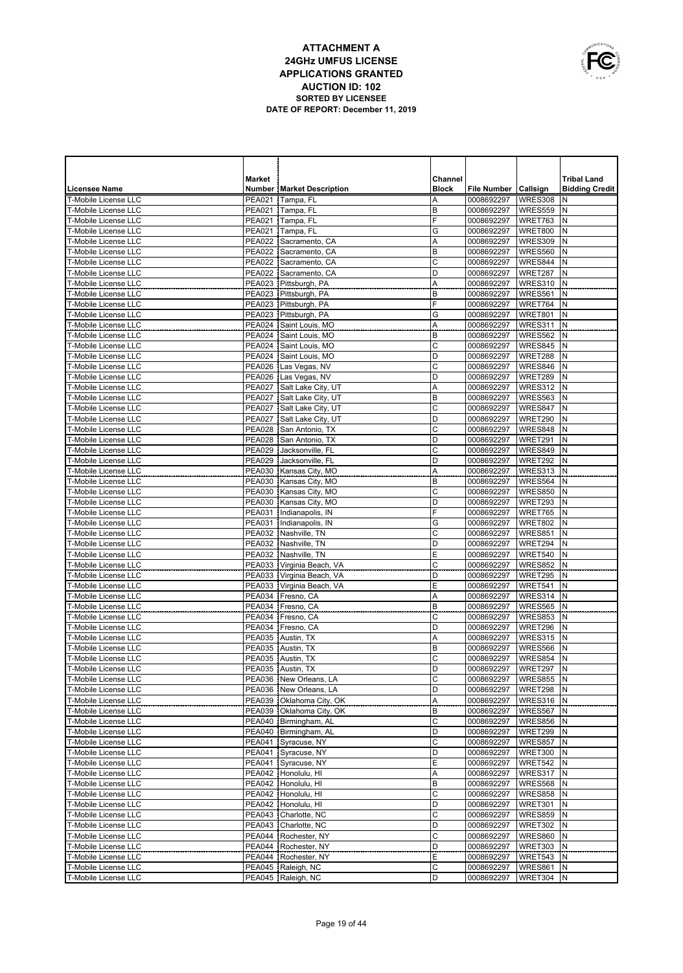

|                                                     | <b>Market</b>                  |                                                     | Channel        |                          |                           | <b>Tribal Land</b>    |
|-----------------------------------------------------|--------------------------------|-----------------------------------------------------|----------------|--------------------------|---------------------------|-----------------------|
| <b>Licensee Name</b>                                |                                | <b>Number   Market Description</b>                  | <b>Block</b>   | File Number   Callsign   |                           | <b>Bidding Credit</b> |
| <b>T-Mobile License LLC</b>                         | <b>PEA021</b>                  | Tampa, FL                                           | Α              | 0008692297               | <b>WRES308</b>            | N                     |
| <b>T-Mobile License LLC</b>                         |                                | PEA021 Tampa, FL                                    | B              | 0008692297               | WRES559                   | N                     |
| T-Mobile License LLC<br><b>T-Mobile License LLC</b> |                                | PEA021 Tampa, FL<br>PEA021 Tampa, FL                | F<br>G         | 0008692297<br>0008692297 | WRET763<br>WRET800        | N<br>N                |
| T-Mobile License LLC                                |                                | PEA022 Sacramento, CA                               | A              | 0008692297               | WRES309                   | N                     |
| <b>T-Mobile License LLC</b>                         |                                | PEA022 Sacramento, CA                               | B              | 0008692297               | WRES560                   | N                     |
| <b>T-Mobile License LLC</b>                         |                                | PEA022 Sacramento, CA                               | C              | 0008692297               | WRES844                   | N                     |
| <b>T-Mobile License LLC</b>                         |                                | PEA022 Sacramento, CA                               | D              | 0008692297               | WRET287                   | N                     |
| <b>T-Mobile License LLC</b>                         |                                | PEA023 Pittsburgh, PA                               | A              | 0008692297               | WRES310                   | N                     |
| <b>T-Mobile License LLC</b>                         |                                | PEA023 Pittsburgh, PA                               | B              | 0008692297               | WRES561                   | N                     |
| T-Mobile License LLC                                | <b>PEA023</b>                  | Pittsburgh, PA                                      | F              | 0008692297               | WRET764                   | N                     |
| T-Mobile License LLC                                | <b>PEA023</b>                  | Pittsburgh, PA                                      | G              | 0008692297               | <b>WRET801</b>            | N                     |
| T-Mobile License LLC                                | <b>PEA024</b>                  | Saint Louis, MO                                     | Α              | 0008692297               | WRES311                   | N                     |
| T-Mobile License LLC                                | <b>PEA024</b>                  | Saint Louis, MO                                     | B              | 0008692297               | WRES562                   | N                     |
| T-Mobile License LLC                                | <b>PEA024</b>                  | Saint Louis, MO                                     | C              | 0008692297               | WRES845                   | N                     |
| T-Mobile License LLC<br>T-Mobile License LLC        | <b>PEA024</b><br><b>PEA026</b> | Saint Louis, MO                                     | D<br>C         | 0008692297<br>0008692297 | WRET288<br>WRES846        | N<br>N                |
| T-Mobile License LLC                                | PEA026                         | Las Vegas, NV<br>Las Vegas, NV                      | D              | 0008692297               | WRET289                   | N                     |
| T-Mobile License LLC                                | <b>PEA027</b>                  | Salt Lake City, UT                                  | Α              | 0008692297               | WRES312                   | N                     |
| T-Mobile License LLC                                | <b>PEA027</b>                  | Salt Lake City, UT                                  | B              | 0008692297               | WRES563                   | N                     |
| T-Mobile License LLC                                | <b>PEA027</b>                  | Salt Lake City, UT                                  | $\mathsf C$    | 0008692297               | WRES847                   | N                     |
| T-Mobile License LLC                                | <b>PEA027</b>                  | Salt Lake City, UT                                  | D              | 0008692297               | WRET290                   | N                     |
| T-Mobile License LLC                                | <b>PEA028</b>                  | San Antonio, TX                                     | С              | 0008692297               | WRES848                   | N                     |
| T-Mobile License LLC                                |                                | PEA028 San Antonio, TX                              | D              | 0008692297               | WRET291                   | N                     |
| T-Mobile License LLC                                | <b>PEA029</b>                  | Jacksonville, FL                                    | С              | 0008692297               | WRES849                   | N                     |
| T-Mobile License LLC                                | <b>PEA029</b>                  | Jacksonville, FL                                    | D              | 0008692297               | WRET292                   | N                     |
| T-Mobile License LLC                                |                                | PEA030 Kansas City, MO                              | Α              | 0008692297               | WRES313                   | N                     |
| <b>T-Mobile License LLC</b>                         | <b>PEA030</b>                  | Kansas City, MO                                     | B              | 0008692297               | WRES564                   | N                     |
| <b>T-Mobile License LLC</b>                         |                                | PEA030 Kansas City, MO                              | C              | 0008692297               | WRES850                   | N                     |
| <b>T-Mobile License LLC</b><br>T-Mobile License LLC |                                | PEA030 Kansas City, MO                              | D<br>F         | 0008692297               | WRET293                   | N<br>N                |
| T-Mobile License LLC                                |                                | PEA031 Indianapolis, IN<br>PEA031  Indianapolis, IN | G              | 0008692297<br>0008692297 | WRET765<br><b>WRET802</b> | N                     |
| <b>T-Mobile License LLC</b>                         |                                | PEA032 Nashville, TN                                | C              | 0008692297               | WRES851                   | N                     |
| <b>T-Mobile License LLC</b>                         |                                | PEA032 Nashville, TN                                | D              | 0008692297               | WRET294                   | N                     |
| <b>T-Mobile License LLC</b>                         |                                | PEA032 Nashville, TN                                | E              | 0008692297               | WRET540                   | N                     |
| T-Mobile License LLC                                |                                | PEA033   Virginia Beach, VA                         | $\mathsf{C}$   | 0008692297               | WRES852                   | N                     |
| <b>T-Mobile License LLC</b>                         |                                | PEA033   Virginia Beach, VA                         | $\overline{D}$ | 0008692297               | WRET295                   | N                     |
| T-Mobile License LLC                                |                                | PEA033   Virginia Beach, VA                         | E              | 0008692297               | WRET541                   | N                     |
| <b>T-Mobile License LLC</b>                         | PEA034                         | Fresno, CA                                          | A              | 0008692297               | WRES314                   | N                     |
| <b>T-Mobile License LLC</b>                         | <b>PEA034</b>                  | Fresno, CA                                          | B              | 0008692297               | WRES565                   | $\mathsf{N}$          |
| T-Mobile License LLC                                | PEA034                         | Fresno, CA                                          | $\mathsf{C}$   | 0008692297               | WRES853                   | N                     |
| T-Mobile License LLC                                |                                | PEA034 Fresno, CA                                   | D              | 0008692297               | WRET296                   | N                     |
| T-Mobile License LLC                                |                                | PEA035 Austin, TX                                   | A              | 0008692297               | WRES315                   | N                     |
| T-Mobile License LLC<br>T-Mobile License LLC        |                                | PEA035 Austin, TX<br>PEA035 Austin, TX              | B<br>C         | 0008692297<br>0008692297 | WRES566<br>WRES854        | N<br>N                |
| <b>T-Mobile License LLC</b>                         |                                | PEA035 Austin, TX                                   | D              | 0008692297               | WRET297                   | $\mathsf{N}$          |
| T-Mobile License LLC                                |                                | PEA036   New Orleans, LA                            | С              | 0008692297               | WRES855 N                 |                       |
| T-Mobile License LLC                                |                                | PEA036 New Orleans, LA                              | D              | 0008692297               | WRET298 N                 |                       |
| T-Mobile License LLC                                |                                | PEA039   Oklahoma City, OK                          | Α              | 0008692297               | WRES316 N                 |                       |
| T-Mobile License LLC                                |                                | PEA039   Oklahoma City, OK                          | В              | 0008692297               | WRES567 N                 |                       |
| T-Mobile License LLC                                |                                | PEA040   Birmingham, AL                             | C              | 0008692297               | WRES856                   | N                     |
| T-Mobile License LLC                                |                                | PEA040   Birmingham, AL                             | D              | 0008692297               | WRET299                   | N                     |
| T-Mobile License LLC                                |                                | PEA041 Syracuse, NY                                 | C              | 0008692297               | WRES857                   | N                     |
| T-Mobile License LLC                                |                                | PEA041 Syracuse, NY                                 | D              | 0008692297               | WRET300 N                 |                       |
| T-Mobile License LLC                                |                                | PEA041 Syracuse, NY                                 | Ε              | 0008692297               | WRET542                   | N                     |
| T-Mobile License LLC                                |                                | PEA042 Honolulu, HI                                 | Α              | 0008692297               | WRES317                   | N                     |
| T-Mobile License LLC                                |                                | PEA042 Honolulu, HI<br>PEA042 Honolulu, HI          | B              | 0008692297               | WRES568                   | N                     |
| T-Mobile License LLC<br>T-Mobile License LLC        |                                | PEA042 Honolulu, HI                                 | С<br>D         | 0008692297<br>0008692297 | WRES858<br>WRET301        | N<br>N                |
| T-Mobile License LLC                                |                                | PEA043 Charlotte, NC                                | С              | 0008692297               | WRES859                   | N                     |
| T-Mobile License LLC                                |                                | PEA043 Charlotte, NC                                | D              | 0008692297               | WRET302                   | N                     |
| T-Mobile License LLC                                |                                | PEA044 Rochester, NY                                | С              | 0008692297               | WRES860                   | N                     |
| T-Mobile License LLC                                |                                | PEA044 Rochester, NY                                | D              | 0008692297               | WRET303                   | N                     |
| T-Mobile License LLC                                |                                | PEA044 Rochester, NY                                | Ε              | 0008692297               | WRET543                   | N                     |
| T-Mobile License LLC                                |                                | PEA045 Raleigh, NC                                  | C              | 0008692297               | WRES861                   | Ν                     |
| T-Mobile License LLC                                |                                | PEA045 Raleigh, NC                                  | D              | 0008692297               | WRET304 N                 |                       |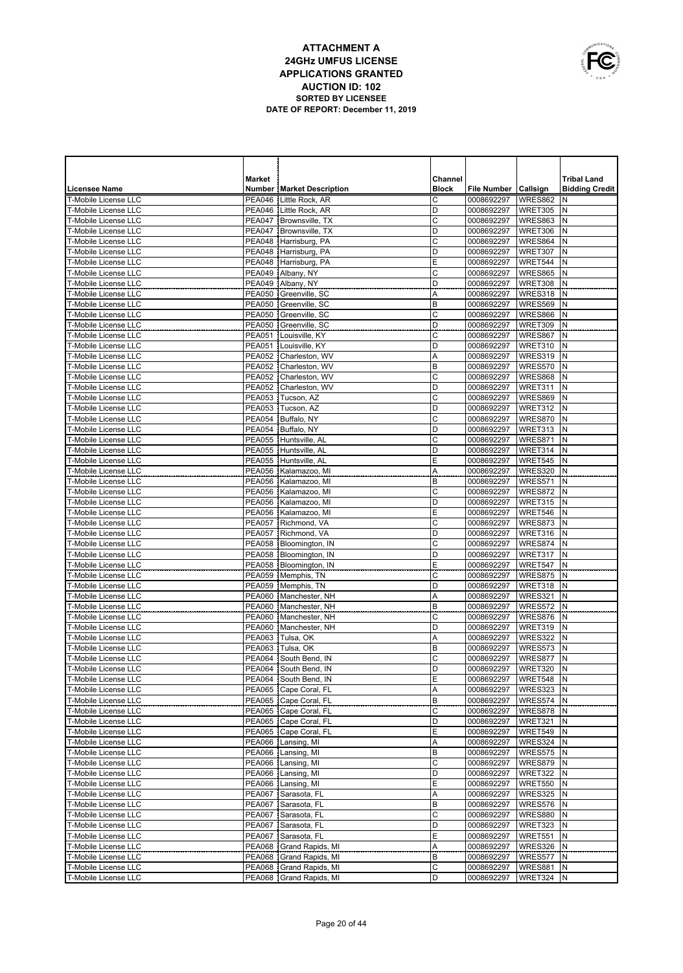

|                                                            | <b>Market</b>                  |                                                | Channel      |                          |                    | <b>Tribal Land</b>    |
|------------------------------------------------------------|--------------------------------|------------------------------------------------|--------------|--------------------------|--------------------|-----------------------|
| <b>Licensee Name</b>                                       |                                | <b>Number   Market Description</b>             | <b>Block</b> | File Number   Callsign   |                    | <b>Bidding Credit</b> |
| <b>T-Mobile License LLC</b>                                | <b>PEA046</b>                  | Little Rock, AR                                | C            | 0008692297               | WRES862            | N                     |
| <b>T-Mobile License LLC</b>                                |                                | PEA046 Little Rock, AR                         | D            | 0008692297               | WRET305            | N                     |
| <b>T-Mobile License LLC</b>                                | <b>PEA047</b>                  | Brownsville, TX                                | C            | 0008692297               | WRES863            | N                     |
| <b>T-Mobile License LLC</b><br><b>T-Mobile License LLC</b> | <b>PEA047</b>                  | Brownsville, TX                                | D<br>C       | 0008692297               | WRET306            | N<br>N                |
| <b>T-Mobile License LLC</b>                                |                                | PEA048 Harrisburg, PA<br>PEA048 Harrisburg, PA | D            | 0008692297<br>0008692297 | WRES864<br>WRET307 | N                     |
| <b>T-Mobile License LLC</b>                                |                                | PEA048 Harrisburg, PA                          | E            | 0008692297               | WRET544            | N                     |
| T-Mobile License LLC                                       |                                | PEA049   Albany, NY                            | C            | 0008692297               | WRES865            | N                     |
| <b>T-Mobile License LLC</b>                                |                                | PEA049 Albany, NY                              | D            | 0008692297               | WRET308            | N                     |
| T-Mobile License LLC                                       |                                | PEA050 Greenville, SC                          | Α            | 0008692297               | WRES318            | N                     |
| <b>T-Mobile License LLC</b>                                | <b>PEA050</b>                  | Greenville, SC                                 | B            | 0008692297               | WRES569            | N                     |
| T-Mobile License LLC                                       |                                | PEA050 Greenville, SC                          | C            | 0008692297               | WRES866            | N                     |
| T-Mobile License LLC                                       | <b>PEA050</b>                  | Greenville, SC                                 | D            | 0008692297               | WRET309            | N                     |
| T-Mobile License LLC                                       | <b>PEA051</b>                  | Louisville, KY                                 | C            | 0008692297               | WRES867            | N                     |
| <b>T-Mobile License LLC</b>                                | <b>PEA051</b>                  | Louisville, KY                                 | D            | 0008692297               | WRET310            | N                     |
| <b>T-Mobile License LLC</b>                                | <b>PEA052</b>                  | Charleston, WV                                 | Α            | 0008692297               | WRES319            | N                     |
| <b>T-Mobile License LLC</b>                                | <b>PEA052</b>                  | Charleston, WV                                 | B            | 0008692297               | WRES570            | N                     |
| <b>T-Mobile License LLC</b>                                | <b>PEA052</b>                  | Charleston, WV                                 | C            | 0008692297               | <b>WRES868</b>     | N                     |
| <b>T-Mobile License LLC</b>                                | <b>PEA052</b>                  | Charleston, WV                                 | D            | 0008692297               | WRET311            | N                     |
| T-Mobile License LLC                                       | <b>PEA053</b>                  | Tucson, AZ                                     | C            | 0008692297               | WRES869            | N                     |
| T-Mobile License LLC<br>T-Mobile License LLC               | <b>PEA053</b><br><b>PEA054</b> | Tucson, AZ<br>Buffalo, NY                      | D<br>C       | 0008692297<br>0008692297 | WRET312<br>WRES870 | N<br>N                |
| <b>T-Mobile License LLC</b>                                | <b>PEA054</b>                  | Buffalo, NY                                    | D            | 0008692297               | WRET313            | N                     |
| <b>T-Mobile License LLC</b>                                | <b>PEA055</b>                  | Huntsville, AL                                 | C            | 0008692297               | WRES871            | N                     |
| T-Mobile License LLC                                       | <b>PEA055</b>                  | Huntsville, AL                                 | D            | 0008692297               | WRET314            | N                     |
| T-Mobile License LLC                                       |                                | PEA055 Huntsville, AL                          | Ε            | 0008692297               | WRET545            | N                     |
| <b>T-Mobile License LLC</b>                                | <b>PEA056</b>                  | Kalamazoo, MI                                  | Α            | 0008692297               | WRES320            | N                     |
| T-Mobile License LLC                                       | <b>PEA056</b>                  | Kalamazoo, MI                                  | B            | 0008692297               | WRES571            | N                     |
| T-Mobile License LLC                                       |                                | PEA056 Kalamazoo, MI                           | C            | 0008692297               | WRES872            | N                     |
| T-Mobile License LLC                                       |                                | PEA056 Kalamazoo, MI                           | D            | 0008692297               | WRET315            | N                     |
| <b>T-Mobile License LLC</b>                                |                                | PEA056 Kalamazoo, MI                           | Ε            | 0008692297               | WRET546            | N                     |
| T-Mobile License LLC                                       |                                | PEA057 Richmond, VA                            | C            | 0008692297               | WRES873            | N                     |
| <b>T-Mobile License LLC</b>                                | <b>PEA057</b>                  | Richmond, VA                                   | D            | 0008692297               | WRET316            | N                     |
| <b>T-Mobile License LLC</b>                                |                                | PEA058   Bloomington, IN                       | C            | 0008692297               | WRES874            | N                     |
| <b>T-Mobile License LLC</b>                                | <b>PEA058</b>                  | Bloomington, IN                                | D            | 0008692297               | WRET317            | N                     |
| <b>T-Mobile License LLC</b>                                | <b>PEA058</b>                  | Bloomington, IN                                | Ε            | 0008692297               | WRET547            | N                     |
| <b>T-Mobile License LLC</b><br><b>T-Mobile License LLC</b> |                                | PEA059 Memphis, TN<br>PEA059 Memphis, TN       | C<br>D       | 0008692297               | WRES875<br>WRET318 | N<br>N                |
| <b>T-Mobile License LLC</b>                                | <b>PEA060</b>                  | Manchester, NH                                 | Α            | 0008692297<br>0008692297 | WRES321            | N                     |
| <b>T-Mobile License LLC</b>                                | <b>PEA060</b>                  | Manchester, NH                                 | B            | 0008692297               | WRES572            | N                     |
| <b>T-Mobile License LLC</b>                                | <b>PEA060</b>                  | Manchester, NH                                 | C            | 0008692297               | WRES876            | N                     |
| <b>T-Mobile License LLC</b>                                | <b>PEA060</b>                  | Manchester, NH                                 | D            | 0008692297               | WRET319            | N                     |
| <b>T-Mobile License LLC</b>                                | <b>PEA063</b>                  | Tulsa, OK                                      | Α            | 0008692297               | WRES322            | N                     |
| <b>T-Mobile License LLC</b>                                | PEA063                         | Tulsa, OK                                      | B            | 0008692297               | WRES573            | N                     |
| <b>T-Mobile License LLC</b>                                | <b>PEA064</b>                  | South Bend. IN                                 | Ċ            | 0008692297               | WRES877            | N                     |
| <b>T-Mobile License LLC</b>                                | <b>PEA064</b>                  | South Bend, IN                                 | D            | 0008692297               | WRET320            | N                     |
| T-Mobile License LLC                                       |                                | PEA064 South Bend, IN                          | Ε            | 0008692297               | WRET548 N          |                       |
| T-Mobile License LLC                                       |                                | PEA065   Cape Coral, FL                        | Α            | 0008692297               | WRES323 N          |                       |
| T-Mobile License LLC                                       |                                | PEA065   Cape Coral, FL                        | B            | 0008692297               | WRES574 N          |                       |
| T-Mobile License LLC                                       |                                | PEA065   Cape Coral, FL                        | С            | 0008692297               | WRES878 N          |                       |
| T-Mobile License LLC                                       |                                | PEA065 Cape Coral, FL                          | D            | 0008692297               | WRET321            | N                     |
| T-Mobile License LLC                                       |                                | PEA065   Cape Coral, FL                        | Ε            | 0008692297               | WRET549            | N                     |
| T-Mobile License LLC                                       |                                | PEA066 Lansing, MI                             | Α            | 0008692297               | WRES324<br>WRES575 | N                     |
| T-Mobile License LLC<br>T-Mobile License LLC               |                                | PEA066   Lansing, MI<br>PEA066 Lansing, MI     | В<br>C       | 0008692297               | WRES879            | N<br>N                |
| T-Mobile License LLC                                       |                                | PEA066   Lansing, MI                           | D            | 0008692297<br>0008692297 | WRET322            | N                     |
| T-Mobile License LLC                                       |                                | PEA066 Lansing, MI                             | E            | 0008692297               | WRET550            | N                     |
| T-Mobile License LLC                                       |                                | PEA067 Sarasota, FL                            | Α            | 0008692297               | WRES325            | N                     |
| T-Mobile License LLC                                       |                                | PEA067 Sarasota, FL                            | B            | 0008692297               | WRES576            | N                     |
| T-Mobile License LLC                                       |                                | PEA067 Sarasota, FL                            | С            | 0008692297               | WRES880            | N                     |
| T-Mobile License LLC                                       |                                | PEA067 Sarasota, FL                            | D            | 0008692297               | WRET323            | N                     |
| T-Mobile License LLC                                       |                                | PEA067 Sarasota, FL                            | Ε            | 0008692297               | WRET551            | N                     |
| T-Mobile License LLC                                       |                                | PEA068 Grand Rapids, MI                        | Α            | 0008692297               | WRES326            | N                     |
| T-Mobile License LLC                                       |                                | PEA068 Grand Rapids, MI                        | B            | 0008692297               | WRES577            | N                     |
| T-Mobile License LLC                                       |                                | PEA068 Grand Rapids, MI                        | C            | 0008692297               | WRES881            | N                     |
| T-Mobile License LLC                                       |                                | PEA068 Grand Rapids, MI                        | D            | 0008692297               | WRET324            | N                     |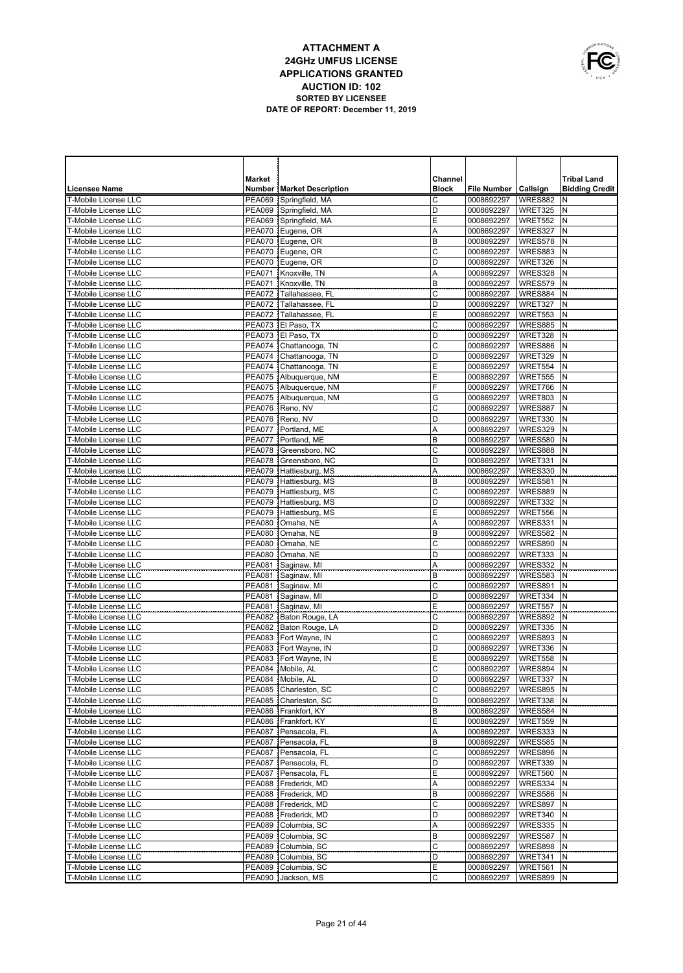

|                                                     | <b>Market</b> |                                                  | Channel        |                          |                    | <b>Tribal Land</b>    |
|-----------------------------------------------------|---------------|--------------------------------------------------|----------------|--------------------------|--------------------|-----------------------|
| <b>Licensee Name</b>                                |               | <b>Number   Market Description</b>               | <b>Block</b>   | File Number   Callsign   |                    | <b>Bidding Credit</b> |
| T-Mobile License LLC                                |               | PEA069 Springfield, MA                           | C              | 0008692297               | WRES882            | N                     |
| T-Mobile License LLC                                |               | PEA069 Springfield, MA                           | D              | 0008692297               | WRET325            | N                     |
| <b>T-Mobile License LLC</b>                         |               | PEA069 Springfield, MA                           | E              | 0008692297               | WRET552            | N                     |
| <b>T-Mobile License LLC</b>                         |               | PEA070 Eugene, OR                                | A              | 0008692297               | WRES327            | N                     |
| <b>T-Mobile License LLC</b>                         |               | PEA070 Eugene, OR                                | $\overline{B}$ | 0008692297               | WRES578            | N                     |
| <b>T-Mobile License LLC</b>                         |               | PEA070 Eugene, OR                                | $\mathsf{C}$   | 0008692297               | WRES883            | N                     |
| <b>T-Mobile License LLC</b>                         |               | PEA070 Eugene, OR                                | D              | 0008692297               | WRET326            | N                     |
| <b>T-Mobile License LLC</b>                         |               | PEA071 Knoxville, TN                             | A              | 0008692297               | WRES328            | N                     |
| <b>T-Mobile License LLC</b>                         | <b>PEA071</b> | Knoxville, TN                                    | B              | 0008692297               | WRES579            | N                     |
| <b>T-Mobile License LLC</b>                         |               | PEA072 Tallahassee, FL                           | $\mathsf{C}$   | 0008692297               | WRES884            | N                     |
| T-Mobile License LLC                                |               | PEA072 Tallahassee, FL                           | D              | 0008692297               | WRET327            | N                     |
| <b>T-Mobile License LLC</b>                         |               | PEA072 Tallahassee, FL                           | E              | 0008692297               | WRET553            | N                     |
| T-Mobile License LLC                                |               | PEA073 El Paso. TX                               | C              | 0008692297               | <b>WRES885</b>     | N                     |
| T-Mobile License LLC                                |               | PEA073 El Paso, TX                               | D              | 0008692297               | WRET328            | N                     |
| T-Mobile License LLC                                | <b>PEA074</b> | Chattanooga, TN                                  | C              | 0008692297               | WRES886            | N                     |
| T-Mobile License LLC                                |               | PEA074 Chattanooga, TN                           | D              | 0008692297               | WRET329            | N                     |
| T-Mobile License LLC                                |               | PEA074 Chattanooga, TN                           | Е              | 0008692297               | WRET554            | N                     |
| <b>T-Mobile License LLC</b>                         |               | PEA075 Albuquerque, NM                           | Ε              | 0008692297               | WRET555            | N                     |
| T-Mobile License LLC                                |               | PEA075 Albuquerque, NM                           | F              | 0008692297               | WRET766            | N                     |
| <b>T-Mobile License LLC</b>                         |               | PEA075 Albuquerque, NM                           | G              | 0008692297               | WRET803            | N                     |
| <b>T-Mobile License LLC</b>                         |               | PEA076 Reno, NV                                  | C              | 0008692297               | WRES887            | N                     |
| <b>T-Mobile License LLC</b>                         | <b>PEA076</b> | Reno, NV                                         | D              | 0008692297               | WRET330            | N                     |
| <b>T-Mobile License LLC</b>                         | <b>PEA077</b> | Portland, ME                                     | Α              | 0008692297               | WRES329            | N                     |
| T-Mobile License LLC                                | <b>PEA077</b> | Portland, ME                                     | B              | 0008692297               | <b>WRES580</b>     | N                     |
| <b>T-Mobile License LLC</b>                         |               | PEA078 Greensboro, NC                            | C              | 0008692297               | WRES888            | N                     |
| T-Mobile License LLC                                |               | PEA078 Greensboro, NC                            | D              | 0008692297               | WRET331            | N<br>N                |
| <b>T-Mobile License LLC</b><br>T-Mobile License LLC |               | PEA079 Hattiesburg, MS<br>PEA079 Hattiesburg, MS | Α              | 0008692297               | WRES330            | N                     |
|                                                     |               | PEA079 Hattiesburg, MS                           | B<br>C         | 0008692297               | WRES581            | N                     |
| <b>T-Mobile License LLC</b><br>T-Mobile License LLC |               | PEA079 Hattiesburg, MS                           | D              | 0008692297<br>0008692297 | WRES889<br>WRET332 | N                     |
| <b>T-Mobile License LLC</b>                         |               | PEA079 Hattiesburg, MS                           | Ε              | 0008692297               | WRET556            | N                     |
| T-Mobile License LLC                                | <b>PEA080</b> | Omaha, NE                                        | Α              | 0008692297               | WRES331            | N                     |
| <b>T-Mobile License LLC</b>                         | <b>PEA080</b> | Omaha, NE                                        | B              | 0008692297               | WRES582            | N                     |
| <b>T-Mobile License LLC</b>                         | <b>PEA080</b> | Omaha, NE                                        | C              | 0008692297               | <b>WRES890</b>     | N                     |
| <b>T-Mobile License LLC</b>                         | <b>PEA080</b> | Omaha, NE                                        | D              | 0008692297               | WRET333            | N                     |
| <b>T-Mobile License LLC</b>                         | <b>PEA081</b> | Saginaw, MI                                      | A              | 0008692297               | WRES332            | N                     |
| <b>T-Mobile License LLC</b>                         | <b>PEA081</b> | Saginaw, MI                                      | B              | 0008692297               | WRES583            | N                     |
| <b>T-Mobile License LLC</b>                         | <b>PEA081</b> | Saginaw, MI                                      | C              | 0008692297               | WRES891            | N                     |
| <b>T-Mobile License LLC</b>                         | <b>PEA081</b> | Saginaw, MI                                      | D              | 0008692297               | WRET334            | N                     |
| <b>T-Mobile License LLC</b>                         | <b>PEA081</b> | Saginaw, MI                                      | E              | 0008692297               | WRET557            | N                     |
| <b>T-Mobile License LLC</b>                         | <b>PEA082</b> | Baton Rouge, LA                                  | C              | 0008692297               | WRES892            | N                     |
| <b>T-Mobile License LLC</b>                         |               | PEA082 Baton Rouge, LA                           | D              | 0008692297               | WRET335            | N                     |
| <b>T-Mobile License LLC</b>                         | <b>PEA083</b> | Fort Wayne, IN                                   | C              | 0008692297               | WRES893            | N                     |
| <b>T-Mobile License LLC</b>                         |               | PEA083 Fort Wayne, IN                            | D              | 0008692297               | WRET336            | N                     |
| <b>T-Mobile License LLC</b>                         | <b>PEA083</b> | Fort Wayne, IN                                   | Ε              | 0008692297               | <b>WRET558</b>     | N                     |
| <b>T-Mobile License LLC</b>                         | <b>PEA084</b> | Mobile, AL                                       | C              | 0008692297               | WRES894            | N                     |
| T-Mobile License LLC                                |               | PEA084 Mobile, AL                                | D              | 0008692297   WRET337   N |                    |                       |
| T-Mobile License LLC                                |               | PEA085   Charleston, SC                          | C              | 0008692297               | WRES895            | N                     |
| T-Mobile License LLC                                |               | PEA085   Charleston, SC                          | D              | 0008692297               | WRET338            | N                     |
| T-Mobile License LLC                                |               | PEA086 Frankfort, KY                             | B              | 0008692297               | WRES584            | N                     |
| T-Mobile License LLC                                |               | PEA086 Frankfort, KY                             | Ε              | 0008692297               | WRET559            | N                     |
| T-Mobile License LLC                                |               | PEA087 Pensacola, FL                             | Α              | 0008692297               | WRES333            | N                     |
| T-Mobile License LLC                                |               | PEA087   Pensacola, FL                           | B              | 0008692297               | WRES585            | N                     |
| T-Mobile License LLC                                |               | PEA087 Pensacola, FL                             | C              | 0008692297               | WRES896            | N                     |
| T-Mobile License LLC                                |               | PEA087 Pensacola, FL                             | D              | 0008692297               | WRET339            | N                     |
| T-Mobile License LLC                                |               | PEA087 Pensacola, FL                             | Ε              | 0008692297               | WRET560            | N                     |
| T-Mobile License LLC                                |               | PEA088   Frederick, MD                           | Α              | 0008692297               | WRES334            | N                     |
| T-Mobile License LLC                                |               | PEA088 Frederick, MD                             | B              | 0008692297               | WRES586            | N                     |
| T-Mobile License LLC                                |               | PEA088   Frederick, MD                           | $\mathsf C$    | 0008692297               | WRES897            | N                     |
| T-Mobile License LLC                                |               | PEA088 Frederick, MD                             | D              | 0008692297               | WRET340            | N                     |
| T-Mobile License LLC                                |               | PEA089 Columbia, SC                              | Α              | 0008692297               | WRES335            | N                     |
| T-Mobile License LLC                                |               | PEA089 Columbia, SC                              | B              | 0008692297               | WRES587            | N                     |
| T-Mobile License LLC                                |               | PEA089 Columbia, SC                              | $\mathsf C$    | 0008692297               | WRES898            | N                     |
| T-Mobile License LLC                                |               | PEA089 Columbia, SC                              | D              | 0008692297               | WRET341            | N                     |
| T-Mobile License LLC                                |               | PEA089 Columbia, SC                              | Ε              | 0008692297               | WRET561            | Ν                     |
| T-Mobile License LLC                                |               | PEA090 Jackson, MS                               | C              | 0008692297               | WRES899 N          |                       |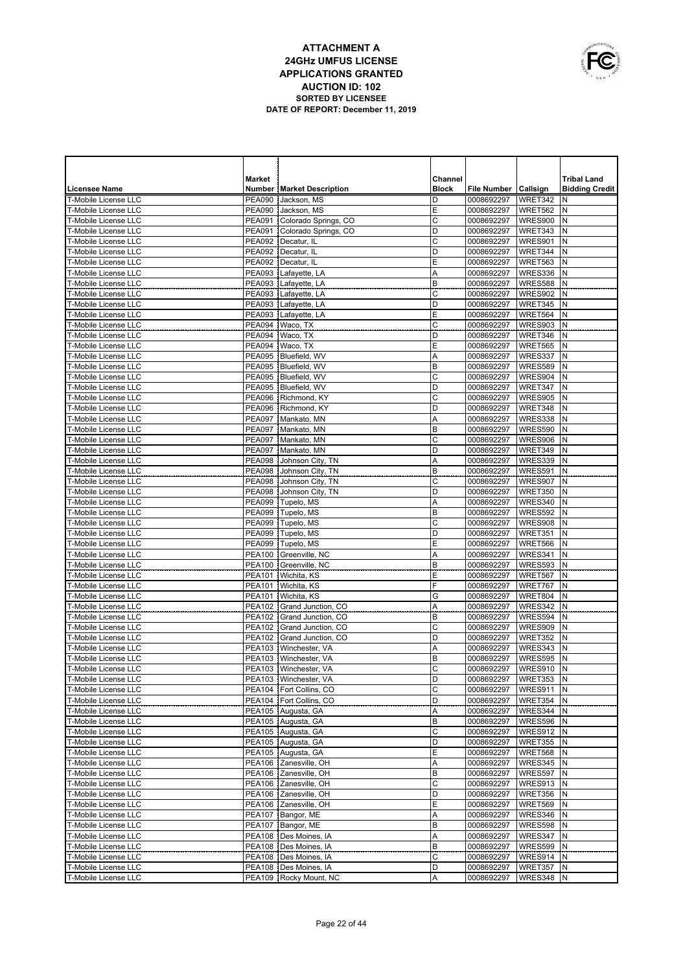

| Licensee Name               | <b>Market</b> | <b>Number   Market Description</b> | Channel<br><b>Block</b> | <b>File Number</b>       | Callsign       | <b>Tribal Land</b><br><b>Bidding Credit</b> |
|-----------------------------|---------------|------------------------------------|-------------------------|--------------------------|----------------|---------------------------------------------|
| <b>T-Mobile License LLC</b> | <b>PEA090</b> | Jackson, MS                        | D                       | 0008692297               | WRET342        | N                                           |
| <b>T-Mobile License LLC</b> | PEA090        | Jackson, MS                        | E                       | 0008692297               | <b>WRET562</b> | N                                           |
| <b>T-Mobile License LLC</b> | <b>PEA091</b> | Colorado Springs, CO               | C                       | 0008692297               | WRES900        | N                                           |
| <b>T-Mobile License LLC</b> |               | PEA091 Colorado Springs, CO        | D                       | 0008692297               | WRET343        | N                                           |
| T-Mobile License LLC        |               | PEA092   Decatur, IL               | C                       | 0008692297               | WRES901        | N                                           |
| <b>T-Mobile License LLC</b> |               | PEA092   Decatur, IL               | D                       | 0008692297               | WRET344        | N                                           |
| <b>T-Mobile License LLC</b> |               | PEA092   Decatur, IL               | Ε                       | 0008692297               | WRET563        | N                                           |
| <b>T-Mobile License LLC</b> | <b>PEA093</b> | Lafayette, LA                      | Α                       | 0008692297               | WRES336        | N                                           |
| <b>T-Mobile License LLC</b> | <b>PEA093</b> | Lafayette, LA                      | B                       | 0008692297               | WRES588        | N                                           |
| <b>T-Mobile License LLC</b> | <b>PEA093</b> | Lafayette, LA                      | $\mathsf{C}$            | 0008692297               | <b>WRES902</b> | N                                           |
| <b>T-Mobile License LLC</b> | <b>PEA093</b> | Lafayette, LA                      | D                       | 0008692297               | WRET345        | N                                           |
| <b>T-Mobile License LLC</b> | <b>PEA093</b> | Lafayette, LA                      | E                       | 0008692297               | WRET564        | N                                           |
| <b>T-Mobile License LLC</b> | <b>PEA094</b> | Waco, TX                           | C                       | 0008692297               | WRES903        | N                                           |
| <b>T-Mobile License LLC</b> | <b>PEA094</b> | Waco, TX                           | D                       | 0008692297               | WRET346        | N                                           |
| <b>T-Mobile License LLC</b> | <b>PEA094</b> | Waco, TX                           | Е                       | 0008692297               | <b>WRET565</b> | N                                           |
| T-Mobile License LLC        | <b>PEA095</b> | Bluefield, WV                      | A                       | 0008692297               | WRES337        | N                                           |
| T-Mobile License LLC        | <b>PEA095</b> | Bluefield, WV                      | B                       | 0008692297               | <b>WRES589</b> | N                                           |
| T-Mobile License LLC        | <b>PEA095</b> | Bluefield, WV                      | C                       | 0008692297               | WRES904        | N                                           |
| <b>T-Mobile License LLC</b> | <b>PEA095</b> | Bluefield, WV                      | D                       | 0008692297               | WRET347        | N                                           |
| <b>T-Mobile License LLC</b> | <b>PEA096</b> | Richmond, KY                       | C                       | 0008692297               | <b>WRES905</b> | N                                           |
| <b>T-Mobile License LLC</b> | <b>PEA096</b> | Richmond, KY                       | D                       | 0008692297               | WRET348        | N                                           |
| T-Mobile License LLC        | <b>PEA097</b> | Mankato, MN                        | Α                       | 0008692297               | WRES338        | N                                           |
| T-Mobile License LLC        | <b>PEA097</b> | Mankato, MN                        | B                       | 0008692297               | WRES590        | N                                           |
| <b>T-Mobile License LLC</b> | <b>PEA097</b> | Mankato, MN                        | C                       | 0008692297               | WRES906        | N                                           |
| T-Mobile License LLC        | <b>PEA097</b> | Mankato, MN                        | D                       | 0008692297               | WRET349        | N                                           |
| T-Mobile License LLC        | <b>PEA098</b> | Johnson City, TN                   | Α                       | 0008692297               | <b>WRES339</b> | N                                           |
| <b>T-Mobile License LLC</b> | <b>PEA098</b> | Johnson City, TN                   | B                       | 0008692297               | WRES591        | N                                           |
| T-Mobile License LLC        | <b>PEA098</b> | Johnson City, TN                   | C                       | 0008692297               | WRES907        | N                                           |
| <b>T-Mobile License LLC</b> | <b>PEA098</b> | Johnson City, TN                   | D                       | 0008692297               | WRET350        | N                                           |
| <b>T-Mobile License LLC</b> | <b>PEA099</b> | Tupelo, MS                         | A                       | 0008692297               | WRES340        | N                                           |
| <b>T-Mobile License LLC</b> | <b>PEA099</b> | Tupelo, MS                         | B                       | 0008692297               | WRES592        | N                                           |
| <b>T-Mobile License LLC</b> | <b>PEA099</b> | Tupelo, MS                         | $\mathsf{C}$            | 0008692297               | <b>WRES908</b> | N                                           |
| <b>T-Mobile License LLC</b> | <b>PEA099</b> | Tupelo, MS                         | D                       | 0008692297               | WRET351        | N                                           |
| <b>T-Mobile License LLC</b> | <b>PEA099</b> | Tupelo, MS                         | E                       | 0008692297               | WRET566        | N                                           |
| <b>T-Mobile License LLC</b> |               | PEA100 Greenville, NC              | Α                       | 0008692297               | WRES341        | N                                           |
| T-Mobile License LLC        |               | PEA100 Greenville, NC              | B                       | 0008692297               | WRES593        | N                                           |
| T-Mobile License LLC        | <b>PEA101</b> | Wichita, KS                        | E                       | 0008692297               | WRET567        | N                                           |
| T-Mobile License LLC        |               | PEA101 Wichita, KS                 | F                       | 0008692297               | WRET767        | N                                           |
| <b>T-Mobile License LLC</b> | <b>PEA101</b> | Wichita, KS                        | G                       | 0008692297               | WRET804        | N                                           |
| T-Mobile License LLC        |               | PEA102 Grand Junction, CO          | A                       | 0008692297               | WRES342        | N                                           |
| <b>T-Mobile License LLC</b> | <b>PEA102</b> | Grand Junction, CO                 | B                       | 0008692297               | WRES594        | N                                           |
| T-Mobile License LLC        |               | PEA102 Grand Junction, CO          | C                       | 0008692297               | WRES909        | N                                           |
| <b>T-Mobile License LLC</b> |               | PEA102 Grand Junction, CO          | D                       | 0008692297               | WRET352        | N                                           |
| <b>T-Mobile License LLC</b> |               | PEA103   Winchester, VA            | A                       | 0008692297               | WRES343        | N                                           |
| T-Mobile License LLC        | <b>PEA103</b> | Winchester, VA                     | B                       | 0008692297               | <b>WRES595</b> | N                                           |
| T-Mobile License LLC        |               | PEA103 Winchester, VA              | C                       | 0008692297               | WRES910        | N                                           |
| T-Mobile License LLC        |               | PEA103   Winchester, VA            | D                       | 0008692297   WRET353   N |                |                                             |
| T-Mobile License LLC        |               | PEA104   Fort Collins, CO          | C                       | 0008692297               | WRES911 N      |                                             |
| T-Mobile License LLC        |               | PEA104   Fort Collins, CO          | D                       | 0008692297               | WRET354        | N                                           |
| T-Mobile License LLC        |               | PEA105 Augusta, GA                 | Α                       | 0008692297               | WRES344 N      |                                             |
| T-Mobile License LLC        |               | PEA105 Augusta, GA                 | B                       | 0008692297               | WRES596 N      |                                             |
| T-Mobile License LLC        |               | PEA105 Augusta, GA                 | C                       | 0008692297               | WRES912        | N                                           |
| T-Mobile License LLC        |               | PEA105 Augusta, GA                 | D                       | 0008692297               | WRET355        | N                                           |
| T-Mobile License LLC        |               | PEA105 Augusta, GA                 | Ε                       | 0008692297               | WRET568        | N                                           |
| T-Mobile License LLC        |               | PEA106 Zanesville, OH              | Α                       | 0008692297               | WRES345        | N                                           |
| T-Mobile License LLC        |               | PEA106 Zanesville, OH              | B                       | 0008692297               | WRES597        | N                                           |
| T-Mobile License LLC        |               | PEA106 Zanesville, OH              | C                       | 0008692297               | WRES913 N      |                                             |
| T-Mobile License LLC        |               | PEA106 Zanesville, OH              | D                       | 0008692297               | WRET356        | N                                           |
| T-Mobile License LLC        |               | PEA106 Zanesville, OH              | Ε                       | 0008692297               | WRET569        | N                                           |
| T-Mobile License LLC        |               | PEA107   Bangor, ME                | Α                       | 0008692297               | WRES346        | N                                           |
| T-Mobile License LLC        |               | PEA107   Bangor, ME                | B                       | 0008692297               | WRES598        | N                                           |
| T-Mobile License LLC        |               | PEA108   Des Moines, IA            | Α                       | 0008692297               | WRES347        | N                                           |
| T-Mobile License LLC        |               | PEA108 Des Moines, IA              | B                       | 0008692297               | WRES599        | N                                           |
| T-Mobile License LLC        |               | PEA108 Des Moines, IA              | C                       | 0008692297               | WRES914 N      |                                             |
| T-Mobile License LLC        |               | PEA108 Des Moines, IA              | D                       | 0008692297               | WRET357        | N                                           |
| T-Mobile License LLC        |               | PEA109 Rocky Mount, NC             | Α                       | 0008692297               | WRES348 N      |                                             |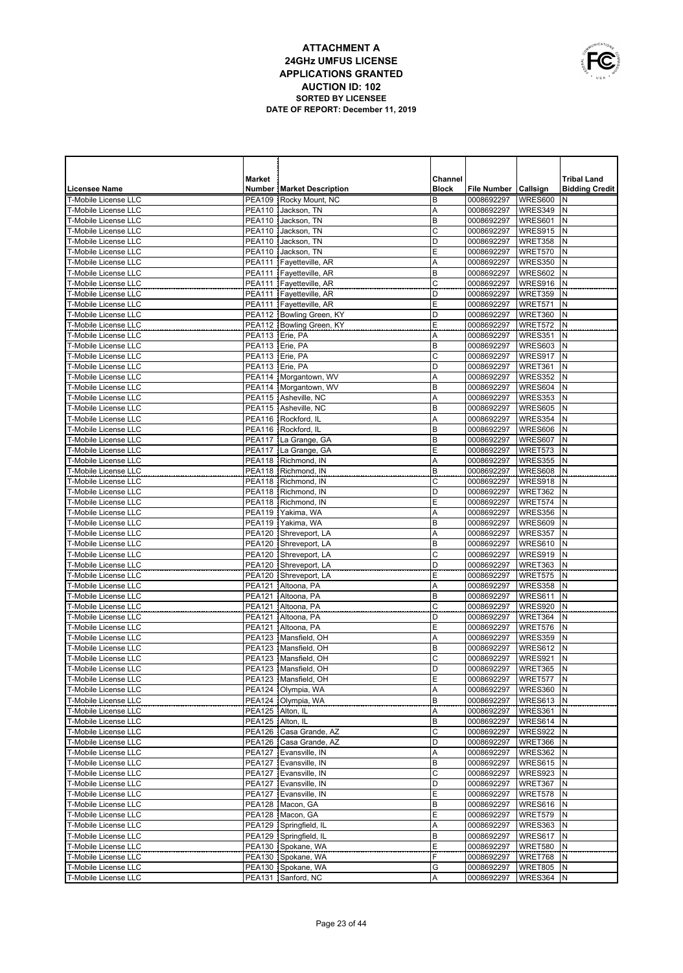

|                                              | <b>Market</b>                          |                                              | Channel      |                          |                        | <b>Tribal Land</b>    |
|----------------------------------------------|----------------------------------------|----------------------------------------------|--------------|--------------------------|------------------------|-----------------------|
| <b>Licensee Name</b>                         |                                        | <b>Number   Market Description</b>           | <b>Block</b> | File Number   Callsign   |                        | <b>Bidding Credit</b> |
| T-Mobile License LLC                         |                                        | PEA109 Rocky Mount, NC                       | B            | 0008692297               | WRES600                | N                     |
| <b>T-Mobile License LLC</b>                  | <b>PEA110</b>                          | Jackson, TN                                  | Α            | 0008692297               | WRES349                | N                     |
| T-Mobile License LLC                         | <b>PEA110</b>                          | Jackson, TN                                  | B            | 0008692297               | WRES601                | N                     |
| <b>T-Mobile License LLC</b>                  | <b>PEA110</b>                          | Jackson, TN                                  | $\mathsf{C}$ | 0008692297               | WRES915                | N                     |
| T-Mobile License LLC                         | <b>PEA110</b>                          | Jackson, TN                                  | D            | 0008692297               | WRET358                | N                     |
| T-Mobile License LLC                         |                                        | PEA110 Jackson, TN                           | E            | 0008692297               | WRET570                | N                     |
| T-Mobile License LLC                         |                                        | PEA111   Fayetteville, AR                    | Α            | 0008692297               | WRES350                | N                     |
| T-Mobile License LLC                         |                                        | PEA111 Fayetteville, AR                      | B            | 0008692297               | WRES602                | N                     |
| T-Mobile License LLC                         |                                        | PEA111 Fayetteville, AR                      | C            | 0008692297               | WRES916                | N                     |
| T-Mobile License LLC                         |                                        | PEA111   Fayetteville, AR                    | D            | 0008692297               | WRET359                | N                     |
| T-Mobile License LLC                         |                                        | PEA111 Fayetteville, AR                      | E            | 0008692297               | WRET571                | N                     |
| T-Mobile License LLC                         |                                        | PEA112   Bowling Green, KY                   | D            | 0008692297               | WRET360                | N                     |
| <b>T-Mobile License LLC</b>                  |                                        | PEA112 Bowling Green, KY                     | E            | 0008692297               | WRET572                | N                     |
| T-Mobile License LLC                         | PEA113 Erie, PA                        |                                              | Α            | 0008692297               | WRES351                | N                     |
| T-Mobile License LLC                         | PEA113 Erie, PA                        |                                              | B            | 0008692297               | WRES603                | N                     |
| T-Mobile License LLC                         | PEA113 Erie, PA                        |                                              | C            | 0008692297               | WRES917                | N                     |
| T-Mobile License LLC                         | PEA113 Erie, PA                        |                                              | D            | 0008692297               | WRET361                | N                     |
| T-Mobile License LLC                         |                                        | PEA114   Morgantown, WV                      | A            | 0008692297               | WRES352                | N                     |
| T-Mobile License LLC<br>T-Mobile License LLC |                                        | PEA114   Morgantown, WV                      | B            | 0008692297               | WRES604                | N                     |
| T-Mobile License LLC                         |                                        | PEA115 Asheville, NC<br>PEA115 Asheville, NC | Α<br>B       | 0008692297               | WRES353                | N<br>N                |
| T-Mobile License LLC                         |                                        | PEA116 Rockford, IL                          | Α            | 0008692297<br>0008692297 | WRES605<br>WRES354     | N                     |
| T-Mobile License LLC                         |                                        | PEA116 Rockford, IL                          | B            | 0008692297               | WRES606                | N                     |
| T-Mobile License LLC                         |                                        | PEA117   La Grange, GA                       | B            | 0008692297               | WRES607                | N                     |
| T-Mobile License LLC                         |                                        | PEA117 La Grange, GA                         | E            | 0008692297               | WRET573                | N                     |
| T-Mobile License LLC                         |                                        | PEA118 Richmond, IN                          | Α            | 0008692297               | WRES355                | $\mathsf{N}$          |
| T-Mobile License LLC                         |                                        | PEA118   Richmond, IN                        | B            | 0008692297               | WRES608                | N                     |
| T-Mobile License LLC                         |                                        | PEA118   Richmond, IN                        | С            | 0008692297               | WRES918                | N                     |
| T-Mobile License LLC                         |                                        | PEA118   Richmond, IN                        | D            | 0008692297               | WRET362                | N                     |
| T-Mobile License LLC                         |                                        | PEA118 Richmond, IN                          | Ε            | 0008692297               | WRET574                | N                     |
| T-Mobile License LLC                         |                                        | PEA119   Yakima, WA                          | A            | 0008692297               | WRES356                | N                     |
| T-Mobile License LLC                         |                                        | PEA119 Yakima, WA                            | B            | 0008692297               | WRES609                | N                     |
| T-Mobile License LLC                         |                                        | PEA120 Shreveport, LA                        | A            | 0008692297               | WRES357                | N                     |
| T-Mobile License LLC                         |                                        | PEA120 Shreveport, LA                        | B            | 0008692297               | WRES610                | N                     |
| T-Mobile License LLC                         |                                        | PEA120 Shreveport, LA                        | C            | 0008692297               | WRES919                | N                     |
| T-Mobile License LLC                         |                                        | PEA120 Shreveport, LA                        | D            | 0008692297               | WRET363                | $\mathsf{N}$          |
| T-Mobile License LLC                         |                                        | PEA120 Shreveport, LA                        | Ε            | 0008692297               | WRET575                | N                     |
| T-Mobile License LLC                         |                                        | PEA121 Altoona, PA                           | Α            | 0008692297               | WRES358                | $\mathsf{N}$          |
| T-Mobile License LLC                         | <b>PEA121</b>                          | Altoona, PA                                  | B            | 0008692297               | WRES611                | N                     |
| T-Mobile License LLC                         | <b>PEA121</b>                          | Altoona, PA                                  | C            | 0008692297               | WRES920                | N                     |
| T-Mobile License LLC                         | <b>PEA121</b>                          | Altoona, PA                                  | D            | 0008692297               | WRET364                | N                     |
| T-Mobile License LLC                         | <b>PEA121</b>                          | Altoona, PA                                  | Ε            | 0008692297               | WRET576                | N                     |
| T-Mobile License LLC                         |                                        | PEA123   Mansfield, OH                       | A            | 0008692297               | WRES359                | N                     |
| T-Mobile License LLC                         |                                        | PEA123 Mansfield, OH                         | B            | 0008692297               | WRES612                | $\mathsf{N}$          |
| T-Mobile License LLC                         |                                        | PEA123 Mansfield, OH                         | C            | 0008692297               | WRES921                | N                     |
| T-Mobile License LLC                         |                                        | PEA123 Mansfield, OH                         | D            | 0008692297               | WRET365                | N                     |
| T-Mobile License LLC                         |                                        | PEA123   Mansfield, OH                       | Ε            | 0008692297 WRET577 IN    |                        |                       |
| T-Mobile License LLC                         |                                        | PEA124 Olympia, WA<br>PEA124   Olympia, WA   | Α<br>В       | 0008692297 WRES360 N     |                        |                       |
| T-Mobile License LLC<br>T-Mobile License LLC |                                        |                                              |              | 0008692297               | WRES613 N              |                       |
| T-Mobile License LLC                         | PEA125   Alton, IL<br>PEA125 Alton, IL |                                              | Α<br>В       | 0008692297<br>0008692297 | WRES361 N<br>WRES614 N |                       |
| T-Mobile License LLC                         |                                        | PEA126   Casa Grande, AZ                     | C            | 0008692297               | WRES922 N              |                       |
| T-Mobile License LLC                         |                                        | PEA126   Casa Grande, AZ                     | D            | 0008692297               | WRET366                | N                     |
| T-Mobile License LLC                         |                                        | PEA127 Evansville, IN                        | Α            | 0008692297               | WRES362 N              |                       |
| T-Mobile License LLC                         |                                        | PEA127 Evansville, IN                        | B            | 0008692297               | WRES615                | IN.                   |
| T-Mobile License LLC                         |                                        | PEA127 Evansville, IN                        | C            | 0008692297               | WRES923                | IN.                   |
| T-Mobile License LLC                         |                                        | PEA127 Evansville, IN                        | D            | 0008692297               | WRET367                | N                     |
| T-Mobile License LLC                         |                                        | PEA127 Evansville, IN                        | Ε            | 0008692297               | WRET578                | IN.                   |
| T-Mobile License LLC                         |                                        | PEA128 Macon, GA                             | B            | 0008692297               | WRES616                | N                     |
| T-Mobile License LLC                         |                                        | PEA128   Macon, GA                           | Ε            | 0008692297               | WRET579                | IN.                   |
| T-Mobile License LLC                         |                                        | PEA129 Springfield, IL                       | Α            | 0008692297               | WRES363                | N                     |
| T-Mobile License LLC                         |                                        | PEA129 Springfield, IL                       | B            | 0008692297               | WRES617                | N                     |
| T-Mobile License LLC                         |                                        | PEA130 Spokane, WA                           | Ε            | 0008692297               | WRET580                | N                     |
| T-Mobile License LLC                         |                                        | PEA130 Spokane, WA                           | F            | 0008692297               | WRET768                | IN.                   |
| T-Mobile License LLC                         |                                        | PEA130 Spokane, WA                           | G            | 0008692297               | WRET805                | N                     |
| T-Mobile License LLC                         |                                        | PEA131 Sanford, NC                           | Α            | 0008692297               | WRES364 N              |                       |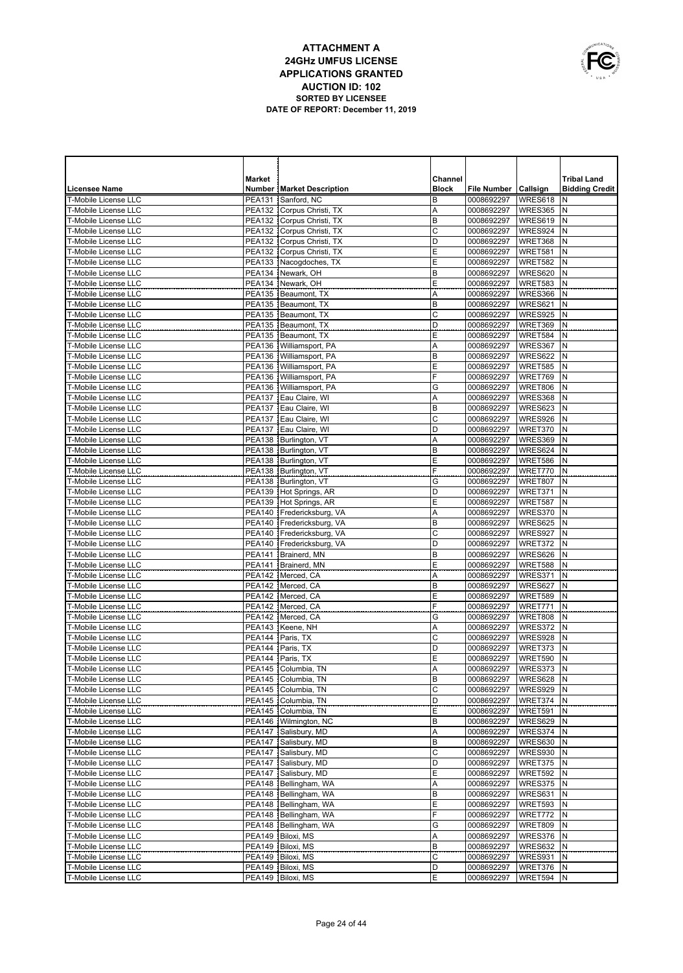

|                                                            | <b>Market</b>                  |                                                  | Channel      |                          |                    | <b>Tribal Land</b>    |
|------------------------------------------------------------|--------------------------------|--------------------------------------------------|--------------|--------------------------|--------------------|-----------------------|
| <b>Licensee Name</b>                                       |                                | <b>Number   Market Description</b>               | <b>Block</b> | <b>File Number</b>       | Callsign           | <b>Bidding Credit</b> |
| T-Mobile License LLC                                       | <b>PEA131</b>                  | Sanford, NC                                      | B            | 0008692297               | WRES618            | N                     |
| <b>T-Mobile License LLC</b>                                | <b>PEA132</b>                  | Corpus Christi, TX                               | Α            | 0008692297               | WRES365            | N                     |
| <b>T-Mobile License LLC</b>                                | <b>PEA132</b>                  | Corpus Christi, TX                               | B            | 0008692297               | WRES619            | N                     |
| <b>T-Mobile License LLC</b>                                |                                | PEA132   Corpus Christi, TX                      | C            | 0008692297               | WRES924            | N                     |
| T-Mobile License LLC                                       |                                | PEA132 Corpus Christi, TX                        | D            | 0008692297               | WRET368            | N                     |
| <b>T-Mobile License LLC</b>                                |                                | PEA132 Corpus Christi, TX                        | Ε            | 0008692297               | WRET581            | N                     |
| <b>T-Mobile License LLC</b><br><b>T-Mobile License LLC</b> |                                | PEA133 Nacogdoches, TX<br>PEA134 Newark, OH      | Ε<br>B       | 0008692297<br>0008692297 | WRET582<br>WRES620 | N<br>N                |
| T-Mobile License LLC                                       |                                | PEA134 Newark, OH                                | Ε            | 0008692297               | WRET583            | N                     |
| <b>T-Mobile License LLC</b>                                |                                | PEA135 Beaumont, TX                              | Α            | 0008692297               | WRES366            | N                     |
| <b>T-Mobile License LLC</b>                                |                                | PEA135 Beaumont, TX                              | B            | 0008692297               | WRES621            | N                     |
| <b>T-Mobile License LLC</b>                                |                                | PEA135   Beaumont, TX                            | C            | 0008692297               | WRES925            | N                     |
| T-Mobile License LLC                                       |                                | PEA135 Beaumont. TX                              | D            | 0008692297               | WRET369            | N                     |
| <b>T-Mobile License LLC</b>                                |                                | PEA135   Beaumont, TX                            | Ε            | 0008692297               | WRET584            | N                     |
| <b>T-Mobile License LLC</b>                                |                                | PEA136   Williamsport, PA                        | A            | 0008692297               | WRES367            | N                     |
| <b>T-Mobile License LLC</b>                                |                                | PEA136   Williamsport, PA                        | B            | 0008692297               | WRES622            | N                     |
| T-Mobile License LLC                                       |                                | PEA136   Williamsport, PA                        | E            | 0008692297               | WRET585            | N                     |
| <b>T-Mobile License LLC</b>                                |                                | PEA136   Williamsport, PA                        | F            | 0008692297               | WRET769            | N                     |
| <b>T-Mobile License LLC</b>                                |                                | PEA136   Williamsport, PA                        | G            | 0008692297               | <b>WRET806</b>     | N                     |
| <b>T-Mobile License LLC</b>                                |                                | PEA137 Eau Claire, WI                            | Α            | 0008692297               | WRES368            | N                     |
| <b>T-Mobile License LLC</b>                                |                                | PEA137 Eau Claire, WI                            | B            | 0008692297               | WRES623            | N<br>N                |
| <b>T-Mobile License LLC</b>                                |                                | PEA137 Eau Claire, WI<br>PEA137 Eau Claire, WI   | C<br>D       | 0008692297<br>0008692297 | WRES926            | N                     |
| <b>T-Mobile License LLC</b><br><b>T-Mobile License LLC</b> |                                | PEA138 Burlington, VT                            | Α            | 0008692297               | WRET370<br>WRES369 | N                     |
| <b>T-Mobile License LLC</b>                                |                                | PEA138   Burlington, VT                          | B            | 0008692297               | WRES624            | N                     |
| T-Mobile License LLC                                       |                                | PEA138 Burlington, VT                            | Ε            | 0008692297               | WRET586            | N                     |
| <b>T-Mobile License LLC</b>                                |                                | PEA138   Burlington, VT                          | F            | 0008692297               | WRET770            | N                     |
| <b>T-Mobile License LLC</b>                                |                                | PEA138 Burlington, VT                            | G            | 0008692297               | WRET807            | N                     |
| <b>T-Mobile License LLC</b>                                |                                | PEA139 Hot Springs, AR                           | D            | 0008692297               | WRET371            | N                     |
| T-Mobile License LLC                                       |                                | PEA139 Hot Springs, AR                           | Ε            | 0008692297               | WRET587            | N                     |
| T-Mobile License LLC                                       |                                | PEA140 Fredericksburg, VA                        | Α            | 0008692297               | WRES370            | N                     |
| T-Mobile License LLC                                       |                                | PEA140 Fredericksburg, VA                        | B            | 0008692297               | WRES625            | N                     |
| T-Mobile License LLC                                       |                                | PEA140   Fredericksburg, VA                      | $\mathsf{C}$ | 0008692297               | WRES927            | N                     |
| <b>T-Mobile License LLC</b>                                |                                | PEA140 Fredericksburg, VA                        | D            | 0008692297               | WRET372            | N                     |
| T-Mobile License LLC                                       | <b>PEA141</b>                  | Brainerd, MN                                     | B            | 0008692297               | WRES626            | N                     |
| T-Mobile License LLC                                       | <b>PEA141</b>                  | Brainerd, MN                                     | Ε            | 0008692297               | WRET588            | N<br>N                |
| T-Mobile License LLC<br>T-Mobile License LLC               | <b>PEA142</b><br><b>PEA142</b> | Merced, CA<br>Merced, CA                         | Α<br>B       | 0008692297<br>0008692297 | WRES371<br>WRES627 | N                     |
| T-Mobile License LLC                                       | <b>PEA142</b>                  | Merced, CA                                       | E            | 0008692297               | WRET589            | N                     |
| T-Mobile License LLC                                       | <b>PEA142</b>                  | Merced, CA                                       | F            | 0008692297               | WRET771            | N                     |
| T-Mobile License LLC                                       |                                | PEA142 Merced, CA                                | G            | 0008692297               | <b>WRET808</b>     | N                     |
| T-Mobile License LLC                                       |                                | PEA143 Keene, NH                                 | Α            | 0008692297               | WRES372            | $\mathsf{N}$          |
| T-Mobile License LLC                                       | <b>PEA144</b>                  | Paris, TX                                        | $\mathsf{C}$ | 0008692297               | WRES928            | N                     |
| T-Mobile License LLC                                       | <b>PEA144</b>                  | Paris, TX                                        | D            | 0008692297               | WRET373            | $\mathsf{N}$          |
| <b>T-Mobile License LLC</b>                                | <b>PEA144</b>                  | Paris, TX                                        | E            | 0008692297               | WRET590            | N                     |
| T-Mobile License LLC                                       |                                | PEA145   Columbia, TN                            | Α            | 0008692297               | WRES373            | $\mathsf{N}$          |
| T-Mobile License LLC                                       |                                | PEA145   Columbia, TN                            | в            | 0008692297   WRES628   N |                    |                       |
| T-Mobile License LLC                                       |                                | PEA145   Columbia, TN<br>PEA145   Columbia, TN   | C<br>D       | 0008692297               | WRES929            | N<br>N                |
| T-Mobile License LLC                                       |                                |                                                  |              | 0008692297               | WRET374            |                       |
| T-Mobile License LLC<br>T-Mobile License LLC               |                                | PEA145   Columbia, TN<br>PEA146   Wilmington, NC | E<br>B       | 0008692297<br>0008692297 | WRET591<br>WRES629 | N<br>N                |
| T-Mobile License LLC                                       |                                | PEA147 Salisbury, MD                             | Α            | 0008692297               | WRES374            | N                     |
| T-Mobile License LLC                                       |                                | PEA147 Salisbury, MD                             | B            | 0008692297               | WRES630            | N                     |
| T-Mobile License LLC                                       |                                | PEA147 Salisbury, MD                             | C            | 0008692297               | WRES930            | N                     |
| T-Mobile License LLC                                       |                                | PEA147 Salisbury, MD                             | D            | 0008692297               | WRET375            | N                     |
| T-Mobile License LLC                                       |                                | PEA147 Salisbury, MD                             | Ε            | 0008692297               | WRET592            | N                     |
| T-Mobile License LLC                                       |                                | PEA148   Bellingham, WA                          | A            | 0008692297               | WRES375            | N                     |
| T-Mobile License LLC                                       |                                | PEA148   Bellingham, WA                          | B            | 0008692297               | WRES631            | N                     |
| T-Mobile License LLC                                       |                                | PEA148   Bellingham, WA                          | E            | 0008692297               | WRET593            | N                     |
| T-Mobile License LLC                                       |                                | PEA148   Bellingham, WA                          | F            | 0008692297               | WRET772            | N                     |
| T-Mobile License LLC                                       |                                | PEA148   Bellingham, WA                          | G            | 0008692297               | WRET809            | N                     |
| T-Mobile License LLC<br>T-Mobile License LLC               |                                | PEA149   Biloxi, MS                              | Α<br>B       | 0008692297               | WRES376            | N<br>N                |
| T-Mobile License LLC                                       |                                | PEA149   Biloxi, MS<br>PEA149   Biloxi, MS       | С            | 0008692297<br>0008692297 | WRES632<br>WRES931 | N                     |
| T-Mobile License LLC                                       |                                | PEA149   Biloxi, MS                              | D            | 0008692297               | WRET376            | N                     |
| T-Mobile License LLC                                       |                                | PEA149 Biloxi, MS                                | Ε            | 0008692297               | WRET594 N          |                       |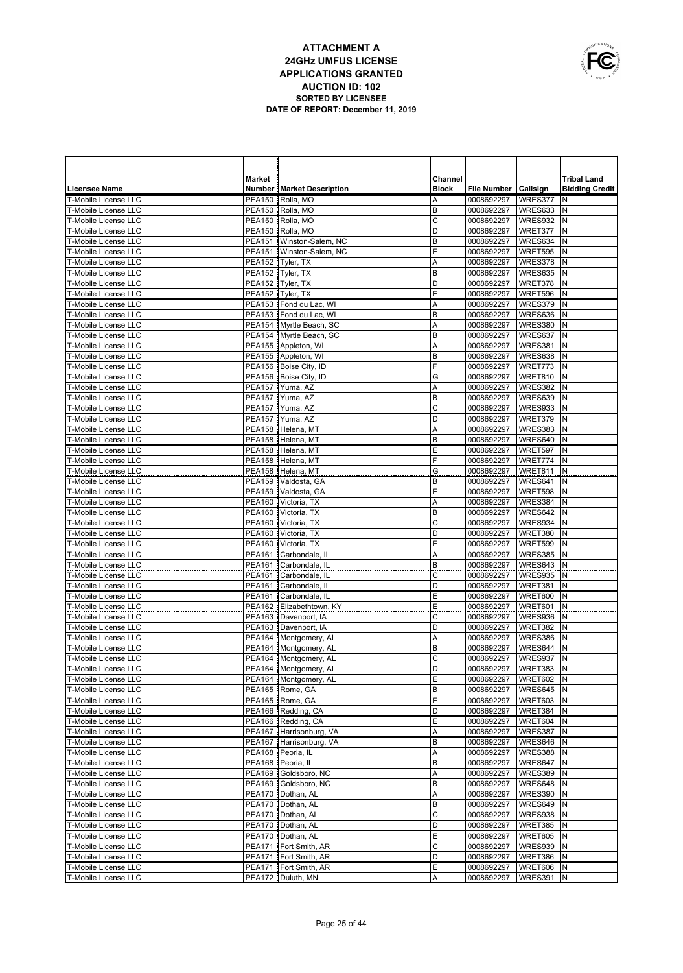

|                                                     | <b>Market</b>           |                                                    | Channel      |                          |                    | <b>Tribal Land</b>    |
|-----------------------------------------------------|-------------------------|----------------------------------------------------|--------------|--------------------------|--------------------|-----------------------|
| <b>Licensee Name</b>                                |                         | <b>Number   Market Description</b>                 | <b>Block</b> | <b>File Number</b>       | Callsign           | <b>Bidding Credit</b> |
| T-Mobile License LLC                                | <b>PEA150</b>           | Rolla, MO                                          | Α            | 0008692297               | WRES377            | N                     |
| <b>T-Mobile License LLC</b>                         | PEA150                  | Rolla, MO                                          | В            | 0008692297               | WRES633            | N                     |
| T-Mobile License LLC                                | <b>PEA150</b>           | Rolla, MO                                          | C            | 0008692297               | WRES932            | N                     |
| <b>T-Mobile License LLC</b>                         | PEA150                  | Rolla, MO                                          | D            | 0008692297               | WRET377            | N                     |
| T-Mobile License LLC                                | PEA151                  | Winston-Salem, NC                                  | B            | 0008692297               | WRES634            | N                     |
| T-Mobile License LLC                                | PEA151                  | Winston-Salem, NC                                  | Ε            | 0008692297               | WRET595            | N                     |
| T-Mobile License LLC                                | <b>PEA152</b>           | Tyler, TX                                          | Α            | 0008692297               | WRES378            | N                     |
| T-Mobile License LLC                                | <b>PEA152</b>           | Tyler, TX                                          | B            | 0008692297               | WRES635            | N                     |
| <b>T-Mobile License LLC</b>                         | <b>PEA152</b>           | Tyler, TX                                          | D            | 0008692297               | WRET378            | N                     |
| T-Mobile License LLC                                | PEA152                  | Tyler, TX                                          | E            | 0008692297               | WRET596            | N                     |
| <b>T-Mobile License LLC</b>                         |                         | PEA153 Fond du Lac, WI                             | Α            | 0008692297               | WRES379            | N                     |
| T-Mobile License LLC                                |                         | PEA153 Fond du Lac, WI                             | B            | 0008692297               | WRES636            | N<br>N                |
| <b>T-Mobile License LLC</b><br>T-Mobile License LLC |                         | PEA154 Myrtle Beach, SC<br>PEA154 Myrtle Beach, SC | Α<br>B       | 0008692297               | WRES380<br>WRES637 | N                     |
|                                                     |                         |                                                    |              | 0008692297               |                    | N                     |
| <b>T-Mobile License LLC</b><br>T-Mobile License LLC |                         | PEA155 Appleton, WI<br>PEA155 Appleton, WI         | Α<br>B       | 0008692297<br>0008692297 | WRES381<br>WRES638 | N                     |
| T-Mobile License LLC                                |                         | PEA156 Boise City, ID                              | F            | 0008692297               | WRET773            | N                     |
| T-Mobile License LLC                                |                         | PEA156 Boise City, ID                              | G            | 0008692297               | WRET810            | N                     |
| T-Mobile License LLC                                |                         | PEA157 Yuma, AZ                                    | Α            | 0008692297               | WRES382            | N                     |
| T-Mobile License LLC                                |                         | PEA157 Yuma, AZ                                    | B            | 0008692297               | WRES639            | N                     |
| <b>T-Mobile License LLC</b>                         |                         | PEA157 Yuma, AZ                                    | C            | 0008692297               | WRES933            | $\mathsf{N}$          |
| <b>T-Mobile License LLC</b>                         |                         | PEA157 Yuma, AZ                                    | D            | 0008692297               | WRET379            | N                     |
| T-Mobile License LLC                                |                         | PEA158 Helena, MT                                  | Α            | 0008692297               | WRES383            | $\mathsf{N}$          |
| <b>T-Mobile License LLC</b>                         |                         | PEA158 Helena, MT                                  | B            | 0008692297               | WRES640            | N                     |
| T-Mobile License LLC                                |                         | PEA158 Helena, MT                                  | Ε            | 0008692297               | WRET597            | $\mathsf{N}$          |
| T-Mobile License LLC                                |                         | PEA158 Helena, MT                                  | F            | 0008692297               | WRET774            | N                     |
| T-Mobile License LLC                                |                         | PEA158 Helena, MT                                  | G            | 0008692297               | WRET811            | $\mathsf{N}$          |
| T-Mobile License LLC                                |                         | PEA159 Valdosta, GA                                | В            | 0008692297               | WRES641            | $\mathsf{N}$          |
| T-Mobile License LLC                                |                         | PEA159 Valdosta, GA                                | Ε            | 0008692297               | WRET598            | N                     |
| T-Mobile License LLC                                | <b>PEA160</b>           | Victoria, TX                                       | Α            | 0008692297               | WRES384            | N                     |
| T-Mobile License LLC                                | PEA160                  | Victoria, TX                                       | B            | 0008692297               | WRES642            | N                     |
| T-Mobile License LLC                                | PEA160                  | Victoria, TX                                       | С            | 0008692297               | WRES934            | N                     |
| T-Mobile License LLC                                | PEA160                  | Victoria, TX                                       | D            | 0008692297               | WRET380            | N                     |
| T-Mobile License LLC                                | PEA160                  | Victoria, TX                                       | Ε            | 0008692297               | WRET599            | $\mathsf{N}$          |
| T-Mobile License LLC                                | PEA161                  | Carbondale, IL                                     | A            | 0008692297               | WRES385            | N                     |
| T-Mobile License LLC                                | <b>PEA161</b>           | Carbondale, IL                                     | В            | 0008692297               | WRES643            | N                     |
| T-Mobile License LLC                                | <b>PEA161</b>           | Carbondale, IL                                     | C            | 0008692297               | WRES935            | N                     |
| T-Mobile License LLC                                | PEA161                  | Carbondale, IL                                     | D            | 0008692297               | WRET381            | N                     |
| T-Mobile License LLC<br>T-Mobile License LLC        | <b>PEA161</b><br>PEA162 | Carbondale, IL<br>Elizabethtown, KY                | E<br>Ε       | 0008692297<br>0008692297 | WRET600<br>WRET601 | N<br>N                |
| T-Mobile License LLC                                |                         | PEA163 Davenport, IA                               | C            | 0008692297               | WRES936            | N                     |
| <b>T-Mobile License LLC</b>                         |                         | PEA163 Davenport, IA                               | D            | 0008692297               | WRET382            | $\mathsf{N}$          |
| T-Mobile License LLC                                |                         | PEA164   Montgomery, AL                            | Α            | 0008692297               | WRES386            | N                     |
| <b>T-Mobile License LLC</b>                         |                         | PEA164   Montgomery, AL                            | B            | 0008692297               | WRES644            | $\mathsf{N}$          |
| T-Mobile License LLC                                |                         | PEA164   Montgomery, AL                            | C            | 0008692297               | WRES937            | N                     |
| T-Mobile License LLC                                |                         | PEA164 Montgomery, AL                              | D            | 0008692297               | WRET383            | IN.                   |
| T-Mobile License LLC                                |                         | PEA164   Montgomery, AL                            | Ε            | 0008692297               | WRET602 N          |                       |
| T-Mobile License LLC                                |                         | PEA165 Rome, GA                                    | B            | 0008692297               | WRES645 N          |                       |
| T-Mobile License LLC                                |                         | PEA165   Rome, GA                                  | Ε            | 0008692297               | WRET603 N          |                       |
| T-Mobile License LLC                                |                         | PEA166 Redding, CA                                 | D            | 0008692297               | WRET384 N          |                       |
| T-Mobile License LLC                                |                         | PEA166 Redding, CA                                 | Ε            | 0008692297               | WRET604            | N                     |
| T-Mobile License LLC                                |                         | PEA167 Harrisonburg, VA                            | Α            | 0008692297               | WRES387 N          |                       |
| T-Mobile License LLC                                |                         | PEA167 Harrisonburg, VA                            | B            | 0008692297               | WRES646 N          |                       |
| T-Mobile License LLC                                |                         | PEA168   Peoria, IL                                | Α            | 0008692297               | WRES388 N          |                       |
| T-Mobile License LLC                                |                         | PEA168   Peoria, IL                                | B            | 0008692297               | WRES647            | N                     |
| T-Mobile License LLC                                |                         | PEA169 Goldsboro, NC                               | Α            | 0008692297               | <b>WRES389 N</b>   |                       |
| T-Mobile License LLC                                |                         | PEA169 Goldsboro, NC                               | B            | 0008692297               | WRES648            | Ν                     |
| T-Mobile License LLC                                |                         | PEA170   Dothan, AL                                | Α            | 0008692297               | WRES390 N          |                       |
| T-Mobile License LLC                                |                         | PEA170   Dothan, AL                                | B            | 0008692297               | WRES649            | N                     |
| T-Mobile License LLC                                |                         | PEA170   Dothan, AL                                | C            | 0008692297               | <b>WRES938 N</b>   |                       |
| T-Mobile License LLC                                |                         | PEA170   Dothan, AL                                | D            | 0008692297               | WRET385            | N                     |
| T-Mobile License LLC                                |                         | PEA170   Dothan, AL                                | Ε            | 0008692297               | WRET605 N          |                       |
| T-Mobile License LLC                                |                         | PEA171 Fort Smith, AR                              | C            | 0008692297               | WRES939            | N                     |
| T-Mobile License LLC                                |                         | PEA171   Fort Smith, AR                            | D            | 0008692297               | WRET386 N          |                       |
| T-Mobile License LLC                                |                         | PEA171   Fort Smith, AR                            | Ε            | 0008692297               | WRET606            | N                     |
| T-Mobile License LLC                                |                         | PEA172   Duluth, MN                                | A            | 0008692297               | WRES391 N          |                       |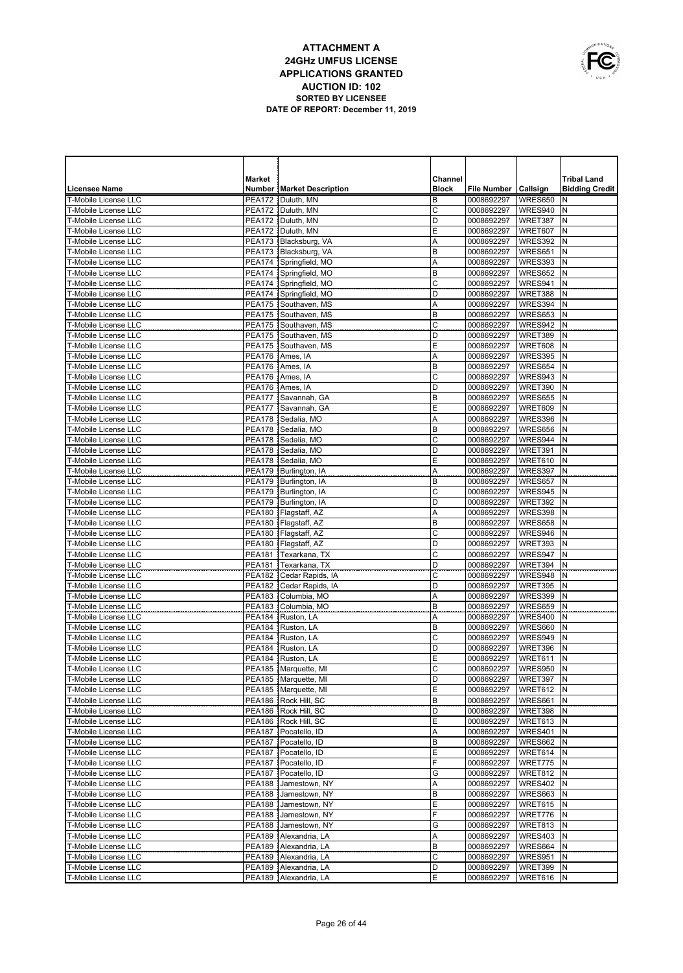

|                                              | <b>Market</b> |                                                 | Channel      |                          |                    | <b>Tribal Land</b>    |
|----------------------------------------------|---------------|-------------------------------------------------|--------------|--------------------------|--------------------|-----------------------|
| <b>Licensee Name</b>                         |               | <b>Number   Market Description</b>              | <b>Block</b> | File Number   Callsign   |                    | <b>Bidding Credit</b> |
| T-Mobile License LLC                         |               | PEA172   Duluth, MN                             | B            | 0008692297               | WRES650            | N                     |
| T-Mobile License LLC                         |               | PEA172   Duluth, MN                             | С            | 0008692297               | WRES940            | N                     |
| T-Mobile License LLC                         |               | PEA172 Duluth, MN                               | D            | 0008692297               | WRET387            | N                     |
| T-Mobile License LLC                         |               | PEA172   Duluth, MN                             | Е            | 0008692297               | WRET607            | N                     |
| T-Mobile License LLC                         |               | PEA173   Blacksburg, VA                         | Α            | 0008692297               | WRES392            | N                     |
| T-Mobile License LLC                         |               | PEA173   Blacksburg, VA                         | B            | 0008692297               | WRES651            | N                     |
| T-Mobile License LLC                         |               | PEA174 Springfield, MO                          | Α            | 0008692297               | WRES393            | N                     |
| <b>T-Mobile License LLC</b>                  |               | PEA174 Springfield, MO                          | B            | 0008692297               | WRES652            | N                     |
| T-Mobile License LLC<br>T-Mobile License LLC |               | PEA174 Springfield, MO                          | C<br>D       | 0008692297               | WRES941            | N                     |
| T-Mobile License LLC                         |               | PEA174 Springfield, MO<br>PEA175 Southaven, MS  | Α            | 0008692297<br>0008692297 | WRET388<br>WRES394 | N<br>N                |
| T-Mobile License LLC                         |               | PEA175 Southaven, MS                            | B            | 0008692297               | WRES653            | N                     |
| T-Mobile License LLC                         |               | PEA175 Southaven, MS                            | C            | 0008692297               | WRES942            | N                     |
| <b>T-Mobile License LLC</b>                  |               | PEA175 Southaven, MS                            | D            | 0008692297               | WRET389            | N                     |
| T-Mobile License LLC                         |               | PEA175 Southaven, MS                            | E            | 0008692297               | WRET608            | N                     |
| T-Mobile License LLC                         |               | PEA176 Ames, IA                                 | Α            | 0008692297               | WRES395            | N                     |
| T-Mobile License LLC                         |               | PEA176 Ames, IA                                 | B            | 0008692297               | WRES654            | N                     |
| T-Mobile License LLC                         |               | PEA176 Ames, IA                                 | C            | 0008692297               | WRES943            | N                     |
| T-Mobile License LLC                         |               | PEA176 Ames, IA                                 | D            | 0008692297               | WRET390            | N                     |
| <b>T-Mobile License LLC</b>                  |               | PEA177 Savannah, GA                             | B            | 0008692297               | WRES655            | $\mathsf{N}$          |
| T-Mobile License LLC                         |               | PEA177 Savannah, GA                             | E            | 0008692297               | WRET609            | N                     |
| T-Mobile License LLC                         |               | PEA178 Sedalia, MO                              | Α            | 0008692297               | WRES396            | N                     |
| T-Mobile License LLC                         |               | PEA178 Sedalia, MO                              | B            | 0008692297               | WRES656            | N                     |
| T-Mobile License LLC                         |               | PEA178 Sedalia, MO                              | C            | 0008692297               | WRES944            | $\mathsf{N}$          |
| T-Mobile License LLC                         |               | PEA178 Sedalia, MO                              | D            | 0008692297               | WRET391            | N                     |
| T-Mobile License LLC                         |               | PEA178 Sedalia, MO                              | Ε            | 0008692297               | WRET610            | N                     |
| T-Mobile License LLC                         |               | PEA179   Burlington, IA                         | A            | 0008692297               | WRES397            | N                     |
| T-Mobile License LLC                         |               | PEA179 Burlington, IA                           | B            | 0008692297               | WRES657            | $\mathsf{N}$          |
| T-Mobile License LLC                         |               | PEA179   Burlington, IA                         | C            | 0008692297               | WRES945            | N                     |
| T-Mobile License LLC<br>T-Mobile License LLC |               | PEA179 Burlington, IA<br>PEA180   Flagstaff, AZ | D<br>Α       | 0008692297<br>0008692297 | WRET392<br>WRES398 | N<br>N                |
| T-Mobile License LLC                         |               | PEA180 Flagstaff, AZ                            | B            | 0008692297               | WRES658            | N                     |
| T-Mobile License LLC                         |               | PEA180   Flagstaff, AZ                          | С            | 0008692297               | WRES946            | N                     |
| T-Mobile License LLC                         |               | PEA180   Flagstaff, AZ                          | D            | 0008692297               | WRET393            | N                     |
| T-Mobile License LLC                         |               | PEA181 Texarkana, TX                            | С            | 0008692297               | WRES947            | N                     |
| T-Mobile License LLC                         | <b>PEA181</b> | Texarkana, TX                                   | D            | 0008692297               | WRET394            | N                     |
| T-Mobile License LLC                         |               | PEA182   Cedar Rapids, IA                       | С            | 0008692297               | WRES948            | N                     |
| <b>T-Mobile License LLC</b>                  |               | PEA182   Cedar Rapids, IA                       | D            | 0008692297               | WRET395            | N                     |
| T-Mobile License LLC                         |               | PEA183   Columbia, MO                           | A            | 0008692297               | WRES399            | N                     |
| T-Mobile License LLC                         | <b>PEA183</b> | Columbia, MO                                    | B            | 0008692297               | WRES659            | $\mathsf{N}$          |
| T-Mobile License LLC                         |               | PEA184 Ruston, LA                               | A            | 0008692297               | <b>WRES400</b>     | N                     |
| T-Mobile License LLC                         |               | PEA184 Ruston, LA                               | B            | 0008692297               | WRES660            | N                     |
| T-Mobile License LLC                         |               | PEA184 Ruston, LA                               | C            | 0008692297               | WRES949            | N                     |
| <b>T-Mobile License LLC</b>                  |               | PEA184 Ruston, LA                               | D            | 0008692297               | WRET396            | N                     |
| T-Mobile License LLC                         |               | PEA184 Ruston, LA                               | E            | 0008692297               | WRET611            | N                     |
| T-Mobile License LLC                         |               | PEA185 Marquette, MI                            | C            | 0008692297               | WRES950            | N                     |
| T-Mobile License LLC<br>T-Mobile License LLC |               | PEA185   Marquette, MI<br>PEA185 Marquette, MI  | D<br>E       | 0008692297   WRET397   N | WRET612 N          |                       |
| T-Mobile License LLC                         |               | PEA186   Rock Hill, SC                          | B            | 0008692297<br>0008692297 | WRES661 N          |                       |
| T-Mobile License LLC                         |               | PEA186 Rock Hill, SC                            | D            | 0008692297               | WRET398 N          |                       |
| T-Mobile License LLC                         |               | PEA186 Rock Hill, SC                            | Ε            | 0008692297               | WRET613 N          |                       |
| T-Mobile License LLC                         |               | PEA187   Pocatello, ID                          | Α            | 0008692297               | WRES401 N          |                       |
| T-Mobile License LLC                         |               | PEA187   Pocatello, ID                          | B            | 0008692297               | WRES662            | IN.                   |
| T-Mobile License LLC                         |               | PEA187 Pocatello, ID                            | Ε            | 0008692297               | WRET614 N          |                       |
| T-Mobile License LLC                         |               | PEA187   Pocatello, ID                          | F            | 0008692297               | WRET775 N          |                       |
| T-Mobile License LLC                         |               | PEA187   Pocatello, ID                          | G            | 0008692297               | WRET812 N          |                       |
| T-Mobile License LLC                         |               | PEA188 Jamestown, NY                            | Α            | 0008692297               | WRES402            | IN.                   |
| T-Mobile License LLC                         |               | PEA188 Jamestown, NY                            | B            | 0008692297               | WRES663            | IN.                   |
| T-Mobile License LLC                         |               | PEA188 Jamestown, NY                            | E            | 0008692297               | WRET615            | N                     |
| T-Mobile License LLC                         |               | PEA188 Jamestown, NY                            | F            | 0008692297               | WRET776            | IN                    |
| T-Mobile License LLC                         |               | PEA188 Jamestown, NY                            | G            | 0008692297               | WRET813            | N                     |
| T-Mobile License LLC                         |               | PEA189   Alexandria, LA                         | Α            | 0008692297               | WRES403            | N                     |
| T-Mobile License LLC                         |               | PEA189   Alexandria, LA                         | B            | 0008692297               | WRES664            | N                     |
| T-Mobile License LLC                         |               | PEA189   Alexandria, LA                         | C            | 0008692297               | WRES951            | N                     |
| T-Mobile License LLC                         |               | PEA189 Alexandria, LA                           | D            | 0008692297               | WRET399            | N                     |
| T-Mobile License LLC                         |               | PEA189 Alexandria, LA                           | Ε            | 0008692297               | WRET616 N          |                       |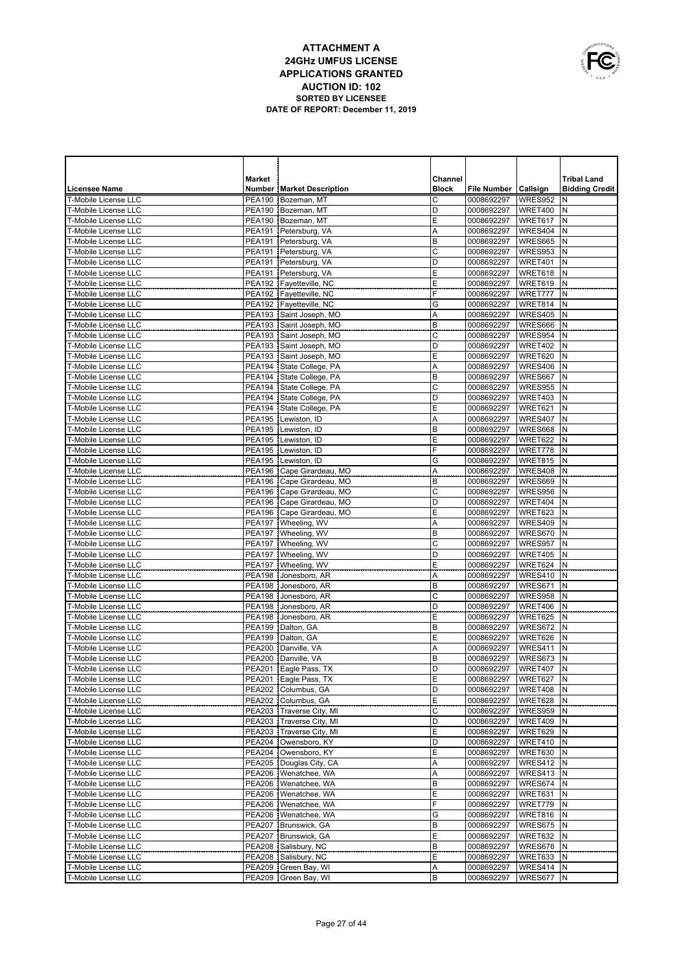

|                                                            | <b>Market</b> |                                                  | Channel        |                          |                    | <b>Tribal Land</b>    |
|------------------------------------------------------------|---------------|--------------------------------------------------|----------------|--------------------------|--------------------|-----------------------|
| <b>Licensee Name</b>                                       |               | <b>Number   Market Description</b>               | <b>Block</b>   | File Number   Callsign   |                    | <b>Bidding Credit</b> |
| <b>T-Mobile License LLC</b>                                |               | PEA190 Bozeman, MT                               | C              | 0008692297               | WRES952            | N                     |
| <b>T-Mobile License LLC</b>                                |               | PEA190 Bozeman, MT                               | D              | 0008692297               | WRET400            | N                     |
| T-Mobile License LLC                                       |               | PEA190 Bozeman, MT                               | Ε              | 0008692297               | WRET617            | N                     |
| <b>T-Mobile License LLC</b>                                |               | PEA191   Petersburg, VA                          | A              | 0008692297               | WRES404            | N                     |
| T-Mobile License LLC                                       |               | PEA191 Petersburg, VA                            | B              | 0008692297               | WRES665            | N                     |
| <b>T-Mobile License LLC</b>                                |               | PEA191   Petersburg, VA                          | C              | 0008692297               | WRES953            | N                     |
| <b>T-Mobile License LLC</b>                                |               | PEA191 Petersburg, VA                            | D              | 0008692297               | WRET401            | N                     |
| <b>T-Mobile License LLC</b><br><b>T-Mobile License LLC</b> |               | PEA191 Petersburg, VA<br>PEA192 Fayetteville, NC | E              | 0008692297               | WRET618<br>WRET619 | N<br>N                |
| <b>T-Mobile License LLC</b>                                |               | PEA192   Fayetteville, NC                        | Е<br>F         | 0008692297<br>0008692297 | WRET777            | N                     |
| T-Mobile License LLC                                       | <b>PEA192</b> | Fayetteville, NC                                 | G              | 0008692297               | WRET814            | N                     |
| T-Mobile License LLC                                       |               | PEA193 Saint Joseph, MO                          | Α              | 0008692297               | <b>WRES405</b>     | N                     |
| T-Mobile License LLC                                       | <b>PEA193</b> | Saint Joseph, MO                                 | B              | 0008692297               | WRES666            | N                     |
| T-Mobile License LLC                                       | <b>PEA193</b> | Saint Joseph, MO                                 | C              | 0008692297               | WRES954            | N                     |
| T-Mobile License LLC                                       | <b>PEA193</b> | Saint Joseph, MO                                 | D              | 0008692297               | WRET402            | N                     |
| T-Mobile License LLC                                       | <b>PEA193</b> | Saint Joseph, MO                                 | Ε              | 0008692297               | WRET620            | N                     |
| T-Mobile License LLC                                       | <b>PEA194</b> | State College, PA                                | Α              | 0008692297               | <b>WRES406</b>     | N                     |
| T-Mobile License LLC                                       | <b>PEA194</b> | State College, PA                                | B              | 0008692297               | WRES667            | N                     |
| T-Mobile License LLC                                       | <b>PEA194</b> | State College, PA                                | C              | 0008692297               | WRES955            | N                     |
| T-Mobile License LLC                                       | <b>PEA194</b> | State College, PA                                | D              | 0008692297               | WRET403            | N                     |
| T-Mobile License LLC                                       | <b>PEA194</b> | State College, PA                                | E              | 0008692297               | WRET621            | N                     |
| T-Mobile License LLC                                       | <b>PEA195</b> | Lewiston, ID                                     | Α              | 0008692297               | WRES407            | N                     |
| T-Mobile License LLC                                       | <b>PEA195</b> | Lewiston, ID                                     | B              | 0008692297               | WRES668            | N                     |
| <b>T-Mobile License LLC</b>                                | <b>PEA195</b> | Lewiston, ID                                     | E              | 0008692297               | WRET622            | N                     |
| T-Mobile License LLC<br>T-Mobile License LLC               | <b>PEA195</b> | Lewiston, ID                                     | F              | 0008692297               | WRET778            | N                     |
| T-Mobile License LLC                                       | <b>PEA195</b> | Lewiston, ID<br>PEA196   Cape Girardeau, MO      | G              | 0008692297<br>0008692297 | WRET815<br>WRES408 | N<br>N                |
| T-Mobile License LLC                                       |               | PEA196 Cape Girardeau, MO                        | Α<br>B         | 0008692297               | WRES669            | N                     |
| <b>T-Mobile License LLC</b>                                |               | PEA196   Cape Girardeau, MO                      | C              | 0008692297               | WRES956            | N                     |
| <b>T-Mobile License LLC</b>                                |               | PEA196 Cape Girardeau, MO                        | D              | 0008692297               | WRET404            | N                     |
| T-Mobile License LLC                                       |               | PEA196 Cape Girardeau, MO                        | E              | 0008692297               | WRET623            | N                     |
| T-Mobile License LLC                                       |               | PEA197   Wheeling, WV                            | Α              | 0008692297               | WRES409            | N                     |
| T-Mobile License LLC                                       |               | PEA197   Wheeling, WV                            | B              | 0008692297               | WRES670            | N                     |
| <b>T-Mobile License LLC</b>                                |               | PEA197   Wheeling, WV                            | $\mathsf{C}$   | 0008692297               | WRES957            | N                     |
| T-Mobile License LLC                                       |               | PEA197   Wheeling, WV                            | D              | 0008692297               | WRET405            | N                     |
| T-Mobile License LLC                                       | <b>PEA197</b> | Wheeling, WV                                     | E              | 0008692297               | WRET624            | N                     |
| T-Mobile License LLC                                       | <b>PEA198</b> | Jonesboro, AR                                    | A              | 0008692297               | WRES410            | N                     |
| T-Mobile License LLC                                       | <b>PEA198</b> | Jonesboro, AR                                    | B              | 0008692297               | WRES671            | N                     |
| T-Mobile License LLC                                       | PEA198        | Jonesboro, AR                                    | $\overline{c}$ | 0008692297               | WRES958            | N                     |
| <b>T-Mobile License LLC</b>                                | <b>PEA198</b> | Jonesboro, AR                                    | D              | 0008692297               | WRET406            | N                     |
| T-Mobile License LLC                                       | PEA198        | Jonesboro, AR                                    | E              | 0008692297               | WRET625            | N                     |
| T-Mobile License LLC<br>T-Mobile License LLC               |               | PEA199   Dalton, GA<br>PEA199   Dalton, GA       | B<br>Ε         | 0008692297<br>0008692297 | WRES672<br>WRET626 | N<br>N                |
| T-Mobile License LLC                                       |               | PEA200 Danville, VA                              | Α              | 0008692297               | WRES411            | N                     |
| T-Mobile License LLC                                       |               | PEA200 Danville, VA                              | B              | 0008692297               | WRES673            | N                     |
| T-Mobile License LLC                                       |               | PEA201 Eagle Pass, TX                            | D              | 0008692297               | WRET407            | $\mathsf{N}$          |
| T-Mobile License LLC                                       |               | PEA201 Eagle Pass, TX                            | Ε              | 0008692297               | WRET627 N          |                       |
| T-Mobile License LLC                                       |               | PEA202 Columbus, GA                              | D              | 0008692297               | WRET408 N          |                       |
| T-Mobile License LLC                                       |               | PEA202   Columbus, GA                            | Ε              | 0008692297               | WRET628 N          |                       |
| T-Mobile License LLC                                       |               | PEA203   Traverse City, MI                       | С              | 0008692297               | WRES959 N          |                       |
| T-Mobile License LLC                                       |               | PEA203   Traverse City, MI                       | D              | 0008692297               | WRET409            | N                     |
| T-Mobile License LLC                                       |               | PEA203   Traverse City, MI                       | Ε              | 0008692297               | WRET629 N          |                       |
| T-Mobile License LLC                                       |               | PEA204   Owensboro, KY                           | D              | 0008692297               | WRET410            | N                     |
| T-Mobile License LLC                                       |               | PEA204 Owensboro, KY                             | Ε              | 0008692297               | WRET630 N          |                       |
| T-Mobile License LLC                                       |               | PEA205   Douglas City, CA                        | Α              | 0008692297               | WRES412            | N                     |
| T-Mobile License LLC                                       |               | PEA206   Wenatchee, WA                           | Α              | 0008692297               | WRES413 N          |                       |
| T-Mobile License LLC<br>T-Mobile License LLC               |               | PEA206   Wenatchee, WA<br>PEA206   Wenatchee, WA | B<br>Ε         | 0008692297<br>0008692297 | WRES674            | N<br>IN.              |
| T-Mobile License LLC                                       |               | PEA206   Wenatchee, WA                           | F              | 0008692297               | WRET631<br>WRET779 | N                     |
| T-Mobile License LLC                                       |               | PEA206   Wenatchee, WA                           | G              | 0008692297               | WRET816 N          |                       |
| T-Mobile License LLC                                       |               | PEA207 Brunswick, GA                             | B              | 0008692297               | WRES675            | N                     |
| T-Mobile License LLC                                       |               | PEA207 Brunswick, GA                             | Ε              | 0008692297               | WRET632 N          |                       |
| T-Mobile License LLC                                       |               | PEA208 Salisbury, NC                             | B              | 0008692297               | WRES676            | N                     |
| T-Mobile License LLC                                       |               | PEA208 Salisbury, NC                             | Ε              | 0008692297               | WRET633 N          |                       |
| T-Mobile License LLC                                       |               | PEA209 Green Bay, WI                             | Α              | 0008692297               | WRES414            | Ν                     |
| T-Mobile License LLC                                       |               | PEA209 Green Bay, WI                             | В              | 0008692297               | WRES677 N          |                       |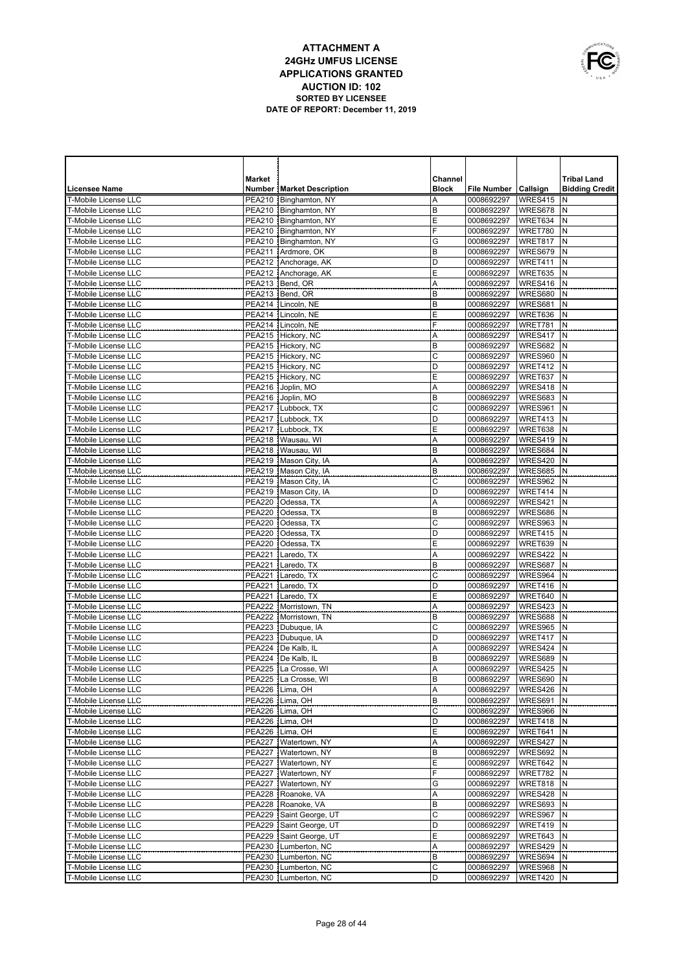

|                                                            | Market                         |                                                    | Channel      |                                        |                      | <b>Tribal Land</b>    |
|------------------------------------------------------------|--------------------------------|----------------------------------------------------|--------------|----------------------------------------|----------------------|-----------------------|
| <b>Licensee Name</b>                                       |                                | <b>Number   Market Description</b>                 | <b>Block</b> | <b>File Number</b>                     | Callsign             | <b>Bidding Credit</b> |
| <b>T-Mobile License LLC</b>                                | <b>PEA210</b>                  | Binghamton, NY                                     | Α            | 0008692297                             | WRES415              | N                     |
| <b>T-Mobile License LLC</b>                                |                                | PEA210   Binghamton, NY                            | B            | 0008692297                             | WRES678              | N                     |
| <b>T-Mobile License LLC</b>                                |                                | PEA210   Binghamton, NY                            | Ε            | 0008692297                             | WRET634              | N                     |
| T-Mobile License LLC                                       |                                | PEA210   Binghamton, NY<br>PEA210 Binghamton, NY   | F<br>G       | 0008692297                             | WRET780              | N<br>N                |
| <b>T-Mobile License LLC</b><br><b>T-Mobile License LLC</b> | PEA211                         | Ardmore, OK                                        | B            | 0008692297<br>0008692297               | WRET817<br>WRES679   | N                     |
| <b>T-Mobile License LLC</b>                                | PEA212                         | Anchorage, AK                                      | D            | 0008692297                             | WRET411              | N                     |
| <b>T-Mobile License LLC</b>                                | PEA212                         | Anchorage, AK                                      | E            | 0008692297                             | WRET635              | N                     |
| <b>T-Mobile License LLC</b>                                | PEA213                         | Bend, OR                                           | Α            | 0008692297                             | WRES416              | N                     |
| <b>T-Mobile License LLC</b>                                | PEA213                         | Bend, OR                                           | B            | 0008692297                             | WRES680              | N                     |
| <b>T-Mobile License LLC</b>                                | PEA214                         | Lincoln, NE                                        | B            | 0008692297                             | WRES681              | N                     |
| <b>T-Mobile License LLC</b>                                | <b>PEA214</b>                  | Lincoln, NE                                        | E            | 0008692297                             | WRET636              | N                     |
| <b>T-Mobile License LLC</b>                                | <b>PEA214</b>                  | Lincoln, NE                                        | F            | 0008692297                             | WRET781              | N                     |
| <b>T-Mobile License LLC</b>                                |                                | PEA215 Hickory, NC                                 | A            | 0008692297                             | WRES417              | N                     |
| <b>T-Mobile License LLC</b>                                |                                | PEA215 Hickory, NC                                 | B            | 0008692297                             | WRES682              | N                     |
| <b>T-Mobile License LLC</b>                                |                                | PEA215 Hickory, NC                                 | C            | 0008692297                             | WRES960              | N                     |
| <b>T-Mobile License LLC</b>                                |                                | PEA215 Hickory, NC                                 | D            | 0008692297                             | WRET412              | N                     |
| <b>T-Mobile License LLC</b>                                |                                | PEA215 Hickory, NC                                 | E            | 0008692297                             | WRET637              | N                     |
| <b>T-Mobile License LLC</b><br><b>T-Mobile License LLC</b> |                                | PEA216 Joplin, MO<br>PEA216 Joplin, MO             | Α<br>B       | 0008692297<br>0008692297               | WRES418<br>WRES683   | N<br>N                |
| <b>T-Mobile License LLC</b>                                |                                | PEA217   Lubbock, TX                               | C            | 0008692297                             | WRES961              | N                     |
| <b>T-Mobile License LLC</b>                                |                                | PEA217 Lubbock, TX                                 | D            | 0008692297                             | WRET413              | N                     |
| <b>T-Mobile License LLC</b>                                | PEA217                         | Lubbock, TX                                        | E            | 0008692297                             | WRET638              | N                     |
| <b>T-Mobile License LLC</b>                                | PEA218                         | Wausau, WI                                         | Α            | 0008692297                             | WRES419              | N                     |
| <b>T-Mobile License LLC</b>                                |                                | PEA218  Wausau. WI                                 | B            | 0008692297                             | WRES684              | N                     |
| <b>T-Mobile License LLC</b>                                |                                | PEA219 Mason City, IA                              | Α            | 0008692297                             | WRES420              | N                     |
| <b>T-Mobile License LLC</b>                                |                                | PEA219   Mason City, IA                            | B            | 0008692297                             | WRES685              | N                     |
| <b>T-Mobile License LLC</b>                                |                                | PEA219   Mason City, IA                            | C            | 0008692297                             | WRES962              | N                     |
| T-Mobile License LLC                                       |                                | PEA219   Mason City, IA                            | D            | 0008692297                             | WRET414              | N                     |
| <b>T-Mobile License LLC</b>                                | <b>PEA220</b>                  | Odessa, TX                                         | Α            | 0008692297                             | WRES421              | N                     |
| T-Mobile License LLC                                       | <b>PEA220</b>                  | Odessa, TX                                         | B            | 0008692297                             | WRES686              | N                     |
| <b>T-Mobile License LLC</b>                                | <b>PEA220</b>                  | Odessa, TX                                         | C            | 0008692297                             | WRES963              | N                     |
| <b>T-Mobile License LLC</b>                                | <b>PEA220</b>                  | Odessa, TX                                         | D            | 0008692297                             | WRET415              | N                     |
| <b>T-Mobile License LLC</b><br><b>T-Mobile License LLC</b> | <b>PEA220</b><br><b>PEA221</b> | Odessa, TX<br>Laredo, TX                           | E<br>Α       | 0008692297<br>0008692297               | WRET639<br>WRES422   | N<br>N                |
| <b>T-Mobile License LLC</b>                                | <b>PEA221</b>                  | Laredo, TX                                         | B            | 0008692297                             | WRES687              | N                     |
| <b>T-Mobile License LLC</b>                                | <b>PEA221</b>                  | Laredo, TX                                         | C            | 0008692297                             | WRES964              | N                     |
| <b>T-Mobile License LLC</b>                                | <b>PEA221</b>                  | Laredo, TX                                         | D            | 0008692297                             | WRET416              | N                     |
| <b>T-Mobile License LLC</b>                                | <b>PEA221</b>                  | Laredo, TX                                         | E            | 0008692297                             | WRET640              | N                     |
| <b>T-Mobile License LLC</b>                                | <b>PEA222</b>                  | Morristown, TN                                     | Α            | 0008692297                             | WRES423              | N                     |
| T-Mobile License LLC                                       | <b>PEA222</b>                  | Morristown, TN                                     | B            | 0008692297                             | WRES688              | N                     |
| <b>T-Mobile License LLC</b>                                | <b>PEA223</b>                  | Dubuque, IA                                        | C            | 0008692297                             | <b>WRES965</b>       | N                     |
| <b>T-Mobile License LLC</b>                                | <b>PEA223</b>                  | Dubuque, IA                                        | D            | 0008692297                             | WRET417              | N                     |
| <b>T-Mobile License LLC</b>                                | <b>PEA224</b>                  | De Kalb, IL                                        | Α            | 0008692297                             | WRES424              | N                     |
| T-Mobile License LLC                                       | <b>PEA224</b>                  | De Kalb, IL                                        | B            | 0008692297                             | WRES689              | N                     |
| T-Mobile License LLC                                       | <b>PEA225</b>                  | La Crosse, WI                                      | Α            | 0008692297<br>0008692297   WRES690   N | WRES425              | N                     |
| T-Mobile License LLC<br>T-Mobile License LLC               |                                | PEA225 La Crosse, WI<br>PEA226 Lima, OH            | B<br>Α       | 0008692297                             | WRES426 N            |                       |
| T-Mobile License LLC                                       |                                | PEA226   Lima, OH                                  | B            | 0008692297                             | WRES691 N            |                       |
| T-Mobile License LLC                                       |                                | PEA226   Lima, OH                                  | С            | 0008692297                             | WRES966 N            |                       |
| T-Mobile License LLC                                       |                                | PEA226 Lima, OH                                    | D            | 0008692297                             | WRET418              | N                     |
| T-Mobile License LLC                                       |                                | PEA226   Lima, OH                                  | Ε            | 0008692297                             | WRET641 N            |                       |
| T-Mobile License LLC                                       |                                | PEA227   Watertown, NY                             | A            | 0008692297                             | WRES427              | N                     |
| T-Mobile License LLC                                       |                                | PEA227   Watertown, NY                             | В            | 0008692297                             | WRES692 N            |                       |
| T-Mobile License LLC                                       |                                | PEA227   Watertown, NY                             | Ε            | 0008692297                             | WRET642              | N                     |
| T-Mobile License LLC                                       |                                | PEA227 Watertown, NY                               | F            | 0008692297                             | WRET782 N            |                       |
| T-Mobile License LLC                                       |                                | PEA227   Watertown, NY                             | G            | 0008692297                             | WRET818              | N                     |
| T-Mobile License LLC                                       |                                | PEA228 Roanoke, VA                                 | Α            | 0008692297                             | WRES428 N            |                       |
| T-Mobile License LLC                                       |                                | PEA228 Roanoke, VA                                 | B            | 0008692297                             | WRES693              | N                     |
| T-Mobile License LLC<br>T-Mobile License LLC               |                                | PEA229 Saint George, UT<br>PEA229 Saint George, UT | C<br>D       | 0008692297<br>0008692297               | WRES967 N<br>WRET419 | N                     |
| T-Mobile License LLC                                       |                                | PEA229 Saint George, UT                            | Ε            | 0008692297                             | WRET643              | N                     |
| T-Mobile License LLC                                       |                                | PEA230   Lumberton, NC                             | Α            | 0008692297                             | WRES429              | N                     |
| T-Mobile License LLC                                       |                                | PEA230   Lumberton, NC                             | В            | 0008692297                             | WRES694              | N                     |
| T-Mobile License LLC                                       |                                | PEA230   Lumberton, NC                             | C            | 0008692297                             | WRES968              | N                     |
| T-Mobile License LLC                                       |                                | PEA230   Lumberton, NC                             | D            | 0008692297                             | WRET420 N            |                       |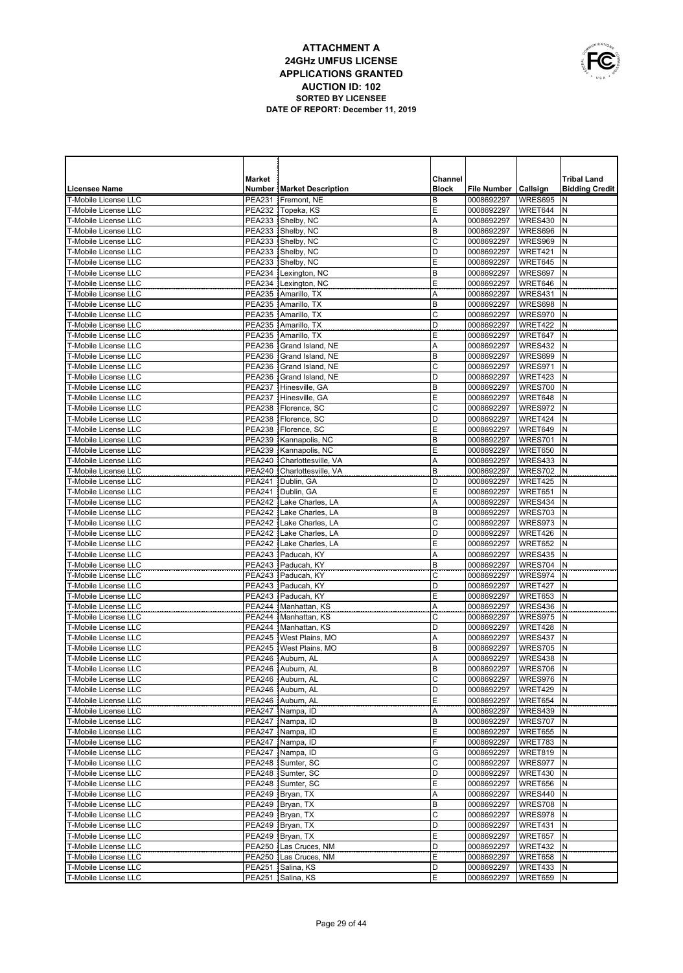

|                                                            | <b>Market</b> |                                                     | Channel      |                          |                    | <b>Tribal Land</b>    |
|------------------------------------------------------------|---------------|-----------------------------------------------------|--------------|--------------------------|--------------------|-----------------------|
| <b>Licensee Name</b>                                       |               | <b>Number   Market Description</b>                  | <b>Block</b> | File Number   Callsign   |                    | <b>Bidding Credit</b> |
| <b>T-Mobile License LLC</b>                                |               | PEA231 Fremont, NE                                  | B            | 0008692297               | WRES695            | N                     |
| <b>T-Mobile License LLC</b>                                |               | PEA232   Topeka, KS                                 | Ε            | 0008692297               | WRET644            | N                     |
| <b>T-Mobile License LLC</b>                                |               | PEA233 Shelby, NC                                   | Α            | 0008692297               | WRES430            | N                     |
| <b>T-Mobile License LLC</b>                                |               | PEA233 Shelby, NC                                   | B            | 0008692297               | WRES696            | N                     |
| <b>T-Mobile License LLC</b>                                |               | PEA233 Shelby, NC                                   | C            | 0008692297               | WRES969            | N                     |
| <b>T-Mobile License LLC</b>                                |               | PEA233 Shelby, NC                                   | D            | 0008692297               | WRET421            | N                     |
| <b>T-Mobile License LLC</b><br><b>T-Mobile License LLC</b> |               | PEA233 Shelby, NC                                   | Ε<br>B       | 0008692297               | WRET645<br>WRES697 | N<br>N                |
| <b>T-Mobile License LLC</b>                                |               | PEA234 Lexington, NC<br>PEA234 Lexington, NC        | Ε            | 0008692297<br>0008692297 | WRET646            | N                     |
| <b>T-Mobile License LLC</b>                                |               | PEA235 Amarillo, TX                                 | Α            | 0008692297               | WRES431            | N                     |
| T-Mobile License LLC                                       |               | PEA235 Amarillo, TX                                 | B            | 0008692297               | WRES698            | N                     |
| <b>T-Mobile License LLC</b>                                |               | PEA235 Amarillo, TX                                 | Ċ            | 0008692297               | WRES970            | N                     |
| <b>T-Mobile License LLC</b>                                |               | PEA235 Amarillo, TX                                 | D            | 0008692297               | WRET422            | N                     |
| <b>T-Mobile License LLC</b>                                |               | PEA235 Amarillo, TX                                 | E            | 0008692297               | WRET647            | N                     |
| T-Mobile License LLC                                       | <b>PEA236</b> | Grand Island, NE                                    | Α            | 0008692297               | WRES432            | N                     |
| T-Mobile License LLC                                       | <b>PEA236</b> | Grand Island, NE                                    | B            | 0008692297               | WRES699            | N                     |
| T-Mobile License LLC                                       | <b>PEA236</b> | Grand Island, NE                                    | C            | 0008692297               | WRES971            | N                     |
| T-Mobile License LLC                                       | <b>PEA236</b> | Grand Island, NE                                    | D            | 0008692297               | WRET423            | N                     |
| T-Mobile License LLC                                       | <b>PEA237</b> | Hinesville, GA                                      | B            | 0008692297               | WRES700            | N                     |
| T-Mobile License LLC                                       | <b>PEA237</b> | Hinesville, GA                                      | Е            | 0008692297               | WRET648            | N                     |
| T-Mobile License LLC                                       |               | PEA238   Florence, SC                               | C            | 0008692297               | WRES972            | N                     |
| T-Mobile License LLC                                       |               | PEA238   Florence, SC                               | D            | 0008692297               | WRET424            | N                     |
| T-Mobile License LLC                                       |               | PEA238   Florence, SC                               | E            | 0008692297               | WRET649            | N                     |
| <b>T-Mobile License LLC</b>                                |               | PEA239 Kannapolis, NC                               | B            | 0008692297               | WRES701            | $\mathsf{N}$          |
| T-Mobile License LLC<br>T-Mobile License LLC               |               | PEA239 Kannapolis, NC<br>PEA240 Charlottesville, VA | E            | 0008692297<br>0008692297 | WRET650<br>WRES433 | N<br>N                |
| T-Mobile License LLC                                       |               | PEA240 Charlottesville, VA                          | Α<br>B       | 0008692297               | WRES702            | N                     |
| T-Mobile License LLC                                       | <b>PEA241</b> | Dublin, GA                                          | D            | 0008692297               | WRET425            | N                     |
| T-Mobile License LLC                                       | <b>PEA241</b> | Dublin, GA                                          | E            | 0008692297               | WRET651            | N                     |
| T-Mobile License LLC                                       |               | PEA242 Lake Charles, LA                             | Α            | 0008692297               | WRES434            | N                     |
| T-Mobile License LLC                                       |               | PEA242 Lake Charles, LA                             | B            | 0008692297               | WRES703            | N                     |
| <b>T-Mobile License LLC</b>                                |               | PEA242 Lake Charles, LA                             | Ċ            | 0008692297               | WRES973            | N                     |
| T-Mobile License LLC                                       |               | PEA242 Lake Charles, LA                             | D            | 0008692297               | WRET426            | N                     |
| T-Mobile License LLC                                       |               | PEA242 Lake Charles, LA                             | E            | 0008692297               | WRET652            | N                     |
| T-Mobile License LLC                                       |               | PEA243 Paducah, KY                                  | Α            | 0008692297               | WRES435            | N                     |
| <b>T-Mobile License LLC</b>                                |               | PEA243 Paducah, KY                                  | B            | 0008692297               | WRES704            | N                     |
| T-Mobile License LLC                                       |               | PEA243 Paducah, KY                                  | C            | 0008692297               | WRES974            | N                     |
| <b>T-Mobile License LLC</b>                                |               | PEA243 Paducah, KY                                  | D            | 0008692297               | WRET427            | $\mathsf{N}$          |
| T-Mobile License LLC                                       |               | PEA243 Paducah, KY                                  | E            | 0008692297               | WRET653            | N                     |
| T-Mobile License LLC                                       |               | PEA244   Manhattan, KS                              | Α<br>C       | 0008692297               | WRES436            | $\mathsf{N}$<br>N     |
| T-Mobile License LLC<br>T-Mobile License LLC               |               | PEA244   Manhattan, KS<br>PEA244   Manhattan, KS    | D            | 0008692297<br>0008692297 | WRES975<br>WRET428 | N                     |
| T-Mobile License LLC                                       |               | PEA245   West Plains, MO                            | A            | 0008692297               | WRES437            | N                     |
| T-Mobile License LLC                                       |               | PEA245   West Plains, MO                            | B            | 0008692297               | WRES705            | $\mathsf{N}$          |
| <b>T-Mobile License LLC</b>                                |               | PEA246 Auburn, AL                                   | Α            | 0008692297               | WRES438            | N                     |
| <b>T-Mobile License LLC</b>                                |               | PEA246 Auburn, AL                                   | B            | 0008692297               | WRES706            | N                     |
| T-Mobile License LLC                                       |               | PEA246   Auburn, AL                                 | С            | 0008692297               | WRES976 N          |                       |
| T-Mobile License LLC                                       |               | PEA246 Auburn, AL                                   | D            | 0008692297               | WRET429 N          |                       |
| T-Mobile License LLC                                       |               | PEA246 Auburn, AL                                   | Ε            | 0008692297               | WRET654 N          |                       |
| T-Mobile License LLC                                       |               | PEA247 Nampa. ID                                    | Α            | 0008692297               | WRES439 N          |                       |
| T-Mobile License LLC                                       |               | PEA247 Nampa, ID                                    | B            | 0008692297               | WRES707 N          |                       |
| T-Mobile License LLC                                       |               | PEA247   Nampa, ID                                  | Ε            | 0008692297               | WRET655 N          |                       |
| T-Mobile License LLC                                       |               | PEA247   Nampa, ID                                  | F            | 0008692297               | WRET783 N          |                       |
| T-Mobile License LLC                                       |               | PEA247 Nampa, ID                                    | G            | 0008692297               | WRET819 N          |                       |
| T-Mobile License LLC                                       |               | PEA248 Sumter, SC                                   | C            | 0008692297               | WRES977            | N                     |
| T-Mobile License LLC                                       |               | PEA248 Sumter, SC<br>PEA248 Sumter, SC              | D            | 0008692297               | WRET430            | IN.                   |
| T-Mobile License LLC<br>T-Mobile License LLC               |               | PEA249 Bryan, TX                                    | E<br>Α       | 0008692297<br>0008692297 | WRET656<br>WRES440 | N<br>N                |
| T-Mobile License LLC                                       |               | PEA249   Bryan, TX                                  | B            | 0008692297               | WRES708            | N                     |
| T-Mobile License LLC                                       |               | PEA249 Bryan, TX                                    | C            | 0008692297               | WRES978            | ΙN                    |
| T-Mobile License LLC                                       |               | PEA249   Bryan, TX                                  | D            | 0008692297               | WRET431            | N                     |
| T-Mobile License LLC                                       |               | PEA249   Bryan, TX                                  | Ε            | 0008692297               | WRET657            | N                     |
| T-Mobile License LLC                                       |               | PEA250   Las Cruces, NM                             | D            | 0008692297               | WRET432            | N                     |
| T-Mobile License LLC                                       |               | PEA250   Las Cruces, NM                             | Ε            | 0008692297               | WRET658            | IN.                   |
| T-Mobile License LLC                                       |               | PEA251 Salina, KS                                   | D            | 0008692297               | WRET433            | N                     |
| T-Mobile License LLC                                       |               | PEA251 Salina, KS                                   | Ε            | 0008692297               | WRET659 N          |                       |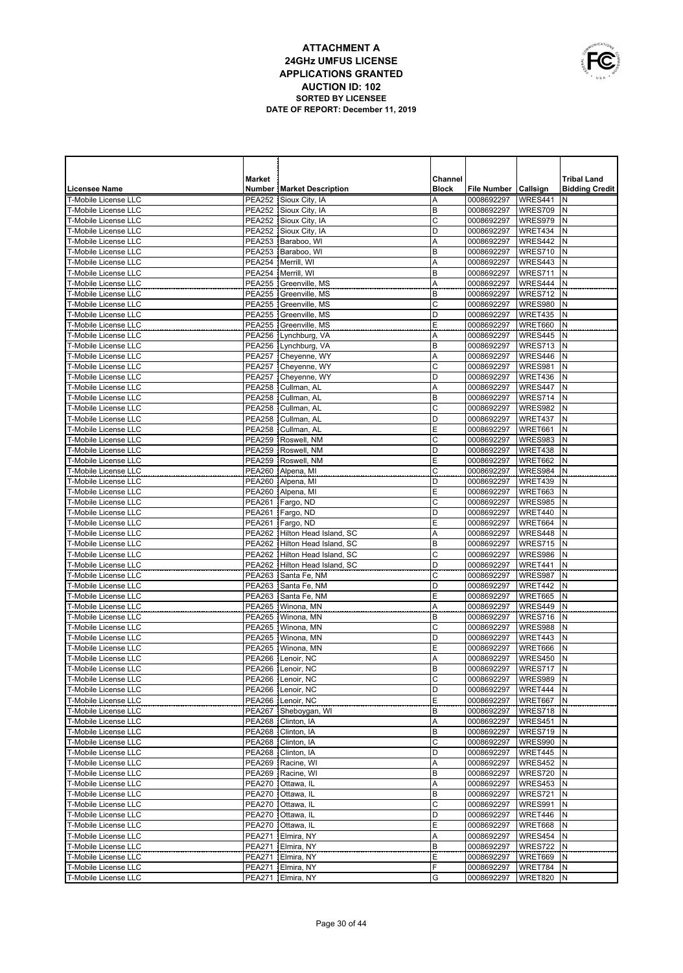

|                                                     | <b>Market</b>                  |                                              | Channel      |                          |                      | <b>Tribal Land</b>    |
|-----------------------------------------------------|--------------------------------|----------------------------------------------|--------------|--------------------------|----------------------|-----------------------|
| Licensee Name                                       |                                | <b>Number   Market Description</b>           | <b>Block</b> | <b>File Number</b>       | Callsign             | <b>Bidding Credit</b> |
| T-Mobile License LLC                                |                                | PEA252 Sioux City, IA                        | Α            | 0008692297               | WRES441              | N                     |
| T-Mobile License LLC                                |                                | PEA252 Sioux City, IA                        | B            | 0008692297               | WRES709              | N                     |
| T-Mobile License LLC                                |                                | PEA252 Sioux City, IA                        | C            | 0008692297               | WRES979              | N                     |
| T-Mobile License LLC                                |                                | PEA252 Sioux City, IA                        | D            | 0008692297               | WRET434              | N                     |
| <b>T-Mobile License LLC</b><br>T-Mobile License LLC |                                | PEA253 Baraboo, WI<br>PEA253 Baraboo, WI     | Α<br>B       | 0008692297<br>0008692297 | WRES442<br>WRES710   | N<br>N                |
| T-Mobile License LLC                                |                                | PEA254 Merrill, WI                           | Α            | 0008692297               | WRES443              | N                     |
| <b>T-Mobile License LLC</b>                         | <b>PEA254</b>                  | Merrill, WI                                  | B            | 0008692297               | WRES711              | N                     |
| <b>T-Mobile License LLC</b>                         |                                | PEA255 Greenville, MS                        | Α            | 0008692297               | WRES444              | N                     |
| T-Mobile License LLC                                |                                | PEA255 Greenville, MS                        | B            | 0008692297               | WRES712              | N                     |
| T-Mobile License LLC                                |                                | PEA255 Greenville, MS                        | C            | 0008692297               | WRES980              | N                     |
| T-Mobile License LLC                                |                                | PEA255 Greenville, MS                        | D            | 0008692297               | WRET435              | N                     |
| T-Mobile License LLC                                |                                | PEA255 Greenville, MS                        | Ε            | 0008692297               | WRET660              | N                     |
| T-Mobile License LLC                                |                                | PEA256 Lynchburg, VA                         | Α            | 0008692297               | WRES445              | N                     |
| <b>T-Mobile License LLC</b>                         |                                | PEA256 Lynchburg, VA                         | B            | 0008692297               | WRES713              | N                     |
| T-Mobile License LLC                                |                                | PEA257 Cheyenne, WY                          | Α            | 0008692297               | WRES446              | N                     |
| <b>T-Mobile License LLC</b>                         |                                | PEA257 Cheyenne, WY                          | C            | 0008692297               | WRES981              | N                     |
| T-Mobile License LLC                                |                                | PEA257 Cheyenne, WY                          | D            | 0008692297               | WRET436              | N                     |
| <b>T-Mobile License LLC</b>                         |                                | PEA258 Cullman, AL                           | Α            | 0008692297               | WRES447              | N                     |
| T-Mobile License LLC                                | <b>PEA258</b>                  | Cullman, AL                                  | B            | 0008692297               | WRES714              | N                     |
| <b>T-Mobile License LLC</b><br>T-Mobile License LLC |                                | PEA258 Cullman, AL<br>PEA258 Cullman, AL     | C<br>D       | 0008692297               | WRES982              | N<br>N                |
| T-Mobile License LLC                                | <b>PEA258</b>                  | Cullman, AL                                  | Е            | 0008692297<br>0008692297 | WRET437<br>WRET661   | N                     |
| T-Mobile License LLC                                | <b>PEA259</b>                  | Roswell, NM                                  | C            | 0008692297               | WRES983              | N                     |
| <b>T-Mobile License LLC</b>                         | <b>PEA259</b>                  | Roswell, NM                                  | D            | 0008692297               | WRET438              | N                     |
| <b>T-Mobile License LLC</b>                         | PEA259                         | Roswell, NM                                  | Ε            | 0008692297               | WRET662              | N                     |
| <b>T-Mobile License LLC</b>                         |                                | PEA260 Alpena, MI                            | C            | 0008692297               | WRES984              | N                     |
| <b>T-Mobile License LLC</b>                         |                                | PEA260 Alpena, MI                            | D            | 0008692297               | WRET439              | N                     |
| <b>T-Mobile License LLC</b>                         |                                | PEA260 Alpena, MI                            | E            | 0008692297               | WRET663              | N                     |
| T-Mobile License LLC                                | <b>PEA261</b>                  | Fargo, ND                                    | C            | 0008692297               | WRES985              | N                     |
| T-Mobile License LLC                                | <b>PEA261</b>                  | Fargo, ND                                    | D            | 0008692297               | WRET440              | N                     |
| <b>T-Mobile License LLC</b>                         | <b>PEA261</b>                  | Fargo, ND                                    | Ε            | 0008692297               | WRET664              | N                     |
| T-Mobile License LLC                                | <b>PEA262</b>                  | Hilton Head Island, SC                       | Α            | 0008692297               | WRES448              | N                     |
| T-Mobile License LLC                                | <b>PEA262</b>                  | Hilton Head Island, SC                       | B            | 0008692297               | WRES715              | N                     |
| T-Mobile License LLC                                | <b>PEA262</b>                  | Hilton Head Island, SC                       | $\mathsf{C}$ | 0008692297               | WRES986              | N                     |
| T-Mobile License LLC                                | <b>PEA262</b>                  | Hilton Head Island, SC                       | D            | 0008692297               | WRET441              | N                     |
| T-Mobile License LLC                                | <b>PEA263</b>                  | Santa Fe, NM                                 | C            | 0008692297               | WRES987              | N                     |
| T-Mobile License LLC<br>T-Mobile License LLC        | <b>PEA263</b><br><b>PEA263</b> | Santa Fe, NM<br>Santa Fe, NM                 | D<br>E       | 0008692297               | WRET442<br>WRET665   | N<br>N                |
| <b>T-Mobile License LLC</b>                         | <b>PEA265</b>                  | Winona, MN                                   | Α            | 0008692297<br>0008692297 | WRES449              | N                     |
| T-Mobile License LLC                                | <b>PEA265</b>                  | Winona, MN                                   | B            | 0008692297               | WRES716              | N                     |
| T-Mobile License LLC                                | <b>PEA265</b>                  | Winona, MN                                   | C            | 0008692297               | WRES988              | N                     |
| T-Mobile License LLC                                | <b>PEA265</b>                  | Winona, MN                                   | D            | 0008692297               | WRET443              | N                     |
| T-Mobile License LLC                                | <b>PEA265</b>                  | Winona, MN                                   | E            | 0008692297               | WRET666              | N                     |
| T-Mobile License LLC                                | <b>PEA266</b>                  | Lenoir, NC                                   | Α            | 0008692297               | WRES450              | N                     |
| T-Mobile License LLC                                |                                | PEA266 Lenoir, NC                            | B            | 0008692297               | WRES717              | N                     |
| T-Mobile License LLC                                |                                | PEA266   Lenoir, NC                          | С            | 0008692297   WRES989   N |                      |                       |
| T-Mobile License LLC                                |                                | PEA266 Lenoir, NC                            | D            | 0008692297               | WRET444              | N                     |
| T-Mobile License LLC                                |                                | PEA266   Lenoir, NC                          | Ε            | 0008692297               | WRET667              | N                     |
| T-Mobile License LLC                                |                                | PEA267 Sheboygan, WI                         | В            | 0008692297               | WRES718 N            |                       |
| T-Mobile License LLC                                |                                | PEA268   Clinton, IA                         | Α            | 0008692297               | WRES451              | N                     |
| T-Mobile License LLC<br>T-Mobile License LLC        |                                | PEA268   Clinton, IA<br>PEA268   Clinton, IA | B<br>C       | 0008692297<br>0008692297 | WRES719 N<br>WRES990 | N                     |
| T-Mobile License LLC                                |                                | PEA268   Clinton, IA                         | D            | 0008692297               | WRET445 N            |                       |
| T-Mobile License LLC                                |                                | PEA269 Racine, WI                            | A            | 0008692297               | WRES452              | N                     |
| T-Mobile License LLC                                |                                | PEA269   Racine, WI                          | В            | 0008692297               | WRES720 N            |                       |
| T-Mobile License LLC                                |                                | PEA270 Ottawa, IL                            | Α            | 0008692297               | WRES453              | N                     |
| T-Mobile License LLC                                |                                | PEA270 Ottawa, IL                            | В            | 0008692297               | WRES721              | N                     |
| T-Mobile License LLC                                |                                | PEA270 Ottawa, IL                            | C            | 0008692297               | WRES991              | N                     |
| T-Mobile License LLC                                |                                | PEA270 Ottawa, IL                            | D            | 0008692297               | WRET446              | N                     |
| T-Mobile License LLC                                |                                | PEA270 Ottawa, IL                            | Ε            | 0008692297               | WRET668              | Ν                     |
| T-Mobile License LLC                                |                                | PEA271   Elmira, NY                          | Α            | 0008692297               | WRES454 N            |                       |
| T-Mobile License LLC                                |                                | PEA271 Elmira, NY                            | B            | 0008692297               | WRES722              | Ν                     |
| T-Mobile License LLC                                |                                | PEA271   Elmira, NY                          | Ε            | 0008692297               | WRET669 N            |                       |
| T-Mobile License LLC                                |                                | PEA271   Elmira, NY                          | F            | 0008692297               | WRET784              | Ν                     |
| T-Mobile License LLC                                |                                | PEA271   Elmira, NY                          | G            | 0008692297               | WRET820 N            |                       |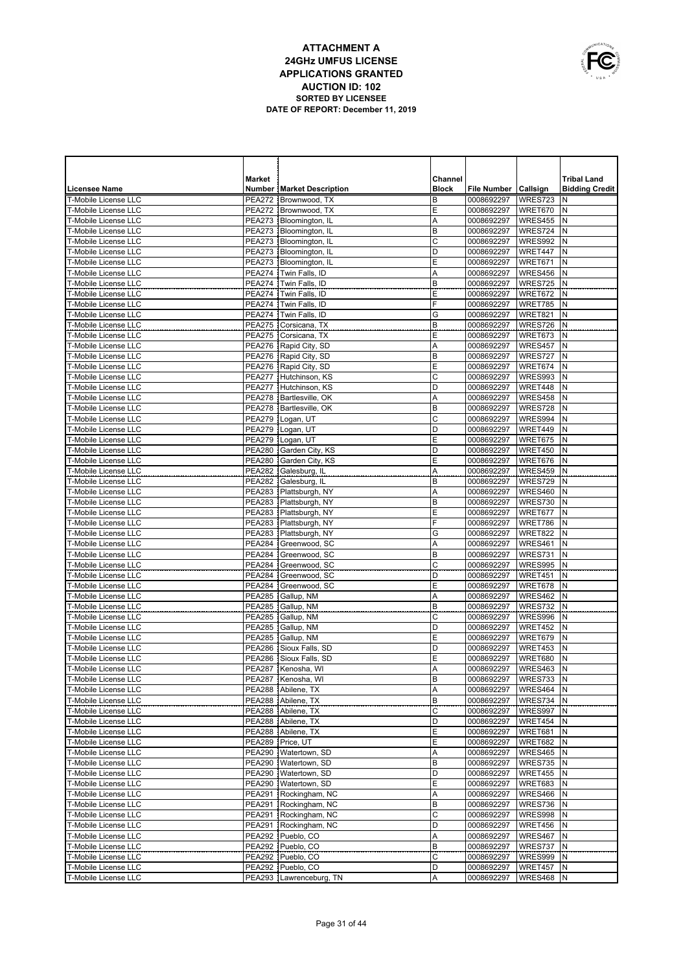

|                                                            | <b>Market</b>                  |                                                    | Channel          |                          |                      | <b>Tribal Land</b>    |
|------------------------------------------------------------|--------------------------------|----------------------------------------------------|------------------|--------------------------|----------------------|-----------------------|
| Licensee Name                                              |                                | <b>Number   Market Description</b>                 | <b>Block</b>     | File Number   Callsign   |                      | <b>Bidding Credit</b> |
| T-Mobile License LLC                                       | <b>PEA272</b>                  | Brownwood, TX                                      | B                | 0008692297               | WRES723              | N                     |
| T-Mobile License LLC                                       | <b>PEA272</b>                  | Brownwood, TX                                      | E                | 0008692297               | WRET670              | N                     |
| T-Mobile License LLC                                       | <b>PEA273</b>                  | Bloomington, IL                                    | Α                | 0008692297               | WRES455              | N                     |
| T-Mobile License LLC<br><b>T-Mobile License LLC</b>        | <b>PEA273</b>                  | Bloomington, IL<br>Bloomington, IL                 | B<br>$\mathsf C$ | 0008692297               | WRES724<br>WRES992   | N<br>N                |
| T-Mobile License LLC                                       | <b>PEA273</b><br><b>PEA273</b> | Bloomington, IL                                    | D                | 0008692297<br>0008692297 | WRET447              | N                     |
| T-Mobile License LLC                                       | <b>PEA273</b>                  | Bloomington, IL                                    | E                | 0008692297               | WRET671              | N                     |
| T-Mobile License LLC                                       | <b>PEA274</b>                  | Twin Falls, ID                                     | Α                | 0008692297               | WRES456              | N                     |
| T-Mobile License LLC                                       | <b>PEA274</b>                  | Twin Falls, ID                                     | B                | 0008692297               | <b>WRES725</b>       | N                     |
| T-Mobile License LLC                                       | <b>PEA274</b>                  | Twin Falls, ID                                     | E                | 0008692297               | WRET672              | N                     |
| <b>T-Mobile License LLC</b>                                | <b>PEA274</b>                  | Twin Falls, ID                                     | F                | 0008692297               | WRET785              | N                     |
| T-Mobile License LLC                                       | <b>PEA274</b>                  | Twin Falls, ID                                     | G                | 0008692297               | WRET821              | N                     |
| T-Mobile License LLC                                       |                                | PEA275 Corsicana, TX                               | B                | 0008692297               | WRES726              | N                     |
| T-Mobile License LLC                                       |                                | PEA275 Corsicana, TX                               | E                | 0008692297               | WRET673              | N                     |
| <b>T-Mobile License LLC</b>                                |                                | PEA276   Rapid City, SD                            | Α                | 0008692297               | WRES457              | N                     |
| T-Mobile License LLC                                       |                                | PEA276 Rapid City, SD                              | B                | 0008692297               | WRES727              | N                     |
| T-Mobile License LLC                                       |                                | PEA276   Rapid City, SD                            | E<br>C           | 0008692297               | WRET674              | N<br>N                |
| T-Mobile License LLC<br>T-Mobile License LLC               |                                | PEA277 Hutchinson, KS<br>PEA277 Hutchinson, KS     | D                | 0008692297<br>0008692297 | WRES993<br>WRET448   | N                     |
| <b>T-Mobile License LLC</b>                                |                                | PEA278 Bartlesville, OK                            | A                | 0008692297               | WRES458              | N                     |
| T-Mobile License LLC                                       |                                | PEA278   Bartlesville, OK                          | B                | 0008692297               | WRES728              | N                     |
| T-Mobile License LLC                                       |                                | PEA279   Logan, UT                                 | $\mathsf{C}$     | 0008692297               | WRES994              | N                     |
| T-Mobile License LLC                                       |                                | PEA279   Logan, UT                                 | D                | 0008692297               | WRET449              | N                     |
| T-Mobile License LLC                                       | <b>PEA279</b>                  | Logan, UT                                          | E                | 0008692297               | WRET675              | N                     |
| T-Mobile License LLC                                       |                                | PEA280 Garden City, KS                             | D                | 0008692297               | WRET450              | N                     |
| T-Mobile License LLC                                       |                                | PEA280 Garden City, KS                             | E                | 0008692297               | WRET676              | N                     |
| <b>T-Mobile License LLC</b>                                |                                | PEA282 Galesburg, IL                               | Α                | 0008692297               | WRES459              | N                     |
| <b>T-Mobile License LLC</b>                                |                                | PEA282 Galesburg, IL                               | B                | 0008692297               | WRES729              | N                     |
| <b>T-Mobile License LLC</b>                                |                                | PEA283 Plattsburgh, NY                             | Α                | 0008692297               | WRES460              | N                     |
| <b>T-Mobile License LLC</b>                                |                                | PEA283 Plattsburgh, NY                             | B                | 0008692297               | WRES730              | N                     |
| <b>T-Mobile License LLC</b><br><b>T-Mobile License LLC</b> |                                | PEA283   Plattsburgh, NY<br>PEA283 Plattsburgh, NY | Е<br>F           | 0008692297<br>0008692297 | WRET677<br>WRET786   | N<br>N                |
| T-Mobile License LLC                                       |                                | PEA283 Plattsburgh, NY                             | G                | 0008692297               | WRET822              | N                     |
| T-Mobile License LLC                                       | <b>PEA284</b>                  | Greenwood, SC                                      | Α                | 0008692297               | WRES461              | N                     |
| T-Mobile License LLC                                       | <b>PEA284</b>                  | Greenwood, SC                                      | B                | 0008692297               | WRES731              | N                     |
| T-Mobile License LLC                                       | <b>PEA284</b>                  | Greenwood, SC                                      | C                | 0008692297               | WRES995              | N                     |
| T-Mobile License LLC                                       | <b>PEA284</b>                  | Greenwood, SC                                      | D                | 0008692297               | WRET451              | N                     |
| T-Mobile License LLC                                       | <b>PEA284</b>                  | Greenwood, SC                                      | Ε                | 0008692297               | WRET678              | N                     |
| <b>T-Mobile License LLC</b>                                | <b>PEA285</b>                  | Gallup, NM                                         | Α                | 0008692297               | WRES462              | N                     |
| <b>T-Mobile License LLC</b>                                | <b>PEA285</b>                  | Gallup, NM                                         | B                | 0008692297               | WRES732              | N                     |
| <b>T-Mobile License LLC</b>                                | <b>PEA285</b>                  | Gallup, NM                                         | C                | 0008692297               | WRES996              | N                     |
| <b>T-Mobile License LLC</b>                                | <b>PEA285</b>                  | Gallup, NM                                         | D                | 0008692297               | WRET452              | N                     |
| T-Mobile License LLC<br><b>T-Mobile License LLC</b>        | <b>PEA285</b>                  | Gallup, NM                                         | Ε<br>D           | 0008692297               | WRET679              | N<br>N                |
| T-Mobile License LLC                                       | <b>PEA286</b>                  | PEA286 Sioux Falls, SD<br>Sioux Falls, SD          | Ε                | 0008692297<br>0008692297 | WRET453<br>WRET680   | N                     |
| T-Mobile License LLC                                       |                                | PEA287 Kenosha, WI                                 | Α                | 0008692297               | WRES463              | N                     |
| T-Mobile License LLC                                       |                                | PEA287 Kenosha, WI                                 | B                | 0008692297   WRES733   N |                      |                       |
| T-Mobile License LLC                                       |                                | PEA288 Abilene, TX                                 | Α                | 0008692297   WRES464   N |                      |                       |
| T-Mobile License LLC                                       |                                | PEA288 Abilene, TX                                 | В                | 0008692297               | WRES734 N            |                       |
| T-Mobile License LLC                                       |                                | PEA288 Abilene, TX                                 | C                | 0008692297               | WRES997 N            |                       |
| T-Mobile License LLC                                       |                                | PEA288 Abilene, TX                                 | D                | 0008692297               | WRET454              | IN.                   |
| T-Mobile License LLC                                       |                                | PEA288 Abilene, TX                                 | Ε                | 0008692297               | WRET681 N            |                       |
| T-Mobile License LLC                                       |                                | PEA289   Price, UT                                 | Ε                | 0008692297               | WRET682              | N                     |
| T-Mobile License LLC                                       |                                | PEA290   Watertown, SD                             | Α                | 0008692297               | WRES465 N            |                       |
| T-Mobile License LLC                                       |                                | PEA290   Watertown, SD                             | B                | 0008692297               | WRES735              | N                     |
| T-Mobile License LLC<br>T-Mobile License LLC               |                                | PEA290   Watertown, SD<br>PEA290   Watertown, SD   | D<br>Ε           | 0008692297<br>0008692297 | WRET455 N<br>WRET683 | N                     |
| T-Mobile License LLC                                       |                                | PEA291 Rockingham, NC                              | Α                | 0008692297               | WRES466 N            |                       |
| T-Mobile License LLC                                       |                                | PEA291 Rockingham, NC                              | B                | 0008692297               | WRES736              | N                     |
| T-Mobile License LLC                                       |                                | PEA291 Rockingham, NC                              | C                | 0008692297               | WRES998              | N                     |
| T-Mobile License LLC                                       |                                | PEA291 Rockingham, NC                              | D                | 0008692297               | WRET456              | N                     |
| T-Mobile License LLC                                       |                                | PEA292 Pueblo, CO                                  | Α                | 0008692297               | WRES467              | N                     |
| T-Mobile License LLC                                       |                                | PEA292 Pueblo, CO                                  | B                | 0008692297               | WRES737              | N                     |
| T-Mobile License LLC                                       |                                | PEA292 Pueblo, CO                                  | C                | 0008692297               | WRES999              | N                     |
| T-Mobile License LLC                                       |                                | PEA292 Pueblo, CO                                  | D                | 0008692297               | WRET457              | N                     |
| T-Mobile License LLC                                       |                                | PEA293   Lawrenceburg, TN                          | Α                | 0008692297               | WRES468 N            |                       |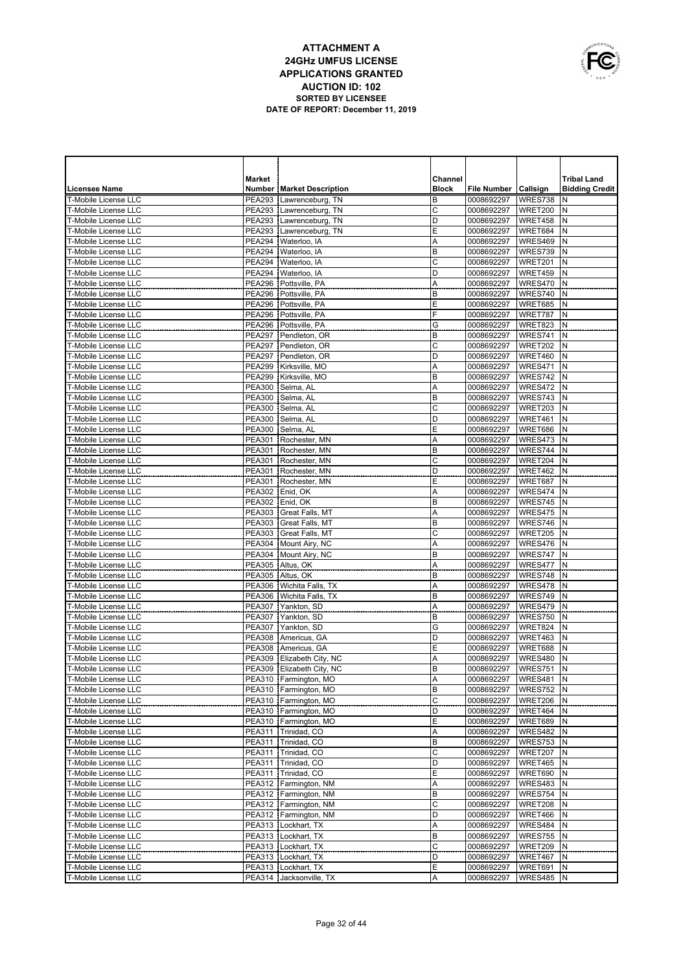

|                                                            | <b>Market</b>                  |                                                      | Channel      |                          |                           | <b>Tribal Land</b>    |
|------------------------------------------------------------|--------------------------------|------------------------------------------------------|--------------|--------------------------|---------------------------|-----------------------|
| <b>Licensee Name</b>                                       |                                | <b>Number   Market Description</b>                   | <b>Block</b> | File Number   Callsign   |                           | <b>Bidding Credit</b> |
| <b>T-Mobile License LLC</b>                                |                                | PEA293 Lawrenceburg, TN                              | B            | 0008692297               | WRES738                   | N                     |
| <b>T-Mobile License LLC</b>                                |                                | PEA293   Lawrenceburg, TN                            | C            | 0008692297               | WRET200                   | N                     |
| <b>T-Mobile License LLC</b><br><b>T-Mobile License LLC</b> |                                | PEA293 Lawrenceburg, TN<br>PEA293   Lawrenceburg, TN | D<br>E       | 0008692297               | WRET458<br>WRET684        | N<br>N                |
| <b>T-Mobile License LLC</b>                                | PEA294                         | Waterloo, IA                                         | A            | 0008692297<br>0008692297 | WRES469                   | N                     |
| <b>T-Mobile License LLC</b>                                |                                | PEA294   Waterloo, IA                                | B            | 0008692297               | WRES739                   | N                     |
| <b>T-Mobile License LLC</b>                                |                                | PEA294   Waterloo, IA                                | $\mathsf{C}$ | 0008692297               | WRET201                   | N                     |
| T-Mobile License LLC                                       |                                | PEA294   Waterloo, IA                                | D            | 0008692297               | WRET459                   | N                     |
| <b>T-Mobile License LLC</b>                                |                                | PEA296 Pottsville. PA                                | A            | 0008692297               | WRES470                   | N                     |
| <b>T-Mobile License LLC</b>                                | <b>PEA296</b>                  | Pottsville, PA                                       | B            | 0008692297               | WRES740                   | N                     |
| T-Mobile License LLC                                       | <b>PEA296</b>                  | Pottsville, PA                                       | Е            | 0008692297               | WRET685                   | N                     |
| <b>T-Mobile License LLC</b>                                | <b>PEA296</b>                  | Pottsville, PA                                       | F            | 0008692297               | WRET787                   | N                     |
| T-Mobile License LLC                                       | <b>PEA296</b>                  | Pottsville, PA                                       | G            | 0008692297               | WRET823                   | N                     |
| <b>T-Mobile License LLC</b>                                | <b>PEA297</b>                  | Pendleton, OR                                        | B            | 0008692297               | WRES741                   | N                     |
| <b>T-Mobile License LLC</b>                                | <b>PEA297</b>                  | Pendleton, OR                                        | C            | 0008692297               | WRET202                   | N                     |
| T-Mobile License LLC                                       | <b>PEA297</b>                  | Pendleton, OR                                        | D            | 0008692297               | WRET460                   | N                     |
| <b>T-Mobile License LLC</b>                                | PEA299                         | Kirksville, MO                                       | Α            | 0008692297               | WRES471                   | N<br>N                |
| T-Mobile License LLC<br>T-Mobile License LLC               | <b>PEA299</b><br><b>PEA300</b> | Kirksville, MO<br>Selma, AL                          | B<br>Α       | 0008692297<br>0008692297 | WRES742<br>WRES472        | N                     |
| T-Mobile License LLC                                       | <b>PEA300</b>                  | Selma, AL                                            | B            | 0008692297               | WRES743                   | N                     |
| T-Mobile License LLC                                       | <b>PEA300</b>                  | Selma, AL                                            | C            | 0008692297               | WRET203                   | N                     |
| <b>T-Mobile License LLC</b>                                | <b>PEA300</b>                  | Selma, AL                                            | D            | 0008692297               | WRET461                   | N                     |
| <b>T-Mobile License LLC</b>                                | <b>PEA300</b>                  | Selma, AL                                            | Ε            | 0008692297               | WRET686                   | N                     |
| <b>T-Mobile License LLC</b>                                | <b>PEA301</b>                  | Rochester, MN                                        | Α            | 0008692297               | WRES473                   | N                     |
| T-Mobile License LLC                                       |                                | PEA301 Rochester, MN                                 | B            | 0008692297               | WRES744                   | N                     |
| <b>T-Mobile License LLC</b>                                |                                | PEA301 Rochester, MN                                 | C            | 0008692297               | WRET204                   | N                     |
| T-Mobile License LLC                                       | <b>PEA301</b>                  | Rochester, MN                                        | D            | 0008692297               | WRET462                   | N                     |
| T-Mobile License LLC                                       |                                | PEA301 Rochester, MN                                 | Ε            | 0008692297               | WRET687                   | N                     |
| T-Mobile License LLC                                       |                                | PEA302 Enid, OK                                      | Α            | 0008692297               | WRES474                   | N                     |
| T-Mobile License LLC                                       | PEA302                         | Enid, OK                                             | B            | 0008692297               | WRES745                   | N                     |
| T-Mobile License LLC                                       | <b>PEA303</b>                  | Great Falls, MT                                      | Α            | 0008692297               | WRES475                   | N                     |
| T-Mobile License LLC<br><b>T-Mobile License LLC</b>        | <b>PEA303</b><br><b>PEA303</b> | Great Falls, MT                                      | B<br>C       | 0008692297               | WRES746<br>WRET205        | N<br>N                |
| <b>T-Mobile License LLC</b>                                |                                | Great Falls, MT<br>PEA304 Mount Airy, NC             | Α            | 0008692297<br>0008692297 | WRES476                   | N                     |
| <b>T-Mobile License LLC</b>                                |                                | PEA304   Mount Airy, NC                              | B            | 0008692297               | WRES747                   | N                     |
| <b>T-Mobile License LLC</b>                                |                                | PEA305 Altus, OK                                     | Α            | 0008692297               | WRES477                   | N                     |
| <b>T-Mobile License LLC</b>                                |                                | PEA305 Altus, OK                                     | B            | 0008692297               | WRES748                   | N                     |
| <b>T-Mobile License LLC</b>                                |                                | PEA306   Wichita Falls, TX                           | Α            | 0008692297               | WRES478                   | N                     |
| <b>T-Mobile License LLC</b>                                |                                | PEA306   Wichita Falls, TX                           | B            | 0008692297               | WRES749                   | N                     |
| <b>T-Mobile License LLC</b>                                | <b>PEA307</b>                  | Yankton, SD                                          | Α            | 0008692297               | WRES479                   | N                     |
| <b>T-Mobile License LLC</b>                                | <b>PEA307</b>                  | Yankton, SD                                          | B            | 0008692297               | WRES750                   | N                     |
| T-Mobile License LLC                                       | <b>PEA307</b>                  | Yankton, SD                                          | G            | 0008692297               | WRET824                   | N                     |
| <b>T-Mobile License LLC</b>                                | <b>PEA308</b>                  | Americus, GA                                         | D            | 0008692297               | WRET463                   | N                     |
| <b>T-Mobile License LLC</b><br><b>T-Mobile License LLC</b> | <b>PEA308</b><br><b>PEA309</b> | Americus, GA<br>Elizabeth City, NC                   | Е<br>Α       | 0008692297<br>0008692297 | <b>WRET688</b><br>WRES480 | N<br>N                |
| <b>T-Mobile License LLC</b>                                | PEA309                         | Elizabeth City, NC                                   | B            | 0008692297               | WRES751                   | N                     |
| T-Mobile License LLC                                       |                                | PEA310   Farmington, MO                              | A            | 0008692297               | WRES481 N                 |                       |
| T-Mobile License LLC                                       |                                | PEA310 Farmington, MO                                | B            | 0008692297               | WRES752 N                 |                       |
| T-Mobile License LLC                                       |                                | PEA310   Farmington, MO                              | C            | 0008692297               | <b>WRET206</b>            | N                     |
| T-Mobile License LLC                                       |                                | PEA310   Farmington, MO                              | D            | 0008692297               | WRET464                   | N                     |
| T-Mobile License LLC                                       |                                | PEA310 Farmington, MO                                | E            | 0008692297               | WRET689                   | Ν                     |
| T-Mobile License LLC                                       |                                | PEA311 Trinidad, CO                                  | Α            | 0008692297               | WRES482                   | N                     |
| T-Mobile License LLC                                       |                                | PEA311 Trinidad, CO                                  | B            | 0008692297               | WRES753                   | N                     |
| T-Mobile License LLC                                       |                                | PEA311 Trinidad, CO                                  | C            | 0008692297               | WRET207                   | N                     |
| T-Mobile License LLC                                       |                                | PEA311 Trinidad, CO                                  | D            | 0008692297               | WRET465                   | N                     |
| T-Mobile License LLC                                       |                                | PEA311 Trinidad, CO                                  | Ε            | 0008692297               | WRET690                   | N                     |
| T-Mobile License LLC                                       |                                | PEA312   Farmington, NM<br>PEA312 Farmington, NM     | Α<br>B       | 0008692297<br>0008692297 | WRES483                   | N<br>N                |
| T-Mobile License LLC<br>T-Mobile License LLC               |                                | PEA312 Farmington, NM                                | $\mathsf C$  | 0008692297               | WRES754<br>WRET208        | N                     |
| T-Mobile License LLC                                       |                                | PEA312   Farmington, NM                              | D            | 0008692297               | WRET466                   | N                     |
| T-Mobile License LLC                                       |                                | PEA313   Lockhart, TX                                | Α            | 0008692297               | WRES484                   | N                     |
| T-Mobile License LLC                                       |                                | PEA313   Lockhart, TX                                | B            | 0008692297               | WRES755                   | N                     |
| T-Mobile License LLC                                       |                                | PEA313   Lockhart, TX                                | $\mathsf C$  | 0008692297               | WRET209                   | Ν                     |
| T-Mobile License LLC                                       |                                | PEA313   Lockhart, TX                                | D            | 0008692297               | WRET467                   | N                     |
| T-Mobile License LLC                                       |                                | PEA313   Lockhart, TX                                | Ε            | 0008692297               | WRET691                   | Ν                     |
| T-Mobile License LLC                                       |                                | PEA314 Jacksonville, TX                              | Α            | 0008692297               | WRES485 N                 |                       |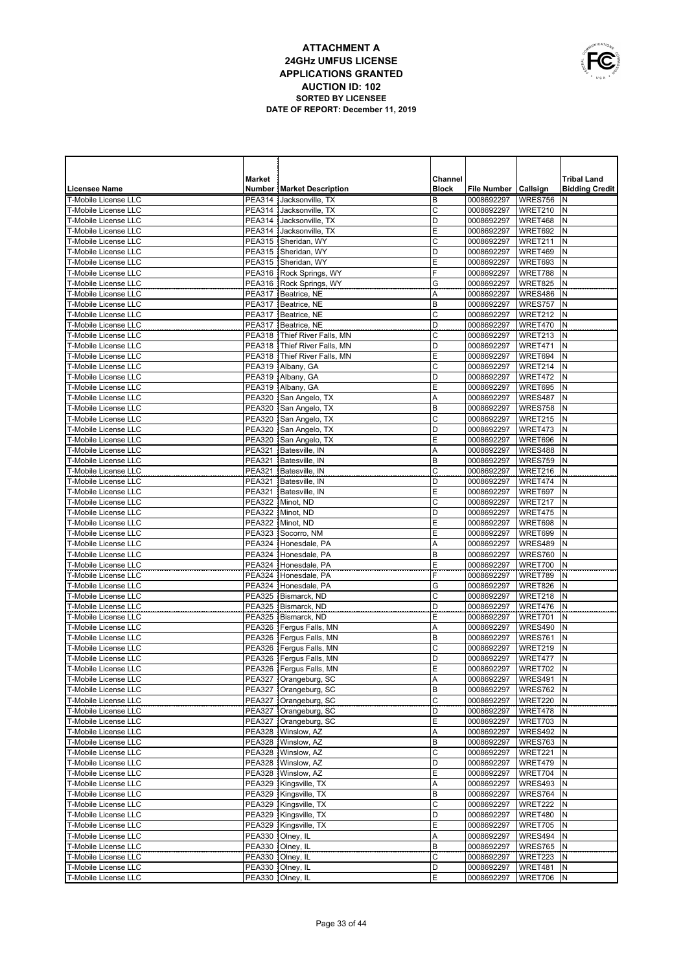

|                                                            | <b>Market</b> |                                                  | Channel             |                          |                    | <b>Tribal Land</b>    |
|------------------------------------------------------------|---------------|--------------------------------------------------|---------------------|--------------------------|--------------------|-----------------------|
| <b>Licensee Name</b>                                       |               | <b>Number   Market Description</b>               | <b>Block</b>        | File Number   Callsign   |                    | <b>Bidding Credit</b> |
| <b>T-Mobile License LLC</b>                                |               | PEA314 Jacksonville, TX                          | B                   | 0008692297               | WRES756            | N                     |
| T-Mobile License LLC                                       |               | PEA314 Jacksonville, TX                          | $\overline{C}$      | 0008692297               | WRET210            | N                     |
| <b>T-Mobile License LLC</b>                                |               | PEA314 Jacksonville, TX                          | D                   | 0008692297               | WRET468            | N                     |
| <b>T-Mobile License LLC</b>                                |               | PEA314 Jacksonville, TX                          | E                   | 0008692297               | WRET692            | N                     |
| <b>T-Mobile License LLC</b>                                |               | PEA315 Sheridan, WY                              | $\mathsf{C}$        | 0008692297               | WRET211            | N                     |
| <b>T-Mobile License LLC</b>                                |               | PEA315 Sheridan, WY<br>PEA315 Sheridan, WY       | $\overline{D}$<br>E | 0008692297               | WRET469            | N<br>N                |
| <b>T-Mobile License LLC</b><br><b>T-Mobile License LLC</b> |               | PEA316 Rock Springs, WY                          | F                   | 0008692297<br>0008692297 | WRET693<br>WRET788 | N                     |
| <b>T-Mobile License LLC</b>                                |               | PEA316 Rock Springs, WY                          | G                   | 0008692297               | WRET825            | N                     |
| <b>T-Mobile License LLC</b>                                |               | PEA317   Beatrice, NE                            | A                   | 0008692297               | WRES486            | N                     |
| <b>T-Mobile License LLC</b>                                |               | PEA317 Beatrice, NE                              | B                   | 0008692297               | WRES757            | N                     |
| T-Mobile License LLC                                       |               | PEA317   Beatrice, NE                            | $\mathsf{C}$        | 0008692297               | WRET212            | N                     |
| <b>T-Mobile License LLC</b>                                |               | PEA317 Beatrice, NE                              | D                   | 0008692297               | WRET470            | N                     |
| T-Mobile License LLC                                       |               | PEA318   Thief River Falls, MN                   | C                   | 0008692297               | WRET213            | N                     |
| T-Mobile License LLC                                       |               | PEA318   Thief River Falls, MN                   | D                   | 0008692297               | WRET471            | N                     |
| <b>T-Mobile License LLC</b>                                |               | PEA318   Thief River Falls, MN                   | Е                   | 0008692297               | WRET694            | N                     |
| T-Mobile License LLC                                       |               | PEA319   Albany, GA                              | C                   | 0008692297               | WRET214            | N                     |
| <b>T-Mobile License LLC</b>                                | <b>PEA319</b> | Albany, GA                                       | D                   | 0008692297               | WRET472            | N                     |
| <b>T-Mobile License LLC</b>                                | <b>PEA319</b> | Albany, GA                                       | Е                   | 0008692297               | WRET695            | N                     |
| <b>T-Mobile License LLC</b>                                |               | PEA320 San Angelo, TX                            | A                   | 0008692297               | WRES487            | N                     |
| <b>T-Mobile License LLC</b>                                | <b>PEA320</b> | San Angelo, TX                                   | B                   | 0008692297               | WRES758            | N                     |
| <b>T-Mobile License LLC</b>                                |               | PEA320 San Angelo, TX                            | C                   | 0008692297               | WRET215            | N                     |
| <b>T-Mobile License LLC</b>                                | <b>PEA320</b> | San Angelo, TX                                   | D                   | 0008692297               | WRET473            | N                     |
| T-Mobile License LLC                                       |               | PEA320 San Angelo, TX<br>Batesville, IN          | Ε                   | 0008692297               | WRET696            | N<br>N                |
| T-Mobile License LLC<br><b>T-Mobile License LLC</b>        | <b>PEA321</b> | PEA321 Batesville. IN                            | Α<br>B              | 0008692297<br>0008692297 | WRES488<br>WRES759 | N                     |
| <b>T-Mobile License LLC</b>                                | <b>PEA321</b> | Batesville, IN                                   | C                   | 0008692297               | WRET216            | N                     |
| T-Mobile License LLC                                       |               | PEA321 Batesville, IN                            | D                   | 0008692297               | WRET474            | N                     |
| <b>T-Mobile License LLC</b>                                |               | PEA321 Batesville, IN                            | Ε                   | 0008692297               | WRET697            | N                     |
| T-Mobile License LLC                                       |               | PEA322 Minot, ND                                 | C                   | 0008692297               | WRET217            | N                     |
| <b>T-Mobile License LLC</b>                                |               | PEA322   Minot, ND                               | D                   | 0008692297               | WRET475            | N                     |
| T-Mobile License LLC                                       |               | PEA322 Minot, ND                                 | Ε                   | 0008692297               | WRET698            | N                     |
| <b>T-Mobile License LLC</b>                                |               | PEA323 Socorro, NM                               | E                   | 0008692297               | WRET699            | N                     |
| <b>T-Mobile License LLC</b>                                |               | PEA324 Honesdale, PA                             | Α                   | 0008692297               | WRES489            | N                     |
| <b>T-Mobile License LLC</b>                                |               | PEA324 Honesdale, PA                             | B                   | 0008692297               | WRES760            | N                     |
| <b>T-Mobile License LLC</b>                                |               | PEA324 Honesdale, PA                             | E                   | 0008692297               | WRET700            | N                     |
| <b>T-Mobile License LLC</b>                                |               | PEA324 Honesdale, PA                             | F                   | 0008692297               | WRET789            | N                     |
| <b>T-Mobile License LLC</b>                                |               | PEA324 Honesdale, PA                             | G                   | 0008692297               | WRET826            | N                     |
| <b>T-Mobile License LLC</b>                                |               | PEA325   Bismarck, ND                            | C                   | 0008692297               | WRET218            | N                     |
| <b>T-Mobile License LLC</b><br><b>T-Mobile License LLC</b> |               | PEA325 Bismarck, ND<br>PEA325   Bismarck, ND     | D<br>Ε              | 0008692297               | WRET476<br>WRET701 | N<br>N                |
| <b>T-Mobile License LLC</b>                                |               | PEA326   Fergus Falls, MN                        | Α                   | 0008692297<br>0008692297 | WRES490            | N                     |
| <b>T-Mobile License LLC</b>                                |               | PEA326   Fergus Falls, MN                        | B                   | 0008692297               | WRES761            | N                     |
| <b>T-Mobile License LLC</b>                                |               | PEA326   Fergus Falls, MN                        | C                   | 0008692297               | WRET219            | N                     |
| <b>T-Mobile License LLC</b>                                |               | PEA326   Fergus Falls, MN                        | D                   | 0008692297               | WRET477            | N                     |
| <b>T-Mobile License LLC</b>                                |               | PEA326   Fergus Falls, MN                        | Ε                   | 0008692297               | WRET702            | N                     |
| T-Mobile License LLC                                       |               | PEA327   Orangeburg, SC                          | A                   | 0008692297               | WRES491 N          |                       |
| T-Mobile License LLC                                       |               | PEA327 Orangeburg, SC                            | B                   | 0008692297               | WRES762 N          |                       |
| T-Mobile License LLC                                       |               | PEA327   Orangeburg, SC                          | C                   | 0008692297               | WRET220            | IN.                   |
| T-Mobile License LLC                                       |               | PEA327 Orangeburg, SC                            | D                   | 0008692297               | WRET478            | N                     |
| T-Mobile License LLC                                       |               | PEA327 Orangeburg, SC                            | E                   | 0008692297               | WRET703            | IN.                   |
| T-Mobile License LLC                                       |               | PEA328   Winslow, AZ                             | Α                   | 0008692297               | WRES492            | N                     |
| T-Mobile License LLC                                       |               | PEA328   Winslow, AZ                             | B                   | 0008692297               | WRES763            | N                     |
| T-Mobile License LLC                                       |               | PEA328   Winslow, AZ                             | C                   | 0008692297               | WRET221            | N                     |
| T-Mobile License LLC                                       |               | PEA328   Winslow, AZ                             | D                   | 0008692297               | WRET479            | N                     |
| T-Mobile License LLC                                       |               | PEA328 Winslow, AZ                               | Ε                   | 0008692297               | WRET704            | N<br>N                |
| T-Mobile License LLC<br>T-Mobile License LLC               |               | PEA329 Kingsville, TX<br>PEA329   Kingsville, TX | Α<br>B              | 0008692297<br>0008692297 | WRES493<br>WRES764 | N                     |
| T-Mobile License LLC                                       |               | PEA329 Kingsville, TX                            | $\mathsf C$         | 0008692297               | WRET222            | N                     |
| T-Mobile License LLC                                       |               | PEA329   Kingsville, TX                          | D                   | 0008692297               | WRET480            | N                     |
| T-Mobile License LLC                                       |               | PEA329 Kingsville, TX                            | E                   | 0008692297               | WRET705            | N                     |
| T-Mobile License LLC                                       |               | PEA330 Olney, IL                                 | Α                   | 0008692297               | WRES494            | N                     |
| T-Mobile License LLC                                       |               | PEA330 Olney, IL                                 | B                   | 0008692297               | WRES765            | N                     |
| T-Mobile License LLC                                       |               | PEA330 Olney, IL                                 | C                   | 0008692297               | WRET223            | N                     |
| T-Mobile License LLC                                       |               | PEA330 Olney, IL                                 | D                   | 0008692297               | WRET481            | Ν                     |
| T-Mobile License LLC                                       |               | PEA330 Olney, IL                                 | Ε                   | 0008692297               | WRET706            | N                     |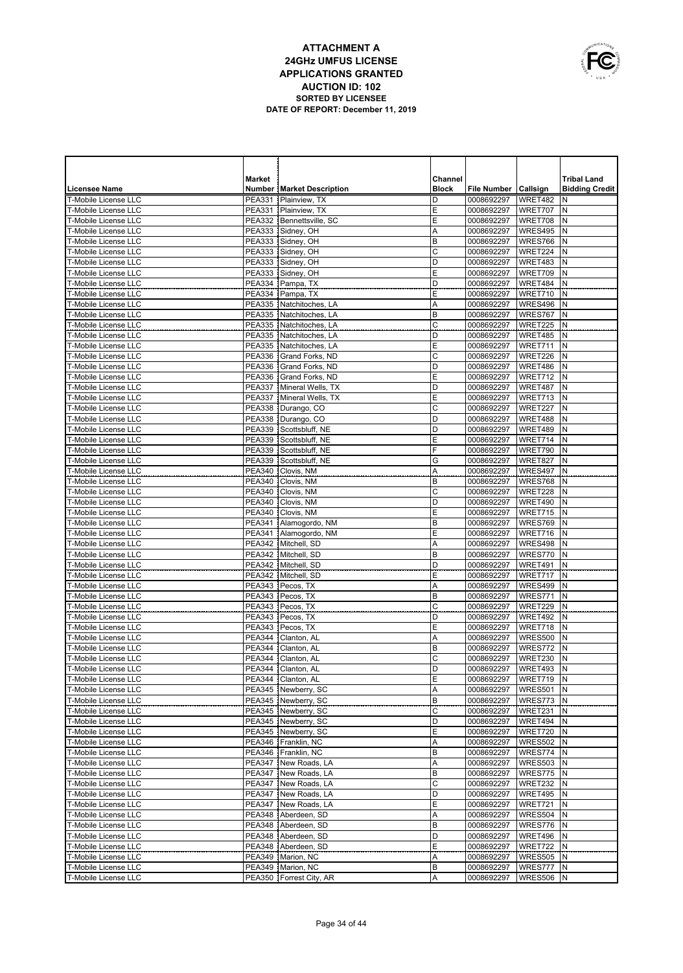

|                                                     | <b>Market</b> |                                                  | Channel      |                          |                    | <b>Tribal Land</b>    |
|-----------------------------------------------------|---------------|--------------------------------------------------|--------------|--------------------------|--------------------|-----------------------|
| <b>Licensee Name</b>                                |               | <b>Number   Market Description</b>               | <b>Block</b> | File Number   Callsign   |                    | <b>Bidding Credit</b> |
| T-Mobile License LLC                                | <b>PEA331</b> | Plainview, TX                                    | D            | 0008692297               | WRET482            | N                     |
| <b>T-Mobile License LLC</b>                         | <b>PEA331</b> | Plainview, TX                                    | Ε            | 0008692297               | WRET707            | N                     |
| T-Mobile License LLC                                |               | PEA332 Bennettsville, SC                         | E            | 0008692297               | WRET708            | N                     |
| <b>T-Mobile License LLC</b>                         |               | PEA333 Sidney, OH                                | Α            | 0008692297               | WRES495            | N                     |
| T-Mobile License LLC                                |               | PEA333 Sidney, OH                                | B            | 0008692297               | WRES766            | N                     |
| T-Mobile License LLC                                |               | PEA333 Sidney, OH                                | C            | 0008692297               | WRET224            | N                     |
| T-Mobile License LLC                                |               | PEA333 Sidney, OH                                | D            | 0008692297               | WRET483            | N                     |
| T-Mobile License LLC                                |               | PEA333 Sidney, OH                                | E            | 0008692297               | WRET709            | N                     |
| <b>T-Mobile License LLC</b>                         |               | PEA334 Pampa, TX                                 | D            | 0008692297               | WRET484            | N                     |
| <b>T-Mobile License LLC</b>                         |               | PEA334 Pampa, TX                                 | E            | 0008692297               | WRET710            | $\mathsf{N}$          |
| <b>T-Mobile License LLC</b>                         |               | PEA335 Natchitoches, LA                          | Α            | 0008692297               | WRES496            | N                     |
| T-Mobile License LLC                                |               | PEA335   Natchitoches, LA                        | B            | 0008692297               | WRES767            | N                     |
| <b>T-Mobile License LLC</b>                         |               | PEA335 Natchitoches, LA                          | $\mathsf{C}$ | 0008692297               | WRET225            | N                     |
| T-Mobile License LLC                                |               | PEA335   Natchitoches, LA                        | D            | 0008692297               | WRET485            | N                     |
| T-Mobile License LLC                                |               | PEA335 Natchitoches, LA                          | E            | 0008692297               | WRET711            | N                     |
| T-Mobile License LLC                                |               | PEA336 Grand Forks, ND                           | C            | 0008692297               | WRET226            | N                     |
| T-Mobile License LLC                                |               | PEA336 Grand Forks, ND                           | D            | 0008692297               | WRET486            | N                     |
| <b>T-Mobile License LLC</b>                         |               | PEA336 Grand Forks, ND                           | E            | 0008692297               | WRET712            | N                     |
| T-Mobile License LLC                                |               | PEA337 Mineral Wells, TX                         | D            | 0008692297               | WRET487            | N                     |
| <b>T-Mobile License LLC</b>                         |               | PEA337   Mineral Wells, TX                       | Ε            | 0008692297               | WRET713            | N                     |
| T-Mobile License LLC                                |               | PEA338 Durango, CO                               | $\mathsf{C}$ | 0008692297               | WRET227            | N                     |
| <b>T-Mobile License LLC</b>                         |               | PEA338   Durango, CO                             | D            | 0008692297               | WRET488            | N                     |
| T-Mobile License LLC                                |               | PEA339 Scottsbluff, NE                           | D            | 0008692297               | WRET489            | N                     |
| <b>T-Mobile License LLC</b><br>T-Mobile License LLC |               | PEA339 Scottsbluff, NE<br>PEA339 Scottsbluff, NE | Ε<br>F       | 0008692297               | WRET714            | N                     |
| T-Mobile License LLC                                |               |                                                  |              | 0008692297               | WRET790            | N<br>$\mathsf{N}$     |
| T-Mobile License LLC                                |               | PEA339 Scottsbluff, NE<br>PEA340   Clovis, NM    | G<br>Α       | 0008692297<br>0008692297 | WRET827<br>WRES497 | N                     |
| T-Mobile License LLC                                |               | PEA340   Clovis, NM                              | B            | 0008692297               | WRES768            | N                     |
| T-Mobile License LLC                                |               | PEA340   Clovis, NM                              | C            | 0008692297               | WRET228            | N                     |
| T-Mobile License LLC                                |               | PEA340   Clovis, NM                              | D            | 0008692297               | WRET490            | N                     |
| T-Mobile License LLC                                |               | PEA340   Clovis, NM                              | Ε            | 0008692297               | WRET715            | N                     |
| T-Mobile License LLC                                |               | PEA341 Alamogordo, NM                            | B            | 0008692297               | WRES769            | N                     |
| T-Mobile License LLC                                |               | PEA341 Alamogordo, NM                            | Ε            | 0008692297               | WRET716            | $\mathsf{N}$          |
| T-Mobile License LLC                                |               | PEA342 Mitchell, SD                              | Α            | 0008692297               | WRES498            | N                     |
| T-Mobile License LLC                                |               | PEA342   Mitchell, SD                            | B            | 0008692297               | WRES770            | N                     |
| T-Mobile License LLC                                | <b>PEA342</b> | Mitchell, SD                                     | D            | 0008692297               | WRET491            | N                     |
| T-Mobile License LLC                                |               | PEA342   Mitchell, SD                            | Ε            | 0008692297               | WRET717            | N                     |
| T-Mobile License LLC                                |               | PEA343 Pecos, TX                                 | Α            | 0008692297               | WRES499            | $\mathsf{N}$          |
| T-Mobile License LLC                                |               | PEA343 Pecos, TX                                 | B            | 0008692297               | WRES771            | N                     |
| T-Mobile License LLC                                |               | PEA343 Pecos, TX                                 | C            | 0008692297               | WRET229            | N                     |
| T-Mobile License LLC                                |               | PEA343   Pecos, TX                               | D            | 0008692297               | WRET492            | N                     |
| T-Mobile License LLC                                |               | PEA343 Pecos, TX                                 | Ε            | 0008692297               | WRET718            | N                     |
| T-Mobile License LLC                                |               | PEA344   Clanton, AL                             | A            | 0008692297               | WRES500            | N                     |
| T-Mobile License LLC                                | PEA344        | Clanton, AL                                      | B            | 0008692297               | WRES772            | $\mathsf{N}$          |
| T-Mobile License LLC                                | <b>PEA344</b> | Clanton, AL                                      | C            | 0008692297               | WRET230            | N                     |
| T-Mobile License LLC                                |               | PEA344   Clanton, AL                             | D            | 0008692297               | WRET493            | N                     |
| T-Mobile License LLC                                |               | PEA344   Clanton, AL                             | Ε            | 0008692297   WRET719   N |                    |                       |
| T-Mobile License LLC                                |               | PEA345 Newberry, SC                              | Α            | 0008692297               | WRES501 N          |                       |
| T-Mobile License LLC                                |               | PEA345 Newberry, SC                              | В            | 0008692297               | WRES773 N          |                       |
| T-Mobile License LLC                                |               | PEA345 Newberry, SC                              | С            | 0008692297               | WRET231            | IN.                   |
| T-Mobile License LLC                                |               | PEA345 Newberry, SC                              | D            | 0008692297               | WRET494            | N                     |
| T-Mobile License LLC                                |               | PEA345 Newberry, SC                              | Ε            | 0008692297               | WRET720 N          |                       |
| T-Mobile License LLC                                |               | PEA346 Franklin, NC                              | Α            | 0008692297               | WRES502            | N                     |
| T-Mobile License LLC                                |               | PEA346   Franklin, NC                            | B            | 0008692297               | WRES774 N          |                       |
| T-Mobile License LLC                                |               | PEA347   New Roads, LA                           | Α            | 0008692297               | WRES503            | N                     |
| T-Mobile License LLC                                |               | PEA347   New Roads, LA                           | B            | 0008692297               | WRES775 N          |                       |
| T-Mobile License LLC                                |               | PEA347 New Roads, LA                             | C            | 0008692297               | WRET232            | N                     |
| T-Mobile License LLC                                |               | PEA347   New Roads, LA                           | D            | 0008692297               | WRET495            | IN.                   |
| T-Mobile License LLC                                |               | PEA347 New Roads, LA                             | Ε            | 0008692297               | WRET721            | Ν                     |
| T-Mobile License LLC                                |               | PEA348 Aberdeen, SD                              | Α            | 0008692297               | WRES504            | N                     |
| T-Mobile License LLC                                |               | PEA348 Aberdeen, SD                              | B            | 0008692297               | WRES776            | Ν                     |
| T-Mobile License LLC                                |               | PEA348 Aberdeen, SD                              | D            | 0008692297               | WRET496            | N                     |
| T-Mobile License LLC                                |               | PEA348 Aberdeen, SD                              | Ε            | 0008692297               | WRET722            | N                     |
| T-Mobile License LLC                                |               | PEA349   Marion, NC                              | Α            | 0008692297               | WRES505            | IN.                   |
| T-Mobile License LLC                                |               | PEA349   Marion, NC                              | B            | 0008692297               | WRES777            | N                     |
| T-Mobile License LLC                                |               | PEA350   Forrest City, AR                        | Α            | 0008692297               | WRES506 N          |                       |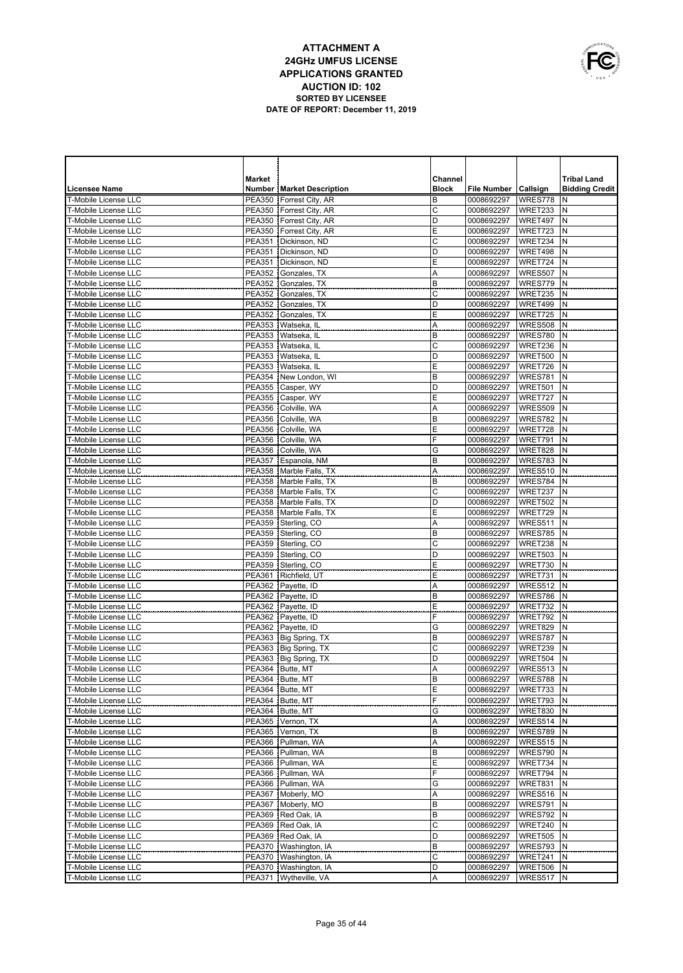|   | OWNUNICATIONS |
|---|---------------|
|   |               |
| É |               |
|   | USA           |

|                                                            | <b>Market</b> |                                                        | Channel      |                          |                    | <b>Tribal Land</b>    |
|------------------------------------------------------------|---------------|--------------------------------------------------------|--------------|--------------------------|--------------------|-----------------------|
| <b>Licensee Name</b>                                       |               | <b>Number   Market Description</b>                     | <b>Block</b> | File Number   Callsign   |                    | <b>Bidding Credit</b> |
| <b>T-Mobile License LLC</b>                                |               | PEA350   Forrest City, AR                              | B            | 0008692297               | WRES778            | N                     |
| <b>T-Mobile License LLC</b>                                |               | PEA350   Forrest City, AR                              | C            | 0008692297               | WRET233            | N                     |
| <b>T-Mobile License LLC</b>                                |               | PEA350 Forrest City, AR                                | D            | 0008692297               | WRET497            | N                     |
| <b>T-Mobile License LLC</b>                                |               | PEA350   Forrest City, AR                              | E            | 0008692297               | WRET723            | N                     |
| T-Mobile License LLC                                       |               | PEA351 Dickinson, ND                                   | C            | 0008692297               | WRET234            | N                     |
| <b>T-Mobile License LLC</b>                                |               | PEA351 Dickinson, ND                                   | D            | 0008692297               | WRET498            | N                     |
| <b>T-Mobile License LLC</b>                                |               | PEA351 Dickinson, ND                                   | E            | 0008692297               | WRET724            | N                     |
| <b>T-Mobile License LLC</b><br><b>T-Mobile License LLC</b> |               | PEA352 Gonzales, TX<br>PEA352 Gonzales, TX             | Α<br>B       | 0008692297               | WRES507<br>WRES779 | N<br>N                |
| <b>T-Mobile License LLC</b>                                |               | PEA352 Gonzales, TX                                    | Ċ            | 0008692297<br>0008692297 | WRET235            | N                     |
| <b>T-Mobile License LLC</b>                                | <b>PEA352</b> | Gonzales, TX                                           | D            | 0008692297               | WRET499            | N                     |
| <b>T-Mobile License LLC</b>                                |               | PEA352 Gonzales. TX                                    | E            | 0008692297               | WRET725            | N                     |
| T-Mobile License LLC                                       |               | PEA353 Watseka, IL                                     | Α            | 0008692297               | WRES508            | N                     |
| <b>T-Mobile License LLC</b>                                |               | PEA353   Watseka, IL                                   | B            | 0008692297               | WRES780            | N                     |
| T-Mobile License LLC                                       |               | PEA353   Watseka, IL                                   | C            | 0008692297               | WRET236            | N                     |
| T-Mobile License LLC                                       |               | PEA353 Watseka, IL                                     | D            | 0008692297               | WRET500            | N                     |
| T-Mobile License LLC                                       |               | PEA353   Watseka, IL                                   | E            | 0008692297               | WRET726            | N                     |
| T-Mobile License LLC                                       | PEA354        | New London, WI                                         | B            | 0008692297               | WRES781            | N                     |
| T-Mobile License LLC                                       |               | PEA355 Casper, WY                                      | D            | 0008692297               | WRET501            | N                     |
| T-Mobile License LLC                                       |               | PEA355 Casper, WY                                      | Е            | 0008692297               | WRET727            | N                     |
| T-Mobile License LLC                                       | <b>PEA356</b> | Colville, WA                                           | Α            | 0008692297               | WRES509            | N                     |
| T-Mobile License LLC                                       | PEA356        | Colville, WA                                           | B            | 0008692297               | WRES782            | N                     |
| T-Mobile License LLC                                       | <b>PEA356</b> | Colville, WA                                           | E            | 0008692297               | WRET728            | N                     |
| <b>T-Mobile License LLC</b>                                |               | PEA356 Colville, WA                                    | F            | 0008692297               | WRET791            | N                     |
| T-Mobile License LLC                                       |               | PEA356 Colville, WA                                    | G            | 0008692297               | WRET828            | N                     |
| T-Mobile License LLC<br>T-Mobile License LLC               |               | PEA357 Espanola, NM                                    | B            | 0008692297               | WRES783            | $\mathsf{N}$<br>N     |
| T-Mobile License LLC                                       |               | PEA358   Marble Falls, TX<br>PEA358   Marble Falls, TX | Α<br>B       | 0008692297<br>0008692297 | WRES510<br>WRES784 | N                     |
| T-Mobile License LLC                                       |               | PEA358   Marble Falls, TX                              | C            | 0008692297               | WRET237            | N                     |
| T-Mobile License LLC                                       |               | PEA358   Marble Falls, TX                              | D            | 0008692297               | WRET502            | N                     |
| T-Mobile License LLC                                       |               | PEA358 Marble Falls, TX                                | E            | 0008692297               | WRET729            | N                     |
| <b>T-Mobile License LLC</b>                                |               | PEA359 Sterling, CO                                    | Α            | 0008692297               | WRES511            | N                     |
| T-Mobile License LLC                                       |               | PEA359 Sterling, CO                                    | B            | 0008692297               | WRES785            | N                     |
| <b>T-Mobile License LLC</b>                                |               | PEA359 Sterling, CO                                    | C            | 0008692297               | WRET238            | N                     |
| T-Mobile License LLC                                       |               | PEA359 Sterling, CO                                    | D            | 0008692297               | WRET503            | N                     |
| <b>T-Mobile License LLC</b>                                |               | PEA359 Sterling, CO                                    | Ε            | 0008692297               | WRET730            | N                     |
| T-Mobile License LLC                                       |               | PEA361 Richfield, UT                                   | E            | 0008692297               | WRET731            | N                     |
| <b>T-Mobile License LLC</b>                                |               | PEA362 Payette, ID                                     | Α            | 0008692297               | WRES512            | N                     |
| T-Mobile License LLC                                       |               | PEA362 Payette, ID                                     | B            | 0008692297               | WRES786            | N                     |
| T-Mobile License LLC                                       |               | PEA362 Payette, ID                                     | Ε            | 0008692297               | WRET732            | $\mathsf{N}$          |
| T-Mobile License LLC<br>T-Mobile License LLC               |               | PEA362 Payette, ID                                     | F            | 0008692297               | WRET792            | N                     |
| T-Mobile License LLC                                       |               | PEA362 Payette, ID<br>PEA363 Big Spring, TX            | G<br>B       | 0008692297<br>0008692297 | WRET829<br>WRES787 | $\mathsf{N}$<br>N     |
| T-Mobile License LLC                                       |               | PEA363   Big Spring, TX                                | C            | 0008692297               | WRET239            | N                     |
| <b>T-Mobile License LLC</b>                                |               | PEA363   Big Spring, TX                                | D            | 0008692297               | WRET504            | N                     |
| <b>T-Mobile License LLC</b>                                |               | PEA364 Butte, MT                                       | Α            | 0008692297               | WRES513            | N                     |
| T-Mobile License LLC                                       |               | PEA364   Butte, MT                                     | в            | 0008692297               | WRES788 N          |                       |
| T-Mobile License LLC                                       |               | PEA364 Butte, MT                                       | E            | 0008692297               | WRET733 N          |                       |
| T-Mobile License LLC                                       |               | PEA364   Butte, MT                                     | F            | 0008692297               | WRET793 N          |                       |
| T-Mobile License LLC                                       |               | PEA364 Butte, MT                                       | G            | 0008692297               | WRET830 N          |                       |
| T-Mobile License LLC                                       |               | PEA365   Vernon, TX                                    | Α            | 0008692297               | WRES514 N          |                       |
| T-Mobile License LLC                                       |               | PEA365 Vernon, TX                                      | В            | 0008692297               | WRES789            | IN.                   |
| T-Mobile License LLC                                       |               | PEA366 Pullman, WA                                     | Α            | 0008692297               | WRES515 N          |                       |
| T-Mobile License LLC                                       |               | PEA366 Pullman, WA                                     | В            | 0008692297               | WRES790            | IN.                   |
| T-Mobile License LLC                                       |               | PEA366 Pullman, WA                                     | E            | 0008692297               | WRET734            | N                     |
| T-Mobile License LLC                                       |               | PEA366 Pullman, WA                                     | F            | 0008692297               | WRET794            | IN.                   |
| T-Mobile License LLC                                       |               | PEA366 Pullman, WA                                     | G            | 0008692297               | WRET831            | N                     |
| T-Mobile License LLC<br>T-Mobile License LLC               |               | PEA367 Moberly, MO                                     | Α<br>B       | 0008692297               | WRES516<br>WRES791 | IN.<br>N              |
| T-Mobile License LLC                                       |               | PEA367 Moberly, MO<br>PEA369 Red Oak, IA               | B            | 0008692297<br>0008692297 | WRES792            | N                     |
| T-Mobile License LLC                                       |               | PEA369 Red Oak, IA                                     | C            | 0008692297               | WRET240            | N                     |
| T-Mobile License LLC                                       |               | PEA369 Red Oak, IA                                     | D            | 0008692297               | WRET505            | N                     |
| T-Mobile License LLC                                       |               | PEA370   Washington, IA                                | B            | 0008692297               | WRES793            | N                     |
| T-Mobile License LLC                                       |               | PEA370   Washington, IA                                | C            | 0008692297               | WRET241            | N                     |
| T-Mobile License LLC                                       |               | PEA370   Washington, IA                                | D            | 0008692297               | WRET506            | N                     |
| T-Mobile License LLC                                       |               | PEA371   Wytheville, VA                                | Α            | 0008692297               | WRES517 N          |                       |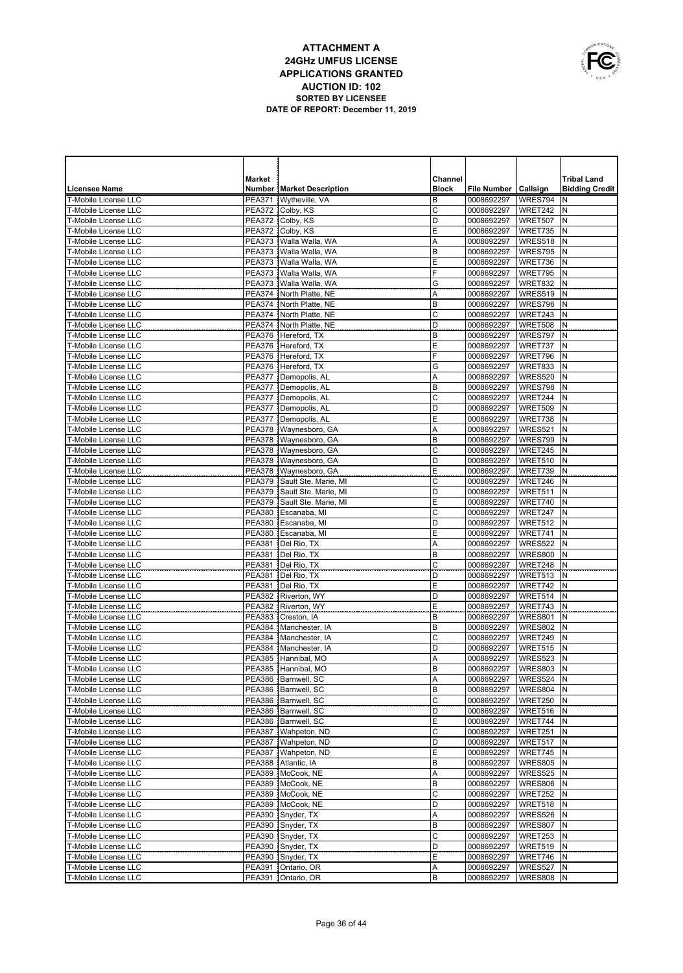

|                                                     | <b>Market</b>           |                                                | Channel      |                          |                        | <b>Tribal Land</b>    |
|-----------------------------------------------------|-------------------------|------------------------------------------------|--------------|--------------------------|------------------------|-----------------------|
| <b>Licensee Name</b>                                |                         | <b>Number   Market Description</b>             | <b>Block</b> | File Number   Callsign   |                        | <b>Bidding Credit</b> |
| <b>T-Mobile License LLC</b>                         |                         | PEA371 Wytheville, VA                          | B            | 0008692297               | WRES794                | N                     |
| <b>T-Mobile License LLC</b>                         |                         | PEA372 Colby, KS                               | C            | 0008692297               | WRET242                | N                     |
| T-Mobile License LLC<br><b>T-Mobile License LLC</b> |                         | PEA372 Colby, KS<br>PEA372 Colby, KS           | D<br>E       | 0008692297<br>0008692297 | WRET507<br>WRET735     | N<br>N                |
| <b>T-Mobile License LLC</b>                         |                         | PEA373   Walla Walla, WA                       | Α            | 0008692297               | WRES518                | N                     |
| <b>T-Mobile License LLC</b>                         |                         | PEA373   Walla Walla, WA                       | B            | 0008692297               | WRES795                | N                     |
| <b>T-Mobile License LLC</b>                         |                         | PEA373 Walla Walla, WA                         | Ε            | 0008692297               | WRET736                | N                     |
| <b>T-Mobile License LLC</b>                         |                         | PEA373 Walla Walla, WA                         | F            | 0008692297               | WRET795                | N                     |
| <b>T-Mobile License LLC</b>                         |                         | PEA373 Walla Walla, WA                         | G            | 0008692297               | WRET832                | N                     |
| <b>T-Mobile License LLC</b>                         |                         | PEA374 North Platte, NE                        | Α            | 0008692297               | WRES519                | N                     |
| <b>T-Mobile License LLC</b>                         |                         | PEA374 North Platte, NE                        | B            | 0008692297               | WRES796                | N                     |
| <b>T-Mobile License LLC</b>                         |                         | PEA374 North Platte, NE                        | Ċ            | 0008692297               | WRET243                | N                     |
| <b>T-Mobile License LLC</b>                         |                         | PEA374 North Platte, NE                        | D            | 0008692297               | WRET508                | N                     |
| <b>T-Mobile License LLC</b><br>T-Mobile License LLC |                         | PEA376 Hereford, TX                            | B<br>E       | 0008692297               | WRES797<br>WRET737     | N<br>N                |
| T-Mobile License LLC                                |                         | PEA376 Hereford, TX<br>PEA376 Hereford, TX     | F            | 0008692297<br>0008692297 | WRET796                | N                     |
| T-Mobile License LLC                                |                         | PEA376 Hereford, TX                            | G            | 0008692297               | WRET833                | N                     |
| T-Mobile License LLC                                | <b>PEA377</b>           | Demopolis, AL                                  | Α            | 0008692297               | WRES520                | N                     |
| T-Mobile License LLC                                | PEA377                  | Demopolis, AL                                  | B            | 0008692297               | WRES798                | N                     |
| T-Mobile License LLC                                | <b>PEA377</b>           | Demopolis, AL                                  | C            | 0008692297               | WRET244                | N                     |
| T-Mobile License LLC                                |                         | PEA377 Demopolis, AL                           | D            | 0008692297               | <b>WRET509</b>         | N                     |
| T-Mobile License LLC                                |                         | PEA377 Demopolis, AL                           | E            | 0008692297               | WRET738                | N                     |
| T-Mobile License LLC                                |                         | PEA378   Waynesboro, GA                        | Α            | 0008692297               | WRES521                | N                     |
| <b>T-Mobile License LLC</b>                         |                         | PEA378 Waynesboro, GA                          | B            | 0008692297               | WRES799                | N                     |
| T-Mobile License LLC                                |                         | PEA378 Waynesboro, GA<br>PEA378 Waynesboro, GA | C            | 0008692297               | WRET245                | N                     |
| T-Mobile License LLC<br>T-Mobile License LLC        |                         | PEA378   Waynesboro, GA                        | D<br>E       | 0008692297<br>0008692297 | WRET510<br>WRET739     | $\mathsf{N}$<br>N     |
| T-Mobile License LLC                                |                         | PEA379 Sault Ste. Marie, MI                    | C            | 0008692297               | WRET246                | N                     |
| T-Mobile License LLC                                |                         | PEA379 Sault Ste. Marie, MI                    | D            | 0008692297               | WRET511                | N                     |
| T-Mobile License LLC                                |                         | PEA379 Sault Ste. Marie, MI                    | E            | 0008692297               | WRET740                | N                     |
| T-Mobile License LLC                                |                         | PEA380 Escanaba, MI                            | C            | 0008692297               | WRET247                | N                     |
| <b>T-Mobile License LLC</b>                         |                         | PEA380 Escanaba, MI                            | D            | 0008692297               | WRET512                | N                     |
| T-Mobile License LLC                                | <b>PEA380</b>           | Escanaba, MI                                   | E            | 0008692297               | WRET741                | N                     |
| T-Mobile License LLC                                | PEA381                  | Del Rio, TX                                    | Α            | 0008692297               | WRES522                | N                     |
| T-Mobile License LLC                                | <b>PEA381</b>           | Del Rio, TX                                    | B            | 0008692297               | <b>WRES800</b>         | N                     |
| <b>T-Mobile License LLC</b><br>T-Mobile License LLC | PEA381                  | Del Rio, TX                                    | C<br>D       | 0008692297               | WRET248                | N<br>N                |
| <b>T-Mobile License LLC</b>                         | <b>PEA381</b><br>PEA381 | Del Rio, TX<br>Del Rio, TX                     | E            | 0008692297<br>0008692297 | WRET513<br>WRET742     | N                     |
| T-Mobile License LLC                                |                         | PEA382 Riverton, WY                            | D            | 0008692297               | WRET514                | N                     |
| T-Mobile License LLC                                |                         | PEA382 Riverton, WY                            | Ε            | 0008692297               | WRET743                | N                     |
| T-Mobile License LLC                                |                         | PEA383 Creston, IA                             | B            | 0008692297               | WRES801                | N                     |
| T-Mobile License LLC                                |                         | PEA384 Manchester, IA                          | B            | 0008692297               | WRES802                | N                     |
| T-Mobile License LLC                                |                         | PEA384   Manchester, IA                        | C            | 0008692297               | WRET249                | N                     |
| T-Mobile License LLC                                | PEA384                  | Manchester, IA                                 | D            | 0008692297               | WRET515                | $\mathsf{N}$          |
| <b>T-Mobile License LLC</b>                         |                         | PEA385 Hannibal, MO                            | A            | 0008692297               | WRES523                | N                     |
| T-Mobile License LLC                                |                         | PEA385 Hannibal, MO                            | B            | 0008692297               | WRES803                | N                     |
| T-Mobile License LLC<br>T-Mobile License LLC        |                         | PEA386   Barnwell, SC                          | Α<br>B       | 0008692297               | WRES524 N              |                       |
| T-Mobile License LLC                                |                         | PEA386   Barnwell, SC<br>PEA386   Barnwell, SC | С            | 0008692297<br>0008692297 | WRES804 N<br>WRET250 N |                       |
| T-Mobile License LLC                                |                         | PEA386   Barnwell, SC                          | D            | 0008692297               | WRET516 N              |                       |
| T-Mobile License LLC                                |                         | PEA386   Barnwell, SC                          | E            | 0008692297               | WRET744 N              |                       |
| T-Mobile License LLC                                |                         | PEA387   Wahpeton, ND                          | С            | 0008692297               | WRET251                | N                     |
| T-Mobile License LLC                                |                         | PEA387   Wahpeton, ND                          | D            | 0008692297               | WRET517                | N                     |
| T-Mobile License LLC                                |                         | PEA387   Wahpeton, ND                          | Ε            | 0008692297               | WRET745                | IN.                   |
| T-Mobile License LLC                                |                         | PEA388 Atlantic, IA                            | B            | 0008692297               | WRES805                | N                     |
| T-Mobile License LLC                                |                         | PEA389 McCook, NE                              | Α            | 0008692297               | WRES525                | N                     |
| T-Mobile License LLC                                |                         | PEA389   McCook, NE                            | B            | 0008692297               | WRES806                | N                     |
| T-Mobile License LLC<br>T-Mobile License LLC        |                         | PEA389 McCook, NE                              | C<br>D       | 0008692297               | WRET252<br>WRET518     | N<br>N                |
| T-Mobile License LLC                                |                         | PEA389 McCook, NE<br>PEA390 Snyder, TX         | Α            | 0008692297<br>0008692297 | WRES526                | N                     |
| T-Mobile License LLC                                |                         | PEA390 Snyder, TX                              | B            | 0008692297               | WRES807                | N                     |
| T-Mobile License LLC                                |                         | PEA390 Snyder, TX                              | C            | 0008692297               | WRET253                | N                     |
| T-Mobile License LLC                                |                         | PEA390 Snyder, TX                              | D            | 0008692297               | WRET519                | N                     |
| T-Mobile License LLC                                |                         | PEA390 Snyder, TX                              | Ε            | 0008692297               | WRET746                | IN.                   |
| T-Mobile License LLC                                |                         | PEA391   Ontario, OR                           | Α            | 0008692297               | WRES527                | N                     |
| T-Mobile License LLC                                |                         | PEA391   Ontario, OR                           | В            | 0008692297               | WRES808 N              |                       |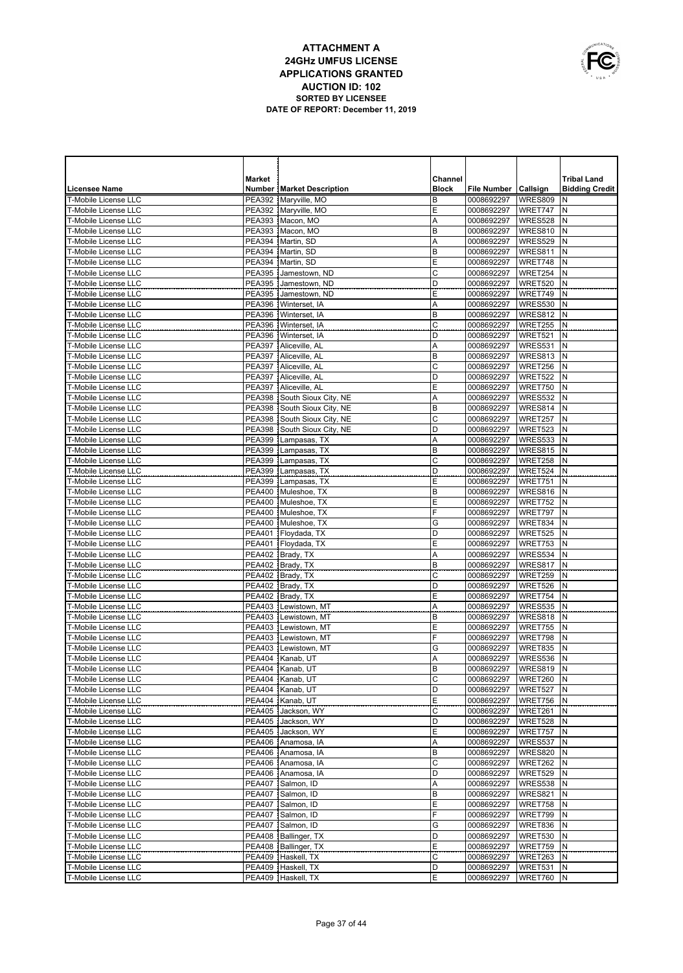

|                                                            | <b>Market</b>                  |                                              | Channel      |                          |                    | <b>Tribal Land</b>    |
|------------------------------------------------------------|--------------------------------|----------------------------------------------|--------------|--------------------------|--------------------|-----------------------|
| <b>Licensee Name</b>                                       |                                | <b>Number   Market Description</b>           | <b>Block</b> | File Number   Callsign   |                    | <b>Bidding Credit</b> |
| <b>T-Mobile License LLC</b>                                |                                | PEA392 Maryville, MO                         | B            | 0008692297               | WRES809            | N                     |
| <b>T-Mobile License LLC</b>                                |                                | PEA392   Maryville, MO                       | E            | 0008692297               | WRET747            | N                     |
| T-Mobile License LLC                                       |                                | PEA393 Macon, MO                             | Α            | 0008692297               | WRES528            | N                     |
| <b>T-Mobile License LLC</b>                                |                                | PEA393 Macon, MO                             | B            | 0008692297               | WRES810            | N                     |
| T-Mobile License LLC                                       |                                | PEA394 Martin, SD                            | Α            | 0008692297               | WRES529            | N                     |
| <b>T-Mobile License LLC</b>                                |                                | PEA394   Martin, SD                          | B            | 0008692297               | WRES811            | N                     |
| <b>T-Mobile License LLC</b>                                |                                | PEA394 Martin, SD                            | Ε            | 0008692297               | WRET748            | N                     |
| <b>T-Mobile License LLC</b><br><b>T-Mobile License LLC</b> | <b>PEA395</b><br><b>PEA395</b> | Jamestown, ND<br>Jamestown, ND               | C<br>D       | 0008692297               | WRET254<br>WRET520 | N<br>N                |
| <b>T-Mobile License LLC</b>                                | <b>PEA395</b>                  | Jamestown, ND                                | E            | 0008692297<br>0008692297 | WRET749            | N                     |
| <b>T-Mobile License LLC</b>                                | <b>PEA396</b>                  | Winterset, IA                                | Α            | 0008692297               | WRES530            | N                     |
| <b>T-Mobile License LLC</b>                                |                                | PEA396 Winterset, IA                         | B            | 0008692297               | WRES812            | N                     |
| <b>T-Mobile License LLC</b>                                | <b>PEA396</b>                  | Winterset, IA                                | C            | 0008692297               | WRET255            | N                     |
| <b>T-Mobile License LLC</b>                                |                                | PEA396   Winterset, IA                       | D            | 0008692297               | WRET521            | N                     |
| T-Mobile License LLC                                       | <b>PEA397</b>                  | Aliceville, AL                               | Α            | 0008692297               | WRES531            | N                     |
| T-Mobile License LLC                                       | <b>PEA397</b>                  | Aliceville, AL                               | B            | 0008692297               | WRES813            | N                     |
| T-Mobile License LLC                                       | <b>PEA397</b>                  | Aliceville, AL                               | C            | 0008692297               | WRET256            | N                     |
| T-Mobile License LLC                                       | <b>PEA397</b>                  | Aliceville, AL                               | D            | 0008692297               | WRET522            | N                     |
| T-Mobile License LLC                                       |                                | PEA397   Aliceville, AL                      | E            | 0008692297               | WRET750            | N                     |
| T-Mobile License LLC                                       |                                | PEA398 South Sioux City, NE                  | Α            | 0008692297               | WRES532            | N                     |
| T-Mobile License LLC                                       |                                | PEA398 South Sioux City, NE                  | B            | 0008692297               | WRES814            | N                     |
| T-Mobile License LLC                                       |                                | PEA398 South Sioux City, NE                  | C            | 0008692297               | WRET257            | N                     |
| T-Mobile License LLC                                       |                                | PEA398 South Sioux City, NE                  | D            | 0008692297               | WRET523            | N                     |
| <b>T-Mobile License LLC</b>                                |                                | PEA399 Lampasas, TX                          | Α            | 0008692297               | WRES533            | N                     |
| T-Mobile License LLC                                       |                                | PEA399 Lampasas, TX                          | B            | 0008692297               | WRES815            | N                     |
| T-Mobile License LLC<br>T-Mobile License LLC               |                                | PEA399 Lampasas, TX                          | C<br>D       | 0008692297               | WRET258            | N<br>N                |
| T-Mobile License LLC                                       |                                | PEA399 Lampasas, TX<br>PEA399 Lampasas, TX   | E            | 0008692297<br>0008692297 | WRET524<br>WRET751 | N                     |
| T-Mobile License LLC                                       |                                | PEA400 Muleshoe, TX                          | B            | 0008692297               | WRES816            | N                     |
| T-Mobile License LLC                                       |                                | PEA400 Muleshoe, TX                          | E            | 0008692297               | WRET752            | N                     |
| T-Mobile License LLC                                       |                                | PEA400 Muleshoe, TX                          | F            | 0008692297               | WRET797            | N                     |
| <b>T-Mobile License LLC</b>                                |                                | PEA400 Muleshoe, TX                          | G            | 0008692297               | WRET834            | N                     |
| T-Mobile License LLC                                       |                                | PEA401 Floydada, TX                          | D            | 0008692297               | WRET525            | N                     |
| T-Mobile License LLC                                       |                                | PEA401 Floydada, TX                          | E            | 0008692297               | WRET753            | N                     |
| T-Mobile License LLC                                       |                                | PEA402 Brady, TX                             | Α            | 0008692297               | WRES534            | N                     |
| <b>T-Mobile License LLC</b>                                |                                | PEA402   Brady, TX                           | B            | 0008692297               | WRES817            | $\mathsf{N}$          |
| T-Mobile License LLC                                       |                                | PEA402   Brady, TX                           | C            | 0008692297               | WRET259            | N                     |
| T-Mobile License LLC                                       |                                | PEA402   Brady, TX                           | D            | 0008692297               | WRET526            | N                     |
| T-Mobile License LLC                                       |                                | PEA402   Brady, TX                           | E            | 0008692297               | WRET754            | N                     |
| T-Mobile License LLC                                       | <b>PEA403</b>                  | Lewistown, MT                                | Α            | 0008692297               | WRES535            | $\mathsf{N}$          |
| T-Mobile License LLC<br>T-Mobile License LLC               |                                | PEA403 Lewistown, MT                         | B            | 0008692297               | WRES818            | N<br>$\mathsf{N}$     |
| T-Mobile License LLC                                       |                                | PEA403 Lewistown, MT<br>PEA403 Lewistown, MT | Ε<br>F       | 0008692297<br>0008692297 | WRET755<br>WRET798 | N                     |
| T-Mobile License LLC                                       |                                | PEA403 Lewistown, MT                         | G            | 0008692297               | WRET835            | N                     |
| <b>T-Mobile License LLC</b>                                |                                | PEA404 Kanab, UT                             | Α            | 0008692297               | WRES536            | N                     |
| T-Mobile License LLC                                       |                                | PEA404 Kanab, UT                             | B            | 0008692297               | WRES819            | N                     |
| T-Mobile License LLC                                       |                                | PEA404 Kanab, UT                             | С            | 0008692297 WRET260 N     |                    |                       |
| T-Mobile License LLC                                       |                                | PEA404 Kanab, UT                             | D            | 0008692297               | WRET527 N          |                       |
| T-Mobile License LLC                                       |                                | PEA404 Kanab, UT                             | Ε            | 0008692297               | WRET756 N          |                       |
| T-Mobile License LLC                                       |                                | PEA405 Jackson, WY                           | С            | 0008692297               | WRET261            | IN.                   |
| T-Mobile License LLC                                       |                                | PEA405 Jackson, WY                           | D            | 0008692297               | WRET528 N          |                       |
| T-Mobile License LLC                                       |                                | PEA405 Jackson, WY                           | Ε            | 0008692297               | WRET757            | N                     |
| T-Mobile License LLC                                       |                                | PEA406 Anamosa, IA                           | Α            | 0008692297               | WRES537            | N                     |
| T-Mobile License LLC                                       |                                | PEA406 Anamosa, IA                           | В            | 0008692297               | WRES820            | N                     |
| T-Mobile License LLC                                       |                                | PEA406 Anamosa, IA                           | C            | 0008692297               | WRET262            | N                     |
| T-Mobile License LLC                                       |                                | PEA406 Anamosa, IA                           | D            | 0008692297               | WRET529            | N                     |
| T-Mobile License LLC                                       |                                | PEA407 Salmon, ID                            | Α            | 0008692297               | WRES538            | N                     |
| T-Mobile License LLC<br>T-Mobile License LLC               |                                | PEA407 Salmon, ID<br>PEA407 Salmon, ID       | B<br>E       | 0008692297<br>0008692297 | WRES821<br>WRET758 | N<br>N                |
| T-Mobile License LLC                                       |                                | PEA407 Salmon, ID                            | F            | 0008692297               | WRET799            | IN.                   |
| T-Mobile License LLC                                       |                                | PEA407 Salmon, ID                            | G            | 0008692297               | WRET836            | N                     |
| T-Mobile License LLC                                       |                                | PEA408   Ballinger, TX                       | D            | 0008692297               | WRET530            | IN.                   |
| T-Mobile License LLC                                       |                                | PEA408   Ballinger, TX                       | Ε            | 0008692297               | WRET759            | N                     |
| T-Mobile License LLC                                       |                                | PEA409 Haskell, TX                           | С            | 0008692297               | WRET263 N          |                       |
| T-Mobile License LLC                                       |                                | PEA409 Haskell, TX                           | D            | 0008692297               | WRET531            | IN.                   |
| T-Mobile License LLC                                       |                                | PEA409 Haskell, TX                           | Ε            | 0008692297               | WRET760 N          |                       |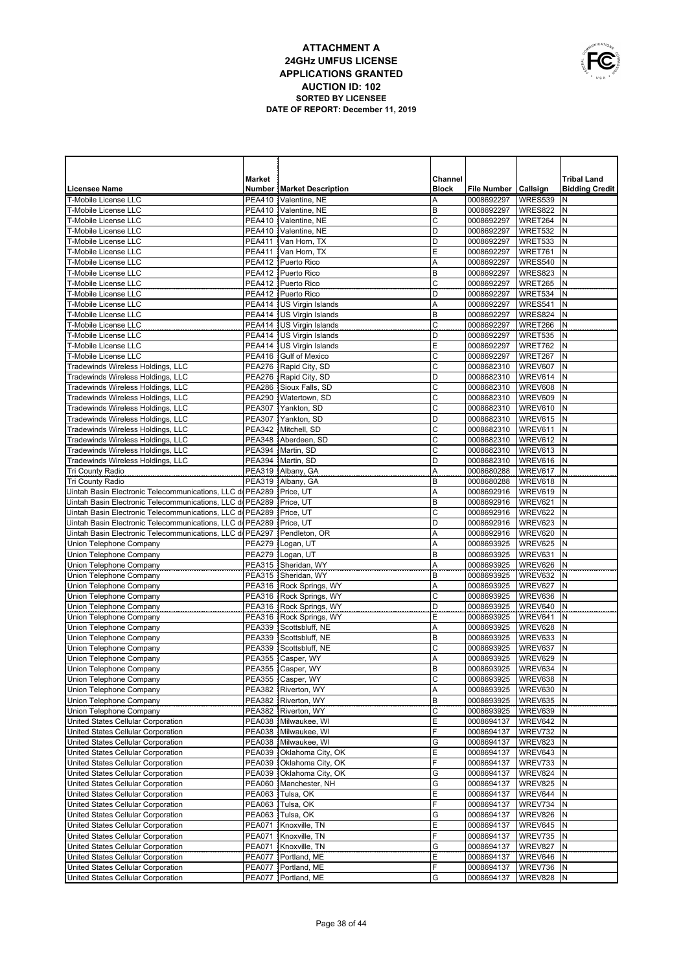

|                                                           | <b>Market</b> |                                    | Channel                 |                    |           | <b>Tribal Land</b>    |
|-----------------------------------------------------------|---------------|------------------------------------|-------------------------|--------------------|-----------|-----------------------|
| <b>Licensee Name</b>                                      |               | <b>Number   Market Description</b> | <b>Block</b>            | <b>File Number</b> | Callsign  | <b>Bidding Credit</b> |
| <b>T-Mobile License LLC</b>                               | <b>PEA410</b> | Valentine, NE                      | A                       | 0008692297         | WRES539   | N                     |
| <b>T-Mobile License LLC</b>                               |               | PEA410   Valentine, NE             | B                       | 0008692297         | WRES822   | N                     |
| T-Mobile License LLC                                      |               | PEA410   Valentine, NE             | C                       | 0008692297         | WRET264   | N                     |
| <b>T-Mobile License LLC</b>                               |               | PEA410   Valentine, NE             | D                       | 0008692297         | WRET532   | N                     |
| T-Mobile License LLC                                      | PEA411        | Van Horn, TX                       | D                       | 0008692297         | WRET533   | N                     |
| <b>T-Mobile License LLC</b>                               | PEA411        | Van Horn, TX                       | E                       | 0008692297         | WRET761   | N                     |
| <b>T-Mobile License LLC</b>                               | <b>PEA412</b> | Puerto Rico                        | Α                       | 0008692297         | WRES540   | N                     |
| <b>T-Mobile License LLC</b>                               |               | PEA412 Puerto Rico                 | B                       | 0008692297         | WRES823   | N                     |
| <b>T-Mobile License LLC</b>                               | <b>PEA412</b> | Puerto Rico                        | C                       | 0008692297         | WRET265   | N                     |
| <b>T-Mobile License LLC</b>                               |               | PEA412 Puerto Rico                 | D                       | 0008692297         | WRET534   | N                     |
| <b>T-Mobile License LLC</b>                               | <b>PEA414</b> | US Virgin Islands                  | Α                       | 0008692297         | WRES541   | N                     |
| T-Mobile License LLC                                      | PEA414        | US Virgin Islands                  | B                       | 0008692297         | WRES824   | N                     |
| <b>T-Mobile License LLC</b>                               | <b>PEA414</b> | US Virgin Islands                  | C                       | 0008692297         | WRET266   | N                     |
| T-Mobile License LLC                                      | PEA414        | US Virgin Islands                  | D                       | 0008692297         | WRET535   | N                     |
| T-Mobile License LLC                                      | PEA414        | <b>US Virgin Islands</b>           | E                       | 0008692297         | WRET762   | N                     |
| T-Mobile License LLC                                      |               | PEA416 Gulf of Mexico              | C                       | 0008692297         | WRET267   | N                     |
| Tradewinds Wireless Holdings, LLC                         |               | PEA276 Rapid City, SD              | C                       | 0008682310         | WREV607   | N                     |
| Tradewinds Wireless Holdings, LLC                         |               | PEA276 Rapid City, SD              | D                       | 0008682310         | WREV614   | N                     |
| Tradewinds Wireless Holdings, LLC                         |               | PEA286 Sioux Falls, SD             | C                       | 0008682310         | WREV608   | N                     |
| Tradewinds Wireless Holdings, LLC                         | <b>PEA290</b> | Watertown, SD                      | C                       | 0008682310         | WREV609   | N                     |
| Tradewinds Wireless Holdings, LLC                         | <b>PEA307</b> | Yankton, SD                        | C                       | 0008682310         | WREV610   | N                     |
| Tradewinds Wireless Holdings, LLC                         | PEA307        | Yankton, SD                        | D                       | 0008682310         | WREV615   | N                     |
| Tradewinds Wireless Holdings, LLC                         | PEA342        | Mitchell, SD                       | C                       | 0008682310         | WREV611   | N                     |
| Tradewinds Wireless Holdings, LLC                         | <b>PEA348</b> | Aberdeen, SD                       | C                       | 0008682310         | WREV612   | N                     |
| Tradewinds Wireless Holdings, LLC                         | <b>PEA394</b> | Martin, SD                         | C                       | 0008682310         | WREV613   | N                     |
| Tradewinds Wireless Holdings, LLC                         | PEA394        | Martin, SD                         | D                       | 0008682310         | WREV616   | $\mathsf{N}$          |
| <b>Tri County Radio</b>                                   | <b>PEA319</b> | Albany, GA                         | Α                       | 0008680288         | WREV617   | N                     |
| <b>Tri County Radio</b>                                   | <b>PEA319</b> | Albany, GA                         | B                       | 0008680288         | WREV618   | N                     |
| Uintah Basin Electronic Telecommunications, LLC d/ PEA289 |               | Price, UT                          | A                       | 0008692916         | WREV619   | N                     |
| Uintah Basin Electronic Telecommunications, LLC di PEA289 |               | Price, UT                          | B                       | 0008692916         | WREV621   | N                     |
| Uintah Basin Electronic Telecommunications, LLC di PEA289 |               | Price, UT                          | C                       | 0008692916         | WREV622   | N                     |
| Uintah Basin Electronic Telecommunications, LLC di PEA289 |               | Price, UT                          | D                       | 0008692916         | WREV623   | N                     |
| Uintah Basin Electronic Telecommunications, LLC di PEA297 |               | Pendleton, OR                      | A                       | 0008692916         | WREV620   | N                     |
| Union Telephone Company                                   |               | PEA279 Logan, UT                   | Α                       | 0008693925         | WREV625   | $\mathsf{N}$          |
| Union Telephone Company                                   |               | PEA279 Logan, UT                   | B                       | 0008693925         | WREV631   | N                     |
| Union Telephone Company                                   |               | PEA315 Sheridan, WY                | Α                       | 0008693925         | WREV626   | $\mathsf{N}$          |
| Union Telephone Company                                   |               | PEA315 Sheridan, WY                | B                       | 0008693925         | WREV632   | N                     |
| Union Telephone Company                                   |               | PEA316 Rock Springs, WY            | Α                       | 0008693925         | WREV627   | $\mathsf{N}$          |
| Union Telephone Company                                   |               | PEA316 Rock Springs, WY            | $\overline{\mathrm{c}}$ | 0008693925         | WREV636   | N                     |
| Union Telephone Company                                   |               | PEA316 Rock Springs, WY            | D                       | 0008693925         | WREV640   | $\mathsf{N}$          |
| Union Telephone Company                                   |               | PEA316 Rock Springs, WY            | E                       | 0008693925         | WREV641   | N                     |
| Union Telephone Company                                   |               | PEA339 Scottsbluff, NE             | Α                       | 0008693925         | WREV628   | N                     |
| Union Telephone Company                                   |               | PEA339 Scottsbluff, NE             | B                       | 0008693925         | WREV633   | N                     |
| Union Telephone Company                                   |               | PEA339 Scottsbluff, NE             | C                       | 0008693925         | WREV637   | $\mathsf{N}$          |
| Union Telephone Company                                   |               | PEA355 Casper, WY                  | A                       | 0008693925         | WREV629   | N                     |
| Union Telephone Company                                   |               | PEA355 Casper, WY                  | B                       | 0008693925         | WREV634   | N                     |
| Union Telephone Company                                   |               | PEA355 Casper, WY                  | С                       | 0008693925         | WREV638 N |                       |
| Union Telephone Company                                   |               | PEA382 Riverton, WY                | Α                       | 0008693925         | WREV630 N |                       |
| Union Telephone Company                                   |               | PEA382 Riverton, WY                | В                       | 0008693925         | WREV635 N |                       |
| Union Telephone Company                                   |               | PEA382 Riverton, WY                | С                       | 0008693925         | WREV639 N |                       |
| United States Cellular Corporation                        |               | PEA038 Milwaukee, WI               | Ε                       | 0008694137         | WREV642 N |                       |
| United States Cellular Corporation                        |               | PEA038   Milwaukee, WI             | F                       | 0008694137         | WREV732 N |                       |
| United States Cellular Corporation                        |               | PEA038 Milwaukee, WI               | G                       | 0008694137         | WREV823 N |                       |
| United States Cellular Corporation                        |               | PEA039 Oklahoma City, OK           | Ε                       | 0008694137         | WREV643 N |                       |
| United States Cellular Corporation                        |               | PEA039 Oklahoma City, OK           | F                       | 0008694137         | WREV733   | N                     |
| United States Cellular Corporation                        |               | PEA039 Oklahoma City, OK           | G                       | 0008694137         | WREV824 N |                       |
| United States Cellular Corporation                        |               | PEA060 Manchester, NH              | G                       | 0008694137         | WREV825   | N                     |
| United States Cellular Corporation                        |               | PEA063 Tulsa, OK                   | Ε                       | 0008694137         | WREV644 N |                       |
| United States Cellular Corporation                        |               | PEA063 Tulsa, OK                   | F                       | 0008694137         | WREV734   | N                     |
| United States Cellular Corporation                        |               | PEA063 Tulsa, OK                   | G                       | 0008694137         | WREV826 N |                       |
| United States Cellular Corporation                        | PEA071        | Knoxville, TN                      | Ε                       | 0008694137         | WREV645   | N                     |
| United States Cellular Corporation                        | <b>PEA071</b> | Knoxville, TN                      | F                       | 0008694137         | WREV735 N |                       |
| United States Cellular Corporation                        | PEA071        | Knoxville, TN                      | G                       | 0008694137         | WREV827   | N                     |
| United States Cellular Corporation                        | PEA077        | Portland, ME                       | Ε                       | 0008694137         | WREV646 N |                       |
| United States Cellular Corporation                        |               | PEA077   Portland, ME              | F                       | 0008694137         | WREV736   | Ν                     |
| United States Cellular Corporation                        |               | PEA077 Portland, ME                | G                       | 0008694137         | WREV828 N |                       |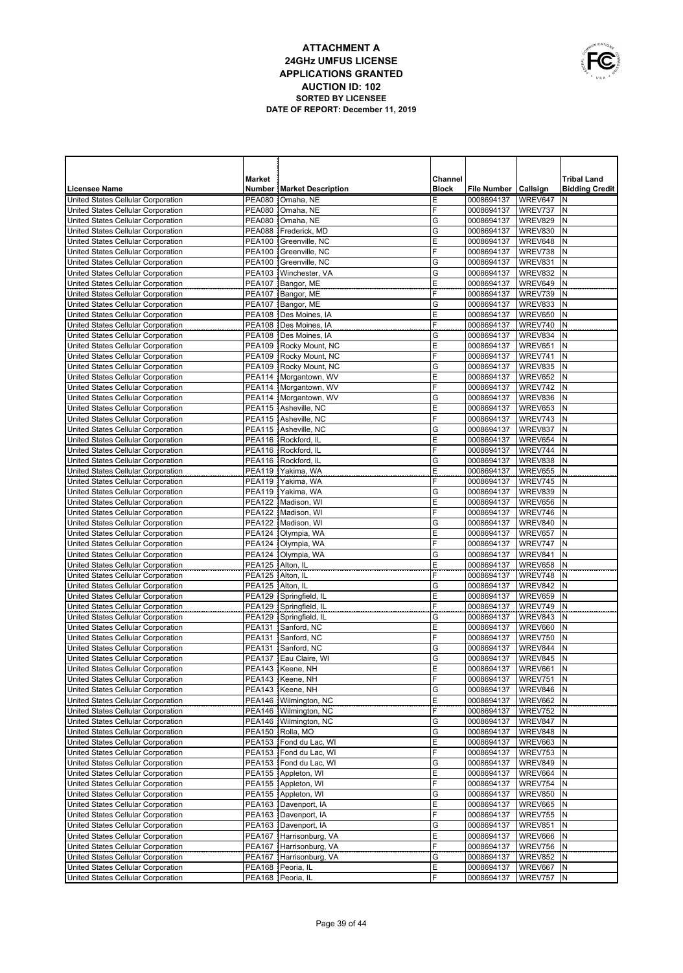|   | OWNUNICATIONS |
|---|---------------|
|   |               |
| É |               |
|   | USA           |

|                                                                          | Market                            |                                                    | Channel      |                          |                      | <b>Tribal Land</b>    |
|--------------------------------------------------------------------------|-----------------------------------|----------------------------------------------------|--------------|--------------------------|----------------------|-----------------------|
| <b>Licensee Name</b>                                                     |                                   | <b>Number   Market Description</b>                 | <b>Block</b> | <b>File Number</b>       | Callsign             | <b>Bidding Credit</b> |
| United States Cellular Corporation                                       | <b>PEA080</b>                     | Omaha, NE                                          | E            | 0008694137               | WREV647              | N                     |
| United States Cellular Corporation                                       | <b>PEA080</b>                     | Omaha, NE                                          | F            | 0008694137               | WREV737              | N                     |
| United States Cellular Corporation                                       | <b>PEA080</b>                     | Omaha, NE                                          | G            | 0008694137               | WREV829              | N                     |
| United States Cellular Corporation                                       |                                   | PEA088 Frederick, MD                               | G            | 0008694137               | WREV830              | N                     |
| United States Cellular Corporation                                       |                                   | PEA100 Greenville, NC                              | E            | 0008694137               | WREV648              | N                     |
| United States Cellular Corporation                                       |                                   | PEA100 Greenville, NC                              | F            | 0008694137               | WREV738              | N                     |
| United States Cellular Corporation                                       |                                   | PEA100 Greenville, NC                              | G            | 0008694137               | WREV831              | N                     |
| United States Cellular Corporation                                       |                                   | PEA103   Winchester, VA                            | G            | 0008694137               | WREV832              | N                     |
| United States Cellular Corporation                                       |                                   | PEA107 Bangor, ME                                  | E<br>F       | 0008694137               | WREV649              | N                     |
| United States Cellular Corporation<br>United States Cellular Corporation | <b>PEA107</b>                     | PEA107 Bangor, ME<br>Bangor, ME                    | G            | 0008694137<br>0008694137 | WREV739<br>WREV833   | N<br>N                |
| United States Cellular Corporation                                       |                                   | PEA108 Des Moines, IA                              | Ε            | 0008694137               | <b>WREV650</b>       | N                     |
| United States Cellular Corporation                                       |                                   | PEA108 Des Moines, IA                              | F            | 0008694137               | WREV740              | N                     |
| United States Cellular Corporation                                       |                                   | PEA108 Des Moines, IA                              | G            | 0008694137               | WREV834              | N                     |
| United States Cellular Corporation                                       |                                   | PEA109 Rocky Mount, NC                             | Ε            | 0008694137               | WREV651              | $\mathsf{N}$          |
| United States Cellular Corporation                                       |                                   | PEA109 Rocky Mount, NC                             | F            | 0008694137               | WREV741              | N                     |
| United States Cellular Corporation                                       |                                   | PEA109 Rocky Mount, NC                             | G            | 0008694137               | WREV835              | N                     |
| United States Cellular Corporation                                       |                                   | PEA114   Morgantown, WV                            | Ε            | 0008694137               | WREV652              | $\mathsf{N}$          |
| United States Cellular Corporation                                       |                                   | PEA114   Morgantown, WV                            | F            | 0008694137               | WREV742              | N                     |
| United States Cellular Corporation                                       |                                   | PEA114   Morgantown, WV                            | G            | 0008694137               | WREV836              | N                     |
| United States Cellular Corporation                                       |                                   | PEA115 Asheville, NC                               | Ε            | 0008694137               | WREV653              | $\mathsf{N}$          |
| United States Cellular Corporation                                       |                                   | PEA115 Asheville, NC                               | F            | 0008694137               | WREV743              | N                     |
| United States Cellular Corporation                                       |                                   | PEA115 Asheville, NC                               | G            | 0008694137               | WREV837              | $\mathsf{N}$          |
| United States Cellular Corporation                                       |                                   | PEA116 Rockford, IL                                | Ε            | 0008694137               | WREV654              | N                     |
| United States Cellular Corporation<br>United States Cellular Corporation |                                   | PEA116 Rockford, IL<br>PEA116 Rockford, IL         | F<br>G       | 0008694137<br>0008694137 | WREV744<br>WREV838   | $\mathsf{N}$<br>N     |
| United States Cellular Corporation                                       |                                   | PEA119 Yakima, WA                                  | E            | 0008694137               | WREV655              | $\mathsf{N}$          |
| United States Cellular Corporation                                       | PEA119                            | Yakima, WA                                         | F            | 0008694137               | WREV745              | $\mathsf{N}$          |
| United States Cellular Corporation                                       | <b>PEA119</b>                     | Yakima, WA                                         | G            | 0008694137               | WREV839              | $\mathsf{N}$          |
| United States Cellular Corporation                                       | <b>PEA122</b>                     | Madison, WI                                        | Ε            | 0008694137               | WREV656              | N                     |
| United States Cellular Corporation                                       | <b>PEA122</b>                     | Madison, WI                                        | F            | 0008694137               | WREV746              | $\mathsf{N}$          |
| United States Cellular Corporation                                       | <b>PEA122</b>                     | Madison, WI                                        | G            | 0008694137               | WREV840              | $\mathsf{N}$          |
| United States Cellular Corporation                                       | <b>PEA124</b>                     | Olympia, WA                                        | E            | 0008694137               | WREV657              | N                     |
| United States Cellular Corporation                                       | PEA124                            | Olympia, WA                                        | F            | 0008694137               | WREV747              | N                     |
| United States Cellular Corporation                                       |                                   | PEA124   Olympia, WA                               | G            | 0008694137               | WREV841              | N                     |
| United States Cellular Corporation                                       | <b>PEA125</b>                     | Alton, IL                                          | Ε            | 0008694137               | WREV658              | N                     |
| United States Cellular Corporation<br>United States Cellular Corporation | PEA125 Alton, IL<br><b>PEA125</b> |                                                    | F<br>G       | 0008694137<br>0008694137 | WREV748<br>WREV842   | N<br>N                |
| United States Cellular Corporation                                       |                                   | Alton, IL<br>PEA129 Springfield, IL                | E            | 0008694137               | WREV659              | N                     |
| United States Cellular Corporation                                       | PEA129                            | Springfield, IL                                    | F            | 0008694137               | WREV749              | N                     |
| United States Cellular Corporation                                       | <b>PEA129</b>                     | Springfield, IL                                    | G            | 0008694137               | WREV843              | N                     |
| United States Cellular Corporation                                       | <b>PEA131</b>                     | Sanford, NC                                        | E            | 0008694137               | WREV660              | N                     |
| United States Cellular Corporation                                       | PEA131                            | Sanford, NC                                        | F            | 0008694137               | WREV750              | N                     |
| United States Cellular Corporation                                       | PEA131                            | Sanford, NC                                        | G            | 0008694137               | WREV844              | N                     |
| United States Cellular Corporation                                       | PEA137                            | Eau Claire, WI                                     | G            | 0008694137               | WREV845              | N                     |
| United States Cellular Corporation                                       |                                   | PEA143 Keene, NH                                   | E            | 0008694137               | WREV661              | N                     |
| United States Cellular Corporation                                       |                                   | PEA143 Keene, NH                                   | F            | 0008694137               | WREV751              | ΙN                    |
| United States Cellular Corporation                                       |                                   | PEA143 Keene, NH                                   | G            | 0008694137               | WREV846 N            |                       |
| United States Cellular Corporation                                       |                                   | PEA146   Wilmington, NC                            | Ε<br>F       | 0008694137<br>0008694137 | WREV662              | Ν                     |
| United States Cellular Corporation<br>United States Cellular Corporation |                                   | PEA146   Wilmington, NC<br>PEA146   Wilmington, NC | G            | 0008694137               | WREV752 N<br>WREV847 | N                     |
| United States Cellular Corporation                                       |                                   | PEA150   Rolla, MO                                 | G            | 0008694137               | WREV848              | N                     |
| United States Cellular Corporation                                       |                                   | PEA153   Fond du Lac, WI                           | E            | 0008694137               | WREV663              | N                     |
| United States Cellular Corporation                                       |                                   | PEA153   Fond du Lac, WI                           | F            | 0008694137               | WREV753              | N                     |
| United States Cellular Corporation                                       |                                   | PEA153 Fond du Lac, WI                             | G            | 0008694137               | WREV849              | N                     |
| United States Cellular Corporation                                       |                                   | PEA155 Appleton, WI                                | Ε            | 0008694137               | WREV664              | N                     |
| United States Cellular Corporation                                       |                                   | PEA155 Appleton, WI                                | F            | 0008694137               | WREV754              | N                     |
| United States Cellular Corporation                                       |                                   | PEA155 Appleton, WI                                | G            | 0008694137               | WREV850              | N                     |
| United States Cellular Corporation                                       |                                   | PEA163 Davenport, IA                               | E            | 0008694137               | WREV665              | N                     |
| United States Cellular Corporation                                       |                                   | PEA163 Davenport, IA                               | F            | 0008694137               | WREV755              | N                     |
| United States Cellular Corporation                                       |                                   | PEA163 Davenport, IA                               | G<br>Ε       | 0008694137               | WREV851              | N<br>N                |
| United States Cellular Corporation<br>United States Cellular Corporation |                                   | PEA167 Harrisonburg, VA<br>PEA167 Harrisonburg, VA | F            | 0008694137<br>0008694137 | WREV666<br>WREV756   | N                     |
| United States Cellular Corporation                                       |                                   | PEA167 Harrisonburg, VA                            | G            | 0008694137               | WREV852              | N                     |
| United States Cellular Corporation                                       |                                   | PEA168   Peoria, IL                                | E            | 0008694137               | WREV667              | N                     |
| United States Cellular Corporation                                       |                                   | PEA168   Peoria, IL                                | F            | 0008694137               | WREV757 N            |                       |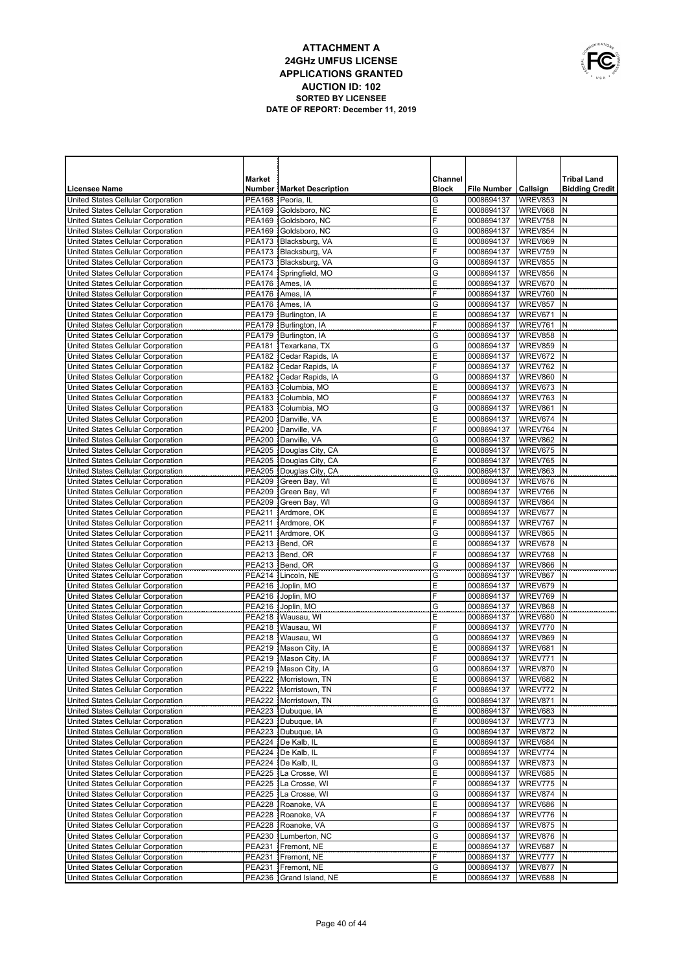

|                                                                          | <b>Market</b> |                                                  | Channel      |                          |                      | <b>Tribal Land</b>    |
|--------------------------------------------------------------------------|---------------|--------------------------------------------------|--------------|--------------------------|----------------------|-----------------------|
| <b>Licensee Name</b>                                                     |               | <b>Number   Market Description</b>               | <b>Block</b> | <b>File Number</b>       | Callsign             | <b>Bidding Credit</b> |
| United States Cellular Corporation                                       | PEA168        | Peoria, IL                                       | G            | 0008694137               | <b>WREV853</b>       | N                     |
| United States Cellular Corporation                                       | PEA169        | Goldsboro, NC                                    | Ε            | 0008694137               | WREV668              | N                     |
| United States Cellular Corporation                                       | PEA169        | Goldsboro, NC                                    | F            | 0008694137               | WREV758              | N                     |
| United States Cellular Corporation                                       | PEA169        | Goldsboro, NC                                    | G            | 0008694137               | WREV854              | N                     |
| United States Cellular Corporation                                       |               | PEA173   Blacksburg, VA                          | E            | 0008694137               | WREV669              | N                     |
| United States Cellular Corporation                                       |               | PEA173   Blacksburg, VA                          | F            | 0008694137               | WREV759              | N                     |
| United States Cellular Corporation                                       |               | PEA173   Blacksburg, VA                          | G            | 0008694137               | WREV855              | N                     |
| United States Cellular Corporation                                       | PEA174        | Springfield, MO                                  | G            | 0008694137               | WREV856              | N                     |
| United States Cellular Corporation                                       | PEA176        | Ames, IA                                         | E            | 0008694137               | WREV670              | N                     |
| United States Cellular Corporation                                       | PEA176        | Ames, IA                                         | F            | 0008694137               | WREV760              | N                     |
| United States Cellular Corporation                                       |               | PEA176 Ames, IA                                  | G            | 0008694137               | WREV857              | N                     |
| United States Cellular Corporation                                       |               | PEA179 Burlington, IA<br>PEA179   Burlington, IA | Ε<br>F       | 0008694137               | WREV671<br>WREV761   | N<br>N                |
| United States Cellular Corporation<br>United States Cellular Corporation |               | PEA179 Burlington, IA                            | G            | 0008694137<br>0008694137 | WREV858              | N                     |
| United States Cellular Corporation                                       | PEA181        | Texarkana, TX                                    | G            | 0008694137               | WREV859              | N                     |
| United States Cellular Corporation                                       | PEA182        | Cedar Rapids, IA                                 | Ε            | 0008694137               | WREV672              | N                     |
| United States Cellular Corporation                                       |               | PEA182 Cedar Rapids, IA                          | F            | 0008694137               | WREV762              | N                     |
| United States Cellular Corporation                                       | PEA182        | Cedar Rapids, IA                                 | G            | 0008694137               | WREV860              | $\mathsf{N}$          |
| United States Cellular Corporation                                       |               | PEA183 Columbia, MO                              | E            | 0008694137               | WREV673              | $\mathsf{N}$          |
| United States Cellular Corporation                                       |               | PEA183 Columbia, MO                              | F            | 0008694137               | WREV763              | N                     |
| United States Cellular Corporation                                       |               | PEA183   Columbia, MO                            | G            | 0008694137               | WREV861              | $\mathsf{N}$          |
| United States Cellular Corporation                                       |               | PEA200 Danville, VA                              | E            | 0008694137               | WREV674              | $\mathsf{N}$          |
| United States Cellular Corporation                                       |               | PEA200 Danville, VA                              | F            | 0008694137               | WREV764              | $\mathsf{N}$          |
| United States Cellular Corporation                                       |               | PEA200 Danville, VA                              | G            | 0008694137               | WREV862              | N                     |
| United States Cellular Corporation                                       |               | PEA205   Douglas City, CA                        | E            | 0008694137               | WREV675              | N                     |
| United States Cellular Corporation                                       |               | PEA205 Douglas City, CA                          | F            | 0008694137               | WREV765              | N                     |
| United States Cellular Corporation                                       |               | PEA205 Douglas City, CA                          | G            | 0008694137               | WREV863              | N                     |
| United States Cellular Corporation                                       |               | PEA209 Green Bay, WI                             | Ε            | 0008694137               | WREV676              | N                     |
| United States Cellular Corporation                                       |               | PEA209 Green Bay, WI                             | F            | 0008694137               | WREV766              | N                     |
| United States Cellular Corporation                                       |               | PEA209 Green Bay, WI                             | G            | 0008694137               | WREV864              | N                     |
| United States Cellular Corporation                                       |               | PEA211 Ardmore, OK                               | Ε            | 0008694137               | WREV677              | N                     |
| United States Cellular Corporation                                       | PEA211        | Ardmore, OK                                      | F            | 0008694137               | WREV767              | N                     |
| United States Cellular Corporation                                       | <b>PEA211</b> | Ardmore, OK                                      | G            | 0008694137               | WREV865              | N                     |
| United States Cellular Corporation                                       |               | PEA213 Bend, OR                                  | Ε            | 0008694137               | WREV678              | N                     |
| United States Cellular Corporation                                       |               | PEA213   Bend, OR                                | F            | 0008694137               | WREV768              | N                     |
| United States Cellular Corporation                                       | PEA213        | Bend, OR                                         | G            | 0008694137               | WREV866              | N                     |
| United States Cellular Corporation                                       | <b>PEA214</b> | Lincoln, NE                                      | G            | 0008694137               | WREV867              | N                     |
| United States Cellular Corporation<br>United States Cellular Corporation | PEA216        | Joplin, MO<br>PEA216 Joplin, MO                  | Ε<br>F       | 0008694137<br>0008694137 | WREV679<br>WREV769   | N<br>N                |
| United States Cellular Corporation                                       | PEA216        | Joplin, MO                                       | G            | 0008694137               | WREV868              | N                     |
| United States Cellular Corporation                                       |               | PEA218 Wausau, WI                                | E            | 0008694137               | WREV680              | N                     |
| United States Cellular Corporation                                       |               | PEA218 Wausau, WI                                | F            | 0008694137               | WREV770              | $\mathsf{N}$          |
| United States Cellular Corporation                                       |               | PEA218   Wausau, WI                              | G            | 0008694137               | WREV869              | N                     |
| United States Cellular Corporation                                       |               | PEA219   Mason City, IA                          | Ε            | 0008694137               | WREV681              | $\mathsf{N}$          |
| United States Cellular Corporation                                       |               | PEA219   Mason City, IA                          | F            | 0008694137               | WREV771              | N                     |
| United States Cellular Corporation                                       |               | PEA219 Mason City, IA                            | G            | 0008694137               | WREV870              | İN.                   |
| United States Cellular Corporation                                       |               | PEA222   Morristown, TN                          | Ε            | 0008694137               | WREV682 N            |                       |
| United States Cellular Corporation                                       |               | PEA222   Morristown, TN                          | F            | 0008694137               | WREV772 N            |                       |
| United States Cellular Corporation                                       |               | PEA222   Morristown, TN                          | G            | 0008694137               | WREV871              | IN                    |
| United States Cellular Corporation                                       |               | PEA223 Dubuque, IA                               | Ε            | 0008694137               | WREV683 N            |                       |
| United States Cellular Corporation                                       |               | PEA223 Dubuque, IA                               | F            | 0008694137               | WREV773              | N                     |
| United States Cellular Corporation                                       |               | PEA223 Dubuque, IA                               | G            | 0008694137               | <b>WREV872 N</b>     |                       |
| United States Cellular Corporation                                       |               | PEA224   De Kalb, IL                             | Ε            | 0008694137               | WREV684              | Ν                     |
| United States Cellular Corporation                                       |               | PEA224   De Kalb, IL                             | F            | 0008694137               | WREV774 N            |                       |
| United States Cellular Corporation                                       |               | PEA224   De Kalb, IL                             | G            | 0008694137               | WREV873              | N                     |
| United States Cellular Corporation                                       | PEA225        | La Crosse, WI                                    | Ε            | 0008694137               | <b>WREV685 N</b>     |                       |
| United States Cellular Corporation                                       |               | PEA225   La Crosse, WI                           | F            | 0008694137               | WREV775              | N                     |
| United States Cellular Corporation                                       |               | PEA225   La Crosse, WI                           | G            | 0008694137               | WREV874 N            |                       |
| United States Cellular Corporation                                       |               | PEA228 Roanoke, VA                               | Ε<br>F       | 0008694137               | WREV686<br>WREV776 N | N                     |
| United States Cellular Corporation                                       |               | PEA228 Roanoke, VA<br>PEA228 Roanoke, VA         | G            | 0008694137               | WREV875              | N                     |
| United States Cellular Corporation<br>United States Cellular Corporation | PEA230        | Lumberton, NC                                    | G            | 0008694137<br>0008694137 | WREV876              | N                     |
| United States Cellular Corporation                                       |               | PEA231   Fremont, NE                             | Ε            | 0008694137               | WREV687              | N                     |
| United States Cellular Corporation                                       | PEA231        | Fremont, NE                                      | F            | 0008694137               | WREV777              | N                     |
| United States Cellular Corporation                                       |               | PEA231   Fremont, NE                             | G            | 0008694137               | WREV877              | Ν                     |
| United States Cellular Corporation                                       |               | PEA236 Grand Island, NE                          | Е            | 0008694137               | WREV688 N            |                       |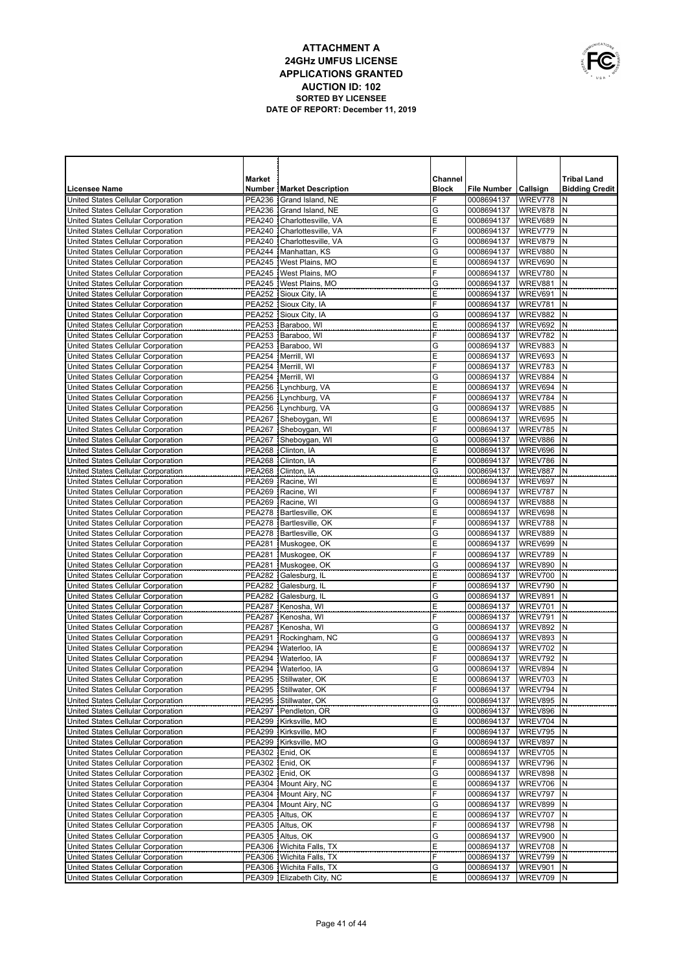

|                                                                          | Market                         |                                     | Channel      |                          |                    | <b>Tribal Land</b>    |
|--------------------------------------------------------------------------|--------------------------------|-------------------------------------|--------------|--------------------------|--------------------|-----------------------|
| Licensee Name                                                            |                                | <b>Number   Market Description</b>  | <b>Block</b> | <b>File Number</b>       | <b>Callsign</b>    | <b>Bidding Credit</b> |
| United States Cellular Corporation                                       | <b>PEA236</b>                  | Grand Island, NE                    | F            | 0008694137               | WREV778            | N                     |
| United States Cellular Corporation                                       |                                | PEA236 Grand Island, NE             | G            | 0008694137               | WREV878            | N                     |
| United States Cellular Corporation                                       | <b>PEA240</b>                  | Charlottesville, VA                 | E            | 0008694137               | WREV689            | N                     |
| United States Cellular Corporation                                       |                                | PEA240 Charlottesville, VA          | F            | 0008694137               | WREV779            | N                     |
| United States Cellular Corporation                                       | <b>PEA240</b>                  | Charlottesville, VA                 | G            | 0008694137               | WREV879            | N                     |
| United States Cellular Corporation                                       |                                | PEA244   Manhattan, KS              | G            | 0008694137               | WREV880            | N                     |
| United States Cellular Corporation                                       |                                | PEA245   West Plains, MO            | Ε            | 0008694137               | WREV690            | N                     |
| United States Cellular Corporation                                       |                                | PEA245   West Plains, MO            | F            | 0008694137               | WREV780            | N                     |
| United States Cellular Corporation                                       |                                | PEA245   West Plains, MO            | G            | 0008694137               | WREV881            | N                     |
| United States Cellular Corporation                                       |                                | PEA252 Sioux City, IA               | E            | 0008694137               | WREV691            | N                     |
| United States Cellular Corporation                                       |                                | PEA252 Sioux City, IA               | F            | 0008694137               | WREV781            | N                     |
| United States Cellular Corporation                                       |                                | PEA252 Sioux City, IA               | G            | 0008694137               | WREV882            | N                     |
| United States Cellular Corporation                                       |                                | PEA253   Baraboo, WI                | Ε            | 0008694137               | WREV692            | N                     |
| United States Cellular Corporation                                       |                                | PEA253 Baraboo, WI                  | F            | 0008694137               | WREV782            | N                     |
| United States Cellular Corporation                                       | <b>PEA253</b>                  | Baraboo, WI                         | G            | 0008694137               | WREV883            | N                     |
| United States Cellular Corporation                                       | <b>PEA254</b>                  | Merrill, WI                         | E            | 0008694137               | WREV693            | N                     |
| United States Cellular Corporation                                       | <b>PEA254</b>                  | Merrill, WI                         | F            | 0008694137               | WREV783            | N                     |
| United States Cellular Corporation                                       | <b>PEA254</b>                  | Merrill, WI                         | G            | 0008694137               | WREV884            | N                     |
| United States Cellular Corporation                                       | PEA256                         | Lynchburg, VA                       | Ε            | 0008694137               | WREV694            | N                     |
| United States Cellular Corporation                                       | <b>PEA256</b>                  | Lynchburg, VA                       | F            | 0008694137               | WREV784            | N                     |
| United States Cellular Corporation                                       | PEA256                         | Lynchburg, VA                       | G            | 0008694137               | WREV885            | N                     |
| United States Cellular Corporation                                       |                                | PEA267 Sheboygan, WI                | E            | 0008694137               | WREV695            | N                     |
| United States Cellular Corporation                                       | <b>PEA267</b>                  | Sheboygan, WI                       | F            | 0008694137               | WREV785            | N                     |
| United States Cellular Corporation                                       | <b>PEA267</b>                  | Sheboygan, WI                       | G<br>E       | 0008694137               | WREV886            | N                     |
| United States Cellular Corporation                                       | <b>PEA268</b><br><b>PEA268</b> | Clinton, IA<br>Clinton, IA          | F            | 0008694137<br>0008694137 | WREV696<br>WREV786 | N<br>N                |
| United States Cellular Corporation<br>United States Cellular Corporation | <b>PEA268</b>                  | Clinton, IA                         | G            | 0008694137               | WREV887            | N                     |
| United States Cellular Corporation                                       |                                | PEA269 Racine, WI                   | E            | 0008694137               | WREV697            | N                     |
| United States Cellular Corporation                                       |                                | PEA269 Racine, WI                   | F            | 0008694137               | WREV787            | N                     |
| United States Cellular Corporation                                       |                                | PEA269 Racine, WI                   | G            | 0008694137               | WREV888            | N                     |
| United States Cellular Corporation                                       |                                | PEA278   Bartlesville, OK           | Ε            | 0008694137               | WREV698            | N                     |
| United States Cellular Corporation                                       |                                | PEA278   Bartlesville, OK           | F            | 0008694137               | WREV788            | N                     |
| United States Cellular Corporation                                       |                                | PEA278   Bartlesville, OK           | G            | 0008694137               | WREV889            | N                     |
| United States Cellular Corporation                                       |                                | PEA281 Muskogee, OK                 | E            | 0008694137               | WREV699            | N                     |
| United States Cellular Corporation                                       | <b>PEA281</b>                  | Muskogee, OK                        | F            | 0008694137               | WREV789            | N                     |
| United States Cellular Corporation                                       |                                | PEA281 Muskogee, OK                 | G            | 0008694137               | WREV890            | N                     |
| United States Cellular Corporation                                       |                                | PEA282 Galesburg, IL                | E            | 0008694137               | WREV700            | N                     |
| United States Cellular Corporation                                       |                                | PEA282 Galesburg, IL                | F            | 0008694137               | WREV790            | N                     |
| United States Cellular Corporation                                       | <b>PEA282</b>                  | Galesburg, IL                       | G            | 0008694137               | WREV891            | N                     |
| United States Cellular Corporation                                       | <b>PEA287</b>                  | Kenosha, WI                         | E            | 0008694137               | WREV701            | N                     |
| United States Cellular Corporation                                       |                                | PEA287 Kenosha, WI                  | F            | 0008694137               | WREV791            | N                     |
| United States Cellular Corporation                                       |                                | PEA287 Kenosha, WI                  | G            | 0008694137               | WREV892            | N                     |
| United States Cellular Corporation                                       | <b>PEA291</b>                  | Rockingham, NC                      | G            | 0008694137               | WREV893            | N                     |
| United States Cellular Corporation                                       |                                | PEA294 Waterloo. IA                 | E            | 0008694137               | WREV702            | N                     |
| United States Cellular Corporation                                       | <b>PEA294</b>                  | Waterloo, IA                        | F            | 0008694137               | WREV792            | N                     |
| United States Cellular Corporation                                       |                                | PEA294   Waterloo, IA               | G            | 0008694137               | WREV894            | N                     |
| United States Cellular Corporation                                       |                                | PEA295 Stillwater, OK               | Ε            | 0008694137               | WREV703 N          |                       |
| United States Cellular Corporation                                       |                                | PEA295 Stillwater, OK               | F            | 0008694137               | WREV794 N          |                       |
| United States Cellular Corporation                                       |                                | PEA295 Stillwater, OK               | G            | 0008694137               | WREV895 N          |                       |
| United States Cellular Corporation                                       |                                | PEA297   Pendleton, OR              | G            | 0008694137               | WREV896            | N                     |
| United States Cellular Corporation                                       |                                | PEA299 Kirksville, MO               | Ε            | 0008694137               | WREV704            | ١N                    |
| United States Cellular Corporation                                       |                                | PEA299 Kirksville, MO               | F            | 0008694137               | WREV795            | N                     |
| United States Cellular Corporation                                       |                                | PEA299   Kirksville, MO             | G            | 0008694137               | WREV897            | İΝ                    |
| United States Cellular Corporation                                       |                                | PEA302 Enid, OK                     | Ε<br>F       | 0008694137               | WREV705            | N<br>١N               |
| United States Cellular Corporation                                       | <b>PEA302</b>                  | PEA302 Enid, OK                     | G            | 0008694137<br>0008694137 | WREV796            | N                     |
| United States Cellular Corporation<br>United States Cellular Corporation |                                | Enid, OK<br>PEA304   Mount Airy, NC | Ε            | 0008694137               | WREV898<br>WREV706 | ١N                    |
| United States Cellular Corporation                                       |                                | PEA304   Mount Airy, NC             | F            | 0008694137               | WREV797            | N                     |
| United States Cellular Corporation                                       |                                | PEA304 Mount Airy, NC               | G            | 0008694137               | WREV899            | ١N                    |
| United States Cellular Corporation                                       |                                | PEA305 Altus, OK                    | Ε            | 0008694137               | WREV707            | İN                    |
| United States Cellular Corporation                                       |                                | PEA305 Altus, OK                    | F            | 0008694137               | WREV798            | ١N                    |
| United States Cellular Corporation                                       |                                | PEA305 Altus, OK                    | G            | 0008694137               | WREV900            | N                     |
| United States Cellular Corporation                                       |                                | PEA306   Wichita Falls, TX          | Ε            | 0008694137               | WREV708            | N                     |
| United States Cellular Corporation                                       |                                | PEA306   Wichita Falls, TX          | F            | 0008694137               | WREV799            | N                     |
| United States Cellular Corporation                                       |                                | PEA306   Wichita Falls, TX          | G            | 0008694137               | WREV901            | ١N                    |
| United States Cellular Corporation                                       |                                | PEA309 Elizabeth City, NC           | Ε            | 0008694137               | WREV709 N          |                       |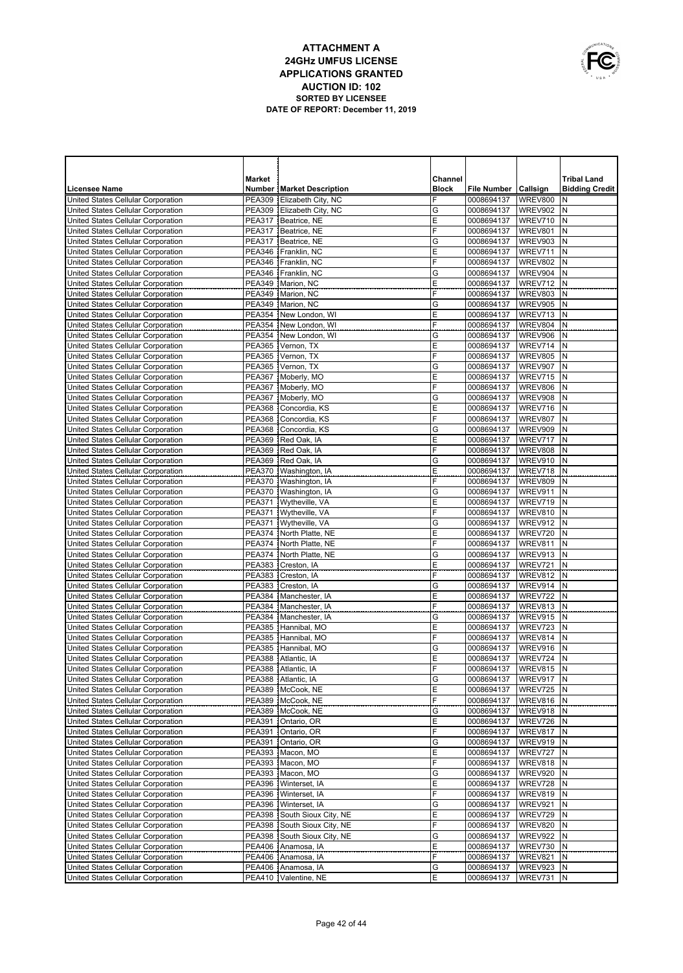

|                                                                          | Market                         |                                            | Channel      |                          |                    | <b>Tribal Land</b>    |
|--------------------------------------------------------------------------|--------------------------------|--------------------------------------------|--------------|--------------------------|--------------------|-----------------------|
| <b>Licensee Name</b>                                                     |                                | <b>Number   Market Description</b>         | <b>Block</b> | File Number   Callsign   |                    | <b>Bidding Credit</b> |
| United States Cellular Corporation                                       | <b>PEA309</b>                  | Elizabeth City, NC                         | F            | 0008694137               | <b>WREV800</b>     | N                     |
| United States Cellular Corporation                                       | <b>PEA309</b>                  | Elizabeth City, NC                         | G            | 0008694137               | WREV902            | N                     |
| United States Cellular Corporation                                       | <b>PEA317</b>                  | Beatrice, NE                               | Ε            | 0008694137               | WREV710            | N                     |
| United States Cellular Corporation                                       | <b>PEA317</b>                  | Beatrice, NE                               | F            | 0008694137               | WREV801            | N                     |
| United States Cellular Corporation                                       | <b>PEA317</b>                  | Beatrice, NE                               | G            | 0008694137               | WREV903            | N                     |
| United States Cellular Corporation                                       | <b>PEA346</b>                  | Franklin, NC                               | E            | 0008694137               | WREV711            | N                     |
| United States Cellular Corporation                                       | <b>PEA346</b>                  | Franklin, NC                               | F            | 0008694137               | WREV802            | N                     |
| United States Cellular Corporation                                       | PEA346                         | Franklin, NC                               | G            | 0008694137               | WREV904            | N                     |
| United States Cellular Corporation                                       | <b>PEA349</b>                  | Marion, NC                                 | E            | 0008694137               | WREV712            | N                     |
| United States Cellular Corporation                                       | <b>PEA349</b>                  | Marion, NC                                 | F            | 0008694137               | WREV803            | N                     |
| United States Cellular Corporation                                       | <b>PEA349</b>                  | Marion, NC                                 | G            | 0008694137               | WREV905            | N                     |
| United States Cellular Corporation                                       | <b>PEA354</b>                  | New London, WI                             | Ε<br>F       | 0008694137               | WREV713            | N                     |
| United States Cellular Corporation                                       | <b>PEA354</b>                  | New London, WI                             | G            | 0008694137               | WREV804            | N<br>N                |
| United States Cellular Corporation                                       | <b>PEA354</b>                  | New London, WI                             | E            | 0008694137               | WREV906            | N                     |
| United States Cellular Corporation                                       |                                | PEA365   Vernon, TX                        | F            | 0008694137               | WREV714            | N                     |
| United States Cellular Corporation<br>United States Cellular Corporation | <b>PEA365</b>                  | Vernon, TX<br>PEA365   Vernon, TX          | G            | 0008694137<br>0008694137 | WREV805<br>WREV907 | N                     |
| United States Cellular Corporation                                       | <b>PEA367</b>                  | Moberly, MO                                | Ε            | 0008694137               | WREV715            | N                     |
| United States Cellular Corporation                                       | <b>PEA367</b>                  | Moberly, MO                                | F            | 0008694137               | WREV806            | N                     |
| United States Cellular Corporation                                       | <b>PEA367</b>                  | Moberly, MO                                | G            | 0008694137               | WREV908            | N                     |
| United States Cellular Corporation                                       | <b>PEA368</b>                  | Concordia, KS                              | E            | 0008694137               | WREV716            | N                     |
| United States Cellular Corporation                                       | <b>PEA368</b>                  | Concordia, KS                              | F            | 0008694137               | WREV807            | N                     |
| United States Cellular Corporation                                       |                                | PEA368 Concordia, KS                       | G            | 0008694137               | WREV909            | N                     |
| United States Cellular Corporation                                       | <b>PEA369</b>                  | Red Oak, IA                                | Ε            | 0008694137               | WREV717            | N                     |
| United States Cellular Corporation                                       |                                | PEA369 Red Oak, IA                         | F            | 0008694137               | <b>WREV808</b>     | N                     |
| United States Cellular Corporation                                       | <b>PEA369</b>                  | Red Oak, IA                                | G            | 0008694137               | WREV910            | N                     |
| United States Cellular Corporation                                       |                                | PEA370   Washington, IA                    | Ε            | 0008694137               | WREV718            | N                     |
| United States Cellular Corporation                                       |                                | PEA370   Washington, IA                    | F            | 0008694137               | WREV809            | N                     |
| United States Cellular Corporation                                       |                                | PEA370   Washington, IA                    | G            | 0008694137               | WREV911            | N                     |
| United States Cellular Corporation                                       |                                | PEA371   Wytheville, VA                    | Ε            | 0008694137               | WREV719            | N                     |
| United States Cellular Corporation                                       | <b>PEA371</b>                  | Wytheville, VA                             | F            | 0008694137               | WREV810            | N                     |
| United States Cellular Corporation                                       |                                | PEA371   Wytheville, VA                    | G            | 0008694137               | WREV912            | N                     |
| United States Cellular Corporation                                       |                                | PEA374   North Platte, NE                  | Ε            | 0008694137               | WREV720            | N                     |
| United States Cellular Corporation                                       |                                | PEA374 North Platte, NE                    | F            | 0008694137               | WREV811            | N                     |
| United States Cellular Corporation                                       |                                | PEA374   North Platte, NE                  | G            | 0008694137               | WREV913            | N                     |
| United States Cellular Corporation                                       | <b>PEA383</b>                  | Creston, IA                                | Ε            | 0008694137               | WREV721            | N                     |
| United States Cellular Corporation                                       | <b>PEA383</b>                  | Creston, IA                                | F            | 0008694137               | WREV812            | N                     |
| United States Cellular Corporation                                       | <b>PEA383</b>                  | Creston, IA                                | G            | 0008694137               | WREV914            | N                     |
| United States Cellular Corporation<br>United States Cellular Corporation | <b>PEA384</b><br><b>PEA384</b> | Manchester, IA<br>Manchester, IA           | Ε<br>F       | 0008694137<br>0008694137 | WREV722<br>WREV813 | N<br>N                |
| United States Cellular Corporation                                       |                                | PEA384 Manchester, IA                      | G            | 0008694137               | WREV915            | N                     |
| United States Cellular Corporation                                       | <b>PEA385</b>                  | Hannibal, MO                               | Ε            | 0008694137               | WREV723            | N                     |
| United States Cellular Corporation                                       |                                | PEA385 Hannibal, MO                        | F            | 0008694137               | WREV814            | N                     |
| United States Cellular Corporation                                       | <b>PEA385</b>                  | Hannibal, MO                               | G            | 0008694137               | WREV916            | N                     |
| United States Cellular Corporation                                       | <b>PEA388</b>                  | Atlantic, IA                               | Ε            | 0008694137               | WREV724            | N                     |
| United States Cellular Corporation                                       |                                | PEA388 Atlantic, IA                        | F            | 0008694137               | WREV815            | İΝ                    |
| United States Cellular Corporation                                       |                                | PEA388 Atlantic, IA                        | G            | 0008694137               | WREV917 N          |                       |
| United States Cellular Corporation                                       |                                | PEA389 McCook, NE                          | Ε            | 0008694137               | WREV725 N          |                       |
| United States Cellular Corporation                                       |                                | PEA389   McCook, NE                        | F            | 0008694137               | WREV816            | IN.                   |
| United States Cellular Corporation                                       |                                | PEA389 McCook, NE                          | G            | 0008694137               | <b>WREV918 N</b>   |                       |
| United States Cellular Corporation                                       | <b>PEA391</b>                  | Ontario, OR                                | Ε            | 0008694137               | WREV726            | N                     |
| United States Cellular Corporation                                       | <b>PEA391</b>                  | Ontario, OR                                | F            | 0008694137               | WREV817            | IN.                   |
| United States Cellular Corporation                                       | <b>PEA391</b>                  | Ontario, OR                                | G            | 0008694137               | WREV919            | N                     |
| United States Cellular Corporation                                       |                                | PEA393   Macon, MO                         | Ε            | 0008694137               | WREV727            | N                     |
| United States Cellular Corporation                                       |                                | PEA393   Macon, MO                         | F            | 0008694137               | WREV818            | Ν                     |
| United States Cellular Corporation                                       |                                | PEA393 Macon, MO                           | G            | 0008694137               | WREV920            | N                     |
| United States Cellular Corporation                                       |                                | PEA396   Winterset, IA                     | Ε            | 0008694137               | WREV728            | Ν                     |
| United States Cellular Corporation                                       |                                | PEA396 Winterset, IA                       | F            | 0008694137               | WREV819            | N                     |
| United States Cellular Corporation                                       |                                | PEA396   Winterset, IA                     | G            | 0008694137               | WREV921            | Ν                     |
| United States Cellular Corporation                                       |                                | PEA398 South Sioux City, NE                | Ε            | 0008694137               | WREV729            | N                     |
| United States Cellular Corporation                                       |                                | PEA398 South Sioux City, NE                | F            | 0008694137               | WREV820            | Ν                     |
| United States Cellular Corporation                                       |                                | PEA398 South Sioux City, NE                | G<br>Ε       | 0008694137               | WREV922            | Ν<br>Ν                |
| United States Cellular Corporation<br>United States Cellular Corporation |                                | PEA406   Anamosa, IA                       | F            | 0008694137               | WREV730            | N                     |
| United States Cellular Corporation                                       |                                | PEA406   Anamosa, IA<br>PEA406 Anamosa, IA | G            | 0008694137<br>0008694137 | WREV821<br>WREV923 | N                     |
| United States Cellular Corporation                                       |                                | PEA410   Valentine, NE                     | Ε            | 0008694137               | WREV731 N          |                       |
|                                                                          |                                |                                            |              |                          |                    |                       |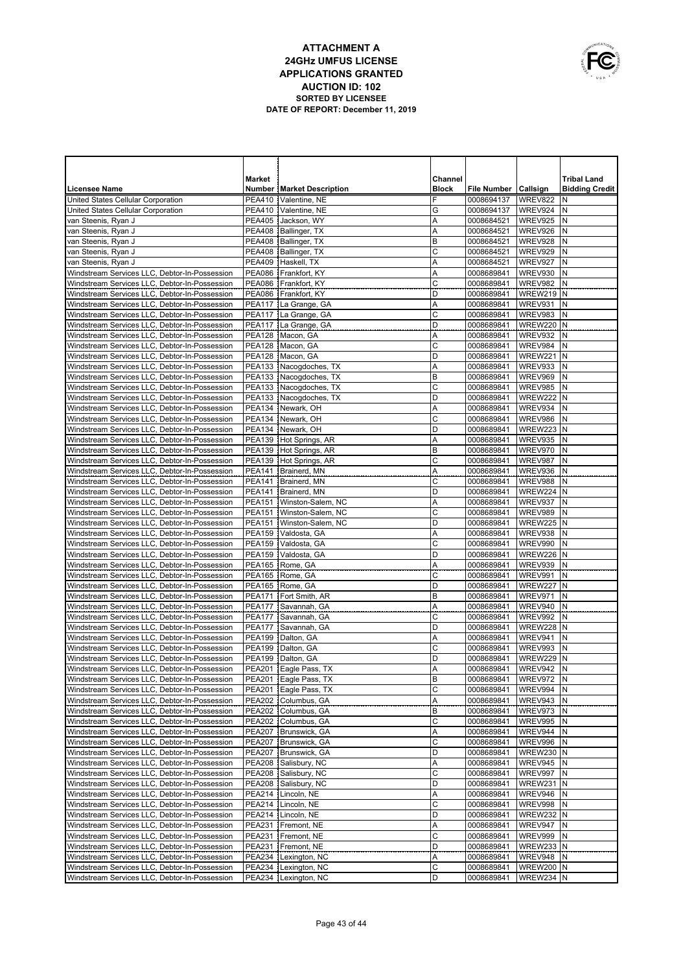

|                                               | Market        |                                    | Channel      |                        |                  | <b>Tribal Land</b>    |
|-----------------------------------------------|---------------|------------------------------------|--------------|------------------------|------------------|-----------------------|
| <b>Licensee Name</b>                          |               | <b>Number   Market Description</b> | <b>Block</b> | File Number   Callsign |                  | <b>Bidding Credit</b> |
| United States Cellular Corporation            |               | PEA410   Valentine, NE             | F            | 0008694137             | WREV822          | N                     |
| United States Cellular Corporation            | <b>PEA410</b> | Valentine, NE                      | G            | 0008694137             | WREV924          | N                     |
| van Steenis, Ryan J                           | <b>PEA405</b> | Jackson, WY                        | Α            | 0008684521             | WREV925          | N                     |
| van Steenis, Ryan J                           |               | PEA408   Ballinger, TX             | Α            | 0008684521             | WREV926          | N                     |
| van Steenis, Ryan J                           |               | PEA408   Ballinger, TX             | B            | 0008684521             | WREV928          | N                     |
| van Steenis, Ryan J                           |               | PEA408   Ballinger, TX             | C            | 0008684521             | WREV929          | N                     |
| van Steenis, Ryan J                           |               | PEA409 Haskell, TX                 | Α            | 0008684521             | WREV927          | N                     |
| Windstream Services LLC, Debtor-In-Possession |               | PEA086   Frankfort, KY             | Α            | 0008689841             | WREV930          | $\mathsf{N}$          |
| Windstream Services LLC, Debtor-In-Possession |               | PEA086 Frankfort, KY               | C            | 0008689841             | WREV982          | N                     |
| Windstream Services LLC, Debtor-In-Possession |               | PEA086   Frankfort, KY             | D            | 0008689841             | WREW219          | N                     |
| Windstream Services LLC, Debtor-In-Possession |               | PEA117 La Grange, GA               | Α            | 0008689841             | WREV931          | N                     |
| Windstream Services LLC, Debtor-In-Possession |               | PEA117   La Grange, GA             | C            | 0008689841             | WREV983          | N                     |
| Windstream Services LLC, Debtor-In-Possession |               | PEA117   La Grange, GA             | D            | 0008689841             | WREW220          | N                     |
| Windstream Services LLC, Debtor-In-Possession |               | PEA128   Macon, GA                 | Α            | 0008689841             | WREV932          | N                     |
| Windstream Services LLC, Debtor-In-Possession |               | PEA128   Macon, GA                 | C            | 0008689841             | WREV984          | N                     |
| Windstream Services LLC, Debtor-In-Possession |               | PEA128 Macon, GA                   | D            | 0008689841             | WREW221          | N                     |
| Windstream Services LLC, Debtor-In-Possession |               | PEA133 Nacogdoches, TX             | A            | 0008689841             | WREV933          | N                     |
| Windstream Services LLC, Debtor-In-Possession |               | PEA133 Nacogdoches, TX             | B            | 0008689841             | WREV969          | N                     |
| Windstream Services LLC, Debtor-In-Possession |               | PEA133 Nacogdoches, TX             | $\mathsf{C}$ | 0008689841             | WREV985          | N                     |
| Windstream Services LLC, Debtor-In-Possession |               | PEA133 Nacogdoches, TX             | D            | 0008689841             | WREW222          | N                     |
| Windstream Services LLC, Debtor-In-Possession |               | PEA134 Newark, OH                  | A            | 0008689841             | WREV934          | N                     |
| Windstream Services LLC, Debtor-In-Possession |               | PEA134 Newark, OH                  | C            | 0008689841             | WREV986          | N                     |
| Windstream Services LLC, Debtor-In-Possession |               | PEA134   Newark, OH                | D            | 0008689841             | WREW223          | N                     |
| Windstream Services LLC, Debtor-In-Possession |               | PEA139 Hot Springs, AR             | Α            | 0008689841             | WREV935          | N                     |
| Windstream Services LLC, Debtor-In-Possession |               | PEA139 Hot Springs, AR             | B            | 0008689841             | WREV970          | N                     |
| Windstream Services LLC, Debtor-In-Possession |               | PEA139 Hot Springs, AR             | С            | 0008689841             | WREV987          | N                     |
| Windstream Services LLC, Debtor-In-Possession | <b>PEA141</b> | Brainerd, MN                       | Α            | 0008689841             | WREV936          | N                     |
| Windstream Services LLC, Debtor-In-Possession | <b>PEA141</b> | Brainerd, MN                       | С            | 0008689841             | WREV988          | N                     |
| Windstream Services LLC, Debtor-In-Possession | <b>PEA141</b> | Brainerd, MN                       | D            | 0008689841             | WREW224          | N                     |
| Windstream Services LLC, Debtor-In-Possession |               | PEA151   Winston-Salem, NC         | Α            | 0008689841             | WREV937          | N                     |
| Windstream Services LLC, Debtor-In-Possession | <b>PEA151</b> | Winston-Salem, NC                  | C            | 0008689841             | WREV989          | N                     |
| Windstream Services LLC, Debtor-In-Possession |               | PEA151   Winston-Salem, NC         | D            | 0008689841             | WREW225          | N                     |
| Windstream Services LLC, Debtor-In-Possession | <b>PEA159</b> | Valdosta, GA                       | A            | 0008689841             | WREV938          | N                     |
| Windstream Services LLC, Debtor-In-Possession | <b>PEA159</b> | Valdosta, GA                       | C            | 0008689841             | WREV990          | N                     |
| Windstream Services LLC, Debtor-In-Possession | <b>PEA159</b> | Valdosta, GA                       | D            | 0008689841             | WREW226          | N                     |
| Windstream Services LLC, Debtor-In-Possession |               | PEA165 Rome, GA                    | Α            | 0008689841             | WREV939          | N                     |
| Windstream Services LLC, Debtor-In-Possession |               | PEA165 Rome, GA                    | C            | 0008689841             | WREV991          | N                     |
| Windstream Services LLC, Debtor-In-Possession |               | PEA165 Rome, GA                    | D            | 0008689841             | WREW227          | N                     |
| Windstream Services LLC, Debtor-In-Possession | <b>PEA171</b> | Fort Smith, AR                     | B            | 0008689841             | WREV971          | N                     |
| Windstream Services LLC, Debtor-In-Possession | <b>PEA177</b> | Savannah, GA                       | Α            | 0008689841             | WREV940          | N                     |
| Windstream Services LLC, Debtor-In-Possession | <b>PEA177</b> | Savannah, GA                       | C            | 0008689841             | WREV992          | N                     |
| Windstream Services LLC, Debtor-In-Possession | <b>PEA177</b> | Savannah, GA                       | D            | 0008689841             | WREW228          | N                     |
| Windstream Services LLC, Debtor-In-Possession |               | PEA199   Dalton, GA                | A            | 0008689841             | WREV941          | N                     |
| Windstream Services LLC, Debtor-In-Possession |               | PEA199   Dalton, GA                | С            | 0008689841             | WREV993          | N                     |
| Windstream Services LLC, Debtor-In-Possession |               | PEA199   Dalton, GA                | D            | 0008689841             | WREW229          | N                     |
| Windstream Services LLC, Debtor-In-Possession |               | PEA201 Eagle Pass, TX              | Α            | 0008689841             | WREV942          | İΝ                    |
| Windstream Services LLC, Debtor-In-Possession |               | PEA201 Eagle Pass, TX              | В            | 0008689841             | WREV972 N        |                       |
| Windstream Services LLC, Debtor-In-Possession |               | PEA201 Eagle Pass, TX              | C            | 0008689841             | WREV994 N        |                       |
| Windstream Services LLC, Debtor-In-Possession |               | PEA202 Columbus, GA                | Α            | 0008689841             | WREV943 N        |                       |
| Windstream Services LLC, Debtor-In-Possession |               | PEA202 Columbus, GA                | В            | 0008689841             | WREV973 N        |                       |
| Windstream Services LLC, Debtor-In-Possession |               | PEA202 Columbus, GA                | C            | 0008689841             | WREV995 N        |                       |
| Windstream Services LLC, Debtor-In-Possession |               | PEA207 Brunswick, GA               | Α            | 0008689841             | WREV944 N        |                       |
| Windstream Services LLC, Debtor-In-Possession |               | PEA207 Brunswick, GA               | C            | 0008689841             | WREV996          | IN.                   |
| Windstream Services LLC, Debtor-In-Possession |               | PEA207 Brunswick, GA               | D            | 0008689841             | <b>WREW230 N</b> |                       |
| Windstream Services LLC, Debtor-In-Possession |               | PEA208 Salisbury, NC               | Α            | 0008689841             | WREV945 N        |                       |
| Windstream Services LLC, Debtor-In-Possession |               | PEA208 Salisbury, NC               | C            | 0008689841             | WREV997          | IN.                   |
| Windstream Services LLC, Debtor-In-Possession |               | PEA208 Salisbury, NC               | D            | 0008689841             | WREW231 N        |                       |
| Windstream Services LLC, Debtor-In-Possession |               | PEA214   Lincoln, NE               | Α            | 0008689841             | WREV946          | IN.                   |
| Windstream Services LLC, Debtor-In-Possession |               | PEA214   Lincoln, NE               | C            | 0008689841             | WREV998          | IN.                   |
| Windstream Services LLC, Debtor-In-Possession |               | PEA214   Lincoln, NE               | D            | 0008689841             | <b>WREW232 N</b> |                       |
| Windstream Services LLC, Debtor-In-Possession |               | PEA231   Fremont, NE               | Α            | 0008689841             | WREV947          | IN.                   |
| Windstream Services LLC, Debtor-In-Possession |               | PEA231   Fremont, NE               | C            | 0008689841             | WREV999          | IN.                   |
| Windstream Services LLC, Debtor-In-Possession |               | PEA231   Fremont, NE               | D            | 0008689841             | <b>WREW233 N</b> |                       |
| Windstream Services LLC, Debtor-In-Possession |               | PEA234   Lexington, NC             | Α            | 0008689841             | WREV948          | IN.                   |
| Windstream Services LLC, Debtor-In-Possession |               | PEA234 Lexington, NC               | C            | 0008689841             | WREW200          | IN.                   |
| Windstream Services LLC, Debtor-In-Possession |               | PEA234 Lexington, NC               | D            | 0008689841             | <b>WREW234 N</b> |                       |